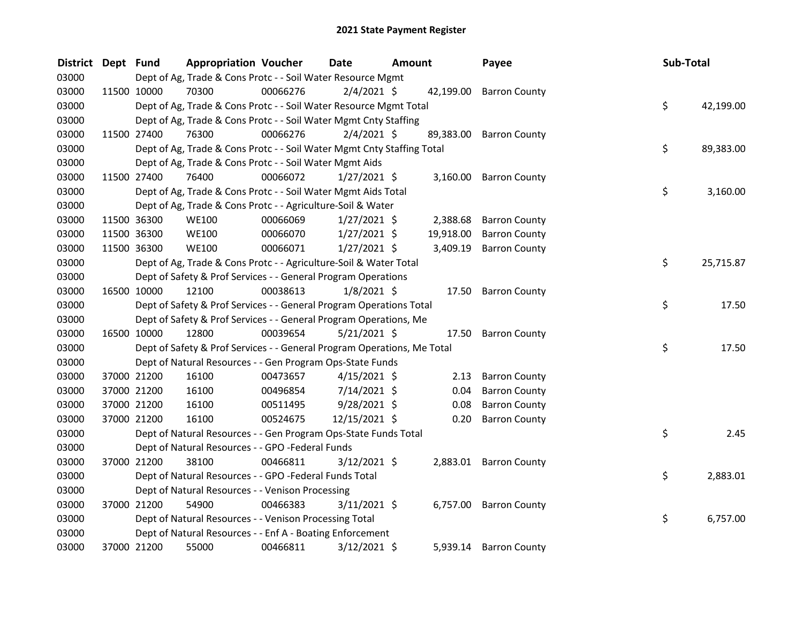| District | Dept Fund |             | <b>Appropriation Voucher</b>                                            |          | <b>Date</b><br>Amount |  |           | Payee                   |  | Sub-Total |           |
|----------|-----------|-------------|-------------------------------------------------------------------------|----------|-----------------------|--|-----------|-------------------------|--|-----------|-----------|
| 03000    |           |             | Dept of Ag, Trade & Cons Protc - - Soil Water Resource Mgmt             |          |                       |  |           |                         |  |           |           |
| 03000    |           | 11500 10000 | 70300                                                                   | 00066276 | $2/4/2021$ \$         |  |           | 42,199.00 Barron County |  |           |           |
| 03000    |           |             | Dept of Ag, Trade & Cons Protc - - Soil Water Resource Mgmt Total       |          |                       |  |           |                         |  | \$        | 42,199.00 |
| 03000    |           |             | Dept of Ag, Trade & Cons Protc - - Soil Water Mgmt Cnty Staffing        |          |                       |  |           |                         |  |           |           |
| 03000    |           | 11500 27400 | 76300                                                                   | 00066276 | $2/4/2021$ \$         |  |           | 89,383.00 Barron County |  |           |           |
| 03000    |           |             | Dept of Ag, Trade & Cons Protc - - Soil Water Mgmt Cnty Staffing Total  |          |                       |  |           |                         |  | \$        | 89,383.00 |
| 03000    |           |             | Dept of Ag, Trade & Cons Protc - - Soil Water Mgmt Aids                 |          |                       |  |           |                         |  |           |           |
| 03000    |           | 11500 27400 | 76400                                                                   | 00066072 | $1/27/2021$ \$        |  |           | 3,160.00 Barron County  |  |           |           |
| 03000    |           |             | Dept of Ag, Trade & Cons Protc - - Soil Water Mgmt Aids Total           |          |                       |  |           |                         |  | \$        | 3,160.00  |
| 03000    |           |             | Dept of Ag, Trade & Cons Protc - - Agriculture-Soil & Water             |          |                       |  |           |                         |  |           |           |
| 03000    |           | 11500 36300 | <b>WE100</b>                                                            | 00066069 | $1/27/2021$ \$        |  | 2,388.68  | <b>Barron County</b>    |  |           |           |
| 03000    |           | 11500 36300 | <b>WE100</b>                                                            | 00066070 | 1/27/2021 \$          |  | 19,918.00 | <b>Barron County</b>    |  |           |           |
| 03000    |           | 11500 36300 | <b>WE100</b>                                                            | 00066071 | $1/27/2021$ \$        |  | 3,409.19  | <b>Barron County</b>    |  |           |           |
| 03000    |           |             | Dept of Ag, Trade & Cons Protc - - Agriculture-Soil & Water Total       |          |                       |  |           |                         |  | \$        | 25,715.87 |
| 03000    |           |             | Dept of Safety & Prof Services - - General Program Operations           |          |                       |  |           |                         |  |           |           |
| 03000    |           | 16500 10000 | 12100                                                                   | 00038613 | $1/8/2021$ \$         |  |           | 17.50 Barron County     |  |           |           |
| 03000    |           |             | Dept of Safety & Prof Services - - General Program Operations Total     |          |                       |  |           |                         |  | \$        | 17.50     |
| 03000    |           |             | Dept of Safety & Prof Services - - General Program Operations, Me       |          |                       |  |           |                         |  |           |           |
| 03000    |           | 16500 10000 | 12800                                                                   | 00039654 | $5/21/2021$ \$        |  | 17.50     | <b>Barron County</b>    |  |           |           |
| 03000    |           |             | Dept of Safety & Prof Services - - General Program Operations, Me Total |          |                       |  |           |                         |  | \$        | 17.50     |
| 03000    |           |             | Dept of Natural Resources - - Gen Program Ops-State Funds               |          |                       |  |           |                         |  |           |           |
| 03000    |           | 37000 21200 | 16100                                                                   | 00473657 | $4/15/2021$ \$        |  | 2.13      | <b>Barron County</b>    |  |           |           |
| 03000    |           | 37000 21200 | 16100                                                                   | 00496854 | 7/14/2021 \$          |  | 0.04      | <b>Barron County</b>    |  |           |           |
| 03000    |           | 37000 21200 | 16100                                                                   | 00511495 | $9/28/2021$ \$        |  | 0.08      | <b>Barron County</b>    |  |           |           |
| 03000    |           | 37000 21200 | 16100                                                                   | 00524675 | 12/15/2021 \$         |  | 0.20      | <b>Barron County</b>    |  |           |           |
| 03000    |           |             | Dept of Natural Resources - - Gen Program Ops-State Funds Total         |          |                       |  |           |                         |  | \$        | 2.45      |
| 03000    |           |             | Dept of Natural Resources - - GPO -Federal Funds                        |          |                       |  |           |                         |  |           |           |
| 03000    |           | 37000 21200 | 38100                                                                   | 00466811 | $3/12/2021$ \$        |  |           | 2,883.01 Barron County  |  |           |           |
| 03000    |           |             | Dept of Natural Resources - - GPO -Federal Funds Total                  |          |                       |  |           |                         |  | \$        | 2,883.01  |
| 03000    |           |             | Dept of Natural Resources - - Venison Processing                        |          |                       |  |           |                         |  |           |           |
| 03000    |           | 37000 21200 | 54900                                                                   | 00466383 | $3/11/2021$ \$        |  |           | 6,757.00 Barron County  |  |           |           |
| 03000    |           |             | Dept of Natural Resources - - Venison Processing Total                  |          |                       |  |           |                         |  | \$        | 6,757.00  |
| 03000    |           |             | Dept of Natural Resources - - Enf A - Boating Enforcement               |          |                       |  |           |                         |  |           |           |
| 03000    |           | 37000 21200 | 55000                                                                   | 00466811 | $3/12/2021$ \$        |  | 5,939.14  | <b>Barron County</b>    |  |           |           |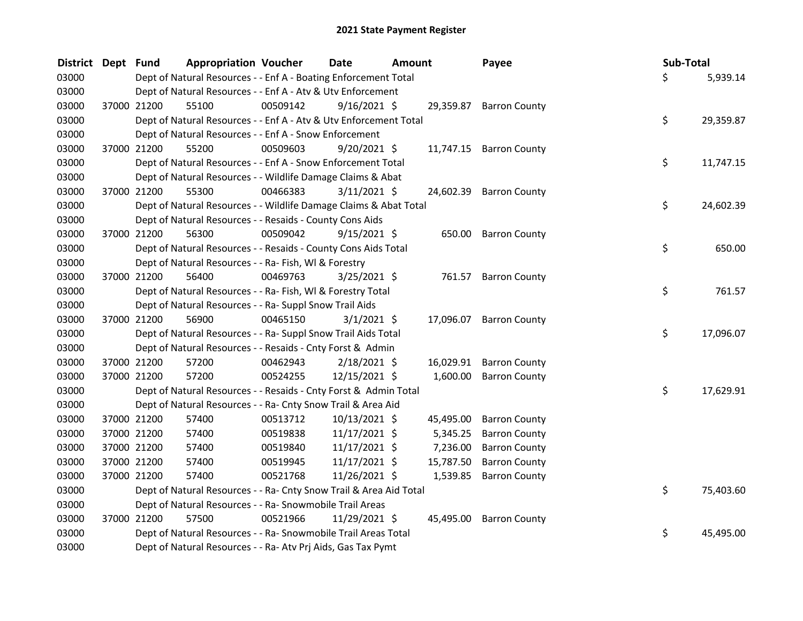| <b>District</b> | Dept Fund |             | <b>Appropriation Voucher</b>                                       |          | <b>Date</b>    | <b>Amount</b> |           | Payee                   | Sub-Total |           |
|-----------------|-----------|-------------|--------------------------------------------------------------------|----------|----------------|---------------|-----------|-------------------------|-----------|-----------|
| 03000           |           |             | Dept of Natural Resources - - Enf A - Boating Enforcement Total    |          |                |               |           |                         | \$        | 5,939.14  |
| 03000           |           |             | Dept of Natural Resources - - Enf A - Atv & Utv Enforcement        |          |                |               |           |                         |           |           |
| 03000           |           | 37000 21200 | 55100                                                              | 00509142 | $9/16/2021$ \$ |               |           | 29,359.87 Barron County |           |           |
| 03000           |           |             | Dept of Natural Resources - - Enf A - Atv & Utv Enforcement Total  |          |                |               |           |                         | \$        | 29,359.87 |
| 03000           |           |             | Dept of Natural Resources - - Enf A - Snow Enforcement             |          |                |               |           |                         |           |           |
| 03000           |           | 37000 21200 | 55200                                                              | 00509603 | $9/20/2021$ \$ |               |           | 11,747.15 Barron County |           |           |
| 03000           |           |             | Dept of Natural Resources - - Enf A - Snow Enforcement Total       |          |                |               |           |                         | \$        | 11,747.15 |
| 03000           |           |             | Dept of Natural Resources - - Wildlife Damage Claims & Abat        |          |                |               |           |                         |           |           |
| 03000           |           | 37000 21200 | 55300                                                              | 00466383 | 3/11/2021 \$   |               |           | 24,602.39 Barron County |           |           |
| 03000           |           |             | Dept of Natural Resources - - Wildlife Damage Claims & Abat Total  |          |                |               |           |                         | \$        | 24,602.39 |
| 03000           |           |             | Dept of Natural Resources - - Resaids - County Cons Aids           |          |                |               |           |                         |           |           |
| 03000           |           | 37000 21200 | 56300                                                              | 00509042 | $9/15/2021$ \$ |               |           | 650.00 Barron County    |           |           |
| 03000           |           |             | Dept of Natural Resources - - Resaids - County Cons Aids Total     |          |                |               |           |                         | \$        | 650.00    |
| 03000           |           |             | Dept of Natural Resources - - Ra- Fish, WI & Forestry              |          |                |               |           |                         |           |           |
| 03000           |           | 37000 21200 | 56400                                                              | 00469763 | $3/25/2021$ \$ |               |           | 761.57 Barron County    |           |           |
| 03000           |           |             | Dept of Natural Resources - - Ra- Fish, WI & Forestry Total        |          |                |               |           |                         | \$        | 761.57    |
| 03000           |           |             | Dept of Natural Resources - - Ra- Suppl Snow Trail Aids            |          |                |               |           |                         |           |           |
| 03000           |           | 37000 21200 | 56900                                                              | 00465150 | $3/1/2021$ \$  |               |           | 17,096.07 Barron County |           |           |
| 03000           |           |             | Dept of Natural Resources - - Ra- Suppl Snow Trail Aids Total      |          |                |               |           |                         | \$        | 17,096.07 |
| 03000           |           |             | Dept of Natural Resources - - Resaids - Cnty Forst & Admin         |          |                |               |           |                         |           |           |
| 03000           |           | 37000 21200 | 57200                                                              | 00462943 | $2/18/2021$ \$ |               |           | 16,029.91 Barron County |           |           |
| 03000           |           | 37000 21200 | 57200                                                              | 00524255 | 12/15/2021 \$  |               |           | 1,600.00 Barron County  |           |           |
| 03000           |           |             | Dept of Natural Resources - - Resaids - Cnty Forst & Admin Total   |          |                |               |           |                         | \$        | 17,629.91 |
| 03000           |           |             | Dept of Natural Resources - - Ra- Cnty Snow Trail & Area Aid       |          |                |               |           |                         |           |           |
| 03000           |           | 37000 21200 | 57400                                                              | 00513712 | 10/13/2021 \$  |               | 45,495.00 | <b>Barron County</b>    |           |           |
| 03000           |           | 37000 21200 | 57400                                                              | 00519838 | 11/17/2021 \$  |               | 5,345.25  | <b>Barron County</b>    |           |           |
| 03000           |           | 37000 21200 | 57400                                                              | 00519840 | 11/17/2021 \$  |               | 7,236.00  | <b>Barron County</b>    |           |           |
| 03000           |           | 37000 21200 | 57400                                                              | 00519945 | 11/17/2021 \$  |               | 15,787.50 | <b>Barron County</b>    |           |           |
| 03000           |           | 37000 21200 | 57400                                                              | 00521768 | 11/26/2021 \$  |               | 1,539.85  | <b>Barron County</b>    |           |           |
| 03000           |           |             | Dept of Natural Resources - - Ra- Cnty Snow Trail & Area Aid Total |          |                |               |           |                         | \$        | 75,403.60 |
| 03000           |           |             | Dept of Natural Resources - - Ra- Snowmobile Trail Areas           |          |                |               |           |                         |           |           |
| 03000           |           | 37000 21200 | 57500                                                              | 00521966 | 11/29/2021 \$  |               |           | 45,495.00 Barron County |           |           |
| 03000           |           |             | Dept of Natural Resources - - Ra- Snowmobile Trail Areas Total     |          |                |               |           |                         | \$        | 45,495.00 |
| 03000           |           |             | Dept of Natural Resources - - Ra- Atv Prj Aids, Gas Tax Pymt       |          |                |               |           |                         |           |           |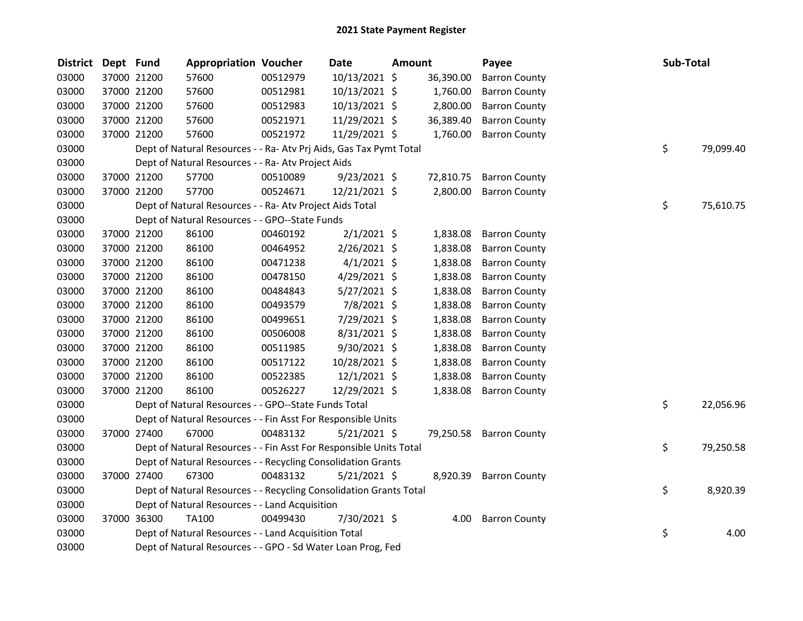| <b>District</b> | Dept Fund |             | <b>Appropriation Voucher</b>                                       |          | Date           | <b>Amount</b> |           | Payee                | Sub-Total |           |
|-----------------|-----------|-------------|--------------------------------------------------------------------|----------|----------------|---------------|-----------|----------------------|-----------|-----------|
| 03000           |           | 37000 21200 | 57600                                                              | 00512979 | 10/13/2021 \$  |               | 36,390.00 | <b>Barron County</b> |           |           |
| 03000           |           | 37000 21200 | 57600                                                              | 00512981 | 10/13/2021 \$  |               | 1,760.00  | <b>Barron County</b> |           |           |
| 03000           |           | 37000 21200 | 57600                                                              | 00512983 | 10/13/2021 \$  |               | 2,800.00  | <b>Barron County</b> |           |           |
| 03000           |           | 37000 21200 | 57600                                                              | 00521971 | 11/29/2021 \$  |               | 36,389.40 | <b>Barron County</b> |           |           |
| 03000           |           | 37000 21200 | 57600                                                              | 00521972 | 11/29/2021 \$  |               | 1,760.00  | <b>Barron County</b> |           |           |
| 03000           |           |             | Dept of Natural Resources - - Ra- Atv Prj Aids, Gas Tax Pymt Total |          |                |               |           |                      | \$        | 79,099.40 |
| 03000           |           |             | Dept of Natural Resources - - Ra- Atv Project Aids                 |          |                |               |           |                      |           |           |
| 03000           |           | 37000 21200 | 57700                                                              | 00510089 | $9/23/2021$ \$ |               | 72,810.75 | <b>Barron County</b> |           |           |
| 03000           |           | 37000 21200 | 57700                                                              | 00524671 | 12/21/2021 \$  |               | 2,800.00  | <b>Barron County</b> |           |           |
| 03000           |           |             | Dept of Natural Resources - - Ra- Atv Project Aids Total           |          |                |               |           |                      | \$        | 75,610.75 |
| 03000           |           |             | Dept of Natural Resources - - GPO--State Funds                     |          |                |               |           |                      |           |           |
| 03000           |           | 37000 21200 | 86100                                                              | 00460192 | $2/1/2021$ \$  |               | 1,838.08  | <b>Barron County</b> |           |           |
| 03000           |           | 37000 21200 | 86100                                                              | 00464952 | 2/26/2021 \$   |               | 1,838.08  | <b>Barron County</b> |           |           |
| 03000           |           | 37000 21200 | 86100                                                              | 00471238 | $4/1/2021$ \$  |               | 1,838.08  | <b>Barron County</b> |           |           |
| 03000           |           | 37000 21200 | 86100                                                              | 00478150 | 4/29/2021 \$   |               | 1,838.08  | <b>Barron County</b> |           |           |
| 03000           |           | 37000 21200 | 86100                                                              | 00484843 | $5/27/2021$ \$ |               | 1,838.08  | <b>Barron County</b> |           |           |
| 03000           |           | 37000 21200 | 86100                                                              | 00493579 | 7/8/2021 \$    |               | 1,838.08  | <b>Barron County</b> |           |           |
| 03000           |           | 37000 21200 | 86100                                                              | 00499651 | 7/29/2021 \$   |               | 1,838.08  | <b>Barron County</b> |           |           |
| 03000           |           | 37000 21200 | 86100                                                              | 00506008 | 8/31/2021 \$   |               | 1,838.08  | <b>Barron County</b> |           |           |
| 03000           |           | 37000 21200 | 86100                                                              | 00511985 | 9/30/2021 \$   |               | 1,838.08  | <b>Barron County</b> |           |           |
| 03000           |           | 37000 21200 | 86100                                                              | 00517122 | 10/28/2021 \$  |               | 1,838.08  | <b>Barron County</b> |           |           |
| 03000           |           | 37000 21200 | 86100                                                              | 00522385 | 12/1/2021 \$   |               | 1,838.08  | <b>Barron County</b> |           |           |
| 03000           |           | 37000 21200 | 86100                                                              | 00526227 | 12/29/2021 \$  |               | 1,838.08  | <b>Barron County</b> |           |           |
| 03000           |           |             | Dept of Natural Resources - - GPO--State Funds Total               |          |                |               |           |                      | \$        | 22,056.96 |
| 03000           |           |             | Dept of Natural Resources - - Fin Asst For Responsible Units       |          |                |               |           |                      |           |           |
| 03000           |           | 37000 27400 | 67000                                                              | 00483132 | $5/21/2021$ \$ |               | 79,250.58 | <b>Barron County</b> |           |           |
| 03000           |           |             | Dept of Natural Resources - - Fin Asst For Responsible Units Total |          |                |               |           |                      | \$        | 79,250.58 |
| 03000           |           |             | Dept of Natural Resources - - Recycling Consolidation Grants       |          |                |               |           |                      |           |           |
| 03000           |           | 37000 27400 | 67300                                                              | 00483132 | $5/21/2021$ \$ |               | 8,920.39  | <b>Barron County</b> |           |           |
| 03000           |           |             | Dept of Natural Resources - - Recycling Consolidation Grants Total |          |                |               |           |                      | \$        | 8,920.39  |
| 03000           |           |             | Dept of Natural Resources - - Land Acquisition                     |          |                |               |           |                      |           |           |
| 03000           |           | 37000 36300 | <b>TA100</b>                                                       | 00499430 | 7/30/2021 \$   |               | 4.00      | <b>Barron County</b> |           |           |
| 03000           |           |             | Dept of Natural Resources - - Land Acquisition Total               |          |                |               |           |                      | \$        | 4.00      |
| 03000           |           |             | Dept of Natural Resources - - GPO - Sd Water Loan Prog, Fed        |          |                |               |           |                      |           |           |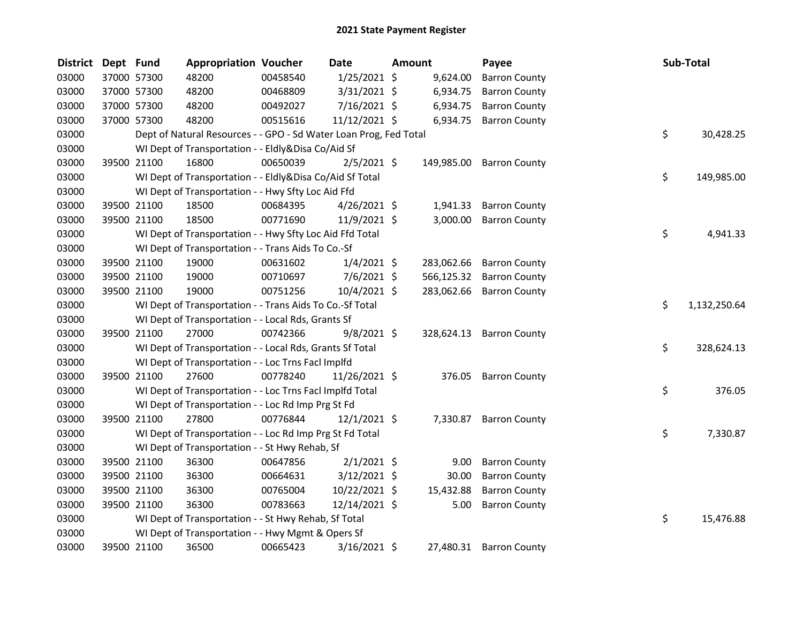| <b>District</b> | Dept Fund |             | <b>Appropriation Voucher</b>                                      |          | Date           | <b>Amount</b> | Payee                    |    | Sub-Total    |
|-----------------|-----------|-------------|-------------------------------------------------------------------|----------|----------------|---------------|--------------------------|----|--------------|
| 03000           |           | 37000 57300 | 48200                                                             | 00458540 | $1/25/2021$ \$ | 9,624.00      | <b>Barron County</b>     |    |              |
| 03000           |           | 37000 57300 | 48200                                                             | 00468809 | $3/31/2021$ \$ | 6,934.75      | <b>Barron County</b>     |    |              |
| 03000           |           | 37000 57300 | 48200                                                             | 00492027 | 7/16/2021 \$   | 6,934.75      | <b>Barron County</b>     |    |              |
| 03000           |           | 37000 57300 | 48200                                                             | 00515616 | 11/12/2021 \$  | 6,934.75      | <b>Barron County</b>     |    |              |
| 03000           |           |             | Dept of Natural Resources - - GPO - Sd Water Loan Prog, Fed Total |          |                |               |                          | \$ | 30,428.25    |
| 03000           |           |             | WI Dept of Transportation - - Eldly&Disa Co/Aid Sf                |          |                |               |                          |    |              |
| 03000           |           | 39500 21100 | 16800                                                             | 00650039 | $2/5/2021$ \$  | 149,985.00    | <b>Barron County</b>     |    |              |
| 03000           |           |             | WI Dept of Transportation - - Eldly&Disa Co/Aid Sf Total          |          |                |               |                          | \$ | 149,985.00   |
| 03000           |           |             | WI Dept of Transportation - - Hwy Sfty Loc Aid Ffd                |          |                |               |                          |    |              |
| 03000           |           | 39500 21100 | 18500                                                             | 00684395 | $4/26/2021$ \$ | 1,941.33      | <b>Barron County</b>     |    |              |
| 03000           |           | 39500 21100 | 18500                                                             | 00771690 | 11/9/2021 \$   | 3,000.00      | <b>Barron County</b>     |    |              |
| 03000           |           |             | WI Dept of Transportation - - Hwy Sfty Loc Aid Ffd Total          |          |                |               |                          | \$ | 4,941.33     |
| 03000           |           |             | WI Dept of Transportation - - Trans Aids To Co.-Sf                |          |                |               |                          |    |              |
| 03000           |           | 39500 21100 | 19000                                                             | 00631602 | $1/4/2021$ \$  | 283,062.66    | <b>Barron County</b>     |    |              |
| 03000           |           | 39500 21100 | 19000                                                             | 00710697 | $7/6/2021$ \$  | 566,125.32    | <b>Barron County</b>     |    |              |
| 03000           |           | 39500 21100 | 19000                                                             | 00751256 | $10/4/2021$ \$ | 283,062.66    | <b>Barron County</b>     |    |              |
| 03000           |           |             | WI Dept of Transportation - - Trans Aids To Co.-Sf Total          |          |                |               |                          | \$ | 1,132,250.64 |
| 03000           |           |             | WI Dept of Transportation - - Local Rds, Grants Sf                |          |                |               |                          |    |              |
| 03000           |           | 39500 21100 | 27000                                                             | 00742366 | $9/8/2021$ \$  |               | 328,624.13 Barron County |    |              |
| 03000           |           |             | WI Dept of Transportation - - Local Rds, Grants Sf Total          |          |                |               |                          | \$ | 328,624.13   |
| 03000           |           |             | WI Dept of Transportation - - Loc Trns Facl Implfd                |          |                |               |                          |    |              |
| 03000           |           | 39500 21100 | 27600                                                             | 00778240 | 11/26/2021 \$  | 376.05        | <b>Barron County</b>     |    |              |
| 03000           |           |             | WI Dept of Transportation - - Loc Trns Facl Implfd Total          |          |                |               |                          | \$ | 376.05       |
| 03000           |           |             | WI Dept of Transportation - - Loc Rd Imp Prg St Fd                |          |                |               |                          |    |              |
| 03000           |           | 39500 21100 | 27800                                                             | 00776844 | $12/1/2021$ \$ | 7,330.87      | <b>Barron County</b>     |    |              |
| 03000           |           |             | WI Dept of Transportation - - Loc Rd Imp Prg St Fd Total          |          |                |               |                          | \$ | 7,330.87     |
| 03000           |           |             | WI Dept of Transportation - - St Hwy Rehab, Sf                    |          |                |               |                          |    |              |
| 03000           |           | 39500 21100 | 36300                                                             | 00647856 | $2/1/2021$ \$  | 9.00          | <b>Barron County</b>     |    |              |
| 03000           |           | 39500 21100 | 36300                                                             | 00664631 | $3/12/2021$ \$ | 30.00         | <b>Barron County</b>     |    |              |
| 03000           |           | 39500 21100 | 36300                                                             | 00765004 | 10/22/2021 \$  | 15,432.88     | <b>Barron County</b>     |    |              |
| 03000           |           | 39500 21100 | 36300                                                             | 00783663 | 12/14/2021 \$  | 5.00          | <b>Barron County</b>     |    |              |
| 03000           |           |             | WI Dept of Transportation - - St Hwy Rehab, Sf Total              |          |                |               |                          | \$ | 15,476.88    |
| 03000           |           |             | WI Dept of Transportation - - Hwy Mgmt & Opers Sf                 |          |                |               |                          |    |              |
| 03000           |           | 39500 21100 | 36500                                                             | 00665423 | 3/16/2021 \$   | 27,480.31     | <b>Barron County</b>     |    |              |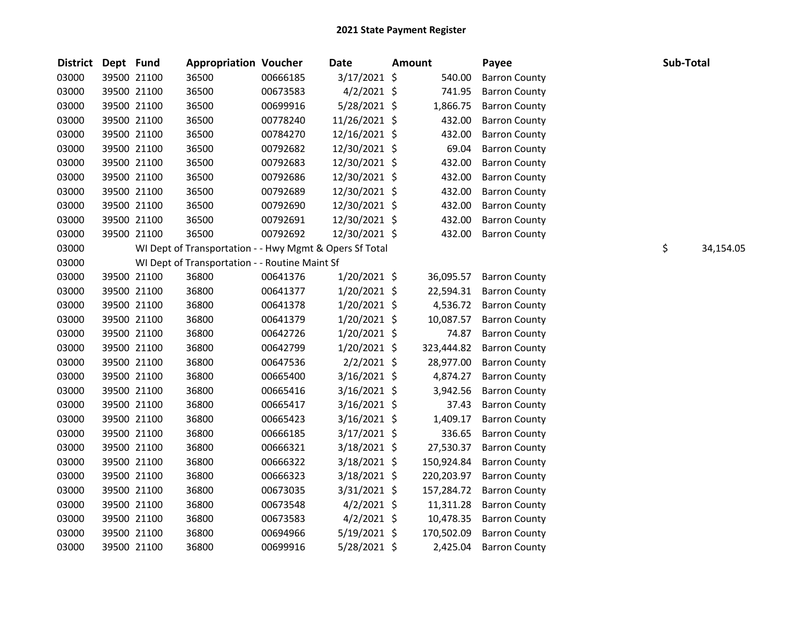| District Dept Fund |             | <b>Appropriation Voucher</b>                            |          | Date           | Amount     | Payee                | Sub-Total |           |
|--------------------|-------------|---------------------------------------------------------|----------|----------------|------------|----------------------|-----------|-----------|
| 03000              | 39500 21100 | 36500                                                   | 00666185 | 3/17/2021 \$   | 540.00     | <b>Barron County</b> |           |           |
| 03000              | 39500 21100 | 36500                                                   | 00673583 | $4/2/2021$ \$  | 741.95     | <b>Barron County</b> |           |           |
| 03000              | 39500 21100 | 36500                                                   | 00699916 | $5/28/2021$ \$ | 1,866.75   | <b>Barron County</b> |           |           |
| 03000              | 39500 21100 | 36500                                                   | 00778240 | 11/26/2021 \$  | 432.00     | <b>Barron County</b> |           |           |
| 03000              | 39500 21100 | 36500                                                   | 00784270 | 12/16/2021 \$  | 432.00     | <b>Barron County</b> |           |           |
| 03000              | 39500 21100 | 36500                                                   | 00792682 | 12/30/2021 \$  | 69.04      | <b>Barron County</b> |           |           |
| 03000              | 39500 21100 | 36500                                                   | 00792683 | 12/30/2021 \$  | 432.00     | <b>Barron County</b> |           |           |
| 03000              | 39500 21100 | 36500                                                   | 00792686 | 12/30/2021 \$  | 432.00     | <b>Barron County</b> |           |           |
| 03000              | 39500 21100 | 36500                                                   | 00792689 | 12/30/2021 \$  | 432.00     | <b>Barron County</b> |           |           |
| 03000              | 39500 21100 | 36500                                                   | 00792690 | 12/30/2021 \$  | 432.00     | <b>Barron County</b> |           |           |
| 03000              | 39500 21100 | 36500                                                   | 00792691 | 12/30/2021 \$  | 432.00     | <b>Barron County</b> |           |           |
| 03000              | 39500 21100 | 36500                                                   | 00792692 | 12/30/2021 \$  | 432.00     | <b>Barron County</b> |           |           |
| 03000              |             | WI Dept of Transportation - - Hwy Mgmt & Opers Sf Total |          |                |            |                      | \$        | 34,154.05 |
| 03000              |             | WI Dept of Transportation - - Routine Maint Sf          |          |                |            |                      |           |           |
| 03000              | 39500 21100 | 36800                                                   | 00641376 | $1/20/2021$ \$ | 36,095.57  | <b>Barron County</b> |           |           |
| 03000              | 39500 21100 | 36800                                                   | 00641377 | $1/20/2021$ \$ | 22,594.31  | <b>Barron County</b> |           |           |
| 03000              | 39500 21100 | 36800                                                   | 00641378 | $1/20/2021$ \$ | 4,536.72   | <b>Barron County</b> |           |           |
| 03000              | 39500 21100 | 36800                                                   | 00641379 | 1/20/2021 \$   | 10,087.57  | <b>Barron County</b> |           |           |
| 03000              | 39500 21100 | 36800                                                   | 00642726 | $1/20/2021$ \$ | 74.87      | <b>Barron County</b> |           |           |
| 03000              | 39500 21100 | 36800                                                   | 00642799 | $1/20/2021$ \$ | 323,444.82 | <b>Barron County</b> |           |           |
| 03000              | 39500 21100 | 36800                                                   | 00647536 | $2/2/2021$ \$  | 28,977.00  | <b>Barron County</b> |           |           |
| 03000              | 39500 21100 | 36800                                                   | 00665400 | $3/16/2021$ \$ | 4,874.27   | <b>Barron County</b> |           |           |
| 03000              | 39500 21100 | 36800                                                   | 00665416 | $3/16/2021$ \$ | 3,942.56   | <b>Barron County</b> |           |           |
| 03000              | 39500 21100 | 36800                                                   | 00665417 | $3/16/2021$ \$ | 37.43      | <b>Barron County</b> |           |           |
| 03000              | 39500 21100 | 36800                                                   | 00665423 | $3/16/2021$ \$ | 1,409.17   | <b>Barron County</b> |           |           |
| 03000              | 39500 21100 | 36800                                                   | 00666185 | 3/17/2021 \$   | 336.65     | <b>Barron County</b> |           |           |
| 03000              | 39500 21100 | 36800                                                   | 00666321 | $3/18/2021$ \$ | 27,530.37  | <b>Barron County</b> |           |           |
| 03000              | 39500 21100 | 36800                                                   | 00666322 | $3/18/2021$ \$ | 150,924.84 | <b>Barron County</b> |           |           |
| 03000              | 39500 21100 | 36800                                                   | 00666323 | $3/18/2021$ \$ | 220,203.97 | <b>Barron County</b> |           |           |
| 03000              | 39500 21100 | 36800                                                   | 00673035 | $3/31/2021$ \$ | 157,284.72 | <b>Barron County</b> |           |           |
| 03000              | 39500 21100 | 36800                                                   | 00673548 | $4/2/2021$ \$  | 11,311.28  | <b>Barron County</b> |           |           |
| 03000              | 39500 21100 | 36800                                                   | 00673583 | $4/2/2021$ \$  | 10,478.35  | <b>Barron County</b> |           |           |
| 03000              | 39500 21100 | 36800                                                   | 00694966 | $5/19/2021$ \$ | 170,502.09 | <b>Barron County</b> |           |           |
| 03000              | 39500 21100 | 36800                                                   | 00699916 | 5/28/2021 \$   | 2,425.04   | <b>Barron County</b> |           |           |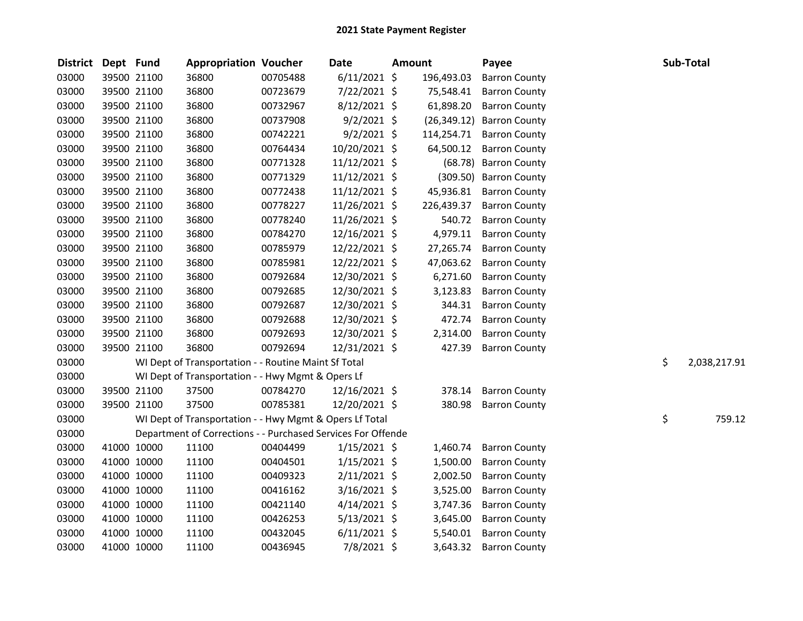| <b>District</b> | Dept Fund |             | <b>Appropriation Voucher</b>                                 |          | <b>Date</b>     | Amount |              | Payee                  |    | Sub-Total    |
|-----------------|-----------|-------------|--------------------------------------------------------------|----------|-----------------|--------|--------------|------------------------|----|--------------|
| 03000           |           | 39500 21100 | 36800                                                        | 00705488 | $6/11/2021$ \$  |        | 196,493.03   | <b>Barron County</b>   |    |              |
| 03000           |           | 39500 21100 | 36800                                                        | 00723679 | 7/22/2021 \$    |        | 75,548.41    | <b>Barron County</b>   |    |              |
| 03000           |           | 39500 21100 | 36800                                                        | 00732967 | 8/12/2021 \$    |        | 61,898.20    | <b>Barron County</b>   |    |              |
| 03000           |           | 39500 21100 | 36800                                                        | 00737908 | $9/2/2021$ \$   |        | (26, 349.12) | <b>Barron County</b>   |    |              |
| 03000           |           | 39500 21100 | 36800                                                        | 00742221 | $9/2/2021$ \$   |        | 114,254.71   | <b>Barron County</b>   |    |              |
| 03000           |           | 39500 21100 | 36800                                                        | 00764434 | 10/20/2021 \$   |        | 64,500.12    | <b>Barron County</b>   |    |              |
| 03000           |           | 39500 21100 | 36800                                                        | 00771328 | $11/12/2021$ \$ |        |              | (68.78) Barron County  |    |              |
| 03000           |           | 39500 21100 | 36800                                                        | 00771329 | 11/12/2021 \$   |        |              | (309.50) Barron County |    |              |
| 03000           |           | 39500 21100 | 36800                                                        | 00772438 | $11/12/2021$ \$ |        | 45,936.81    | <b>Barron County</b>   |    |              |
| 03000           |           | 39500 21100 | 36800                                                        | 00778227 | 11/26/2021 \$   |        | 226,439.37   | <b>Barron County</b>   |    |              |
| 03000           |           | 39500 21100 | 36800                                                        | 00778240 | 11/26/2021 \$   |        | 540.72       | <b>Barron County</b>   |    |              |
| 03000           |           | 39500 21100 | 36800                                                        | 00784270 | 12/16/2021 \$   |        | 4,979.11     | <b>Barron County</b>   |    |              |
| 03000           |           | 39500 21100 | 36800                                                        | 00785979 | 12/22/2021 \$   |        | 27,265.74    | <b>Barron County</b>   |    |              |
| 03000           |           | 39500 21100 | 36800                                                        | 00785981 | 12/22/2021 \$   |        | 47,063.62    | <b>Barron County</b>   |    |              |
| 03000           |           | 39500 21100 | 36800                                                        | 00792684 | 12/30/2021 \$   |        | 6,271.60     | <b>Barron County</b>   |    |              |
| 03000           |           | 39500 21100 | 36800                                                        | 00792685 | 12/30/2021 \$   |        | 3,123.83     | <b>Barron County</b>   |    |              |
| 03000           |           | 39500 21100 | 36800                                                        | 00792687 | 12/30/2021 \$   |        | 344.31       | <b>Barron County</b>   |    |              |
| 03000           |           | 39500 21100 | 36800                                                        | 00792688 | 12/30/2021 \$   |        | 472.74       | <b>Barron County</b>   |    |              |
| 03000           |           | 39500 21100 | 36800                                                        | 00792693 | 12/30/2021 \$   |        | 2,314.00     | <b>Barron County</b>   |    |              |
| 03000           |           | 39500 21100 | 36800                                                        | 00792694 | 12/31/2021 \$   |        | 427.39       | <b>Barron County</b>   |    |              |
| 03000           |           |             | WI Dept of Transportation - - Routine Maint Sf Total         |          |                 |        |              |                        | \$ | 2,038,217.91 |
| 03000           |           |             | WI Dept of Transportation - - Hwy Mgmt & Opers Lf            |          |                 |        |              |                        |    |              |
| 03000           |           | 39500 21100 | 37500                                                        | 00784270 | 12/16/2021 \$   |        | 378.14       | <b>Barron County</b>   |    |              |
| 03000           |           | 39500 21100 | 37500                                                        | 00785381 | 12/20/2021 \$   |        | 380.98       | <b>Barron County</b>   |    |              |
| 03000           |           |             | WI Dept of Transportation - - Hwy Mgmt & Opers Lf Total      |          |                 |        |              |                        | \$ | 759.12       |
| 03000           |           |             | Department of Corrections - - Purchased Services For Offende |          |                 |        |              |                        |    |              |
| 03000           |           | 41000 10000 | 11100                                                        | 00404499 | $1/15/2021$ \$  |        | 1,460.74     | <b>Barron County</b>   |    |              |
| 03000           |           | 41000 10000 | 11100                                                        | 00404501 | $1/15/2021$ \$  |        | 1,500.00     | <b>Barron County</b>   |    |              |
| 03000           |           | 41000 10000 | 11100                                                        | 00409323 | $2/11/2021$ \$  |        | 2,002.50     | <b>Barron County</b>   |    |              |
| 03000           |           | 41000 10000 | 11100                                                        | 00416162 | $3/16/2021$ \$  |        | 3,525.00     | <b>Barron County</b>   |    |              |
| 03000           |           | 41000 10000 | 11100                                                        | 00421140 | $4/14/2021$ \$  |        | 3,747.36     | <b>Barron County</b>   |    |              |
| 03000           |           | 41000 10000 | 11100                                                        | 00426253 | $5/13/2021$ \$  |        | 3,645.00     | <b>Barron County</b>   |    |              |
| 03000           |           | 41000 10000 | 11100                                                        | 00432045 | $6/11/2021$ \$  |        | 5,540.01     | <b>Barron County</b>   |    |              |
| 03000           |           | 41000 10000 | 11100                                                        | 00436945 | 7/8/2021 \$     |        | 3,643.32     | <b>Barron County</b>   |    |              |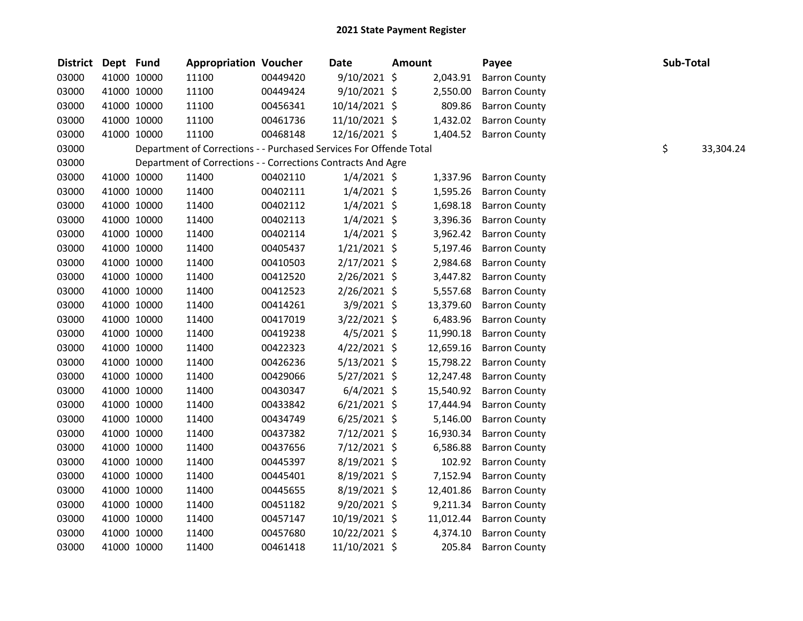| <b>District</b> | Dept Fund |             | <b>Appropriation Voucher</b>                                       |          | <b>Date</b>    | Amount |           | Payee                | Sub-Total |           |
|-----------------|-----------|-------------|--------------------------------------------------------------------|----------|----------------|--------|-----------|----------------------|-----------|-----------|
| 03000           |           | 41000 10000 | 11100                                                              | 00449420 | 9/10/2021 \$   |        | 2,043.91  | <b>Barron County</b> |           |           |
| 03000           |           | 41000 10000 | 11100                                                              | 00449424 | 9/10/2021 \$   |        | 2,550.00  | <b>Barron County</b> |           |           |
| 03000           |           | 41000 10000 | 11100                                                              | 00456341 | 10/14/2021 \$  |        | 809.86    | <b>Barron County</b> |           |           |
| 03000           |           | 41000 10000 | 11100                                                              | 00461736 | 11/10/2021 \$  |        | 1,432.02  | <b>Barron County</b> |           |           |
| 03000           |           | 41000 10000 | 11100                                                              | 00468148 | 12/16/2021 \$  |        | 1,404.52  | <b>Barron County</b> |           |           |
| 03000           |           |             | Department of Corrections - - Purchased Services For Offende Total |          |                |        |           |                      | \$        | 33,304.24 |
| 03000           |           |             | Department of Corrections - - Corrections Contracts And Agre       |          |                |        |           |                      |           |           |
| 03000           |           | 41000 10000 | 11400                                                              | 00402110 | $1/4/2021$ \$  |        | 1,337.96  | <b>Barron County</b> |           |           |
| 03000           |           | 41000 10000 | 11400                                                              | 00402111 | $1/4/2021$ \$  |        | 1,595.26  | <b>Barron County</b> |           |           |
| 03000           |           | 41000 10000 | 11400                                                              | 00402112 | $1/4/2021$ \$  |        | 1,698.18  | <b>Barron County</b> |           |           |
| 03000           |           | 41000 10000 | 11400                                                              | 00402113 | $1/4/2021$ \$  |        | 3,396.36  | <b>Barron County</b> |           |           |
| 03000           |           | 41000 10000 | 11400                                                              | 00402114 | $1/4/2021$ \$  |        | 3,962.42  | <b>Barron County</b> |           |           |
| 03000           |           | 41000 10000 | 11400                                                              | 00405437 | $1/21/2021$ \$ |        | 5,197.46  | <b>Barron County</b> |           |           |
| 03000           |           | 41000 10000 | 11400                                                              | 00410503 | $2/17/2021$ \$ |        | 2,984.68  | <b>Barron County</b> |           |           |
| 03000           |           | 41000 10000 | 11400                                                              | 00412520 | 2/26/2021 \$   |        | 3,447.82  | <b>Barron County</b> |           |           |
| 03000           |           | 41000 10000 | 11400                                                              | 00412523 | 2/26/2021 \$   |        | 5,557.68  | <b>Barron County</b> |           |           |
| 03000           |           | 41000 10000 | 11400                                                              | 00414261 | $3/9/2021$ \$  |        | 13,379.60 | <b>Barron County</b> |           |           |
| 03000           |           | 41000 10000 | 11400                                                              | 00417019 | 3/22/2021 \$   |        | 6,483.96  | <b>Barron County</b> |           |           |
| 03000           |           | 41000 10000 | 11400                                                              | 00419238 | $4/5/2021$ \$  |        | 11,990.18 | <b>Barron County</b> |           |           |
| 03000           |           | 41000 10000 | 11400                                                              | 00422323 | $4/22/2021$ \$ |        | 12,659.16 | <b>Barron County</b> |           |           |
| 03000           |           | 41000 10000 | 11400                                                              | 00426236 | $5/13/2021$ \$ |        | 15,798.22 | <b>Barron County</b> |           |           |
| 03000           |           | 41000 10000 | 11400                                                              | 00429066 | 5/27/2021 \$   |        | 12,247.48 | <b>Barron County</b> |           |           |
| 03000           |           | 41000 10000 | 11400                                                              | 00430347 | $6/4/2021$ \$  |        | 15,540.92 | <b>Barron County</b> |           |           |
| 03000           |           | 41000 10000 | 11400                                                              | 00433842 | $6/21/2021$ \$ |        | 17,444.94 | <b>Barron County</b> |           |           |
| 03000           |           | 41000 10000 | 11400                                                              | 00434749 | $6/25/2021$ \$ |        | 5,146.00  | <b>Barron County</b> |           |           |
| 03000           |           | 41000 10000 | 11400                                                              | 00437382 | $7/12/2021$ \$ |        | 16,930.34 | <b>Barron County</b> |           |           |
| 03000           |           | 41000 10000 | 11400                                                              | 00437656 | 7/12/2021 \$   |        | 6,586.88  | <b>Barron County</b> |           |           |
| 03000           |           | 41000 10000 | 11400                                                              | 00445397 | 8/19/2021 \$   |        | 102.92    | <b>Barron County</b> |           |           |
| 03000           |           | 41000 10000 | 11400                                                              | 00445401 | 8/19/2021 \$   |        | 7,152.94  | <b>Barron County</b> |           |           |
| 03000           |           | 41000 10000 | 11400                                                              | 00445655 | 8/19/2021 \$   |        | 12,401.86 | <b>Barron County</b> |           |           |
| 03000           |           | 41000 10000 | 11400                                                              | 00451182 | 9/20/2021 \$   |        | 9,211.34  | <b>Barron County</b> |           |           |
| 03000           |           | 41000 10000 | 11400                                                              | 00457147 | 10/19/2021 \$  |        | 11,012.44 | <b>Barron County</b> |           |           |
| 03000           |           | 41000 10000 | 11400                                                              | 00457680 | 10/22/2021 \$  |        | 4,374.10  | <b>Barron County</b> |           |           |
| 03000           |           | 41000 10000 | 11400                                                              | 00461418 | 11/10/2021 \$  |        | 205.84    | <b>Barron County</b> |           |           |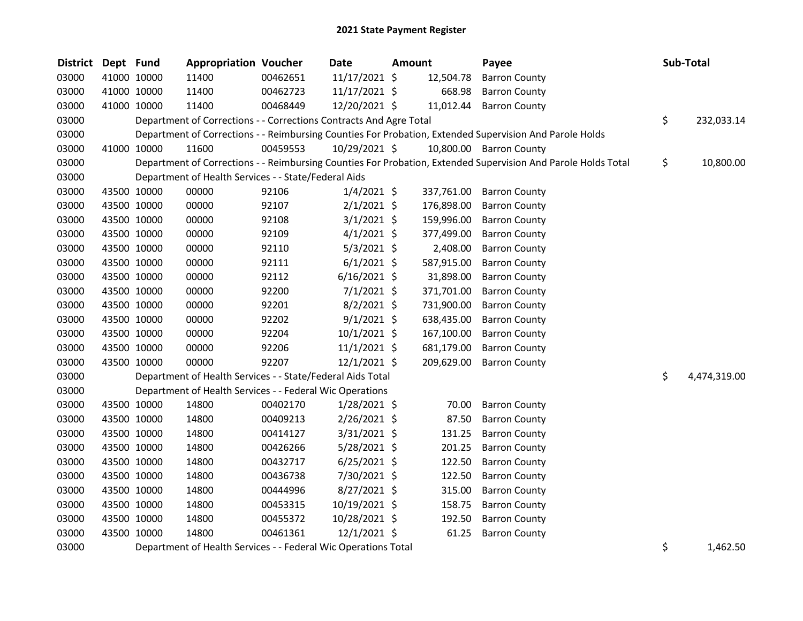| <b>District</b> | Dept Fund |             | <b>Appropriation Voucher</b>                                       |          | <b>Date</b>    | <b>Amount</b> |            | Payee                                                                                                         | Sub-Total          |
|-----------------|-----------|-------------|--------------------------------------------------------------------|----------|----------------|---------------|------------|---------------------------------------------------------------------------------------------------------------|--------------------|
| 03000           |           | 41000 10000 | 11400                                                              | 00462651 | 11/17/2021 \$  |               | 12,504.78  | <b>Barron County</b>                                                                                          |                    |
| 03000           |           | 41000 10000 | 11400                                                              | 00462723 | 11/17/2021 \$  |               | 668.98     | <b>Barron County</b>                                                                                          |                    |
| 03000           |           | 41000 10000 | 11400                                                              | 00468449 | 12/20/2021 \$  |               | 11,012.44  | <b>Barron County</b>                                                                                          |                    |
| 03000           |           |             | Department of Corrections - - Corrections Contracts And Agre Total |          |                |               |            |                                                                                                               | \$<br>232,033.14   |
| 03000           |           |             |                                                                    |          |                |               |            | Department of Corrections - - Reimbursing Counties For Probation, Extended Supervision And Parole Holds       |                    |
| 03000           |           | 41000 10000 | 11600                                                              | 00459553 | 10/29/2021 \$  |               |            | 10,800.00 Barron County                                                                                       |                    |
| 03000           |           |             |                                                                    |          |                |               |            | Department of Corrections - - Reimbursing Counties For Probation, Extended Supervision And Parole Holds Total | \$<br>10,800.00    |
| 03000           |           |             | Department of Health Services - - State/Federal Aids               |          |                |               |            |                                                                                                               |                    |
| 03000           |           | 43500 10000 | 00000                                                              | 92106    | $1/4/2021$ \$  |               | 337,761.00 | <b>Barron County</b>                                                                                          |                    |
| 03000           |           | 43500 10000 | 00000                                                              | 92107    | $2/1/2021$ \$  |               | 176,898.00 | <b>Barron County</b>                                                                                          |                    |
| 03000           |           | 43500 10000 | 00000                                                              | 92108    | $3/1/2021$ \$  |               | 159,996.00 | <b>Barron County</b>                                                                                          |                    |
| 03000           |           | 43500 10000 | 00000                                                              | 92109    | $4/1/2021$ \$  |               | 377,499.00 | <b>Barron County</b>                                                                                          |                    |
| 03000           |           | 43500 10000 | 00000                                                              | 92110    | $5/3/2021$ \$  |               | 2,408.00   | <b>Barron County</b>                                                                                          |                    |
| 03000           |           | 43500 10000 | 00000                                                              | 92111    | $6/1/2021$ \$  |               | 587,915.00 | <b>Barron County</b>                                                                                          |                    |
| 03000           |           | 43500 10000 | 00000                                                              | 92112    | $6/16/2021$ \$ |               | 31,898.00  | <b>Barron County</b>                                                                                          |                    |
| 03000           |           | 43500 10000 | 00000                                                              | 92200    | $7/1/2021$ \$  |               | 371,701.00 | <b>Barron County</b>                                                                                          |                    |
| 03000           |           | 43500 10000 | 00000                                                              | 92201    | $8/2/2021$ \$  |               | 731,900.00 | <b>Barron County</b>                                                                                          |                    |
| 03000           |           | 43500 10000 | 00000                                                              | 92202    | $9/1/2021$ \$  |               | 638,435.00 | <b>Barron County</b>                                                                                          |                    |
| 03000           |           | 43500 10000 | 00000                                                              | 92204    | 10/1/2021 \$   |               | 167,100.00 | <b>Barron County</b>                                                                                          |                    |
| 03000           |           | 43500 10000 | 00000                                                              | 92206    | $11/1/2021$ \$ |               | 681,179.00 | <b>Barron County</b>                                                                                          |                    |
| 03000           |           | 43500 10000 | 00000                                                              | 92207    | $12/1/2021$ \$ |               | 209,629.00 | <b>Barron County</b>                                                                                          |                    |
| 03000           |           |             | Department of Health Services - - State/Federal Aids Total         |          |                |               |            |                                                                                                               | \$<br>4,474,319.00 |
| 03000           |           |             | Department of Health Services - - Federal Wic Operations           |          |                |               |            |                                                                                                               |                    |
| 03000           |           | 43500 10000 | 14800                                                              | 00402170 | $1/28/2021$ \$ |               | 70.00      | <b>Barron County</b>                                                                                          |                    |
| 03000           |           | 43500 10000 | 14800                                                              | 00409213 | $2/26/2021$ \$ |               | 87.50      | <b>Barron County</b>                                                                                          |                    |
| 03000           |           | 43500 10000 | 14800                                                              | 00414127 | 3/31/2021 \$   |               | 131.25     | <b>Barron County</b>                                                                                          |                    |
| 03000           |           | 43500 10000 | 14800                                                              | 00426266 | 5/28/2021 \$   |               | 201.25     | <b>Barron County</b>                                                                                          |                    |
| 03000           |           | 43500 10000 | 14800                                                              | 00432717 | $6/25/2021$ \$ |               | 122.50     | <b>Barron County</b>                                                                                          |                    |
| 03000           |           | 43500 10000 | 14800                                                              | 00436738 | 7/30/2021 \$   |               | 122.50     | <b>Barron County</b>                                                                                          |                    |
| 03000           |           | 43500 10000 | 14800                                                              | 00444996 | 8/27/2021 \$   |               | 315.00     | <b>Barron County</b>                                                                                          |                    |
| 03000           |           | 43500 10000 | 14800                                                              | 00453315 | 10/19/2021 \$  |               | 158.75     | <b>Barron County</b>                                                                                          |                    |
| 03000           |           | 43500 10000 | 14800                                                              | 00455372 | 10/28/2021 \$  |               | 192.50     | <b>Barron County</b>                                                                                          |                    |
| 03000           |           | 43500 10000 | 14800                                                              | 00461361 | $12/1/2021$ \$ |               | 61.25      | <b>Barron County</b>                                                                                          |                    |
| 03000           |           |             | Department of Health Services - - Federal Wic Operations Total     |          |                |               |            |                                                                                                               | \$<br>1,462.50     |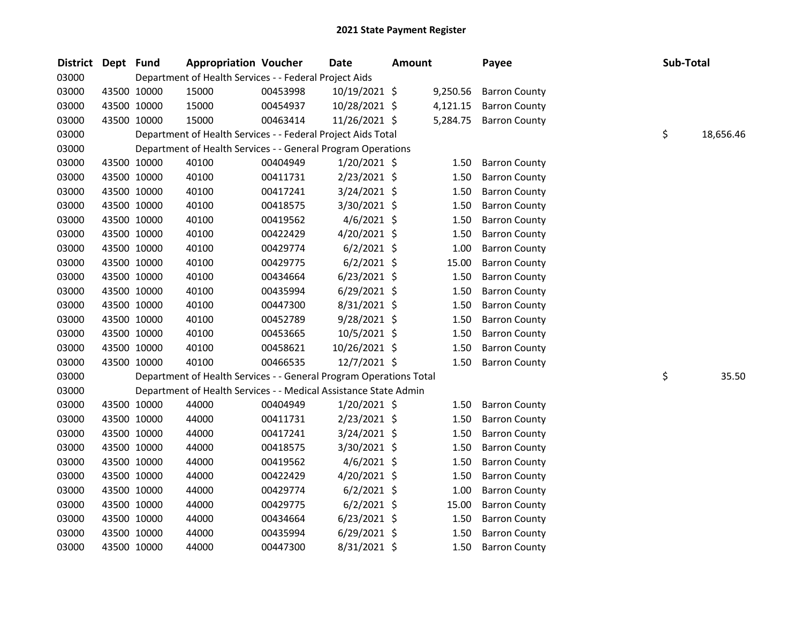| District Dept Fund |             | <b>Appropriation Voucher</b>                                       |          | <b>Date</b>    | <b>Amount</b> |          | Payee                | Sub-Total |           |
|--------------------|-------------|--------------------------------------------------------------------|----------|----------------|---------------|----------|----------------------|-----------|-----------|
| 03000              |             | Department of Health Services - - Federal Project Aids             |          |                |               |          |                      |           |           |
| 03000              | 43500 10000 | 15000                                                              | 00453998 | 10/19/2021 \$  |               | 9,250.56 | <b>Barron County</b> |           |           |
| 03000              | 43500 10000 | 15000                                                              | 00454937 | 10/28/2021 \$  |               | 4,121.15 | <b>Barron County</b> |           |           |
| 03000              | 43500 10000 | 15000                                                              | 00463414 | 11/26/2021 \$  |               | 5,284.75 | <b>Barron County</b> |           |           |
| 03000              |             | Department of Health Services - - Federal Project Aids Total       |          |                |               |          |                      | \$        | 18,656.46 |
| 03000              |             | Department of Health Services - - General Program Operations       |          |                |               |          |                      |           |           |
| 03000              | 43500 10000 | 40100                                                              | 00404949 | $1/20/2021$ \$ |               | 1.50     | <b>Barron County</b> |           |           |
| 03000              | 43500 10000 | 40100                                                              | 00411731 | 2/23/2021 \$   |               | 1.50     | <b>Barron County</b> |           |           |
| 03000              | 43500 10000 | 40100                                                              | 00417241 | 3/24/2021 \$   |               | 1.50     | <b>Barron County</b> |           |           |
| 03000              | 43500 10000 | 40100                                                              | 00418575 | 3/30/2021 \$   |               | 1.50     | <b>Barron County</b> |           |           |
| 03000              | 43500 10000 | 40100                                                              | 00419562 | $4/6/2021$ \$  |               | 1.50     | <b>Barron County</b> |           |           |
| 03000              | 43500 10000 | 40100                                                              | 00422429 | 4/20/2021 \$   |               | 1.50     | <b>Barron County</b> |           |           |
| 03000              | 43500 10000 | 40100                                                              | 00429774 | $6/2/2021$ \$  |               | 1.00     | <b>Barron County</b> |           |           |
| 03000              | 43500 10000 | 40100                                                              | 00429775 | $6/2/2021$ \$  |               | 15.00    | <b>Barron County</b> |           |           |
| 03000              | 43500 10000 | 40100                                                              | 00434664 | $6/23/2021$ \$ |               | 1.50     | <b>Barron County</b> |           |           |
| 03000              | 43500 10000 | 40100                                                              | 00435994 | $6/29/2021$ \$ |               | 1.50     | <b>Barron County</b> |           |           |
| 03000              | 43500 10000 | 40100                                                              | 00447300 | 8/31/2021 \$   |               | 1.50     | <b>Barron County</b> |           |           |
| 03000              | 43500 10000 | 40100                                                              | 00452789 | 9/28/2021 \$   |               | 1.50     | <b>Barron County</b> |           |           |
| 03000              | 43500 10000 | 40100                                                              | 00453665 | 10/5/2021 \$   |               | 1.50     | <b>Barron County</b> |           |           |
| 03000              | 43500 10000 | 40100                                                              | 00458621 | 10/26/2021 \$  |               | 1.50     | <b>Barron County</b> |           |           |
| 03000              | 43500 10000 | 40100                                                              | 00466535 | 12/7/2021 \$   |               | 1.50     | <b>Barron County</b> |           |           |
| 03000              |             | Department of Health Services - - General Program Operations Total |          |                |               |          |                      | \$        | 35.50     |
| 03000              |             | Department of Health Services - - Medical Assistance State Admin   |          |                |               |          |                      |           |           |
| 03000              | 43500 10000 | 44000                                                              | 00404949 | $1/20/2021$ \$ |               | 1.50     | <b>Barron County</b> |           |           |
| 03000              | 43500 10000 | 44000                                                              | 00411731 | 2/23/2021 \$   |               | 1.50     | <b>Barron County</b> |           |           |
| 03000              | 43500 10000 | 44000                                                              | 00417241 | $3/24/2021$ \$ |               | 1.50     | <b>Barron County</b> |           |           |
| 03000              | 43500 10000 | 44000                                                              | 00418575 | 3/30/2021 \$   |               | 1.50     | <b>Barron County</b> |           |           |
| 03000              | 43500 10000 | 44000                                                              | 00419562 | $4/6/2021$ \$  |               | 1.50     | <b>Barron County</b> |           |           |
| 03000              | 43500 10000 | 44000                                                              | 00422429 | $4/20/2021$ \$ |               | 1.50     | <b>Barron County</b> |           |           |
| 03000              | 43500 10000 | 44000                                                              | 00429774 | $6/2/2021$ \$  |               | 1.00     | <b>Barron County</b> |           |           |
| 03000              | 43500 10000 | 44000                                                              | 00429775 | $6/2/2021$ \$  |               | 15.00    | <b>Barron County</b> |           |           |
| 03000              | 43500 10000 | 44000                                                              | 00434664 | $6/23/2021$ \$ |               | 1.50     | <b>Barron County</b> |           |           |
| 03000              | 43500 10000 | 44000                                                              | 00435994 | $6/29/2021$ \$ |               | 1.50     | <b>Barron County</b> |           |           |
| 03000              | 43500 10000 | 44000                                                              | 00447300 | 8/31/2021 \$   |               | 1.50     | <b>Barron County</b> |           |           |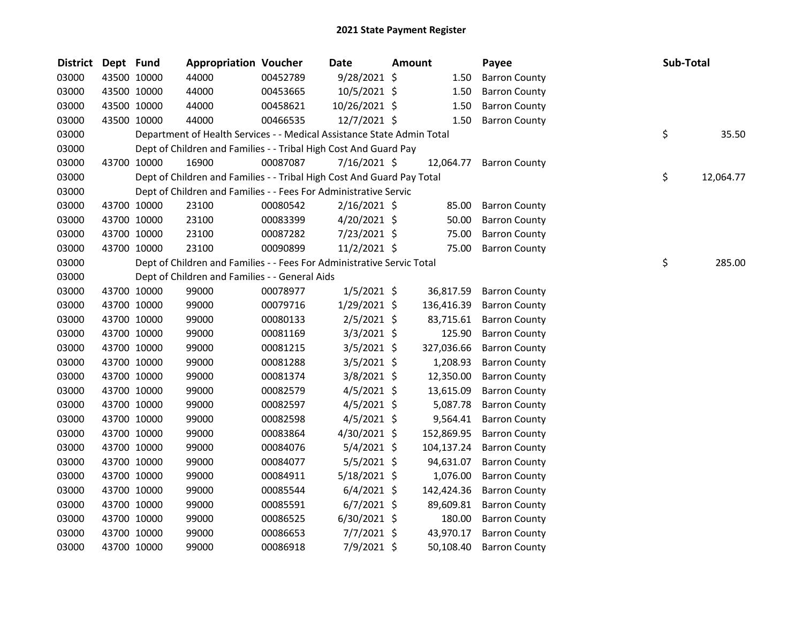| <b>District</b> | Dept Fund |             | <b>Appropriation Voucher</b>                                           |          | <b>Date</b>    | <b>Amount</b> |            | Payee                | Sub-Total |           |
|-----------------|-----------|-------------|------------------------------------------------------------------------|----------|----------------|---------------|------------|----------------------|-----------|-----------|
| 03000           |           | 43500 10000 | 44000                                                                  | 00452789 | 9/28/2021 \$   |               | 1.50       | <b>Barron County</b> |           |           |
| 03000           |           | 43500 10000 | 44000                                                                  | 00453665 | 10/5/2021 \$   |               | 1.50       | <b>Barron County</b> |           |           |
| 03000           |           | 43500 10000 | 44000                                                                  | 00458621 | 10/26/2021 \$  |               | 1.50       | <b>Barron County</b> |           |           |
| 03000           |           | 43500 10000 | 44000                                                                  | 00466535 | 12/7/2021 \$   |               | 1.50       | <b>Barron County</b> |           |           |
| 03000           |           |             | Department of Health Services - - Medical Assistance State Admin Total |          |                |               |            |                      | \$        | 35.50     |
| 03000           |           |             | Dept of Children and Families - - Tribal High Cost And Guard Pay       |          |                |               |            |                      |           |           |
| 03000           |           | 43700 10000 | 16900                                                                  | 00087087 | $7/16/2021$ \$ |               | 12,064.77  | <b>Barron County</b> |           |           |
| 03000           |           |             | Dept of Children and Families - - Tribal High Cost And Guard Pay Total |          |                |               |            |                      | \$        | 12,064.77 |
| 03000           |           |             | Dept of Children and Families - - Fees For Administrative Servic       |          |                |               |            |                      |           |           |
| 03000           |           | 43700 10000 | 23100                                                                  | 00080542 | $2/16/2021$ \$ |               | 85.00      | <b>Barron County</b> |           |           |
| 03000           |           | 43700 10000 | 23100                                                                  | 00083399 | $4/20/2021$ \$ |               | 50.00      | <b>Barron County</b> |           |           |
| 03000           |           | 43700 10000 | 23100                                                                  | 00087282 | 7/23/2021 \$   |               | 75.00      | <b>Barron County</b> |           |           |
| 03000           |           | 43700 10000 | 23100                                                                  | 00090899 | $11/2/2021$ \$ |               | 75.00      | <b>Barron County</b> |           |           |
| 03000           |           |             | Dept of Children and Families - - Fees For Administrative Servic Total |          |                |               |            |                      | \$        | 285.00    |
| 03000           |           |             | Dept of Children and Families - - General Aids                         |          |                |               |            |                      |           |           |
| 03000           |           | 43700 10000 | 99000                                                                  | 00078977 | $1/5/2021$ \$  |               | 36,817.59  | <b>Barron County</b> |           |           |
| 03000           |           | 43700 10000 | 99000                                                                  | 00079716 | $1/29/2021$ \$ |               | 136,416.39 | <b>Barron County</b> |           |           |
| 03000           |           | 43700 10000 | 99000                                                                  | 00080133 | $2/5/2021$ \$  |               | 83,715.61  | <b>Barron County</b> |           |           |
| 03000           |           | 43700 10000 | 99000                                                                  | 00081169 | $3/3/2021$ \$  |               | 125.90     | <b>Barron County</b> |           |           |
| 03000           |           | 43700 10000 | 99000                                                                  | 00081215 | $3/5/2021$ \$  |               | 327,036.66 | <b>Barron County</b> |           |           |
| 03000           |           | 43700 10000 | 99000                                                                  | 00081288 | $3/5/2021$ \$  |               | 1,208.93   | <b>Barron County</b> |           |           |
| 03000           |           | 43700 10000 | 99000                                                                  | 00081374 | 3/8/2021 \$    |               | 12,350.00  | <b>Barron County</b> |           |           |
| 03000           |           | 43700 10000 | 99000                                                                  | 00082579 | $4/5/2021$ \$  |               | 13,615.09  | <b>Barron County</b> |           |           |
| 03000           |           | 43700 10000 | 99000                                                                  | 00082597 | $4/5/2021$ \$  |               | 5,087.78   | <b>Barron County</b> |           |           |
| 03000           |           | 43700 10000 | 99000                                                                  | 00082598 | $4/5/2021$ \$  |               | 9,564.41   | <b>Barron County</b> |           |           |
| 03000           |           | 43700 10000 | 99000                                                                  | 00083864 | 4/30/2021 \$   |               | 152,869.95 | <b>Barron County</b> |           |           |
| 03000           |           | 43700 10000 | 99000                                                                  | 00084076 | $5/4/2021$ \$  |               | 104,137.24 | <b>Barron County</b> |           |           |
| 03000           |           | 43700 10000 | 99000                                                                  | 00084077 | $5/5/2021$ \$  |               | 94,631.07  | <b>Barron County</b> |           |           |
| 03000           |           | 43700 10000 | 99000                                                                  | 00084911 | $5/18/2021$ \$ |               | 1,076.00   | <b>Barron County</b> |           |           |
| 03000           |           | 43700 10000 | 99000                                                                  | 00085544 | $6/4/2021$ \$  |               | 142,424.36 | <b>Barron County</b> |           |           |
| 03000           |           | 43700 10000 | 99000                                                                  | 00085591 | $6/7/2021$ \$  |               | 89,609.81  | <b>Barron County</b> |           |           |
| 03000           |           | 43700 10000 | 99000                                                                  | 00086525 | $6/30/2021$ \$ |               | 180.00     | <b>Barron County</b> |           |           |
| 03000           |           | 43700 10000 | 99000                                                                  | 00086653 | $7/7/2021$ \$  |               | 43,970.17  | <b>Barron County</b> |           |           |
| 03000           |           | 43700 10000 | 99000                                                                  | 00086918 | 7/9/2021 \$    |               | 50,108.40  | <b>Barron County</b> |           |           |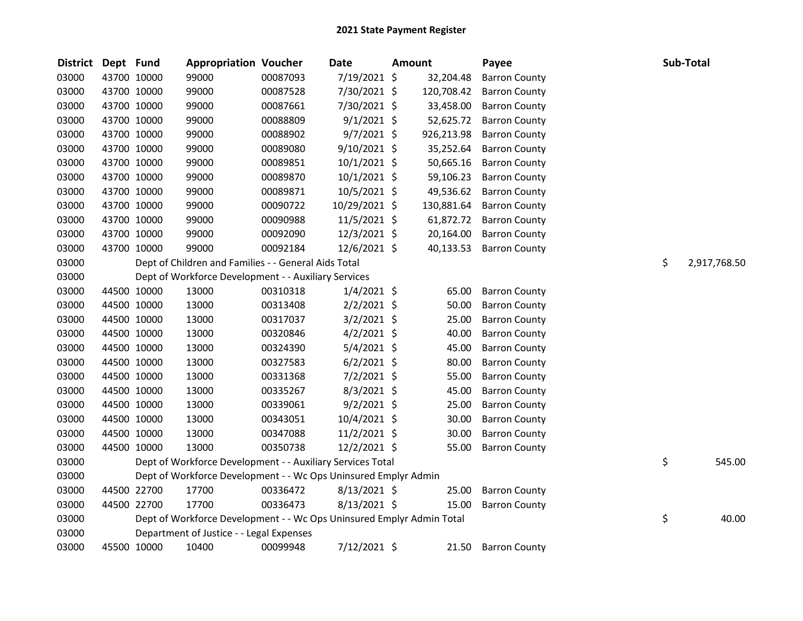| <b>District</b> | Dept Fund |             | <b>Appropriation Voucher</b>                                          |          | Date           | <b>Amount</b> | Payee                | Sub-Total          |
|-----------------|-----------|-------------|-----------------------------------------------------------------------|----------|----------------|---------------|----------------------|--------------------|
| 03000           |           | 43700 10000 | 99000                                                                 | 00087093 | 7/19/2021 \$   | 32,204.48     | <b>Barron County</b> |                    |
| 03000           |           | 43700 10000 | 99000                                                                 | 00087528 | 7/30/2021 \$   | 120,708.42    | <b>Barron County</b> |                    |
| 03000           |           | 43700 10000 | 99000                                                                 | 00087661 | 7/30/2021 \$   | 33,458.00     | <b>Barron County</b> |                    |
| 03000           |           | 43700 10000 | 99000                                                                 | 00088809 | $9/1/2021$ \$  | 52,625.72     | <b>Barron County</b> |                    |
| 03000           |           | 43700 10000 | 99000                                                                 | 00088902 | $9/7/2021$ \$  | 926,213.98    | <b>Barron County</b> |                    |
| 03000           |           | 43700 10000 | 99000                                                                 | 00089080 | 9/10/2021 \$   | 35,252.64     | <b>Barron County</b> |                    |
| 03000           |           | 43700 10000 | 99000                                                                 | 00089851 | 10/1/2021 \$   | 50,665.16     | <b>Barron County</b> |                    |
| 03000           |           | 43700 10000 | 99000                                                                 | 00089870 | $10/1/2021$ \$ | 59,106.23     | <b>Barron County</b> |                    |
| 03000           |           | 43700 10000 | 99000                                                                 | 00089871 | 10/5/2021 \$   | 49,536.62     | <b>Barron County</b> |                    |
| 03000           |           | 43700 10000 | 99000                                                                 | 00090722 | 10/29/2021 \$  | 130,881.64    | <b>Barron County</b> |                    |
| 03000           |           | 43700 10000 | 99000                                                                 | 00090988 | $11/5/2021$ \$ | 61,872.72     | <b>Barron County</b> |                    |
| 03000           |           | 43700 10000 | 99000                                                                 | 00092090 | 12/3/2021 \$   | 20,164.00     | <b>Barron County</b> |                    |
| 03000           |           | 43700 10000 | 99000                                                                 | 00092184 | 12/6/2021 \$   | 40,133.53     | <b>Barron County</b> |                    |
| 03000           |           |             | Dept of Children and Families - - General Aids Total                  |          |                |               |                      | \$<br>2,917,768.50 |
| 03000           |           |             | Dept of Workforce Development - - Auxiliary Services                  |          |                |               |                      |                    |
| 03000           |           | 44500 10000 | 13000                                                                 | 00310318 | $1/4/2021$ \$  | 65.00         | <b>Barron County</b> |                    |
| 03000           |           | 44500 10000 | 13000                                                                 | 00313408 | $2/2/2021$ \$  | 50.00         | <b>Barron County</b> |                    |
| 03000           |           | 44500 10000 | 13000                                                                 | 00317037 | $3/2/2021$ \$  | 25.00         | <b>Barron County</b> |                    |
| 03000           |           | 44500 10000 | 13000                                                                 | 00320846 | $4/2/2021$ \$  | 40.00         | <b>Barron County</b> |                    |
| 03000           |           | 44500 10000 | 13000                                                                 | 00324390 | $5/4/2021$ \$  | 45.00         | <b>Barron County</b> |                    |
| 03000           |           | 44500 10000 | 13000                                                                 | 00327583 | $6/2/2021$ \$  | 80.00         | <b>Barron County</b> |                    |
| 03000           |           | 44500 10000 | 13000                                                                 | 00331368 | 7/2/2021 \$    | 55.00         | <b>Barron County</b> |                    |
| 03000           |           | 44500 10000 | 13000                                                                 | 00335267 | $8/3/2021$ \$  | 45.00         | <b>Barron County</b> |                    |
| 03000           |           | 44500 10000 | 13000                                                                 | 00339061 | $9/2/2021$ \$  | 25.00         | <b>Barron County</b> |                    |
| 03000           |           | 44500 10000 | 13000                                                                 | 00343051 | 10/4/2021 \$   | 30.00         | <b>Barron County</b> |                    |
| 03000           |           | 44500 10000 | 13000                                                                 | 00347088 | $11/2/2021$ \$ | 30.00         | <b>Barron County</b> |                    |
| 03000           |           | 44500 10000 | 13000                                                                 | 00350738 | 12/2/2021 \$   | 55.00         | <b>Barron County</b> |                    |
| 03000           |           |             | Dept of Workforce Development - - Auxiliary Services Total            |          |                |               |                      | \$<br>545.00       |
| 03000           |           |             | Dept of Workforce Development - - Wc Ops Uninsured Emplyr Admin       |          |                |               |                      |                    |
| 03000           |           | 44500 22700 | 17700                                                                 | 00336472 | 8/13/2021 \$   | 25.00         | <b>Barron County</b> |                    |
| 03000           |           | 44500 22700 | 17700                                                                 | 00336473 | $8/13/2021$ \$ | 15.00         | <b>Barron County</b> |                    |
| 03000           |           |             | Dept of Workforce Development - - Wc Ops Uninsured Emplyr Admin Total |          |                |               |                      | \$<br>40.00        |
| 03000           |           |             | Department of Justice - - Legal Expenses                              |          |                |               |                      |                    |
| 03000           |           | 45500 10000 | 10400                                                                 | 00099948 | 7/12/2021 \$   | 21.50         | <b>Barron County</b> |                    |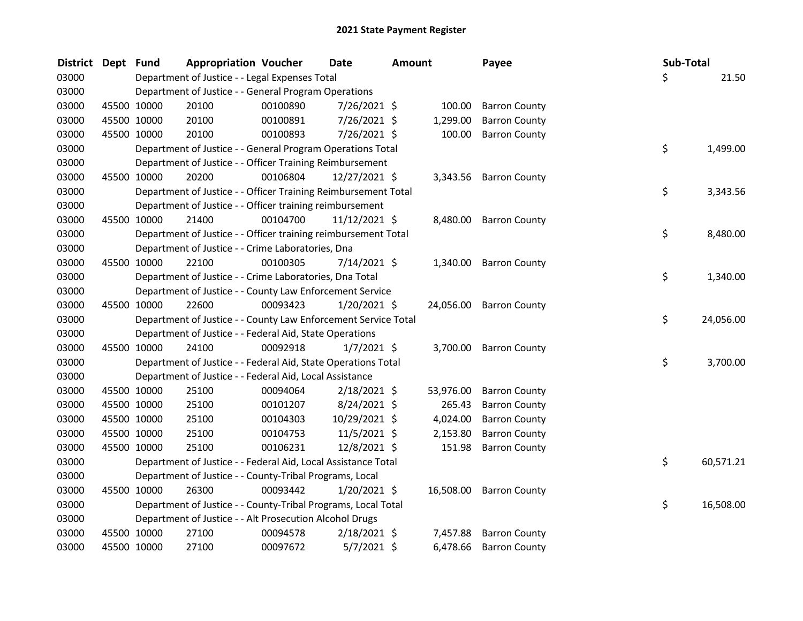| <b>District</b> | Dept Fund |             | <b>Appropriation Voucher</b>                                   |          | <b>Date</b>    | <b>Amount</b> |           | Payee                   | Sub-Total |           |
|-----------------|-----------|-------------|----------------------------------------------------------------|----------|----------------|---------------|-----------|-------------------------|-----------|-----------|
| 03000           |           |             | Department of Justice - - Legal Expenses Total                 |          |                |               |           |                         | Ś.        | 21.50     |
| 03000           |           |             | Department of Justice - - General Program Operations           |          |                |               |           |                         |           |           |
| 03000           |           | 45500 10000 | 20100                                                          | 00100890 | 7/26/2021 \$   |               | 100.00    | <b>Barron County</b>    |           |           |
| 03000           |           | 45500 10000 | 20100                                                          | 00100891 | 7/26/2021 \$   |               | 1,299.00  | <b>Barron County</b>    |           |           |
| 03000           |           | 45500 10000 | 20100                                                          | 00100893 | 7/26/2021 \$   |               | 100.00    | <b>Barron County</b>    |           |           |
| 03000           |           |             | Department of Justice - - General Program Operations Total     |          |                |               |           |                         | \$        | 1,499.00  |
| 03000           |           |             | Department of Justice - - Officer Training Reimbursement       |          |                |               |           |                         |           |           |
| 03000           |           | 45500 10000 | 20200                                                          | 00106804 | 12/27/2021 \$  |               |           | 3,343.56 Barron County  |           |           |
| 03000           |           |             | Department of Justice - - Officer Training Reimbursement Total |          |                |               |           |                         | \$        | 3,343.56  |
| 03000           |           |             | Department of Justice - - Officer training reimbursement       |          |                |               |           |                         |           |           |
| 03000           |           | 45500 10000 | 21400                                                          | 00104700 | 11/12/2021 \$  |               |           | 8,480.00 Barron County  |           |           |
| 03000           |           |             | Department of Justice - - Officer training reimbursement Total |          |                |               |           |                         | \$        | 8,480.00  |
| 03000           |           |             | Department of Justice - - Crime Laboratories, Dna              |          |                |               |           |                         |           |           |
| 03000           |           | 45500 10000 | 22100                                                          | 00100305 | $7/14/2021$ \$ |               | 1,340.00  | <b>Barron County</b>    |           |           |
| 03000           |           |             | Department of Justice - - Crime Laboratories, Dna Total        |          |                |               |           |                         | \$        | 1,340.00  |
| 03000           |           |             | Department of Justice - - County Law Enforcement Service       |          |                |               |           |                         |           |           |
| 03000           |           | 45500 10000 | 22600                                                          | 00093423 | 1/20/2021 \$   |               |           | 24,056.00 Barron County |           |           |
| 03000           |           |             | Department of Justice - - County Law Enforcement Service Total |          |                |               |           |                         | \$        | 24,056.00 |
| 03000           |           |             | Department of Justice - - Federal Aid, State Operations        |          |                |               |           |                         |           |           |
| 03000           |           | 45500 10000 | 24100                                                          | 00092918 | $1/7/2021$ \$  |               |           | 3,700.00 Barron County  |           |           |
| 03000           |           |             | Department of Justice - - Federal Aid, State Operations Total  |          |                |               |           |                         | \$        | 3,700.00  |
| 03000           |           |             | Department of Justice - - Federal Aid, Local Assistance        |          |                |               |           |                         |           |           |
| 03000           |           | 45500 10000 | 25100                                                          | 00094064 | $2/18/2021$ \$ |               | 53,976.00 | <b>Barron County</b>    |           |           |
| 03000           |           | 45500 10000 | 25100                                                          | 00101207 | 8/24/2021 \$   |               | 265.43    | <b>Barron County</b>    |           |           |
| 03000           |           | 45500 10000 | 25100                                                          | 00104303 | 10/29/2021 \$  |               | 4,024.00  | <b>Barron County</b>    |           |           |
| 03000           |           | 45500 10000 | 25100                                                          | 00104753 | 11/5/2021 \$   |               | 2,153.80  | <b>Barron County</b>    |           |           |
| 03000           |           | 45500 10000 | 25100                                                          | 00106231 | 12/8/2021 \$   |               | 151.98    | <b>Barron County</b>    |           |           |
| 03000           |           |             | Department of Justice - - Federal Aid, Local Assistance Total  |          |                |               |           |                         | \$        | 60,571.21 |
| 03000           |           |             | Department of Justice - - County-Tribal Programs, Local        |          |                |               |           |                         |           |           |
| 03000           |           | 45500 10000 | 26300                                                          | 00093442 | $1/20/2021$ \$ |               |           | 16,508.00 Barron County |           |           |
| 03000           |           |             | Department of Justice - - County-Tribal Programs, Local Total  |          |                |               |           |                         | \$        | 16,508.00 |
| 03000           |           |             | Department of Justice - - Alt Prosecution Alcohol Drugs        |          |                |               |           |                         |           |           |
| 03000           |           | 45500 10000 | 27100                                                          | 00094578 | $2/18/2021$ \$ |               | 7,457.88  | <b>Barron County</b>    |           |           |
| 03000           |           | 45500 10000 | 27100                                                          | 00097672 | $5/7/2021$ \$  |               | 6,478.66  | <b>Barron County</b>    |           |           |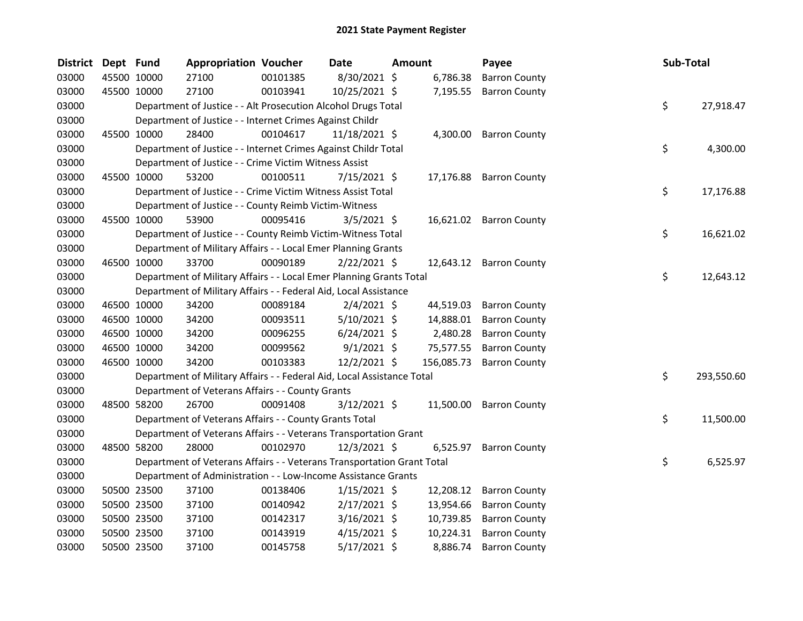| <b>District</b> | Dept Fund |             | <b>Appropriation Voucher</b>                                           |          | <b>Date</b>     | <b>Amount</b> |            | Payee                   | Sub-Total |            |
|-----------------|-----------|-------------|------------------------------------------------------------------------|----------|-----------------|---------------|------------|-------------------------|-----------|------------|
| 03000           |           | 45500 10000 | 27100                                                                  | 00101385 | 8/30/2021 \$    |               | 6,786.38   | <b>Barron County</b>    |           |            |
| 03000           |           | 45500 10000 | 27100                                                                  | 00103941 | 10/25/2021 \$   |               | 7,195.55   | <b>Barron County</b>    |           |            |
| 03000           |           |             | Department of Justice - - Alt Prosecution Alcohol Drugs Total          |          |                 |               |            |                         | \$        | 27,918.47  |
| 03000           |           |             | Department of Justice - - Internet Crimes Against Childr               |          |                 |               |            |                         |           |            |
| 03000           |           | 45500 10000 | 28400                                                                  | 00104617 | $11/18/2021$ \$ |               |            | 4,300.00 Barron County  |           |            |
| 03000           |           |             | Department of Justice - - Internet Crimes Against Childr Total         |          |                 |               |            |                         | \$        | 4,300.00   |
| 03000           |           |             | Department of Justice - - Crime Victim Witness Assist                  |          |                 |               |            |                         |           |            |
| 03000           |           | 45500 10000 | 53200                                                                  | 00100511 | $7/15/2021$ \$  |               |            | 17,176.88 Barron County |           |            |
| 03000           |           |             | Department of Justice - - Crime Victim Witness Assist Total            |          |                 |               |            |                         | \$        | 17,176.88  |
| 03000           |           |             | Department of Justice - - County Reimb Victim-Witness                  |          |                 |               |            |                         |           |            |
| 03000           |           | 45500 10000 | 53900                                                                  | 00095416 | $3/5/2021$ \$   |               |            | 16,621.02 Barron County |           |            |
| 03000           |           |             | Department of Justice - - County Reimb Victim-Witness Total            |          |                 |               |            |                         | \$        | 16,621.02  |
| 03000           |           |             | Department of Military Affairs - - Local Emer Planning Grants          |          |                 |               |            |                         |           |            |
| 03000           |           | 46500 10000 | 33700                                                                  | 00090189 | $2/22/2021$ \$  |               |            | 12,643.12 Barron County |           |            |
| 03000           |           |             | Department of Military Affairs - - Local Emer Planning Grants Total    |          |                 |               |            |                         | \$        | 12,643.12  |
| 03000           |           |             | Department of Military Affairs - - Federal Aid, Local Assistance       |          |                 |               |            |                         |           |            |
| 03000           |           | 46500 10000 | 34200                                                                  | 00089184 | $2/4/2021$ \$   |               | 44,519.03  | <b>Barron County</b>    |           |            |
| 03000           |           | 46500 10000 | 34200                                                                  | 00093511 | $5/10/2021$ \$  |               | 14,888.01  | <b>Barron County</b>    |           |            |
| 03000           |           | 46500 10000 | 34200                                                                  | 00096255 | $6/24/2021$ \$  |               | 2,480.28   | <b>Barron County</b>    |           |            |
| 03000           |           | 46500 10000 | 34200                                                                  | 00099562 | $9/1/2021$ \$   |               | 75,577.55  | <b>Barron County</b>    |           |            |
| 03000           |           | 46500 10000 | 34200                                                                  | 00103383 | $12/2/2021$ \$  |               | 156,085.73 | <b>Barron County</b>    |           |            |
| 03000           |           |             | Department of Military Affairs - - Federal Aid, Local Assistance Total |          |                 |               |            |                         | \$        | 293,550.60 |
| 03000           |           |             | Department of Veterans Affairs - - County Grants                       |          |                 |               |            |                         |           |            |
| 03000           |           | 48500 58200 | 26700                                                                  | 00091408 | $3/12/2021$ \$  |               | 11,500.00  | <b>Barron County</b>    |           |            |
| 03000           |           |             | Department of Veterans Affairs - - County Grants Total                 |          |                 |               |            |                         | \$        | 11,500.00  |
| 03000           |           |             | Department of Veterans Affairs - - Veterans Transportation Grant       |          |                 |               |            |                         |           |            |
| 03000           |           | 48500 58200 | 28000                                                                  | 00102970 | 12/3/2021 \$    |               |            | 6,525.97 Barron County  |           |            |
| 03000           |           |             | Department of Veterans Affairs - - Veterans Transportation Grant Total |          |                 |               |            |                         | \$        | 6,525.97   |
| 03000           |           |             | Department of Administration - - Low-Income Assistance Grants          |          |                 |               |            |                         |           |            |
| 03000           |           | 50500 23500 | 37100                                                                  | 00138406 | $1/15/2021$ \$  |               | 12,208.12  | <b>Barron County</b>    |           |            |
| 03000           |           | 50500 23500 | 37100                                                                  | 00140942 | $2/17/2021$ \$  |               | 13,954.66  | <b>Barron County</b>    |           |            |
| 03000           |           | 50500 23500 | 37100                                                                  | 00142317 | $3/16/2021$ \$  |               | 10,739.85  | <b>Barron County</b>    |           |            |
| 03000           |           | 50500 23500 | 37100                                                                  | 00143919 | $4/15/2021$ \$  |               | 10,224.31  | <b>Barron County</b>    |           |            |
| 03000           |           | 50500 23500 | 37100                                                                  | 00145758 | $5/17/2021$ \$  |               | 8,886.74   | <b>Barron County</b>    |           |            |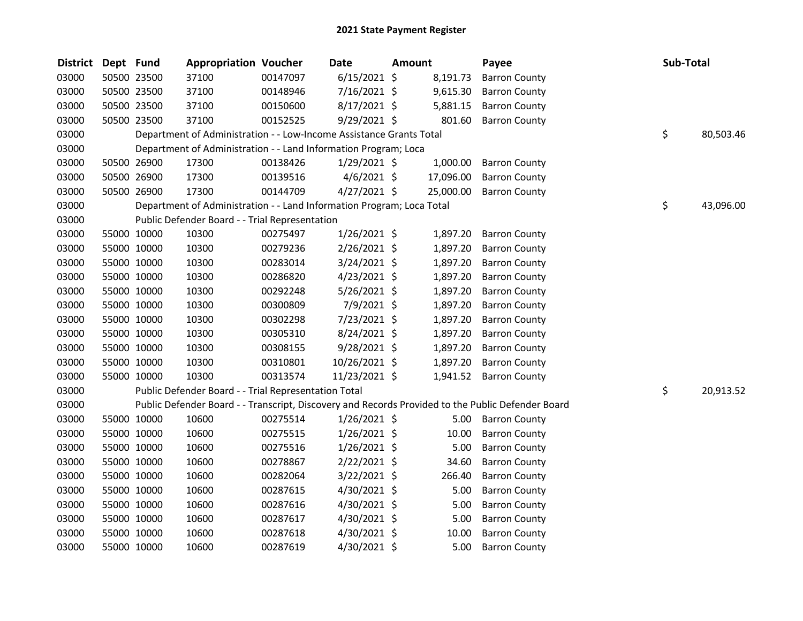| <b>District</b> | Dept Fund |             | <b>Appropriation Voucher</b>                                          |          | <b>Date</b>    | <b>Amount</b> | Payee                                                                                             | Sub-Total       |
|-----------------|-----------|-------------|-----------------------------------------------------------------------|----------|----------------|---------------|---------------------------------------------------------------------------------------------------|-----------------|
| 03000           |           | 50500 23500 | 37100                                                                 | 00147097 | $6/15/2021$ \$ | 8,191.73      | <b>Barron County</b>                                                                              |                 |
| 03000           |           | 50500 23500 | 37100                                                                 | 00148946 | 7/16/2021 \$   | 9,615.30      | <b>Barron County</b>                                                                              |                 |
| 03000           |           | 50500 23500 | 37100                                                                 | 00150600 | 8/17/2021 \$   | 5,881.15      | <b>Barron County</b>                                                                              |                 |
| 03000           |           | 50500 23500 | 37100                                                                 | 00152525 | 9/29/2021 \$   | 801.60        | <b>Barron County</b>                                                                              |                 |
| 03000           |           |             | Department of Administration - - Low-Income Assistance Grants Total   |          |                |               |                                                                                                   | \$<br>80,503.46 |
| 03000           |           |             | Department of Administration - - Land Information Program; Loca       |          |                |               |                                                                                                   |                 |
| 03000           |           | 50500 26900 | 17300                                                                 | 00138426 | $1/29/2021$ \$ | 1,000.00      | <b>Barron County</b>                                                                              |                 |
| 03000           |           | 50500 26900 | 17300                                                                 | 00139516 | $4/6/2021$ \$  | 17,096.00     | <b>Barron County</b>                                                                              |                 |
| 03000           |           | 50500 26900 | 17300                                                                 | 00144709 | $4/27/2021$ \$ | 25,000.00     | <b>Barron County</b>                                                                              |                 |
| 03000           |           |             | Department of Administration - - Land Information Program; Loca Total |          |                |               |                                                                                                   | \$<br>43,096.00 |
| 03000           |           |             | Public Defender Board - - Trial Representation                        |          |                |               |                                                                                                   |                 |
| 03000           |           | 55000 10000 | 10300                                                                 | 00275497 | 1/26/2021 \$   | 1,897.20      | <b>Barron County</b>                                                                              |                 |
| 03000           |           | 55000 10000 | 10300                                                                 | 00279236 | $2/26/2021$ \$ | 1,897.20      | <b>Barron County</b>                                                                              |                 |
| 03000           |           | 55000 10000 | 10300                                                                 | 00283014 | 3/24/2021 \$   | 1,897.20      | <b>Barron County</b>                                                                              |                 |
| 03000           |           | 55000 10000 | 10300                                                                 | 00286820 | $4/23/2021$ \$ | 1,897.20      | <b>Barron County</b>                                                                              |                 |
| 03000           |           | 55000 10000 | 10300                                                                 | 00292248 | 5/26/2021 \$   | 1,897.20      | <b>Barron County</b>                                                                              |                 |
| 03000           |           | 55000 10000 | 10300                                                                 | 00300809 | 7/9/2021 \$    | 1,897.20      | <b>Barron County</b>                                                                              |                 |
| 03000           |           | 55000 10000 | 10300                                                                 | 00302298 | 7/23/2021 \$   | 1,897.20      | <b>Barron County</b>                                                                              |                 |
| 03000           |           | 55000 10000 | 10300                                                                 | 00305310 | 8/24/2021 \$   | 1,897.20      | <b>Barron County</b>                                                                              |                 |
| 03000           |           | 55000 10000 | 10300                                                                 | 00308155 | $9/28/2021$ \$ | 1,897.20      | <b>Barron County</b>                                                                              |                 |
| 03000           |           | 55000 10000 | 10300                                                                 | 00310801 | 10/26/2021 \$  | 1,897.20      | <b>Barron County</b>                                                                              |                 |
| 03000           |           | 55000 10000 | 10300                                                                 | 00313574 | 11/23/2021 \$  | 1,941.52      | <b>Barron County</b>                                                                              |                 |
| 03000           |           |             | Public Defender Board - - Trial Representation Total                  |          |                |               |                                                                                                   | \$<br>20,913.52 |
| 03000           |           |             |                                                                       |          |                |               | Public Defender Board - - Transcript, Discovery and Records Provided to the Public Defender Board |                 |
| 03000           |           | 55000 10000 | 10600                                                                 | 00275514 | $1/26/2021$ \$ | 5.00          | <b>Barron County</b>                                                                              |                 |
| 03000           |           | 55000 10000 | 10600                                                                 | 00275515 | $1/26/2021$ \$ | 10.00         | <b>Barron County</b>                                                                              |                 |
| 03000           |           | 55000 10000 | 10600                                                                 | 00275516 | $1/26/2021$ \$ | 5.00          | <b>Barron County</b>                                                                              |                 |
| 03000           |           | 55000 10000 | 10600                                                                 | 00278867 | 2/22/2021 \$   | 34.60         | <b>Barron County</b>                                                                              |                 |
| 03000           |           | 55000 10000 | 10600                                                                 | 00282064 | $3/22/2021$ \$ | 266.40        | <b>Barron County</b>                                                                              |                 |
| 03000           |           | 55000 10000 | 10600                                                                 | 00287615 | $4/30/2021$ \$ | 5.00          | <b>Barron County</b>                                                                              |                 |
| 03000           |           | 55000 10000 | 10600                                                                 | 00287616 | 4/30/2021 \$   | 5.00          | <b>Barron County</b>                                                                              |                 |
| 03000           |           | 55000 10000 | 10600                                                                 | 00287617 | $4/30/2021$ \$ | 5.00          | <b>Barron County</b>                                                                              |                 |
| 03000           |           | 55000 10000 | 10600                                                                 | 00287618 | 4/30/2021 \$   | 10.00         | <b>Barron County</b>                                                                              |                 |
| 03000           |           | 55000 10000 | 10600                                                                 | 00287619 | 4/30/2021 \$   | 5.00          | <b>Barron County</b>                                                                              |                 |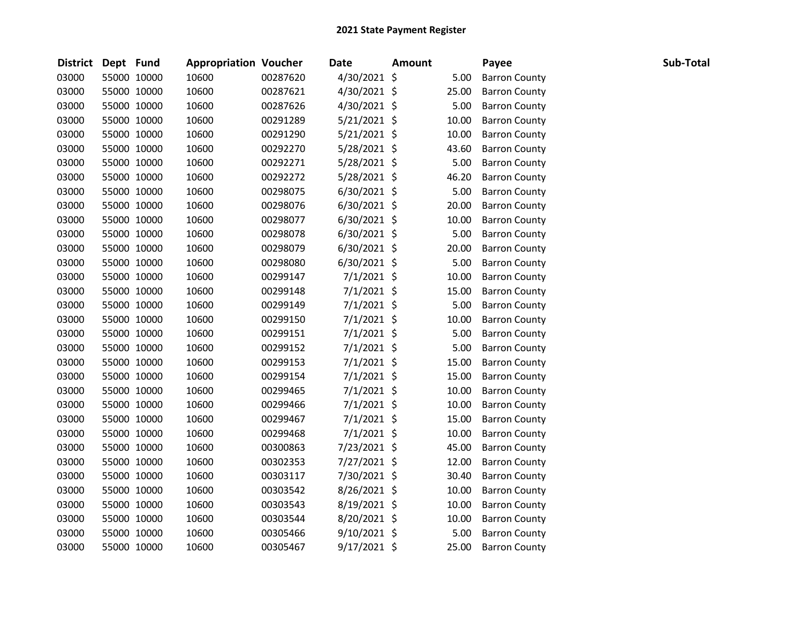| <b>District</b> | Dept Fund |             | <b>Appropriation Voucher</b> |          | <b>Date</b>    | <b>Amount</b> |       | Payee                | Sub-Total |
|-----------------|-----------|-------------|------------------------------|----------|----------------|---------------|-------|----------------------|-----------|
| 03000           |           | 55000 10000 | 10600                        | 00287620 | 4/30/2021 \$   |               | 5.00  | <b>Barron County</b> |           |
| 03000           |           | 55000 10000 | 10600                        | 00287621 | 4/30/2021 \$   |               | 25.00 | <b>Barron County</b> |           |
| 03000           |           | 55000 10000 | 10600                        | 00287626 | 4/30/2021 \$   |               | 5.00  | <b>Barron County</b> |           |
| 03000           |           | 55000 10000 | 10600                        | 00291289 | $5/21/2021$ \$ |               | 10.00 | <b>Barron County</b> |           |
| 03000           |           | 55000 10000 | 10600                        | 00291290 | $5/21/2021$ \$ |               | 10.00 | <b>Barron County</b> |           |
| 03000           |           | 55000 10000 | 10600                        | 00292270 | 5/28/2021 \$   |               | 43.60 | <b>Barron County</b> |           |
| 03000           |           | 55000 10000 | 10600                        | 00292271 | 5/28/2021 \$   |               | 5.00  | <b>Barron County</b> |           |
| 03000           |           | 55000 10000 | 10600                        | 00292272 | 5/28/2021 \$   |               | 46.20 | <b>Barron County</b> |           |
| 03000           |           | 55000 10000 | 10600                        | 00298075 | $6/30/2021$ \$ |               | 5.00  | <b>Barron County</b> |           |
| 03000           |           | 55000 10000 | 10600                        | 00298076 | $6/30/2021$ \$ |               | 20.00 | <b>Barron County</b> |           |
| 03000           |           | 55000 10000 | 10600                        | 00298077 | 6/30/2021 \$   |               | 10.00 | <b>Barron County</b> |           |
| 03000           |           | 55000 10000 | 10600                        | 00298078 | $6/30/2021$ \$ |               | 5.00  | <b>Barron County</b> |           |
| 03000           |           | 55000 10000 | 10600                        | 00298079 | $6/30/2021$ \$ |               | 20.00 | <b>Barron County</b> |           |
| 03000           |           | 55000 10000 | 10600                        | 00298080 | $6/30/2021$ \$ |               | 5.00  | <b>Barron County</b> |           |
| 03000           |           | 55000 10000 | 10600                        | 00299147 | $7/1/2021$ \$  |               | 10.00 | <b>Barron County</b> |           |
| 03000           |           | 55000 10000 | 10600                        | 00299148 | 7/1/2021 \$    |               | 15.00 | <b>Barron County</b> |           |
| 03000           |           | 55000 10000 | 10600                        | 00299149 | 7/1/2021 \$    |               | 5.00  | <b>Barron County</b> |           |
| 03000           |           | 55000 10000 | 10600                        | 00299150 | $7/1/2021$ \$  |               | 10.00 | <b>Barron County</b> |           |
| 03000           |           | 55000 10000 | 10600                        | 00299151 | 7/1/2021 \$    |               | 5.00  | <b>Barron County</b> |           |
| 03000           |           | 55000 10000 | 10600                        | 00299152 | $7/1/2021$ \$  |               | 5.00  | <b>Barron County</b> |           |
| 03000           |           | 55000 10000 | 10600                        | 00299153 | $7/1/2021$ \$  |               | 15.00 | <b>Barron County</b> |           |
| 03000           |           | 55000 10000 | 10600                        | 00299154 | 7/1/2021 \$    |               | 15.00 | <b>Barron County</b> |           |
| 03000           |           | 55000 10000 | 10600                        | 00299465 | $7/1/2021$ \$  |               | 10.00 | <b>Barron County</b> |           |
| 03000           |           | 55000 10000 | 10600                        | 00299466 | $7/1/2021$ \$  |               | 10.00 | <b>Barron County</b> |           |
| 03000           |           | 55000 10000 | 10600                        | 00299467 | 7/1/2021 \$    |               | 15.00 | <b>Barron County</b> |           |
| 03000           |           | 55000 10000 | 10600                        | 00299468 | $7/1/2021$ \$  |               | 10.00 | <b>Barron County</b> |           |
| 03000           |           | 55000 10000 | 10600                        | 00300863 | 7/23/2021 \$   |               | 45.00 | <b>Barron County</b> |           |
| 03000           |           | 55000 10000 | 10600                        | 00302353 | 7/27/2021 \$   |               | 12.00 | <b>Barron County</b> |           |
| 03000           |           | 55000 10000 | 10600                        | 00303117 | 7/30/2021 \$   |               | 30.40 | <b>Barron County</b> |           |
| 03000           |           | 55000 10000 | 10600                        | 00303542 | 8/26/2021 \$   |               | 10.00 | <b>Barron County</b> |           |
| 03000           |           | 55000 10000 | 10600                        | 00303543 | 8/19/2021 \$   |               | 10.00 | <b>Barron County</b> |           |
| 03000           |           | 55000 10000 | 10600                        | 00303544 | 8/20/2021 \$   |               | 10.00 | <b>Barron County</b> |           |
| 03000           |           | 55000 10000 | 10600                        | 00305466 | $9/10/2021$ \$ |               | 5.00  | <b>Barron County</b> |           |
| 03000           |           | 55000 10000 | 10600                        | 00305467 | 9/17/2021 \$   |               | 25.00 | <b>Barron County</b> |           |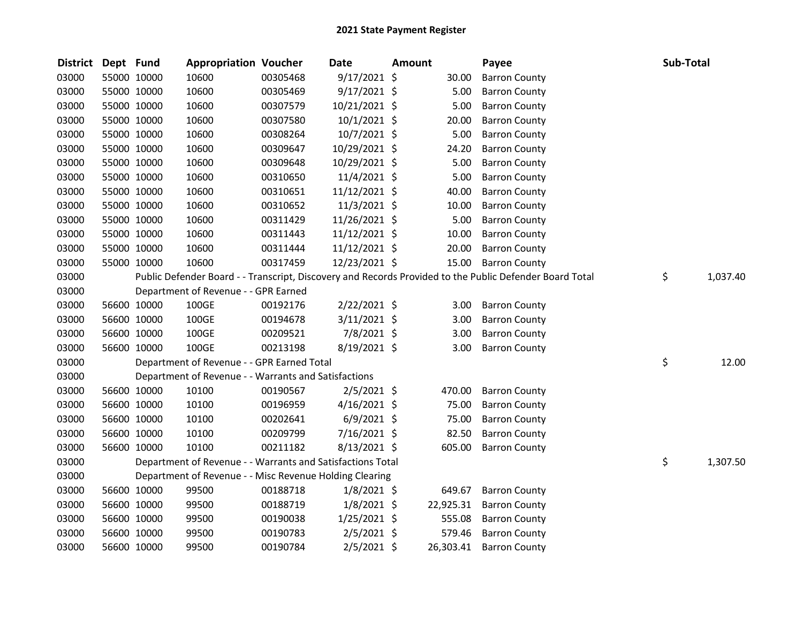| <b>District</b> | Dept Fund |             | <b>Appropriation Voucher</b>                               |          | <b>Date</b>    | <b>Amount</b> |                   | Payee                                                                                                   | Sub-Total |          |
|-----------------|-----------|-------------|------------------------------------------------------------|----------|----------------|---------------|-------------------|---------------------------------------------------------------------------------------------------------|-----------|----------|
| 03000           |           | 55000 10000 | 10600                                                      | 00305468 | $9/17/2021$ \$ |               | 30.00             | <b>Barron County</b>                                                                                    |           |          |
| 03000           |           | 55000 10000 | 10600                                                      | 00305469 | $9/17/2021$ \$ |               | 5.00              | <b>Barron County</b>                                                                                    |           |          |
| 03000           |           | 55000 10000 | 10600                                                      | 00307579 | 10/21/2021 \$  |               | 5.00              | <b>Barron County</b>                                                                                    |           |          |
| 03000           |           | 55000 10000 | 10600                                                      | 00307580 | $10/1/2021$ \$ |               | 20.00             | <b>Barron County</b>                                                                                    |           |          |
| 03000           |           | 55000 10000 | 10600                                                      | 00308264 | 10/7/2021 \$   |               | 5.00              | <b>Barron County</b>                                                                                    |           |          |
| 03000           |           | 55000 10000 | 10600                                                      | 00309647 | 10/29/2021 \$  |               | 24.20             | <b>Barron County</b>                                                                                    |           |          |
| 03000           |           | 55000 10000 | 10600                                                      | 00309648 | 10/29/2021 \$  |               | 5.00              | <b>Barron County</b>                                                                                    |           |          |
| 03000           |           | 55000 10000 | 10600                                                      | 00310650 | 11/4/2021 \$   |               | 5.00              | <b>Barron County</b>                                                                                    |           |          |
| 03000           |           | 55000 10000 | 10600                                                      | 00310651 | 11/12/2021 \$  |               | 40.00             | <b>Barron County</b>                                                                                    |           |          |
| 03000           |           | 55000 10000 | 10600                                                      | 00310652 | $11/3/2021$ \$ |               | 10.00             | <b>Barron County</b>                                                                                    |           |          |
| 03000           |           | 55000 10000 | 10600                                                      | 00311429 | 11/26/2021 \$  |               | 5.00              | <b>Barron County</b>                                                                                    |           |          |
| 03000           |           | 55000 10000 | 10600                                                      | 00311443 | 11/12/2021 \$  |               | 10.00             | <b>Barron County</b>                                                                                    |           |          |
| 03000           |           | 55000 10000 | 10600                                                      | 00311444 | 11/12/2021 \$  |               | 20.00             | <b>Barron County</b>                                                                                    |           |          |
| 03000           |           | 55000 10000 | 10600                                                      | 00317459 | 12/23/2021 \$  |               | 15.00             | <b>Barron County</b>                                                                                    |           |          |
| 03000           |           |             |                                                            |          |                |               |                   | Public Defender Board - - Transcript, Discovery and Records Provided to the Public Defender Board Total | \$        | 1,037.40 |
| 03000           |           |             | Department of Revenue - - GPR Earned                       |          |                |               |                   |                                                                                                         |           |          |
| 03000           |           | 56600 10000 | 100GE                                                      | 00192176 | $2/22/2021$ \$ |               | 3.00 <sub>1</sub> | <b>Barron County</b>                                                                                    |           |          |
| 03000           |           | 56600 10000 | 100GE                                                      | 00194678 | 3/11/2021 \$   |               | 3.00              | <b>Barron County</b>                                                                                    |           |          |
| 03000           |           | 56600 10000 | 100GE                                                      | 00209521 | 7/8/2021 \$    |               | 3.00              | <b>Barron County</b>                                                                                    |           |          |
| 03000           |           | 56600 10000 | 100GE                                                      | 00213198 | 8/19/2021 \$   |               | 3.00              | <b>Barron County</b>                                                                                    |           |          |
| 03000           |           |             | Department of Revenue - - GPR Earned Total                 |          |                |               |                   |                                                                                                         | \$        | 12.00    |
| 03000           |           |             | Department of Revenue - - Warrants and Satisfactions       |          |                |               |                   |                                                                                                         |           |          |
| 03000           |           | 56600 10000 | 10100                                                      | 00190567 | $2/5/2021$ \$  |               | 470.00            | <b>Barron County</b>                                                                                    |           |          |
| 03000           |           | 56600 10000 | 10100                                                      | 00196959 | $4/16/2021$ \$ |               | 75.00             | <b>Barron County</b>                                                                                    |           |          |
| 03000           |           | 56600 10000 | 10100                                                      | 00202641 | $6/9/2021$ \$  |               | 75.00             | <b>Barron County</b>                                                                                    |           |          |
| 03000           |           | 56600 10000 | 10100                                                      | 00209799 | $7/16/2021$ \$ |               | 82.50             | <b>Barron County</b>                                                                                    |           |          |
| 03000           |           | 56600 10000 | 10100                                                      | 00211182 | 8/13/2021 \$   |               | 605.00            | <b>Barron County</b>                                                                                    |           |          |
| 03000           |           |             | Department of Revenue - - Warrants and Satisfactions Total |          |                |               |                   |                                                                                                         | \$        | 1,307.50 |
| 03000           |           |             | Department of Revenue - - Misc Revenue Holding Clearing    |          |                |               |                   |                                                                                                         |           |          |
| 03000           |           | 56600 10000 | 99500                                                      | 00188718 | $1/8/2021$ \$  |               | 649.67            | <b>Barron County</b>                                                                                    |           |          |
| 03000           |           | 56600 10000 | 99500                                                      | 00188719 | $1/8/2021$ \$  |               | 22,925.31         | <b>Barron County</b>                                                                                    |           |          |
| 03000           |           | 56600 10000 | 99500                                                      | 00190038 | $1/25/2021$ \$ |               | 555.08            | <b>Barron County</b>                                                                                    |           |          |
| 03000           |           | 56600 10000 | 99500                                                      | 00190783 | 2/5/2021 \$    |               | 579.46            | <b>Barron County</b>                                                                                    |           |          |
| 03000           |           | 56600 10000 | 99500                                                      | 00190784 | $2/5/2021$ \$  |               | 26,303.41         | <b>Barron County</b>                                                                                    |           |          |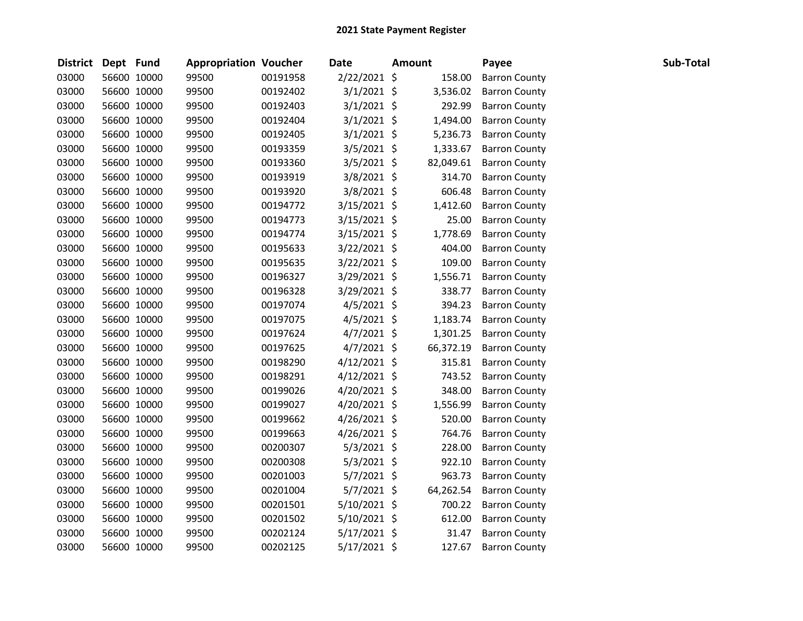| <b>District</b> | Dept Fund |             | <b>Appropriation Voucher</b> |          | Date           | <b>Amount</b> | Payee                | Sub-Total |  |
|-----------------|-----------|-------------|------------------------------|----------|----------------|---------------|----------------------|-----------|--|
| 03000           |           | 56600 10000 | 99500                        | 00191958 | $2/22/2021$ \$ | 158.00        | <b>Barron County</b> |           |  |
| 03000           |           | 56600 10000 | 99500                        | 00192402 | $3/1/2021$ \$  | 3,536.02      | <b>Barron County</b> |           |  |
| 03000           |           | 56600 10000 | 99500                        | 00192403 | $3/1/2021$ \$  | 292.99        | <b>Barron County</b> |           |  |
| 03000           |           | 56600 10000 | 99500                        | 00192404 | $3/1/2021$ \$  | 1,494.00      | <b>Barron County</b> |           |  |
| 03000           |           | 56600 10000 | 99500                        | 00192405 | $3/1/2021$ \$  | 5,236.73      | <b>Barron County</b> |           |  |
| 03000           |           | 56600 10000 | 99500                        | 00193359 | $3/5/2021$ \$  | 1,333.67      | <b>Barron County</b> |           |  |
| 03000           |           | 56600 10000 | 99500                        | 00193360 | $3/5/2021$ \$  | 82,049.61     | <b>Barron County</b> |           |  |
| 03000           |           | 56600 10000 | 99500                        | 00193919 | $3/8/2021$ \$  | 314.70        | <b>Barron County</b> |           |  |
| 03000           |           | 56600 10000 | 99500                        | 00193920 | 3/8/2021 \$    | 606.48        | <b>Barron County</b> |           |  |
| 03000           |           | 56600 10000 | 99500                        | 00194772 | $3/15/2021$ \$ | 1,412.60      | <b>Barron County</b> |           |  |
| 03000           |           | 56600 10000 | 99500                        | 00194773 | $3/15/2021$ \$ | 25.00         | <b>Barron County</b> |           |  |
| 03000           |           | 56600 10000 | 99500                        | 00194774 | $3/15/2021$ \$ | 1,778.69      | <b>Barron County</b> |           |  |
| 03000           |           | 56600 10000 | 99500                        | 00195633 | $3/22/2021$ \$ | 404.00        | <b>Barron County</b> |           |  |
| 03000           |           | 56600 10000 | 99500                        | 00195635 | $3/22/2021$ \$ | 109.00        | <b>Barron County</b> |           |  |
| 03000           |           | 56600 10000 | 99500                        | 00196327 | $3/29/2021$ \$ | 1,556.71      | <b>Barron County</b> |           |  |
| 03000           |           | 56600 10000 | 99500                        | 00196328 | 3/29/2021 \$   | 338.77        | <b>Barron County</b> |           |  |
| 03000           |           | 56600 10000 | 99500                        | 00197074 | $4/5/2021$ \$  | 394.23        | <b>Barron County</b> |           |  |
| 03000           |           | 56600 10000 | 99500                        | 00197075 | $4/5/2021$ \$  | 1,183.74      | <b>Barron County</b> |           |  |
| 03000           |           | 56600 10000 | 99500                        | 00197624 | $4/7/2021$ \$  | 1,301.25      | <b>Barron County</b> |           |  |
| 03000           |           | 56600 10000 | 99500                        | 00197625 | $4/7/2021$ \$  | 66,372.19     | <b>Barron County</b> |           |  |
| 03000           |           | 56600 10000 | 99500                        | 00198290 | $4/12/2021$ \$ | 315.81        | <b>Barron County</b> |           |  |
| 03000           |           | 56600 10000 | 99500                        | 00198291 | $4/12/2021$ \$ | 743.52        | <b>Barron County</b> |           |  |
| 03000           |           | 56600 10000 | 99500                        | 00199026 | $4/20/2021$ \$ | 348.00        | <b>Barron County</b> |           |  |
| 03000           |           | 56600 10000 | 99500                        | 00199027 | $4/20/2021$ \$ | 1,556.99      | <b>Barron County</b> |           |  |
| 03000           |           | 56600 10000 | 99500                        | 00199662 | $4/26/2021$ \$ | 520.00        | <b>Barron County</b> |           |  |
| 03000           |           | 56600 10000 | 99500                        | 00199663 | $4/26/2021$ \$ | 764.76        | <b>Barron County</b> |           |  |
| 03000           |           | 56600 10000 | 99500                        | 00200307 | $5/3/2021$ \$  | 228.00        | <b>Barron County</b> |           |  |
| 03000           |           | 56600 10000 | 99500                        | 00200308 | $5/3/2021$ \$  | 922.10        | <b>Barron County</b> |           |  |
| 03000           |           | 56600 10000 | 99500                        | 00201003 | $5/7/2021$ \$  | 963.73        | <b>Barron County</b> |           |  |
| 03000           |           | 56600 10000 | 99500                        | 00201004 | $5/7/2021$ \$  | 64,262.54     | <b>Barron County</b> |           |  |
| 03000           |           | 56600 10000 | 99500                        | 00201501 | 5/10/2021 \$   | 700.22        | <b>Barron County</b> |           |  |
| 03000           |           | 56600 10000 | 99500                        | 00201502 | $5/10/2021$ \$ | 612.00        | <b>Barron County</b> |           |  |
| 03000           |           | 56600 10000 | 99500                        | 00202124 | $5/17/2021$ \$ | 31.47         | <b>Barron County</b> |           |  |
| 03000           |           | 56600 10000 | 99500                        | 00202125 | 5/17/2021 \$   | 127.67        | <b>Barron County</b> |           |  |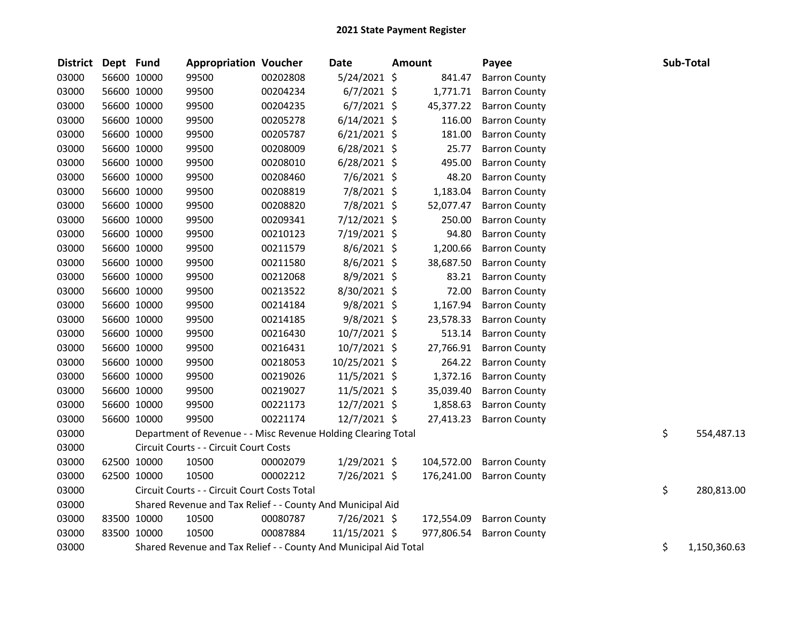| <b>District</b> | Dept Fund   |             | <b>Appropriation Voucher</b>                                     |          | <b>Date</b>    | <b>Amount</b> |            | Payee                |    | Sub-Total    |
|-----------------|-------------|-------------|------------------------------------------------------------------|----------|----------------|---------------|------------|----------------------|----|--------------|
| 03000           |             | 56600 10000 | 99500                                                            | 00202808 | $5/24/2021$ \$ |               | 841.47     | <b>Barron County</b> |    |              |
| 03000           | 56600 10000 |             | 99500                                                            | 00204234 | $6/7/2021$ \$  |               | 1,771.71   | <b>Barron County</b> |    |              |
| 03000           |             | 56600 10000 | 99500                                                            | 00204235 | $6/7/2021$ \$  |               | 45,377.22  | <b>Barron County</b> |    |              |
| 03000           |             | 56600 10000 | 99500                                                            | 00205278 | $6/14/2021$ \$ |               | 116.00     | <b>Barron County</b> |    |              |
| 03000           |             | 56600 10000 | 99500                                                            | 00205787 | $6/21/2021$ \$ |               | 181.00     | <b>Barron County</b> |    |              |
| 03000           |             | 56600 10000 | 99500                                                            | 00208009 | $6/28/2021$ \$ |               | 25.77      | <b>Barron County</b> |    |              |
| 03000           |             | 56600 10000 | 99500                                                            | 00208010 | $6/28/2021$ \$ |               | 495.00     | <b>Barron County</b> |    |              |
| 03000           |             | 56600 10000 | 99500                                                            | 00208460 | 7/6/2021 \$    |               | 48.20      | <b>Barron County</b> |    |              |
| 03000           | 56600 10000 |             | 99500                                                            | 00208819 | 7/8/2021 \$    |               | 1,183.04   | <b>Barron County</b> |    |              |
| 03000           |             | 56600 10000 | 99500                                                            | 00208820 | 7/8/2021 \$    |               | 52,077.47  | <b>Barron County</b> |    |              |
| 03000           | 56600 10000 |             | 99500                                                            | 00209341 | 7/12/2021 \$   |               | 250.00     | <b>Barron County</b> |    |              |
| 03000           |             | 56600 10000 | 99500                                                            | 00210123 | 7/19/2021 \$   |               | 94.80      | <b>Barron County</b> |    |              |
| 03000           |             | 56600 10000 | 99500                                                            | 00211579 | 8/6/2021 \$    |               | 1,200.66   | <b>Barron County</b> |    |              |
| 03000           |             | 56600 10000 | 99500                                                            | 00211580 | $8/6/2021$ \$  |               | 38,687.50  | <b>Barron County</b> |    |              |
| 03000           |             | 56600 10000 | 99500                                                            | 00212068 | $8/9/2021$ \$  |               | 83.21      | <b>Barron County</b> |    |              |
| 03000           |             | 56600 10000 | 99500                                                            | 00213522 | 8/30/2021 \$   |               | 72.00      | <b>Barron County</b> |    |              |
| 03000           |             | 56600 10000 | 99500                                                            | 00214184 | 9/8/2021 \$    |               | 1,167.94   | <b>Barron County</b> |    |              |
| 03000           |             | 56600 10000 | 99500                                                            | 00214185 | $9/8/2021$ \$  |               | 23,578.33  | <b>Barron County</b> |    |              |
| 03000           |             | 56600 10000 | 99500                                                            | 00216430 | 10/7/2021 \$   |               | 513.14     | <b>Barron County</b> |    |              |
| 03000           |             | 56600 10000 | 99500                                                            | 00216431 | $10/7/2021$ \$ |               | 27,766.91  | <b>Barron County</b> |    |              |
| 03000           |             | 56600 10000 | 99500                                                            | 00218053 | 10/25/2021 \$  |               | 264.22     | <b>Barron County</b> |    |              |
| 03000           |             | 56600 10000 | 99500                                                            | 00219026 | $11/5/2021$ \$ |               | 1,372.16   | <b>Barron County</b> |    |              |
| 03000           |             | 56600 10000 | 99500                                                            | 00219027 | 11/5/2021 \$   |               | 35,039.40  | <b>Barron County</b> |    |              |
| 03000           |             | 56600 10000 | 99500                                                            | 00221173 | 12/7/2021 \$   |               | 1,858.63   | <b>Barron County</b> |    |              |
| 03000           | 56600 10000 |             | 99500                                                            | 00221174 | 12/7/2021 \$   |               | 27,413.23  | <b>Barron County</b> |    |              |
| 03000           |             |             | Department of Revenue - - Misc Revenue Holding Clearing Total    |          |                |               |            |                      | \$ | 554,487.13   |
| 03000           |             |             | Circuit Courts - - Circuit Court Costs                           |          |                |               |            |                      |    |              |
| 03000           |             | 62500 10000 | 10500                                                            | 00002079 | $1/29/2021$ \$ |               | 104,572.00 | <b>Barron County</b> |    |              |
| 03000           |             | 62500 10000 | 10500                                                            | 00002212 | 7/26/2021 \$   |               | 176,241.00 | <b>Barron County</b> |    |              |
| 03000           |             |             | Circuit Courts - - Circuit Court Costs Total                     |          |                |               |            |                      | \$ | 280,813.00   |
| 03000           |             |             | Shared Revenue and Tax Relief - - County And Municipal Aid       |          |                |               |            |                      |    |              |
| 03000           | 83500 10000 |             | 10500                                                            | 00080787 | 7/26/2021 \$   |               | 172,554.09 | <b>Barron County</b> |    |              |
| 03000           | 83500 10000 |             | 10500                                                            | 00087884 | 11/15/2021 \$  |               | 977,806.54 | <b>Barron County</b> |    |              |
| 03000           |             |             | Shared Revenue and Tax Relief - - County And Municipal Aid Total |          |                |               |            |                      | \$ | 1,150,360.63 |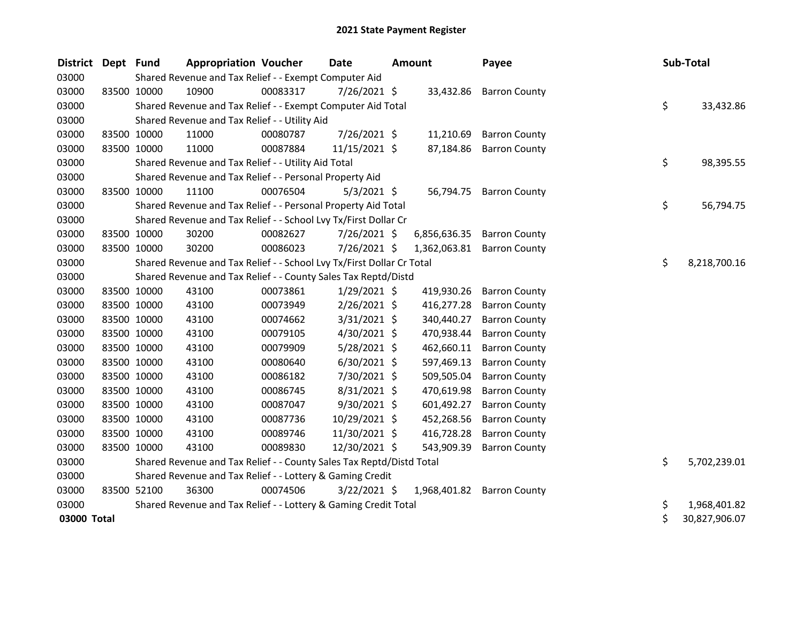| District Dept Fund |             | <b>Appropriation Voucher</b>                                          |          | Date           | <b>Amount</b> | Payee                      |    | Sub-Total     |
|--------------------|-------------|-----------------------------------------------------------------------|----------|----------------|---------------|----------------------------|----|---------------|
| 03000              |             | Shared Revenue and Tax Relief - - Exempt Computer Aid                 |          |                |               |                            |    |               |
| 03000              | 83500 10000 | 10900                                                                 | 00083317 | $7/26/2021$ \$ |               | 33,432.86 Barron County    |    |               |
| 03000              |             | Shared Revenue and Tax Relief - - Exempt Computer Aid Total           |          |                |               |                            | \$ | 33,432.86     |
| 03000              |             | Shared Revenue and Tax Relief - - Utility Aid                         |          |                |               |                            |    |               |
| 03000              | 83500 10000 | 11000                                                                 | 00080787 | 7/26/2021 \$   | 11,210.69     | <b>Barron County</b>       |    |               |
| 03000              | 83500 10000 | 11000                                                                 | 00087884 | 11/15/2021 \$  | 87,184.86     | <b>Barron County</b>       |    |               |
| 03000              |             | Shared Revenue and Tax Relief - - Utility Aid Total                   |          |                |               |                            | \$ | 98,395.55     |
| 03000              |             | Shared Revenue and Tax Relief - - Personal Property Aid               |          |                |               |                            |    |               |
| 03000              | 83500 10000 | 11100                                                                 | 00076504 | $5/3/2021$ \$  |               | 56,794.75 Barron County    |    |               |
| 03000              |             | Shared Revenue and Tax Relief - - Personal Property Aid Total         |          |                |               |                            | \$ | 56,794.75     |
| 03000              |             | Shared Revenue and Tax Relief - - School Lvy Tx/First Dollar Cr       |          |                |               |                            |    |               |
| 03000              | 83500 10000 | 30200                                                                 | 00082627 | $7/26/2021$ \$ | 6,856,636.35  | <b>Barron County</b>       |    |               |
| 03000              | 83500 10000 | 30200                                                                 | 00086023 | 7/26/2021 \$   |               | 1,362,063.81 Barron County |    |               |
| 03000              |             | Shared Revenue and Tax Relief - - School Lvy Tx/First Dollar Cr Total |          |                |               |                            | \$ | 8,218,700.16  |
| 03000              |             | Shared Revenue and Tax Relief - - County Sales Tax Reptd/Distd        |          |                |               |                            |    |               |
| 03000              | 83500 10000 | 43100                                                                 | 00073861 | $1/29/2021$ \$ | 419,930.26    | <b>Barron County</b>       |    |               |
| 03000              | 83500 10000 | 43100                                                                 | 00073949 | $2/26/2021$ \$ | 416,277.28    | <b>Barron County</b>       |    |               |
| 03000              | 83500 10000 | 43100                                                                 | 00074662 | $3/31/2021$ \$ | 340,440.27    | <b>Barron County</b>       |    |               |
| 03000              | 83500 10000 | 43100                                                                 | 00079105 | $4/30/2021$ \$ | 470,938.44    | <b>Barron County</b>       |    |               |
| 03000              | 83500 10000 | 43100                                                                 | 00079909 | 5/28/2021 \$   | 462,660.11    | <b>Barron County</b>       |    |               |
| 03000              | 83500 10000 | 43100                                                                 | 00080640 | $6/30/2021$ \$ | 597,469.13    | <b>Barron County</b>       |    |               |
| 03000              | 83500 10000 | 43100                                                                 | 00086182 | 7/30/2021 \$   | 509,505.04    | <b>Barron County</b>       |    |               |
| 03000              | 83500 10000 | 43100                                                                 | 00086745 | 8/31/2021 \$   | 470,619.98    | <b>Barron County</b>       |    |               |
| 03000              | 83500 10000 | 43100                                                                 | 00087047 | 9/30/2021 \$   | 601,492.27    | <b>Barron County</b>       |    |               |
| 03000              | 83500 10000 | 43100                                                                 | 00087736 | 10/29/2021 \$  | 452,268.56    | <b>Barron County</b>       |    |               |
| 03000              | 83500 10000 | 43100                                                                 | 00089746 | 11/30/2021 \$  | 416,728.28    | <b>Barron County</b>       |    |               |
| 03000              | 83500 10000 | 43100                                                                 | 00089830 | 12/30/2021 \$  | 543,909.39    | <b>Barron County</b>       |    |               |
| 03000              |             | Shared Revenue and Tax Relief - - County Sales Tax Reptd/Distd Total  |          |                |               |                            | \$ | 5,702,239.01  |
| 03000              |             | Shared Revenue and Tax Relief - - Lottery & Gaming Credit             |          |                |               |                            |    |               |
| 03000              | 83500 52100 | 36300                                                                 | 00074506 | $3/22/2021$ \$ | 1,968,401.82  | <b>Barron County</b>       |    |               |
| 03000              |             | Shared Revenue and Tax Relief - - Lottery & Gaming Credit Total       |          |                |               |                            | \$ | 1,968,401.82  |
| 03000 Total        |             |                                                                       |          |                |               |                            | \$ | 30,827,906.07 |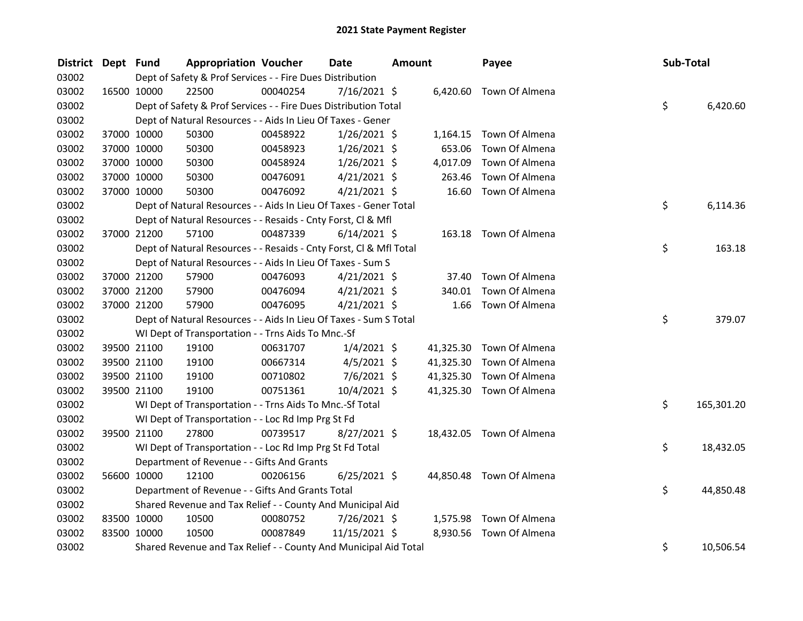| <b>District</b> | Dept Fund   |             | <b>Appropriation Voucher</b>                                       |          | <b>Date</b>    | <b>Amount</b> |           | Payee                    | Sub-Total |            |
|-----------------|-------------|-------------|--------------------------------------------------------------------|----------|----------------|---------------|-----------|--------------------------|-----------|------------|
| 03002           |             |             | Dept of Safety & Prof Services - - Fire Dues Distribution          |          |                |               |           |                          |           |            |
| 03002           | 16500 10000 |             | 22500                                                              | 00040254 | $7/16/2021$ \$ |               |           | 6,420.60 Town Of Almena  |           |            |
| 03002           |             |             | Dept of Safety & Prof Services - - Fire Dues Distribution Total    |          |                |               |           |                          | \$        | 6,420.60   |
| 03002           |             |             | Dept of Natural Resources - - Aids In Lieu Of Taxes - Gener        |          |                |               |           |                          |           |            |
| 03002           |             | 37000 10000 | 50300                                                              | 00458922 | $1/26/2021$ \$ |               |           | 1,164.15 Town Of Almena  |           |            |
| 03002           |             | 37000 10000 | 50300                                                              | 00458923 | $1/26/2021$ \$ |               | 653.06    | Town Of Almena           |           |            |
| 03002           |             | 37000 10000 | 50300                                                              | 00458924 | $1/26/2021$ \$ |               | 4,017.09  | Town Of Almena           |           |            |
| 03002           |             | 37000 10000 | 50300                                                              | 00476091 | $4/21/2021$ \$ |               | 263.46    | Town Of Almena           |           |            |
| 03002           |             | 37000 10000 | 50300                                                              | 00476092 | $4/21/2021$ \$ |               |           | 16.60 Town Of Almena     |           |            |
| 03002           |             |             | Dept of Natural Resources - - Aids In Lieu Of Taxes - Gener Total  |          |                |               |           |                          | \$        | 6,114.36   |
| 03002           |             |             | Dept of Natural Resources - - Resaids - Cnty Forst, Cl & Mfl       |          |                |               |           |                          |           |            |
| 03002           |             | 37000 21200 | 57100                                                              | 00487339 | $6/14/2021$ \$ |               |           | 163.18 Town Of Almena    |           |            |
| 03002           |             |             | Dept of Natural Resources - - Resaids - Cnty Forst, Cl & Mfl Total |          |                |               |           |                          | \$        | 163.18     |
| 03002           |             |             | Dept of Natural Resources - - Aids In Lieu Of Taxes - Sum S        |          |                |               |           |                          |           |            |
| 03002           |             | 37000 21200 | 57900                                                              | 00476093 | $4/21/2021$ \$ |               | 37.40     | Town Of Almena           |           |            |
| 03002           | 37000 21200 |             | 57900                                                              | 00476094 | $4/21/2021$ \$ |               | 340.01    | Town Of Almena           |           |            |
| 03002           | 37000 21200 |             | 57900                                                              | 00476095 | $4/21/2021$ \$ |               | 1.66      | Town Of Almena           |           |            |
| 03002           |             |             | Dept of Natural Resources - - Aids In Lieu Of Taxes - Sum S Total  |          |                |               |           |                          | \$        | 379.07     |
| 03002           |             |             | WI Dept of Transportation - - Trns Aids To Mnc.-Sf                 |          |                |               |           |                          |           |            |
| 03002           |             | 39500 21100 | 19100                                                              | 00631707 | $1/4/2021$ \$  |               |           | 41,325.30 Town Of Almena |           |            |
| 03002           |             | 39500 21100 | 19100                                                              | 00667314 | $4/5/2021$ \$  |               | 41,325.30 | Town Of Almena           |           |            |
| 03002           | 39500 21100 |             | 19100                                                              | 00710802 | $7/6/2021$ \$  |               | 41,325.30 | Town Of Almena           |           |            |
| 03002           |             | 39500 21100 | 19100                                                              | 00751361 | 10/4/2021 \$   |               |           | 41,325.30 Town Of Almena |           |            |
| 03002           |             |             | WI Dept of Transportation - - Trns Aids To Mnc.-Sf Total           |          |                |               |           |                          | \$        | 165,301.20 |
| 03002           |             |             | WI Dept of Transportation - - Loc Rd Imp Prg St Fd                 |          |                |               |           |                          |           |            |
| 03002           |             | 39500 21100 | 27800                                                              | 00739517 | $8/27/2021$ \$ |               |           | 18,432.05 Town Of Almena |           |            |
| 03002           |             |             | WI Dept of Transportation - - Loc Rd Imp Prg St Fd Total           |          |                |               |           |                          | \$        | 18,432.05  |
| 03002           |             |             | Department of Revenue - - Gifts And Grants                         |          |                |               |           |                          |           |            |
| 03002           |             | 56600 10000 | 12100                                                              | 00206156 | $6/25/2021$ \$ |               |           | 44,850.48 Town Of Almena |           |            |
| 03002           |             |             | Department of Revenue - - Gifts And Grants Total                   |          |                |               |           |                          | \$        | 44,850.48  |
| 03002           |             |             | Shared Revenue and Tax Relief - - County And Municipal Aid         |          |                |               |           |                          |           |            |
| 03002           | 83500 10000 |             | 10500                                                              | 00080752 | 7/26/2021 \$   |               | 1,575.98  | Town Of Almena           |           |            |
| 03002           | 83500 10000 |             | 10500                                                              | 00087849 | 11/15/2021 \$  |               | 8,930.56  | Town Of Almena           |           |            |
| 03002           |             |             | Shared Revenue and Tax Relief - - County And Municipal Aid Total   |          |                |               |           |                          | \$        | 10,506.54  |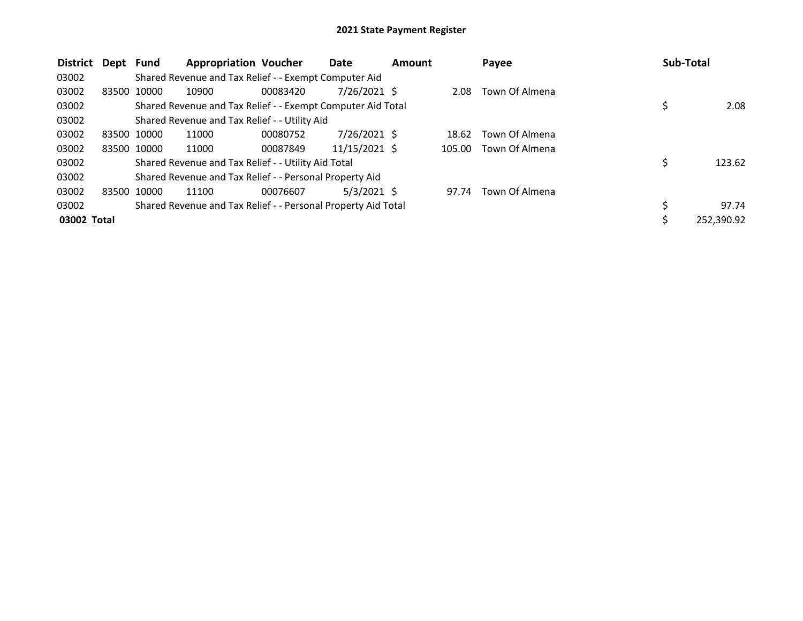| <b>District</b> | Dept Fund |             | <b>Appropriation Voucher</b>                                  |          | Date           | <b>Amount</b> |        | Payee          | Sub-Total |            |
|-----------------|-----------|-------------|---------------------------------------------------------------|----------|----------------|---------------|--------|----------------|-----------|------------|
| 03002           |           |             | Shared Revenue and Tax Relief - - Exempt Computer Aid         |          |                |               |        |                |           |            |
| 03002           |           | 83500 10000 | 10900                                                         | 00083420 | $7/26/2021$ \$ |               | 2.08   | Town Of Almena |           |            |
| 03002           |           |             | Shared Revenue and Tax Relief - - Exempt Computer Aid Total   |          |                |               |        |                | \$        | 2.08       |
| 03002           |           |             | Shared Revenue and Tax Relief - - Utility Aid                 |          |                |               |        |                |           |            |
| 03002           |           | 83500 10000 | 11000                                                         | 00080752 | $7/26/2021$ \$ |               | 18.62  | Town Of Almena |           |            |
| 03002           |           | 83500 10000 | 11000                                                         | 00087849 | 11/15/2021 \$  |               | 105.00 | Town Of Almena |           |            |
| 03002           |           |             | Shared Revenue and Tax Relief - - Utility Aid Total           |          |                |               |        |                | \$        | 123.62     |
| 03002           |           |             | Shared Revenue and Tax Relief - - Personal Property Aid       |          |                |               |        |                |           |            |
| 03002           | 83500     | 10000       | 11100                                                         | 00076607 | $5/3/2021$ \$  |               | 97.74  | Town Of Almena |           |            |
| 03002           |           |             | Shared Revenue and Tax Relief - - Personal Property Aid Total |          |                |               |        |                | \$        | 97.74      |
| 03002 Total     |           |             |                                                               |          |                |               |        |                | \$        | 252,390.92 |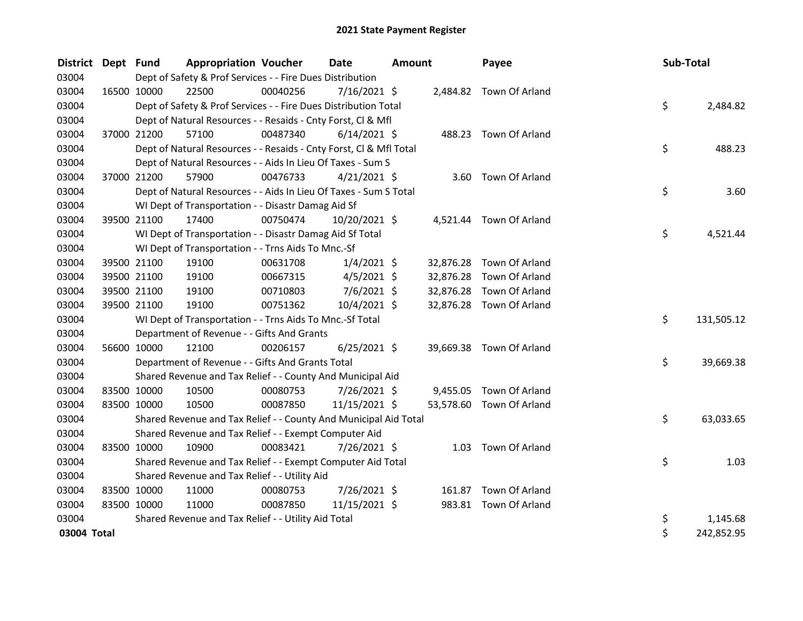| <b>District</b> | Dept Fund   |             | <b>Appropriation Voucher</b>                                       |          | <b>Date</b>    | <b>Amount</b> |           | Payee                    | Sub-Total |            |
|-----------------|-------------|-------------|--------------------------------------------------------------------|----------|----------------|---------------|-----------|--------------------------|-----------|------------|
| 03004           |             |             | Dept of Safety & Prof Services - - Fire Dues Distribution          |          |                |               |           |                          |           |            |
| 03004           |             | 16500 10000 | 22500                                                              | 00040256 | $7/16/2021$ \$ |               |           | 2,484.82 Town Of Arland  |           |            |
| 03004           |             |             | Dept of Safety & Prof Services - - Fire Dues Distribution Total    |          |                |               |           |                          | \$        | 2,484.82   |
| 03004           |             |             | Dept of Natural Resources - - Resaids - Cnty Forst, Cl & Mfl       |          |                |               |           |                          |           |            |
| 03004           |             | 37000 21200 | 57100                                                              | 00487340 | $6/14/2021$ \$ |               |           | 488.23 Town Of Arland    |           |            |
| 03004           |             |             | Dept of Natural Resources - - Resaids - Cnty Forst, CI & Mfl Total |          |                |               |           |                          | \$        | 488.23     |
| 03004           |             |             | Dept of Natural Resources - - Aids In Lieu Of Taxes - Sum S        |          |                |               |           |                          |           |            |
| 03004           |             | 37000 21200 | 57900                                                              | 00476733 | $4/21/2021$ \$ |               |           | 3.60 Town Of Arland      |           |            |
| 03004           |             |             | Dept of Natural Resources - - Aids In Lieu Of Taxes - Sum S Total  |          |                |               |           |                          | \$        | 3.60       |
| 03004           |             |             | WI Dept of Transportation - - Disastr Damag Aid Sf                 |          |                |               |           |                          |           |            |
| 03004           |             | 39500 21100 | 17400                                                              | 00750474 | 10/20/2021 \$  |               |           | 4,521.44 Town Of Arland  |           |            |
| 03004           |             |             | WI Dept of Transportation - - Disastr Damag Aid Sf Total           |          |                |               |           |                          | \$        | 4,521.44   |
| 03004           |             |             | WI Dept of Transportation - - Trns Aids To Mnc.-Sf                 |          |                |               |           |                          |           |            |
| 03004           |             | 39500 21100 | 19100                                                              | 00631708 | $1/4/2021$ \$  |               | 32,876.28 | Town Of Arland           |           |            |
| 03004           |             | 39500 21100 | 19100                                                              | 00667315 | $4/5/2021$ \$  |               | 32,876.28 | Town Of Arland           |           |            |
| 03004           |             | 39500 21100 | 19100                                                              | 00710803 | $7/6/2021$ \$  |               | 32,876.28 | Town Of Arland           |           |            |
| 03004           |             | 39500 21100 | 19100                                                              | 00751362 | 10/4/2021 \$   |               |           | 32,876.28 Town Of Arland |           |            |
| 03004           |             |             | WI Dept of Transportation - - Trns Aids To Mnc.-Sf Total           |          |                |               |           |                          | \$        | 131,505.12 |
| 03004           |             |             | Department of Revenue - - Gifts And Grants                         |          |                |               |           |                          |           |            |
| 03004           |             | 56600 10000 | 12100                                                              | 00206157 | $6/25/2021$ \$ |               |           | 39,669.38 Town Of Arland |           |            |
| 03004           |             |             | Department of Revenue - - Gifts And Grants Total                   |          |                |               |           |                          | \$        | 39,669.38  |
| 03004           |             |             | Shared Revenue and Tax Relief - - County And Municipal Aid         |          |                |               |           |                          |           |            |
| 03004           |             | 83500 10000 | 10500                                                              | 00080753 | 7/26/2021 \$   |               | 9,455.05  | Town Of Arland           |           |            |
| 03004           |             | 83500 10000 | 10500                                                              | 00087850 | 11/15/2021 \$  |               |           | 53,578.60 Town Of Arland |           |            |
| 03004           |             |             | Shared Revenue and Tax Relief - - County And Municipal Aid Total   |          |                |               |           |                          | \$        | 63,033.65  |
| 03004           |             |             | Shared Revenue and Tax Relief - - Exempt Computer Aid              |          |                |               |           |                          |           |            |
| 03004           |             | 83500 10000 | 10900                                                              | 00083421 | 7/26/2021 \$   |               | 1.03      | Town Of Arland           |           |            |
| 03004           |             |             | Shared Revenue and Tax Relief - - Exempt Computer Aid Total        |          |                |               |           |                          | \$        | 1.03       |
| 03004           |             |             | Shared Revenue and Tax Relief - - Utility Aid                      |          |                |               |           |                          |           |            |
| 03004           | 83500 10000 |             | 11000                                                              | 00080753 | 7/26/2021 \$   |               |           | 161.87 Town Of Arland    |           |            |
| 03004           | 83500 10000 |             | 11000                                                              | 00087850 | 11/15/2021 \$  |               |           | 983.81 Town Of Arland    |           |            |
| 03004           |             |             | Shared Revenue and Tax Relief - - Utility Aid Total                |          |                |               |           |                          | \$        | 1,145.68   |
| 03004 Total     |             |             |                                                                    |          |                |               |           |                          | \$        | 242,852.95 |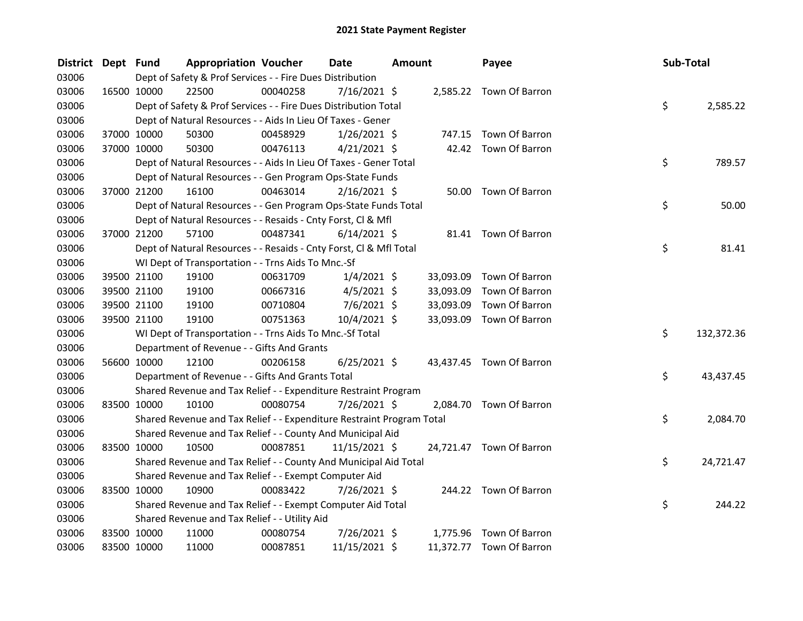| <b>District</b> | Dept Fund   |             | <b>Appropriation Voucher</b>                                          |          | Date           | <b>Amount</b> |           | Payee                    | Sub-Total |            |
|-----------------|-------------|-------------|-----------------------------------------------------------------------|----------|----------------|---------------|-----------|--------------------------|-----------|------------|
| 03006           |             |             | Dept of Safety & Prof Services - - Fire Dues Distribution             |          |                |               |           |                          |           |            |
| 03006           |             | 16500 10000 | 22500                                                                 | 00040258 | 7/16/2021 \$   |               |           | 2,585.22 Town Of Barron  |           |            |
| 03006           |             |             | Dept of Safety & Prof Services - - Fire Dues Distribution Total       |          |                |               |           |                          | \$        | 2,585.22   |
| 03006           |             |             | Dept of Natural Resources - - Aids In Lieu Of Taxes - Gener           |          |                |               |           |                          |           |            |
| 03006           |             | 37000 10000 | 50300                                                                 | 00458929 | $1/26/2021$ \$ |               |           | 747.15 Town Of Barron    |           |            |
| 03006           |             | 37000 10000 | 50300                                                                 | 00476113 | $4/21/2021$ \$ |               |           | 42.42 Town Of Barron     |           |            |
| 03006           |             |             | Dept of Natural Resources - - Aids In Lieu Of Taxes - Gener Total     |          |                |               |           |                          | \$        | 789.57     |
| 03006           |             |             | Dept of Natural Resources - - Gen Program Ops-State Funds             |          |                |               |           |                          |           |            |
| 03006           |             | 37000 21200 | 16100                                                                 | 00463014 | $2/16/2021$ \$ |               |           | 50.00 Town Of Barron     |           |            |
| 03006           |             |             | Dept of Natural Resources - - Gen Program Ops-State Funds Total       |          |                |               |           |                          | \$        | 50.00      |
| 03006           |             |             | Dept of Natural Resources - - Resaids - Cnty Forst, Cl & Mfl          |          |                |               |           |                          |           |            |
| 03006           |             | 37000 21200 | 57100                                                                 | 00487341 | $6/14/2021$ \$ |               |           | 81.41 Town Of Barron     |           |            |
| 03006           |             |             | Dept of Natural Resources - - Resaids - Cnty Forst, Cl & Mfl Total    |          |                |               |           |                          | \$        | 81.41      |
| 03006           |             |             | WI Dept of Transportation - - Trns Aids To Mnc.-Sf                    |          |                |               |           |                          |           |            |
| 03006           |             | 39500 21100 | 19100                                                                 | 00631709 | $1/4/2021$ \$  |               | 33,093.09 | Town Of Barron           |           |            |
| 03006           |             | 39500 21100 | 19100                                                                 | 00667316 | $4/5/2021$ \$  |               | 33,093.09 | Town Of Barron           |           |            |
| 03006           |             | 39500 21100 | 19100                                                                 | 00710804 | $7/6/2021$ \$  |               | 33,093.09 | Town Of Barron           |           |            |
| 03006           |             | 39500 21100 | 19100                                                                 | 00751363 | 10/4/2021 \$   |               | 33,093.09 | Town Of Barron           |           |            |
| 03006           |             |             | WI Dept of Transportation - - Trns Aids To Mnc.-Sf Total              |          |                |               |           |                          | \$        | 132,372.36 |
| 03006           |             |             | Department of Revenue - - Gifts And Grants                            |          |                |               |           |                          |           |            |
| 03006           |             | 56600 10000 | 12100                                                                 | 00206158 | $6/25/2021$ \$ |               |           | 43,437.45 Town Of Barron |           |            |
| 03006           |             |             | Department of Revenue - - Gifts And Grants Total                      |          |                |               |           |                          | \$        | 43,437.45  |
| 03006           |             |             | Shared Revenue and Tax Relief - - Expenditure Restraint Program       |          |                |               |           |                          |           |            |
| 03006           |             | 83500 10000 | 10100                                                                 | 00080754 | 7/26/2021 \$   |               |           | 2,084.70 Town Of Barron  |           |            |
| 03006           |             |             | Shared Revenue and Tax Relief - - Expenditure Restraint Program Total |          |                |               |           |                          | \$        | 2,084.70   |
| 03006           |             |             | Shared Revenue and Tax Relief - - County And Municipal Aid            |          |                |               |           |                          |           |            |
| 03006           |             | 83500 10000 | 10500                                                                 | 00087851 | 11/15/2021 \$  |               |           | 24,721.47 Town Of Barron |           |            |
| 03006           |             |             | Shared Revenue and Tax Relief - - County And Municipal Aid Total      |          |                |               |           |                          | \$        | 24,721.47  |
| 03006           |             |             | Shared Revenue and Tax Relief - - Exempt Computer Aid                 |          |                |               |           |                          |           |            |
| 03006           | 83500 10000 |             | 10900                                                                 | 00083422 | 7/26/2021 \$   |               |           | 244.22 Town Of Barron    |           |            |
| 03006           |             |             | Shared Revenue and Tax Relief - - Exempt Computer Aid Total           |          |                |               |           |                          | \$        | 244.22     |
| 03006           |             |             | Shared Revenue and Tax Relief - - Utility Aid                         |          |                |               |           |                          |           |            |
| 03006           |             | 83500 10000 | 11000                                                                 | 00080754 | 7/26/2021 \$   |               |           | 1,775.96 Town Of Barron  |           |            |
| 03006           | 83500 10000 |             | 11000                                                                 | 00087851 | 11/15/2021 \$  |               |           | 11,372.77 Town Of Barron |           |            |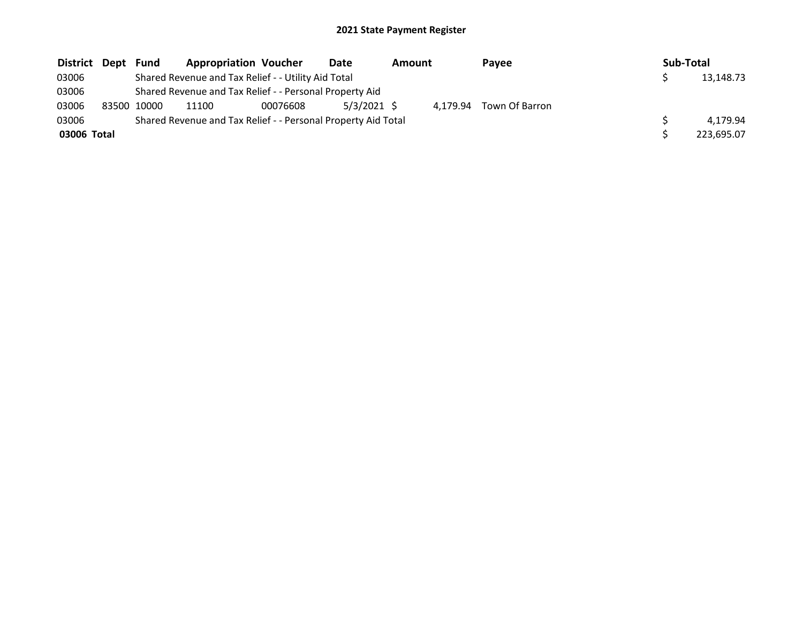| District Dept | Fund        | <b>Appropriation Voucher</b>                                  |          | Date          | Amount | <b>Pavee</b> |                | Sub-Total |            |
|---------------|-------------|---------------------------------------------------------------|----------|---------------|--------|--------------|----------------|-----------|------------|
| 03006         |             | Shared Revenue and Tax Relief - - Utility Aid Total           |          |               |        |              |                |           | 13,148.73  |
| 03006         |             | Shared Revenue and Tax Relief - - Personal Property Aid       |          |               |        |              |                |           |            |
| 03006         | 83500 10000 | 11100                                                         | 00076608 | $5/3/2021$ \$ |        | 4.179.94     | Town Of Barron |           |            |
| 03006         |             | Shared Revenue and Tax Relief - - Personal Property Aid Total |          |               |        |              |                |           | 4.179.94   |
| 03006 Total   |             |                                                               |          |               |        |              |                |           | 223.695.07 |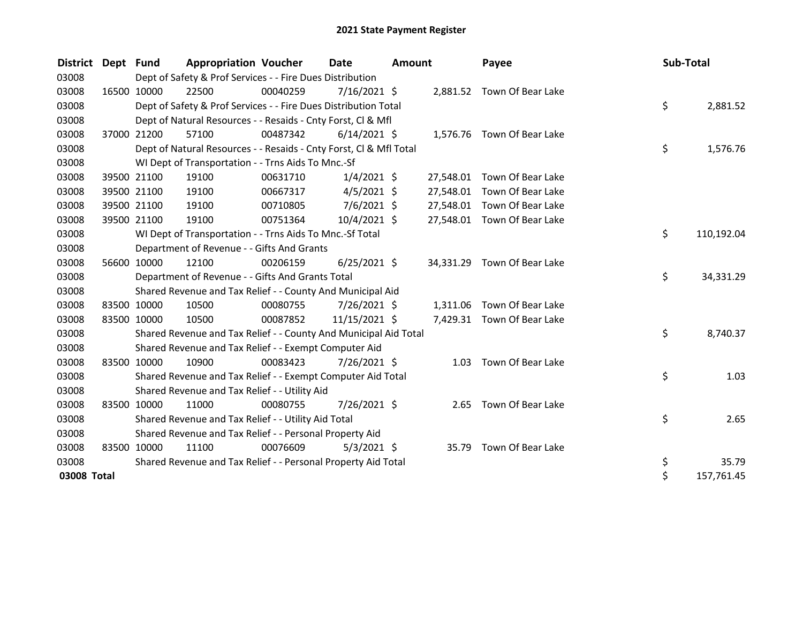| <b>District</b> | Dept Fund   |             | <b>Appropriation Voucher</b>                                       |          | Date           | <b>Amount</b> |           | Payee                       | Sub-Total |            |
|-----------------|-------------|-------------|--------------------------------------------------------------------|----------|----------------|---------------|-----------|-----------------------------|-----------|------------|
| 03008           |             |             | Dept of Safety & Prof Services - - Fire Dues Distribution          |          |                |               |           |                             |           |            |
| 03008           |             | 16500 10000 | 22500                                                              | 00040259 | 7/16/2021 \$   |               |           | 2,881.52 Town Of Bear Lake  |           |            |
| 03008           |             |             | Dept of Safety & Prof Services - - Fire Dues Distribution Total    |          |                |               |           |                             | \$        | 2,881.52   |
| 03008           |             |             | Dept of Natural Resources - - Resaids - Cnty Forst, Cl & Mfl       |          |                |               |           |                             |           |            |
| 03008           |             | 37000 21200 | 57100                                                              | 00487342 | $6/14/2021$ \$ |               |           | 1,576.76 Town Of Bear Lake  |           |            |
| 03008           |             |             | Dept of Natural Resources - - Resaids - Cnty Forst, Cl & Mfl Total |          |                |               |           |                             | \$        | 1,576.76   |
| 03008           |             |             | WI Dept of Transportation - - Trns Aids To Mnc.-Sf                 |          |                |               |           |                             |           |            |
| 03008           |             | 39500 21100 | 19100                                                              | 00631710 | $1/4/2021$ \$  |               | 27,548.01 | Town Of Bear Lake           |           |            |
| 03008           |             | 39500 21100 | 19100                                                              | 00667317 | $4/5/2021$ \$  |               | 27,548.01 | Town Of Bear Lake           |           |            |
| 03008           |             | 39500 21100 | 19100                                                              | 00710805 | $7/6/2021$ \$  |               | 27,548.01 | Town Of Bear Lake           |           |            |
| 03008           |             | 39500 21100 | 19100                                                              | 00751364 | 10/4/2021 \$   |               |           | 27,548.01 Town Of Bear Lake |           |            |
| 03008           |             |             | WI Dept of Transportation - - Trns Aids To Mnc.-Sf Total           |          |                |               |           |                             | \$        | 110,192.04 |
| 03008           |             |             | Department of Revenue - - Gifts And Grants                         |          |                |               |           |                             |           |            |
| 03008           |             | 56600 10000 | 12100                                                              | 00206159 | $6/25/2021$ \$ |               | 34,331.29 | Town Of Bear Lake           |           |            |
| 03008           |             |             | Department of Revenue - - Gifts And Grants Total                   |          |                |               |           |                             | \$        | 34,331.29  |
| 03008           |             |             | Shared Revenue and Tax Relief - - County And Municipal Aid         |          |                |               |           |                             |           |            |
| 03008           |             | 83500 10000 | 10500                                                              | 00080755 | 7/26/2021 \$   |               | 1,311.06  | Town Of Bear Lake           |           |            |
| 03008           |             | 83500 10000 | 10500                                                              | 00087852 | 11/15/2021 \$  |               |           | 7,429.31 Town Of Bear Lake  |           |            |
| 03008           |             |             | Shared Revenue and Tax Relief - - County And Municipal Aid Total   |          |                |               |           |                             | \$        | 8,740.37   |
| 03008           |             |             | Shared Revenue and Tax Relief - - Exempt Computer Aid              |          |                |               |           |                             |           |            |
| 03008           |             | 83500 10000 | 10900                                                              | 00083423 | 7/26/2021 \$   |               |           | 1.03 Town Of Bear Lake      |           |            |
| 03008           |             |             | Shared Revenue and Tax Relief - - Exempt Computer Aid Total        |          |                |               |           |                             | \$        | 1.03       |
| 03008           |             |             | Shared Revenue and Tax Relief - - Utility Aid                      |          |                |               |           |                             |           |            |
| 03008           |             | 83500 10000 | 11000                                                              | 00080755 | 7/26/2021 \$   |               |           | 2.65 Town Of Bear Lake      |           |            |
| 03008           |             |             | Shared Revenue and Tax Relief - - Utility Aid Total                |          |                |               |           |                             | \$        | 2.65       |
| 03008           |             |             | Shared Revenue and Tax Relief - - Personal Property Aid            |          |                |               |           |                             |           |            |
| 03008           | 83500 10000 |             | 11100                                                              | 00076609 | $5/3/2021$ \$  |               | 35.79     | Town Of Bear Lake           |           |            |
| 03008           |             |             | Shared Revenue and Tax Relief - - Personal Property Aid Total      |          |                |               |           |                             | \$        | 35.79      |
| 03008 Total     |             |             |                                                                    |          |                |               |           |                             | \$        | 157,761.45 |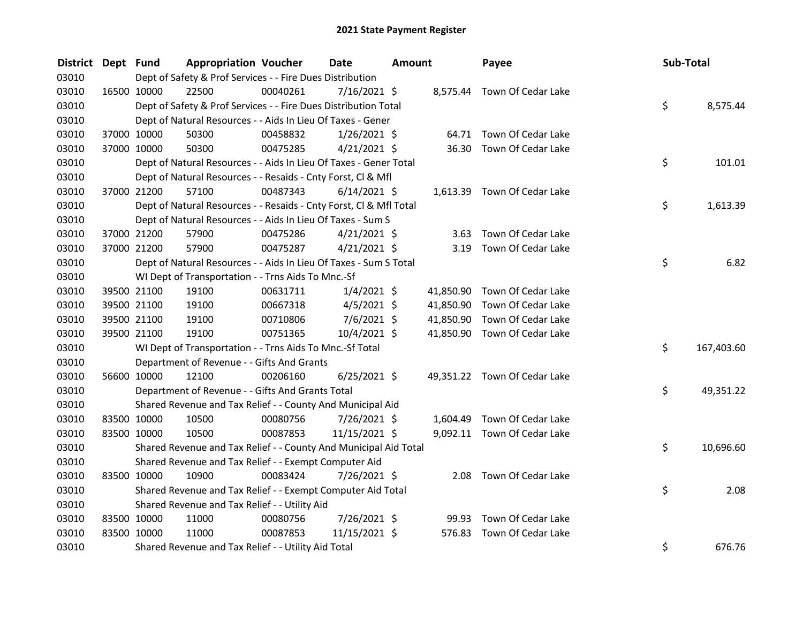| <b>District</b> | Dept Fund   |             | <b>Appropriation Voucher</b>                                       |          | <b>Date</b>    | <b>Amount</b> |           | Payee                        |  | Sub-Total |            |
|-----------------|-------------|-------------|--------------------------------------------------------------------|----------|----------------|---------------|-----------|------------------------------|--|-----------|------------|
| 03010           |             |             | Dept of Safety & Prof Services - - Fire Dues Distribution          |          |                |               |           |                              |  |           |            |
| 03010           | 16500 10000 |             | 22500                                                              | 00040261 | $7/16/2021$ \$ |               |           | 8,575.44 Town Of Cedar Lake  |  |           |            |
| 03010           |             |             | Dept of Safety & Prof Services - - Fire Dues Distribution Total    |          |                |               |           |                              |  | \$        | 8,575.44   |
| 03010           |             |             | Dept of Natural Resources - - Aids In Lieu Of Taxes - Gener        |          |                |               |           |                              |  |           |            |
| 03010           |             | 37000 10000 | 50300                                                              | 00458832 | $1/26/2021$ \$ |               |           | 64.71 Town Of Cedar Lake     |  |           |            |
| 03010           |             | 37000 10000 | 50300                                                              | 00475285 | $4/21/2021$ \$ |               | 36.30     | Town Of Cedar Lake           |  |           |            |
| 03010           |             |             | Dept of Natural Resources - - Aids In Lieu Of Taxes - Gener Total  |          |                |               |           |                              |  | \$        | 101.01     |
| 03010           |             |             | Dept of Natural Resources - - Resaids - Cnty Forst, Cl & Mfl       |          |                |               |           |                              |  |           |            |
| 03010           |             | 37000 21200 | 57100                                                              | 00487343 | $6/14/2021$ \$ |               |           | 1,613.39 Town Of Cedar Lake  |  |           |            |
| 03010           |             |             | Dept of Natural Resources - - Resaids - Cnty Forst, CI & Mfl Total |          |                |               |           |                              |  | \$        | 1,613.39   |
| 03010           |             |             | Dept of Natural Resources - - Aids In Lieu Of Taxes - Sum S        |          |                |               |           |                              |  |           |            |
| 03010           |             | 37000 21200 | 57900                                                              | 00475286 | $4/21/2021$ \$ |               | 3.63      | Town Of Cedar Lake           |  |           |            |
| 03010           |             | 37000 21200 | 57900                                                              | 00475287 | $4/21/2021$ \$ |               |           | 3.19 Town Of Cedar Lake      |  |           |            |
| 03010           |             |             | Dept of Natural Resources - - Aids In Lieu Of Taxes - Sum S Total  |          |                |               |           |                              |  | \$        | 6.82       |
| 03010           |             |             | WI Dept of Transportation - - Trns Aids To Mnc.-Sf                 |          |                |               |           |                              |  |           |            |
| 03010           |             | 39500 21100 | 19100                                                              | 00631711 | $1/4/2021$ \$  |               |           | 41,850.90 Town Of Cedar Lake |  |           |            |
| 03010           |             | 39500 21100 | 19100                                                              | 00667318 | $4/5/2021$ \$  |               | 41,850.90 | Town Of Cedar Lake           |  |           |            |
| 03010           |             | 39500 21100 | 19100                                                              | 00710806 | $7/6/2021$ \$  |               | 41,850.90 | Town Of Cedar Lake           |  |           |            |
| 03010           | 39500 21100 |             | 19100                                                              | 00751365 | 10/4/2021 \$   |               |           | 41,850.90 Town Of Cedar Lake |  |           |            |
| 03010           |             |             | WI Dept of Transportation - - Trns Aids To Mnc.-Sf Total           |          |                |               |           |                              |  | \$        | 167,403.60 |
| 03010           |             |             | Department of Revenue - - Gifts And Grants                         |          |                |               |           |                              |  |           |            |
| 03010           |             | 56600 10000 | 12100                                                              | 00206160 | $6/25/2021$ \$ |               |           | 49,351.22 Town Of Cedar Lake |  |           |            |
| 03010           |             |             | Department of Revenue - - Gifts And Grants Total                   |          |                |               |           |                              |  | \$        | 49,351.22  |
| 03010           |             |             | Shared Revenue and Tax Relief - - County And Municipal Aid         |          |                |               |           |                              |  |           |            |
| 03010           | 83500 10000 |             | 10500                                                              | 00080756 | 7/26/2021 \$   |               | 1,604.49  | Town Of Cedar Lake           |  |           |            |
| 03010           | 83500 10000 |             | 10500                                                              | 00087853 | 11/15/2021 \$  |               |           | 9,092.11 Town Of Cedar Lake  |  |           |            |
| 03010           |             |             | Shared Revenue and Tax Relief - - County And Municipal Aid Total   |          |                |               |           |                              |  | \$        | 10,696.60  |
| 03010           |             |             | Shared Revenue and Tax Relief - - Exempt Computer Aid              |          |                |               |           |                              |  |           |            |
| 03010           | 83500 10000 |             | 10900                                                              | 00083424 | 7/26/2021 \$   |               |           | 2.08 Town Of Cedar Lake      |  |           |            |
| 03010           |             |             | Shared Revenue and Tax Relief - - Exempt Computer Aid Total        |          |                |               |           |                              |  | \$        | 2.08       |
| 03010           |             |             | Shared Revenue and Tax Relief - - Utility Aid                      |          |                |               |           |                              |  |           |            |
| 03010           | 83500 10000 |             | 11000                                                              | 00080756 | 7/26/2021 \$   |               | 99.93     | Town Of Cedar Lake           |  |           |            |
| 03010           | 83500 10000 |             | 11000                                                              | 00087853 | 11/15/2021 \$  |               | 576.83    | Town Of Cedar Lake           |  |           |            |
| 03010           |             |             | Shared Revenue and Tax Relief - - Utility Aid Total                |          |                |               |           |                              |  | \$        | 676.76     |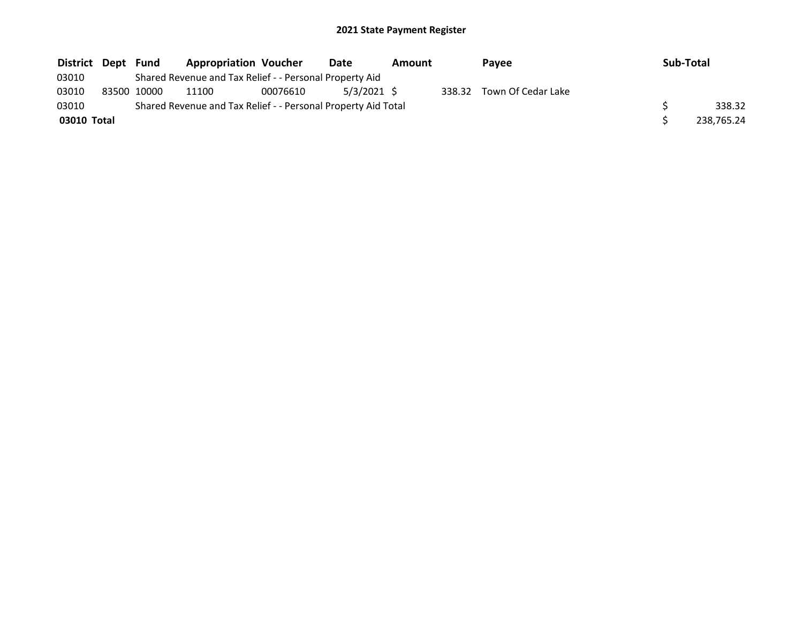| District Dept Fund |             | <b>Appropriation Voucher</b>                                  |          | Date        | Amount | <b>Pavee</b>              | Sub-Total |            |
|--------------------|-------------|---------------------------------------------------------------|----------|-------------|--------|---------------------------|-----------|------------|
| 03010              |             | Shared Revenue and Tax Relief - - Personal Property Aid       |          |             |        |                           |           |            |
| 03010              | 83500 10000 | 11100                                                         | 00076610 | 5/3/2021 \$ |        | 338.32 Town Of Cedar Lake |           |            |
| 03010              |             | Shared Revenue and Tax Relief - - Personal Property Aid Total |          |             |        |                           |           | 338.32     |
| 03010 Total        |             |                                                               |          |             |        |                           |           | 238.765.24 |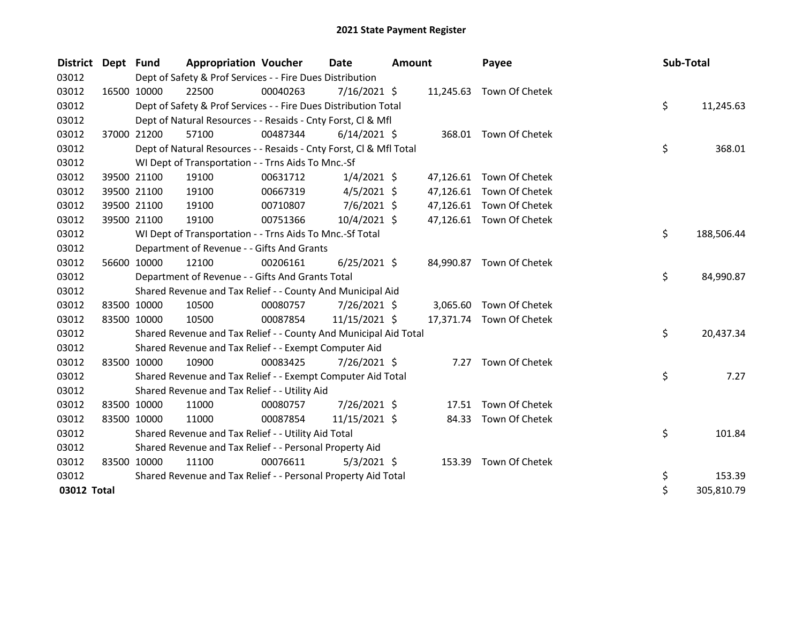| District Dept Fund |             | <b>Appropriation Voucher</b>                                       |          | <b>Date</b>    | <b>Amount</b> |           | Payee                    | Sub-Total |            |
|--------------------|-------------|--------------------------------------------------------------------|----------|----------------|---------------|-----------|--------------------------|-----------|------------|
| 03012              |             | Dept of Safety & Prof Services - - Fire Dues Distribution          |          |                |               |           |                          |           |            |
| 03012              | 16500 10000 | 22500                                                              | 00040263 | 7/16/2021 \$   |               |           | 11,245.63 Town Of Chetek |           |            |
| 03012              |             | Dept of Safety & Prof Services - - Fire Dues Distribution Total    |          |                |               |           |                          | \$        | 11,245.63  |
| 03012              |             | Dept of Natural Resources - - Resaids - Cnty Forst, Cl & Mfl       |          |                |               |           |                          |           |            |
| 03012              | 37000 21200 | 57100                                                              | 00487344 | $6/14/2021$ \$ |               |           | 368.01 Town Of Chetek    |           |            |
| 03012              |             | Dept of Natural Resources - - Resaids - Cnty Forst, Cl & Mfl Total |          |                |               |           |                          | \$        | 368.01     |
| 03012              |             | WI Dept of Transportation - - Trns Aids To Mnc.-Sf                 |          |                |               |           |                          |           |            |
| 03012              | 39500 21100 | 19100                                                              | 00631712 | $1/4/2021$ \$  |               |           | 47,126.61 Town Of Chetek |           |            |
| 03012              | 39500 21100 | 19100                                                              | 00667319 | $4/5/2021$ \$  |               |           | 47,126.61 Town Of Chetek |           |            |
| 03012              | 39500 21100 | 19100                                                              | 00710807 | $7/6/2021$ \$  |               |           | 47,126.61 Town Of Chetek |           |            |
| 03012              | 39500 21100 | 19100                                                              | 00751366 | 10/4/2021 \$   |               |           | 47,126.61 Town Of Chetek |           |            |
| 03012              |             | WI Dept of Transportation - - Trns Aids To Mnc.-Sf Total           |          |                |               |           |                          | \$        | 188,506.44 |
| 03012              |             | Department of Revenue - - Gifts And Grants                         |          |                |               |           |                          |           |            |
| 03012              | 56600 10000 | 12100                                                              | 00206161 | $6/25/2021$ \$ |               |           | 84,990.87 Town Of Chetek |           |            |
| 03012              |             | Department of Revenue - - Gifts And Grants Total                   |          |                |               |           |                          | \$        | 84,990.87  |
| 03012              |             | Shared Revenue and Tax Relief - - County And Municipal Aid         |          |                |               |           |                          |           |            |
| 03012              | 83500 10000 | 10500                                                              | 00080757 | 7/26/2021 \$   |               | 3,065.60  | Town Of Chetek           |           |            |
| 03012              | 83500 10000 | 10500                                                              | 00087854 | 11/15/2021 \$  |               | 17,371.74 | Town Of Chetek           |           |            |
| 03012              |             | Shared Revenue and Tax Relief - - County And Municipal Aid Total   |          |                |               |           |                          | \$        | 20,437.34  |
| 03012              |             | Shared Revenue and Tax Relief - - Exempt Computer Aid              |          |                |               |           |                          |           |            |
| 03012              | 83500 10000 | 10900                                                              | 00083425 | 7/26/2021 \$   |               | 7.27      | Town Of Chetek           |           |            |
| 03012              |             | Shared Revenue and Tax Relief - - Exempt Computer Aid Total        |          |                |               |           |                          | \$        | 7.27       |
| 03012              |             | Shared Revenue and Tax Relief - - Utility Aid                      |          |                |               |           |                          |           |            |
| 03012              | 83500 10000 | 11000                                                              | 00080757 | 7/26/2021 \$   |               | 17.51     | Town Of Chetek           |           |            |
| 03012              | 83500 10000 | 11000                                                              | 00087854 | 11/15/2021 \$  |               | 84.33     | Town Of Chetek           |           |            |
| 03012              |             | Shared Revenue and Tax Relief - - Utility Aid Total                |          |                |               |           |                          | \$        | 101.84     |
| 03012              |             | Shared Revenue and Tax Relief - - Personal Property Aid            |          |                |               |           |                          |           |            |
| 03012              | 83500 10000 | 11100                                                              | 00076611 | $5/3/2021$ \$  |               |           | 153.39 Town Of Chetek    |           |            |
| 03012              |             | Shared Revenue and Tax Relief - - Personal Property Aid Total      |          |                |               |           |                          | \$        | 153.39     |
| 03012 Total        |             |                                                                    |          |                |               |           |                          | \$        | 305,810.79 |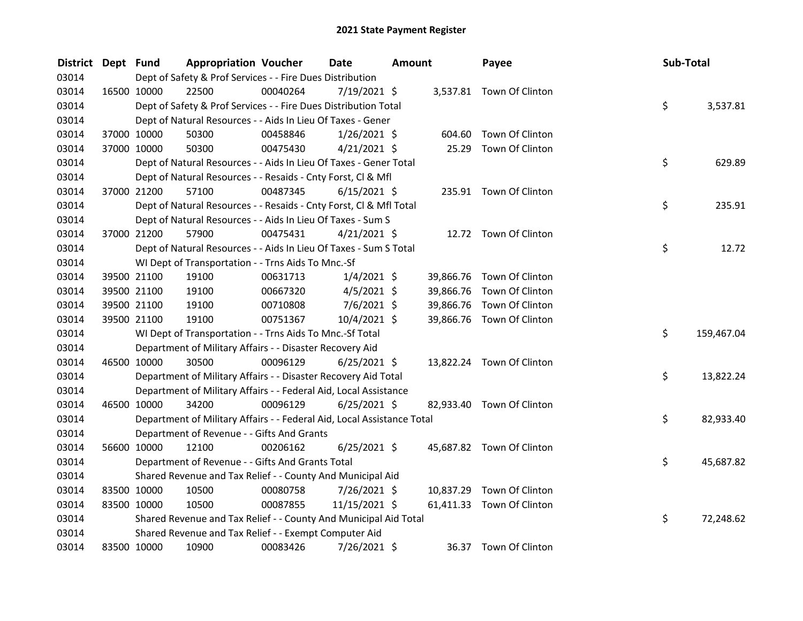| <b>District</b> | Dept Fund |             | <b>Appropriation Voucher</b>                                           |          | Date           | <b>Amount</b> |           | Payee                     | Sub-Total |            |
|-----------------|-----------|-------------|------------------------------------------------------------------------|----------|----------------|---------------|-----------|---------------------------|-----------|------------|
| 03014           |           |             | Dept of Safety & Prof Services - - Fire Dues Distribution              |          |                |               |           |                           |           |            |
| 03014           |           | 16500 10000 | 22500                                                                  | 00040264 | 7/19/2021 \$   |               |           | 3,537.81 Town Of Clinton  |           |            |
| 03014           |           |             | Dept of Safety & Prof Services - - Fire Dues Distribution Total        |          |                |               |           |                           | \$        | 3,537.81   |
| 03014           |           |             | Dept of Natural Resources - - Aids In Lieu Of Taxes - Gener            |          |                |               |           |                           |           |            |
| 03014           |           | 37000 10000 | 50300                                                                  | 00458846 | $1/26/2021$ \$ |               | 604.60    | Town Of Clinton           |           |            |
| 03014           |           | 37000 10000 | 50300                                                                  | 00475430 | $4/21/2021$ \$ |               |           | 25.29 Town Of Clinton     |           |            |
| 03014           |           |             | Dept of Natural Resources - - Aids In Lieu Of Taxes - Gener Total      |          |                |               |           |                           | \$        | 629.89     |
| 03014           |           |             | Dept of Natural Resources - - Resaids - Cnty Forst, Cl & Mfl           |          |                |               |           |                           |           |            |
| 03014           |           | 37000 21200 | 57100                                                                  | 00487345 | $6/15/2021$ \$ |               |           | 235.91 Town Of Clinton    |           |            |
| 03014           |           |             | Dept of Natural Resources - - Resaids - Cnty Forst, Cl & Mfl Total     |          |                |               |           |                           | \$        | 235.91     |
| 03014           |           |             | Dept of Natural Resources - - Aids In Lieu Of Taxes - Sum S            |          |                |               |           |                           |           |            |
| 03014           |           | 37000 21200 | 57900                                                                  | 00475431 | $4/21/2021$ \$ |               |           | 12.72 Town Of Clinton     |           |            |
| 03014           |           |             | Dept of Natural Resources - - Aids In Lieu Of Taxes - Sum S Total      |          |                |               |           |                           | \$        | 12.72      |
| 03014           |           |             | WI Dept of Transportation - - Trns Aids To Mnc.-Sf                     |          |                |               |           |                           |           |            |
| 03014           |           | 39500 21100 | 19100                                                                  | 00631713 | $1/4/2021$ \$  |               |           | 39,866.76 Town Of Clinton |           |            |
| 03014           |           | 39500 21100 | 19100                                                                  | 00667320 | $4/5/2021$ \$  |               | 39,866.76 | Town Of Clinton           |           |            |
| 03014           |           | 39500 21100 | 19100                                                                  | 00710808 | $7/6/2021$ \$  |               | 39,866.76 | Town Of Clinton           |           |            |
| 03014           |           | 39500 21100 | 19100                                                                  | 00751367 | 10/4/2021 \$   |               |           | 39,866.76 Town Of Clinton |           |            |
| 03014           |           |             | WI Dept of Transportation - - Trns Aids To Mnc.-Sf Total               |          |                |               |           |                           | \$        | 159,467.04 |
| 03014           |           |             | Department of Military Affairs - - Disaster Recovery Aid               |          |                |               |           |                           |           |            |
| 03014           |           | 46500 10000 | 30500                                                                  | 00096129 | $6/25/2021$ \$ |               |           | 13,822.24 Town Of Clinton |           |            |
| 03014           |           |             | Department of Military Affairs - - Disaster Recovery Aid Total         |          |                |               |           |                           | \$.       | 13,822.24  |
| 03014           |           |             | Department of Military Affairs - - Federal Aid, Local Assistance       |          |                |               |           |                           |           |            |
| 03014           |           | 46500 10000 | 34200                                                                  | 00096129 | $6/25/2021$ \$ |               |           | 82,933.40 Town Of Clinton |           |            |
| 03014           |           |             | Department of Military Affairs - - Federal Aid, Local Assistance Total |          |                |               |           |                           | \$        | 82,933.40  |
| 03014           |           |             | Department of Revenue - - Gifts And Grants                             |          |                |               |           |                           |           |            |
| 03014           |           | 56600 10000 | 12100                                                                  | 00206162 | $6/25/2021$ \$ |               |           | 45,687.82 Town Of Clinton |           |            |
| 03014           |           |             | Department of Revenue - - Gifts And Grants Total                       |          |                |               |           |                           | \$.       | 45,687.82  |
| 03014           |           |             | Shared Revenue and Tax Relief - - County And Municipal Aid             |          |                |               |           |                           |           |            |
| 03014           |           | 83500 10000 | 10500                                                                  | 00080758 | 7/26/2021 \$   |               |           | 10,837.29 Town Of Clinton |           |            |
| 03014           |           | 83500 10000 | 10500                                                                  | 00087855 | 11/15/2021 \$  |               |           | 61,411.33 Town Of Clinton |           |            |
| 03014           |           |             | Shared Revenue and Tax Relief - - County And Municipal Aid Total       |          |                |               |           |                           | \$        | 72,248.62  |
| 03014           |           |             | Shared Revenue and Tax Relief - - Exempt Computer Aid                  |          |                |               |           |                           |           |            |
| 03014           |           | 83500 10000 | 10900                                                                  | 00083426 | 7/26/2021 \$   |               |           | 36.37 Town Of Clinton     |           |            |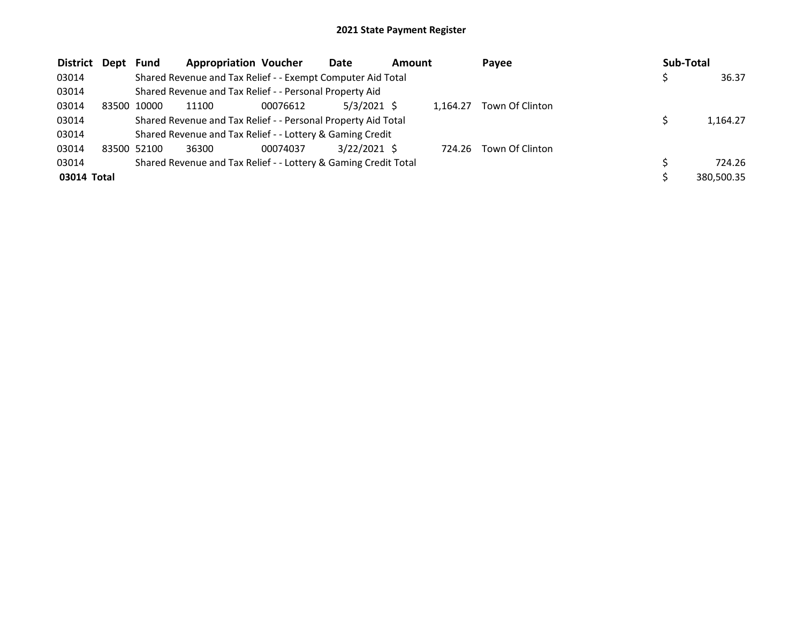| <b>District</b> | Dept  | <b>Fund</b> | <b>Appropriation Voucher</b>                                    |          | Date           | <b>Amount</b> |          | Payee           | <b>Sub-Total</b> |
|-----------------|-------|-------------|-----------------------------------------------------------------|----------|----------------|---------------|----------|-----------------|------------------|
| 03014           |       |             | Shared Revenue and Tax Relief - - Exempt Computer Aid Total     |          |                |               |          |                 | 36.37            |
| 03014           |       |             | Shared Revenue and Tax Relief - - Personal Property Aid         |          |                |               |          |                 |                  |
| 03014           | 83500 | 10000       | 11100                                                           | 00076612 | $5/3/2021$ \$  |               | 1.164.27 | Town Of Clinton |                  |
| 03014           |       |             | Shared Revenue and Tax Relief - - Personal Property Aid Total   |          |                |               |          |                 | 1,164.27         |
| 03014           |       |             | Shared Revenue and Tax Relief - - Lottery & Gaming Credit       |          |                |               |          |                 |                  |
| 03014           |       | 83500 52100 | 36300                                                           | 00074037 | $3/22/2021$ \$ |               | 724.26   | Town Of Clinton |                  |
| 03014           |       |             | Shared Revenue and Tax Relief - - Lottery & Gaming Credit Total |          |                |               |          |                 | 724.26           |
| 03014 Total     |       |             |                                                                 |          |                |               |          |                 | 380,500.35       |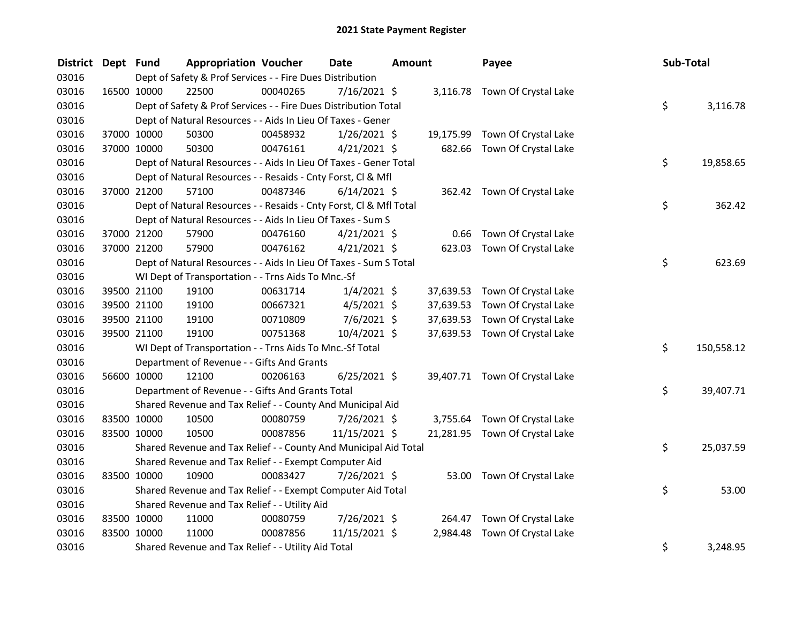| <b>District</b> | Dept Fund   |             | <b>Appropriation Voucher</b>                                       |          | <b>Date</b>    | <b>Amount</b> |           | Payee                          | Sub-Total |            |
|-----------------|-------------|-------------|--------------------------------------------------------------------|----------|----------------|---------------|-----------|--------------------------------|-----------|------------|
| 03016           |             |             | Dept of Safety & Prof Services - - Fire Dues Distribution          |          |                |               |           |                                |           |            |
| 03016           | 16500 10000 |             | 22500                                                              | 00040265 | 7/16/2021 \$   |               |           | 3,116.78 Town Of Crystal Lake  |           |            |
| 03016           |             |             | Dept of Safety & Prof Services - - Fire Dues Distribution Total    |          |                |               |           |                                | \$        | 3,116.78   |
| 03016           |             |             | Dept of Natural Resources - - Aids In Lieu Of Taxes - Gener        |          |                |               |           |                                |           |            |
| 03016           |             | 37000 10000 | 50300                                                              | 00458932 | $1/26/2021$ \$ |               | 19,175.99 | Town Of Crystal Lake           |           |            |
| 03016           | 37000 10000 |             | 50300                                                              | 00476161 | $4/21/2021$ \$ |               | 682.66    | Town Of Crystal Lake           |           |            |
| 03016           |             |             | Dept of Natural Resources - - Aids In Lieu Of Taxes - Gener Total  |          |                |               |           |                                | \$        | 19,858.65  |
| 03016           |             |             | Dept of Natural Resources - - Resaids - Cnty Forst, Cl & Mfl       |          |                |               |           |                                |           |            |
| 03016           |             | 37000 21200 | 57100                                                              | 00487346 | $6/14/2021$ \$ |               |           | 362.42 Town Of Crystal Lake    |           |            |
| 03016           |             |             | Dept of Natural Resources - - Resaids - Cnty Forst, Cl & Mfl Total |          |                |               |           |                                | \$        | 362.42     |
| 03016           |             |             | Dept of Natural Resources - - Aids In Lieu Of Taxes - Sum S        |          |                |               |           |                                |           |            |
| 03016           |             | 37000 21200 | 57900                                                              | 00476160 | $4/21/2021$ \$ |               | 0.66      | Town Of Crystal Lake           |           |            |
| 03016           | 37000 21200 |             | 57900                                                              | 00476162 | $4/21/2021$ \$ |               | 623.03    | Town Of Crystal Lake           |           |            |
| 03016           |             |             | Dept of Natural Resources - - Aids In Lieu Of Taxes - Sum S Total  |          |                |               |           |                                | \$        | 623.69     |
| 03016           |             |             | WI Dept of Transportation - - Trns Aids To Mnc.-Sf                 |          |                |               |           |                                |           |            |
| 03016           |             | 39500 21100 | 19100                                                              | 00631714 | $1/4/2021$ \$  |               | 37,639.53 | Town Of Crystal Lake           |           |            |
| 03016           |             | 39500 21100 | 19100                                                              | 00667321 | $4/5/2021$ \$  |               | 37,639.53 | Town Of Crystal Lake           |           |            |
| 03016           | 39500 21100 |             | 19100                                                              | 00710809 | $7/6/2021$ \$  |               | 37,639.53 | Town Of Crystal Lake           |           |            |
| 03016           | 39500 21100 |             | 19100                                                              | 00751368 | 10/4/2021 \$   |               |           | 37,639.53 Town Of Crystal Lake |           |            |
| 03016           |             |             | WI Dept of Transportation - - Trns Aids To Mnc.-Sf Total           |          |                |               |           |                                | \$        | 150,558.12 |
| 03016           |             |             | Department of Revenue - - Gifts And Grants                         |          |                |               |           |                                |           |            |
| 03016           | 56600 10000 |             | 12100                                                              | 00206163 | $6/25/2021$ \$ |               |           | 39,407.71 Town Of Crystal Lake |           |            |
| 03016           |             |             | Department of Revenue - - Gifts And Grants Total                   |          |                |               |           |                                | \$        | 39,407.71  |
| 03016           |             |             | Shared Revenue and Tax Relief - - County And Municipal Aid         |          |                |               |           |                                |           |            |
| 03016           | 83500 10000 |             | 10500                                                              | 00080759 | 7/26/2021 \$   |               | 3,755.64  | Town Of Crystal Lake           |           |            |
| 03016           | 83500 10000 |             | 10500                                                              | 00087856 | 11/15/2021 \$  |               |           | 21,281.95 Town Of Crystal Lake |           |            |
| 03016           |             |             | Shared Revenue and Tax Relief - - County And Municipal Aid Total   |          |                |               |           |                                | \$        | 25,037.59  |
| 03016           |             |             | Shared Revenue and Tax Relief - - Exempt Computer Aid              |          |                |               |           |                                |           |            |
| 03016           | 83500 10000 |             | 10900                                                              | 00083427 | 7/26/2021 \$   |               | 53.00     | Town Of Crystal Lake           |           |            |
| 03016           |             |             | Shared Revenue and Tax Relief - - Exempt Computer Aid Total        |          |                |               |           |                                | \$        | 53.00      |
| 03016           |             |             | Shared Revenue and Tax Relief - - Utility Aid                      |          |                |               |           |                                |           |            |
| 03016           | 83500 10000 |             | 11000                                                              | 00080759 | 7/26/2021 \$   |               | 264.47    | Town Of Crystal Lake           |           |            |
| 03016           | 83500 10000 |             | 11000                                                              | 00087856 | 11/15/2021 \$  |               | 2,984.48  | Town Of Crystal Lake           |           |            |
| 03016           |             |             | Shared Revenue and Tax Relief - - Utility Aid Total                |          |                |               |           |                                | \$        | 3,248.95   |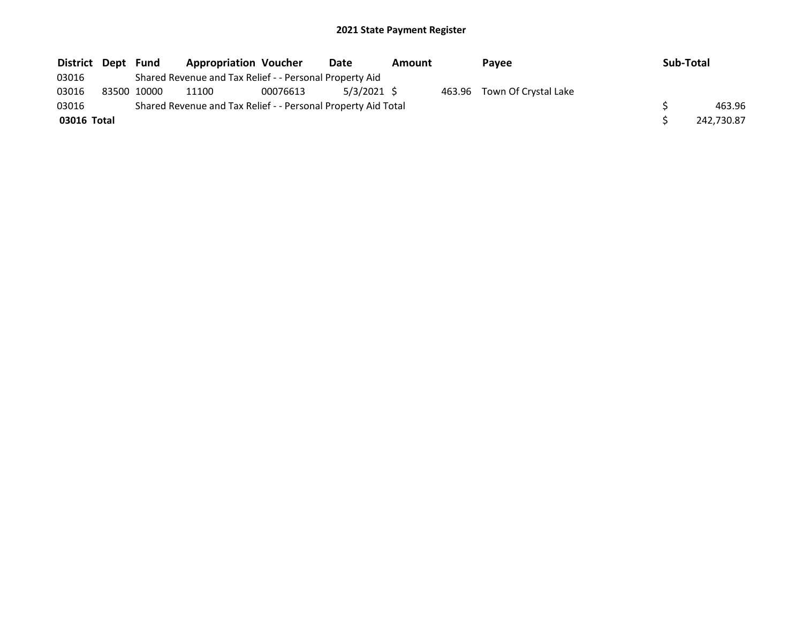| District Dept Fund |             | <b>Appropriation Voucher</b>                                  |          | Date          | Amount | Payee                       | Sub-Total |            |
|--------------------|-------------|---------------------------------------------------------------|----------|---------------|--------|-----------------------------|-----------|------------|
| 03016              |             | Shared Revenue and Tax Relief - - Personal Property Aid       |          |               |        |                             |           |            |
| 03016              | 83500 10000 | 11100                                                         | 00076613 | $5/3/2021$ \$ |        | 463.96 Town Of Crystal Lake |           |            |
| 03016              |             | Shared Revenue and Tax Relief - - Personal Property Aid Total |          |               |        |                             |           | 463.96     |
| 03016 Total        |             |                                                               |          |               |        |                             |           | 242,730.87 |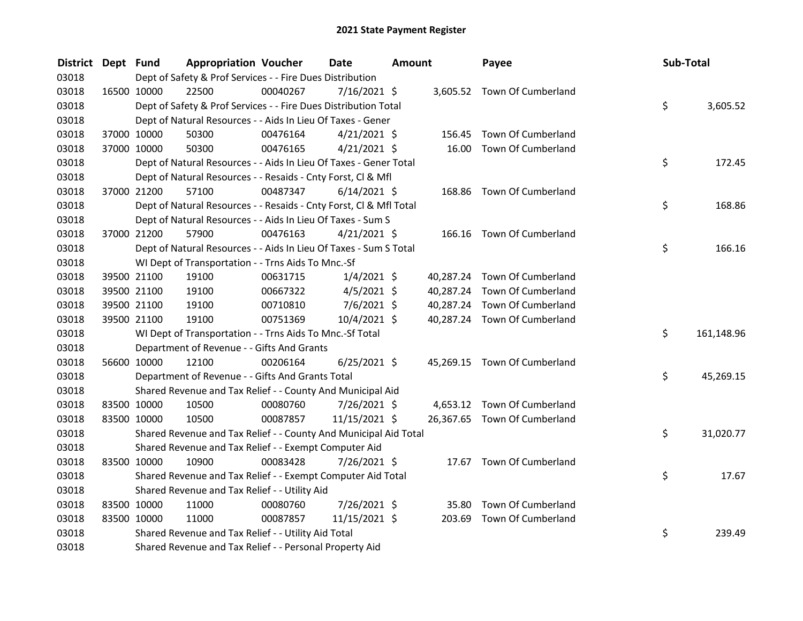| District Dept Fund |             | <b>Appropriation Voucher</b>                                       |          | <b>Date</b>    | <b>Amount</b> |           | Payee                        |  | Sub-Total |            |
|--------------------|-------------|--------------------------------------------------------------------|----------|----------------|---------------|-----------|------------------------------|--|-----------|------------|
| 03018              |             | Dept of Safety & Prof Services - - Fire Dues Distribution          |          |                |               |           |                              |  |           |            |
| 03018              | 16500 10000 | 22500                                                              | 00040267 | $7/16/2021$ \$ |               |           | 3,605.52 Town Of Cumberland  |  |           |            |
| 03018              |             | Dept of Safety & Prof Services - - Fire Dues Distribution Total    |          |                |               |           |                              |  | \$        | 3,605.52   |
| 03018              |             | Dept of Natural Resources - - Aids In Lieu Of Taxes - Gener        |          |                |               |           |                              |  |           |            |
| 03018              | 37000 10000 | 50300                                                              | 00476164 | $4/21/2021$ \$ |               | 156.45    | Town Of Cumberland           |  |           |            |
| 03018              | 37000 10000 | 50300                                                              | 00476165 | $4/21/2021$ \$ |               | 16.00     | Town Of Cumberland           |  |           |            |
| 03018              |             | Dept of Natural Resources - - Aids In Lieu Of Taxes - Gener Total  |          |                |               |           |                              |  | \$        | 172.45     |
| 03018              |             | Dept of Natural Resources - - Resaids - Cnty Forst, Cl & Mfl       |          |                |               |           |                              |  |           |            |
| 03018              | 37000 21200 | 57100                                                              | 00487347 | $6/14/2021$ \$ |               |           | 168.86 Town Of Cumberland    |  |           |            |
| 03018              |             | Dept of Natural Resources - - Resaids - Cnty Forst, Cl & Mfl Total |          |                |               |           |                              |  | \$        | 168.86     |
| 03018              |             | Dept of Natural Resources - - Aids In Lieu Of Taxes - Sum S        |          |                |               |           |                              |  |           |            |
| 03018              | 37000 21200 | 57900                                                              | 00476163 | $4/21/2021$ \$ |               |           | 166.16 Town Of Cumberland    |  |           |            |
| 03018              |             | Dept of Natural Resources - - Aids In Lieu Of Taxes - Sum S Total  |          |                |               |           |                              |  | \$        | 166.16     |
| 03018              |             | WI Dept of Transportation - - Trns Aids To Mnc.-Sf                 |          |                |               |           |                              |  |           |            |
| 03018              | 39500 21100 | 19100                                                              | 00631715 | $1/4/2021$ \$  |               |           | 40,287.24 Town Of Cumberland |  |           |            |
| 03018              | 39500 21100 | 19100                                                              | 00667322 | $4/5/2021$ \$  |               | 40,287.24 | Town Of Cumberland           |  |           |            |
| 03018              | 39500 21100 | 19100                                                              | 00710810 | $7/6/2021$ \$  |               | 40,287.24 | Town Of Cumberland           |  |           |            |
| 03018              | 39500 21100 | 19100                                                              | 00751369 | 10/4/2021 \$   |               |           | 40,287.24 Town Of Cumberland |  |           |            |
| 03018              |             | WI Dept of Transportation - - Trns Aids To Mnc.-Sf Total           |          |                |               |           |                              |  | \$        | 161,148.96 |
| 03018              |             | Department of Revenue - - Gifts And Grants                         |          |                |               |           |                              |  |           |            |
| 03018              | 56600 10000 | 12100                                                              | 00206164 | $6/25/2021$ \$ |               |           | 45,269.15 Town Of Cumberland |  |           |            |
| 03018              |             | Department of Revenue - - Gifts And Grants Total                   |          |                |               |           |                              |  | \$        | 45,269.15  |
| 03018              |             | Shared Revenue and Tax Relief - - County And Municipal Aid         |          |                |               |           |                              |  |           |            |
| 03018              | 83500 10000 | 10500                                                              | 00080760 | 7/26/2021 \$   |               | 4,653.12  | Town Of Cumberland           |  |           |            |
| 03018              | 83500 10000 | 10500                                                              | 00087857 | 11/15/2021 \$  |               |           | 26,367.65 Town Of Cumberland |  |           |            |
| 03018              |             | Shared Revenue and Tax Relief - - County And Municipal Aid Total   |          |                |               |           |                              |  | \$        | 31,020.77  |
| 03018              |             | Shared Revenue and Tax Relief - - Exempt Computer Aid              |          |                |               |           |                              |  |           |            |
| 03018              | 83500 10000 | 10900                                                              | 00083428 | 7/26/2021 \$   |               |           | 17.67 Town Of Cumberland     |  |           |            |
| 03018              |             | Shared Revenue and Tax Relief - - Exempt Computer Aid Total        |          |                |               |           |                              |  | \$        | 17.67      |
| 03018              |             | Shared Revenue and Tax Relief - - Utility Aid                      |          |                |               |           |                              |  |           |            |
| 03018              | 83500 10000 | 11000                                                              | 00080760 | 7/26/2021 \$   |               | 35.80     | Town Of Cumberland           |  |           |            |
| 03018              | 83500 10000 | 11000                                                              | 00087857 | 11/15/2021 \$  |               | 203.69    | Town Of Cumberland           |  |           |            |
| 03018              |             | Shared Revenue and Tax Relief - - Utility Aid Total                |          |                |               |           |                              |  | \$        | 239.49     |
| 03018              |             | Shared Revenue and Tax Relief - - Personal Property Aid            |          |                |               |           |                              |  |           |            |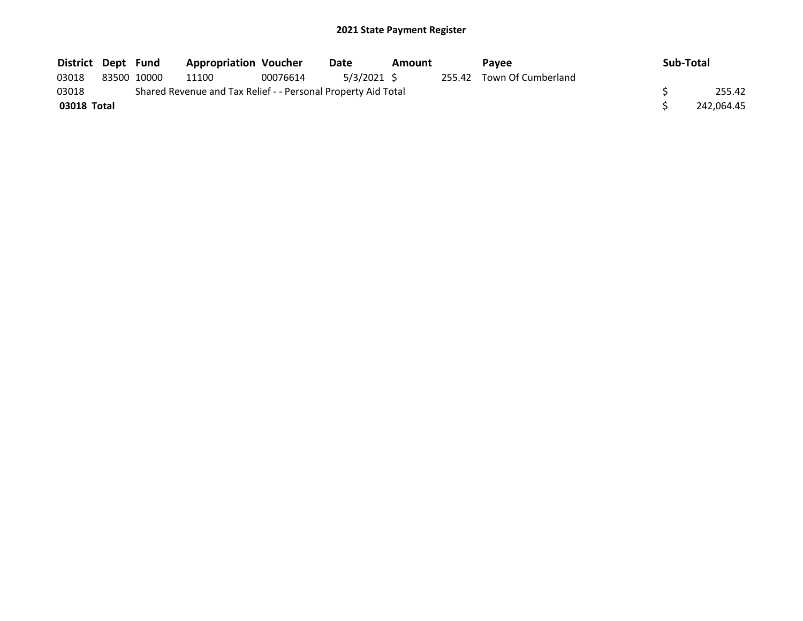| District Dept Fund |             | <b>Appropriation Voucher</b>                                  |          | Date        | Amount |        | <b>Pavee</b>       | Sub-Total  |
|--------------------|-------------|---------------------------------------------------------------|----------|-------------|--------|--------|--------------------|------------|
| 03018              | 83500 10000 | 11100                                                         | 00076614 | 5/3/2021 \$ |        | 255.42 | Town Of Cumberland |            |
| 03018              |             | Shared Revenue and Tax Relief - - Personal Property Aid Total |          |             |        |        |                    | 255.42     |
| 03018 Total        |             |                                                               |          |             |        |        |                    | 242.064.45 |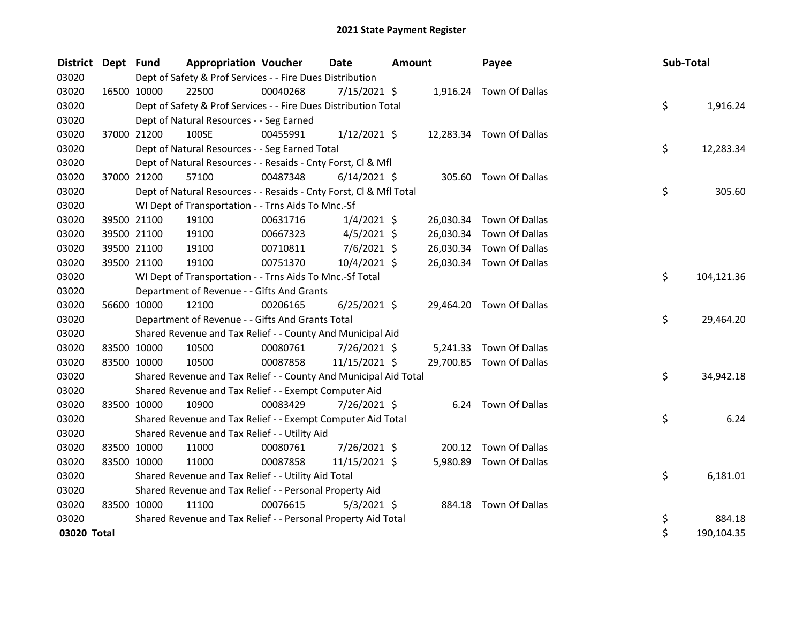| <b>District</b> | Dept Fund   |                                                                                                                             | <b>Appropriation Voucher</b>                                       |          | <b>Date</b><br><b>Amount</b> |  | Payee     |                          | Sub-Total |    |            |
|-----------------|-------------|-----------------------------------------------------------------------------------------------------------------------------|--------------------------------------------------------------------|----------|------------------------------|--|-----------|--------------------------|-----------|----|------------|
| 03020           |             | Dept of Safety & Prof Services - - Fire Dues Distribution<br>00040268<br>22500<br>$7/15/2021$ \$<br>1,916.24 Town Of Dallas |                                                                    |          |                              |  |           |                          |           |    |            |
| 03020           |             | 16500 10000                                                                                                                 |                                                                    |          |                              |  |           |                          |           |    |            |
| 03020           |             |                                                                                                                             | Dept of Safety & Prof Services - - Fire Dues Distribution Total    |          |                              |  |           |                          |           | \$ | 1,916.24   |
| 03020           |             |                                                                                                                             | Dept of Natural Resources - - Seg Earned                           |          |                              |  |           |                          |           |    |            |
| 03020           |             | 37000 21200                                                                                                                 | 100SE                                                              | 00455991 | $1/12/2021$ \$               |  |           | 12,283.34 Town Of Dallas |           |    |            |
| 03020           |             |                                                                                                                             | Dept of Natural Resources - - Seg Earned Total                     |          |                              |  |           |                          |           | \$ | 12,283.34  |
| 03020           |             |                                                                                                                             | Dept of Natural Resources - - Resaids - Cnty Forst, Cl & Mfl       |          |                              |  |           |                          |           |    |            |
| 03020           |             | 37000 21200                                                                                                                 | 57100                                                              | 00487348 | $6/14/2021$ \$               |  |           | 305.60 Town Of Dallas    |           |    |            |
| 03020           |             |                                                                                                                             | Dept of Natural Resources - - Resaids - Cnty Forst, Cl & Mfl Total |          |                              |  |           |                          |           | \$ | 305.60     |
| 03020           |             |                                                                                                                             | WI Dept of Transportation - - Trns Aids To Mnc.-Sf                 |          |                              |  |           |                          |           |    |            |
| 03020           |             | 39500 21100                                                                                                                 | 19100                                                              | 00631716 | $1/4/2021$ \$                |  | 26,030.34 | Town Of Dallas           |           |    |            |
| 03020           |             | 39500 21100                                                                                                                 | 19100                                                              | 00667323 | $4/5/2021$ \$                |  | 26,030.34 | Town Of Dallas           |           |    |            |
| 03020           |             | 39500 21100                                                                                                                 | 19100                                                              | 00710811 | $7/6/2021$ \$                |  | 26,030.34 | Town Of Dallas           |           |    |            |
| 03020           |             | 39500 21100                                                                                                                 | 19100                                                              | 00751370 | 10/4/2021 \$                 |  |           | 26,030.34 Town Of Dallas |           |    |            |
| 03020           |             |                                                                                                                             | WI Dept of Transportation - - Trns Aids To Mnc.-Sf Total           |          |                              |  |           |                          |           | \$ | 104,121.36 |
| 03020           |             |                                                                                                                             | Department of Revenue - - Gifts And Grants                         |          |                              |  |           |                          |           |    |            |
| 03020           |             | 56600 10000                                                                                                                 | 12100                                                              | 00206165 | $6/25/2021$ \$               |  |           | 29,464.20 Town Of Dallas |           |    |            |
| 03020           |             |                                                                                                                             | Department of Revenue - - Gifts And Grants Total                   |          |                              |  |           |                          |           | \$ | 29,464.20  |
| 03020           |             |                                                                                                                             | Shared Revenue and Tax Relief - - County And Municipal Aid         |          |                              |  |           |                          |           |    |            |
| 03020           |             | 83500 10000                                                                                                                 | 10500                                                              | 00080761 | $7/26/2021$ \$               |  |           | 5,241.33 Town Of Dallas  |           |    |            |
| 03020           |             | 83500 10000                                                                                                                 | 10500                                                              | 00087858 | 11/15/2021 \$                |  |           | 29,700.85 Town Of Dallas |           |    |            |
| 03020           |             |                                                                                                                             | Shared Revenue and Tax Relief - - County And Municipal Aid Total   |          |                              |  |           |                          |           | \$ | 34,942.18  |
| 03020           |             |                                                                                                                             | Shared Revenue and Tax Relief - - Exempt Computer Aid              |          |                              |  |           |                          |           |    |            |
| 03020           |             | 83500 10000                                                                                                                 | 10900                                                              | 00083429 | 7/26/2021 \$                 |  |           | 6.24 Town Of Dallas      |           |    |            |
| 03020           |             |                                                                                                                             | Shared Revenue and Tax Relief - - Exempt Computer Aid Total        |          |                              |  |           |                          |           | \$ | 6.24       |
| 03020           |             |                                                                                                                             | Shared Revenue and Tax Relief - - Utility Aid                      |          |                              |  |           |                          |           |    |            |
| 03020           | 83500 10000 |                                                                                                                             | 11000                                                              | 00080761 | 7/26/2021 \$                 |  | 200.12    | Town Of Dallas           |           |    |            |
| 03020           | 83500 10000 |                                                                                                                             | 11000                                                              | 00087858 | 11/15/2021 \$                |  |           | 5,980.89 Town Of Dallas  |           |    |            |
| 03020           |             |                                                                                                                             | Shared Revenue and Tax Relief - - Utility Aid Total                |          |                              |  |           |                          |           | \$ | 6,181.01   |
| 03020           |             |                                                                                                                             | Shared Revenue and Tax Relief - - Personal Property Aid            |          |                              |  |           |                          |           |    |            |
| 03020           | 83500 10000 |                                                                                                                             | 11100                                                              | 00076615 | $5/3/2021$ \$                |  |           | 884.18 Town Of Dallas    |           |    |            |
| 03020           |             |                                                                                                                             | Shared Revenue and Tax Relief - - Personal Property Aid Total      |          |                              |  |           |                          |           | \$ | 884.18     |
| 03020 Total     |             |                                                                                                                             |                                                                    |          |                              |  |           |                          |           | \$ | 190,104.35 |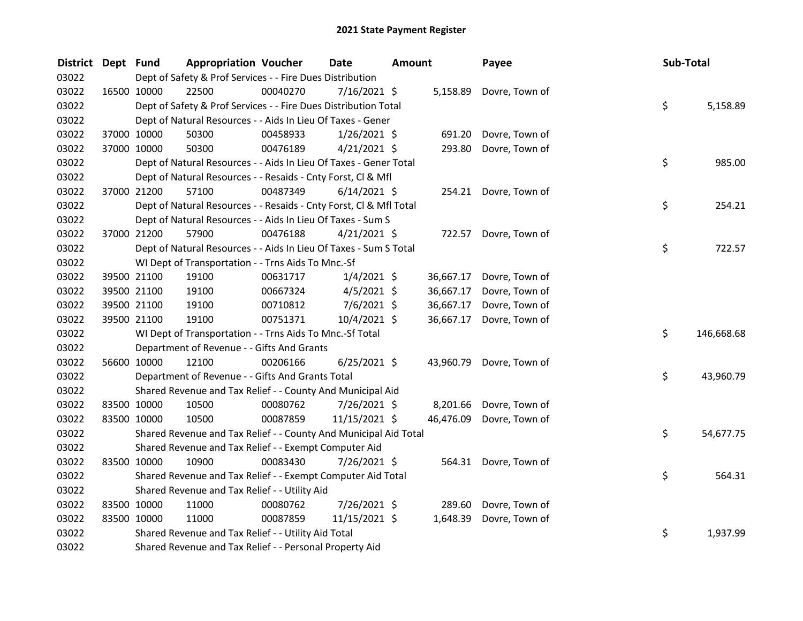| District Dept Fund |             |             | <b>Appropriation Voucher</b>                                       |          | <b>Date</b>    | <b>Amount</b> |           | Payee                    |  | Sub-Total |            |
|--------------------|-------------|-------------|--------------------------------------------------------------------|----------|----------------|---------------|-----------|--------------------------|--|-----------|------------|
| 03022              |             |             | Dept of Safety & Prof Services - - Fire Dues Distribution          |          |                |               |           |                          |  |           |            |
| 03022              | 16500 10000 |             | 22500                                                              | 00040270 | $7/16/2021$ \$ |               |           | 5,158.89 Dovre, Town of  |  |           |            |
| 03022              |             |             | Dept of Safety & Prof Services - - Fire Dues Distribution Total    |          |                |               |           |                          |  | \$        | 5,158.89   |
| 03022              |             |             | Dept of Natural Resources - - Aids In Lieu Of Taxes - Gener        |          |                |               |           |                          |  |           |            |
| 03022              |             | 37000 10000 | 50300                                                              | 00458933 | $1/26/2021$ \$ |               | 691.20    | Dovre, Town of           |  |           |            |
| 03022              |             | 37000 10000 | 50300                                                              | 00476189 | $4/21/2021$ \$ |               | 293.80    | Dovre, Town of           |  |           |            |
| 03022              |             |             | Dept of Natural Resources - - Aids In Lieu Of Taxes - Gener Total  |          |                |               |           |                          |  | \$        | 985.00     |
| 03022              |             |             | Dept of Natural Resources - - Resaids - Cnty Forst, Cl & Mfl       |          |                |               |           |                          |  |           |            |
| 03022              |             | 37000 21200 | 57100                                                              | 00487349 | $6/14/2021$ \$ |               |           | 254.21 Dovre, Town of    |  |           |            |
| 03022              |             |             | Dept of Natural Resources - - Resaids - Cnty Forst, Cl & Mfl Total |          |                |               |           |                          |  | \$        | 254.21     |
| 03022              |             |             | Dept of Natural Resources - - Aids In Lieu Of Taxes - Sum S        |          |                |               |           |                          |  |           |            |
| 03022              |             | 37000 21200 | 57900                                                              | 00476188 | $4/21/2021$ \$ |               |           | 722.57 Dovre, Town of    |  |           |            |
| 03022              |             |             | Dept of Natural Resources - - Aids In Lieu Of Taxes - Sum S Total  |          |                |               |           |                          |  | \$        | 722.57     |
| 03022              |             |             | WI Dept of Transportation - - Trns Aids To Mnc.-Sf                 |          |                |               |           |                          |  |           |            |
| 03022              |             | 39500 21100 | 19100                                                              | 00631717 | $1/4/2021$ \$  |               | 36,667.17 | Dovre, Town of           |  |           |            |
| 03022              |             | 39500 21100 | 19100                                                              | 00667324 | $4/5/2021$ \$  |               | 36,667.17 | Dovre, Town of           |  |           |            |
| 03022              | 39500 21100 |             | 19100                                                              | 00710812 | $7/6/2021$ \$  |               | 36,667.17 | Dovre, Town of           |  |           |            |
| 03022              |             | 39500 21100 | 19100                                                              | 00751371 | $10/4/2021$ \$ |               | 36,667.17 | Dovre, Town of           |  |           |            |
| 03022              |             |             | WI Dept of Transportation - - Trns Aids To Mnc.-Sf Total           |          |                |               |           |                          |  | \$        | 146,668.68 |
| 03022              |             |             | Department of Revenue - - Gifts And Grants                         |          |                |               |           |                          |  |           |            |
| 03022              |             | 56600 10000 | 12100                                                              | 00206166 | $6/25/2021$ \$ |               |           | 43,960.79 Dovre, Town of |  |           |            |
| 03022              |             |             | Department of Revenue - - Gifts And Grants Total                   |          |                |               |           |                          |  | \$        | 43,960.79  |
| 03022              |             |             | Shared Revenue and Tax Relief - - County And Municipal Aid         |          |                |               |           |                          |  |           |            |
| 03022              |             | 83500 10000 | 10500                                                              | 00080762 | 7/26/2021 \$   |               | 8,201.66  | Dovre, Town of           |  |           |            |
| 03022              | 83500 10000 |             | 10500                                                              | 00087859 | 11/15/2021 \$  |               | 46,476.09 | Dovre, Town of           |  |           |            |
| 03022              |             |             | Shared Revenue and Tax Relief - - County And Municipal Aid Total   |          |                |               |           |                          |  | \$        | 54,677.75  |
| 03022              |             |             | Shared Revenue and Tax Relief - - Exempt Computer Aid              |          |                |               |           |                          |  |           |            |
| 03022              | 83500 10000 |             | 10900                                                              | 00083430 | 7/26/2021 \$   |               |           | 564.31 Dovre, Town of    |  |           |            |
| 03022              |             |             | Shared Revenue and Tax Relief - - Exempt Computer Aid Total        |          |                |               |           |                          |  | \$        | 564.31     |
| 03022              |             |             | Shared Revenue and Tax Relief - - Utility Aid                      |          |                |               |           |                          |  |           |            |
| 03022              | 83500 10000 |             | 11000                                                              | 00080762 | 7/26/2021 \$   |               | 289.60    | Dovre, Town of           |  |           |            |
| 03022              |             | 83500 10000 | 11000                                                              | 00087859 | 11/15/2021 \$  |               | 1,648.39  | Dovre, Town of           |  |           |            |
| 03022              |             |             | Shared Revenue and Tax Relief - - Utility Aid Total                |          |                |               |           |                          |  | \$        | 1,937.99   |
| 03022              |             |             | Shared Revenue and Tax Relief - - Personal Property Aid            |          |                |               |           |                          |  |           |            |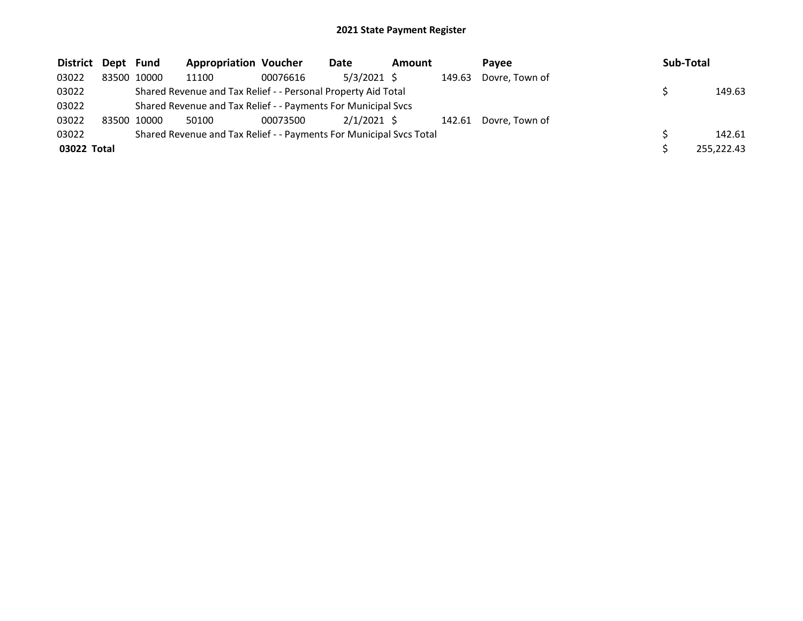| District Dept Fund |       |       | <b>Appropriation Voucher</b>                                        |          | Date          | Amount |        | <b>Pavee</b>   | Sub-Total  |
|--------------------|-------|-------|---------------------------------------------------------------------|----------|---------------|--------|--------|----------------|------------|
| 03022              | 83500 | 10000 | 11100                                                               | 00076616 | 5/3/2021 \$   |        | 149.63 | Dovre, Town of |            |
| 03022              |       |       | Shared Revenue and Tax Relief - - Personal Property Aid Total       |          |               |        |        |                | 149.63     |
| 03022              |       |       | Shared Revenue and Tax Relief - - Payments For Municipal Svcs       |          |               |        |        |                |            |
| 03022              | 83500 | 10000 | 50100                                                               | 00073500 | $2/1/2021$ \$ |        | 142.61 | Dovre, Town of |            |
| 03022              |       |       | Shared Revenue and Tax Relief - - Payments For Municipal Svcs Total |          |               |        |        |                | 142.61     |
| 03022 Total        |       |       |                                                                     |          |               |        |        |                | 255,222.43 |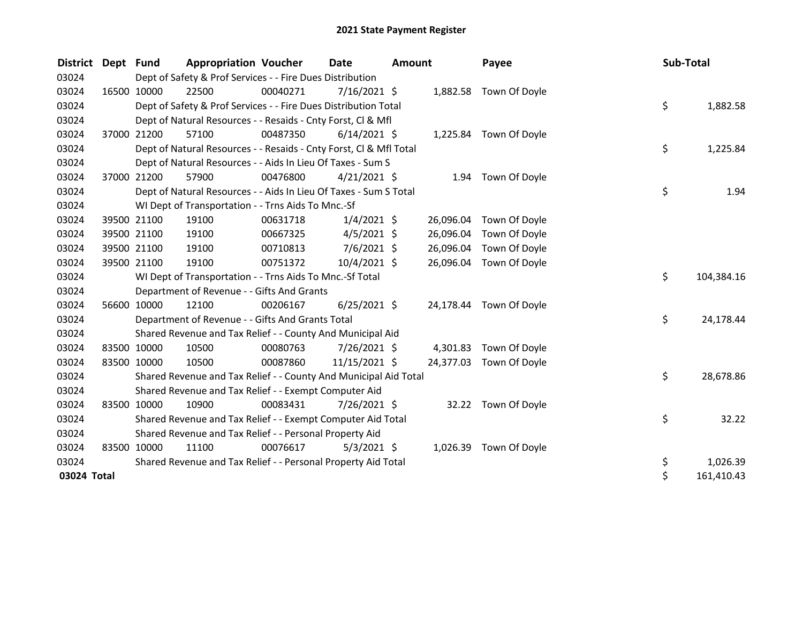| <b>District</b> | Dept Fund |                                                               | <b>Appropriation Voucher</b>                                                                                             |          | <b>Date</b><br><b>Amount</b> |  | Payee     | Sub-Total               |  |    |            |  |  |  |
|-----------------|-----------|---------------------------------------------------------------|--------------------------------------------------------------------------------------------------------------------------|----------|------------------------------|--|-----------|-------------------------|--|----|------------|--|--|--|
| 03024           |           |                                                               | Dept of Safety & Prof Services - - Fire Dues Distribution<br>22500<br>00040271<br>7/16/2021 \$<br>1,882.58 Town Of Doyle |          |                              |  |           |                         |  |    |            |  |  |  |
| 03024           |           | 16500 10000                                                   |                                                                                                                          |          |                              |  |           |                         |  |    |            |  |  |  |
| 03024           |           |                                                               | Dept of Safety & Prof Services - - Fire Dues Distribution Total                                                          |          |                              |  |           |                         |  | \$ | 1,882.58   |  |  |  |
| 03024           |           |                                                               | Dept of Natural Resources - - Resaids - Cnty Forst, CI & MfI                                                             |          |                              |  |           |                         |  |    |            |  |  |  |
| 03024           |           | 37000 21200                                                   | 57100                                                                                                                    | 00487350 | $6/14/2021$ \$               |  |           | 1,225.84 Town Of Doyle  |  |    |            |  |  |  |
| 03024           |           |                                                               | Dept of Natural Resources - - Resaids - Cnty Forst, CI & Mfl Total                                                       |          |                              |  |           |                         |  | \$ | 1,225.84   |  |  |  |
| 03024           |           |                                                               | Dept of Natural Resources - - Aids In Lieu Of Taxes - Sum S                                                              |          |                              |  |           |                         |  |    |            |  |  |  |
| 03024           |           | 37000 21200                                                   | 57900                                                                                                                    | 00476800 | $4/21/2021$ \$               |  |           | 1.94 Town Of Doyle      |  |    |            |  |  |  |
| 03024           |           |                                                               | Dept of Natural Resources - - Aids In Lieu Of Taxes - Sum S Total                                                        |          |                              |  |           |                         |  | \$ | 1.94       |  |  |  |
| 03024           |           |                                                               | WI Dept of Transportation - - Trns Aids To Mnc.-Sf                                                                       |          |                              |  |           |                         |  |    |            |  |  |  |
| 03024           |           | 39500 21100                                                   | 19100                                                                                                                    | 00631718 | $1/4/2021$ \$                |  |           | 26,096.04 Town Of Doyle |  |    |            |  |  |  |
| 03024           |           | 39500 21100                                                   | 19100                                                                                                                    | 00667325 | $4/5/2021$ \$                |  | 26,096.04 | Town Of Doyle           |  |    |            |  |  |  |
| 03024           |           | 39500 21100                                                   | 19100                                                                                                                    | 00710813 | $7/6/2021$ \$                |  | 26,096.04 | Town Of Doyle           |  |    |            |  |  |  |
| 03024           |           | 39500 21100                                                   | 19100                                                                                                                    | 00751372 | 10/4/2021 \$                 |  | 26,096.04 | Town Of Doyle           |  |    |            |  |  |  |
| 03024           |           |                                                               | WI Dept of Transportation - - Trns Aids To Mnc.-Sf Total                                                                 |          |                              |  |           |                         |  | \$ | 104,384.16 |  |  |  |
| 03024           |           |                                                               | Department of Revenue - - Gifts And Grants                                                                               |          |                              |  |           |                         |  |    |            |  |  |  |
| 03024           |           | 56600 10000                                                   | 12100                                                                                                                    | 00206167 | $6/25/2021$ \$               |  |           | 24,178.44 Town Of Doyle |  |    |            |  |  |  |
| 03024           |           |                                                               | Department of Revenue - - Gifts And Grants Total                                                                         |          |                              |  |           |                         |  | \$ | 24,178.44  |  |  |  |
| 03024           |           |                                                               | Shared Revenue and Tax Relief - - County And Municipal Aid                                                               |          |                              |  |           |                         |  |    |            |  |  |  |
| 03024           |           | 83500 10000                                                   | 10500                                                                                                                    | 00080763 | 7/26/2021 \$                 |  | 4,301.83  | Town Of Doyle           |  |    |            |  |  |  |
| 03024           |           | 83500 10000                                                   | 10500                                                                                                                    | 00087860 | 11/15/2021 \$                |  | 24,377.03 | Town Of Doyle           |  |    |            |  |  |  |
| 03024           |           |                                                               | Shared Revenue and Tax Relief - - County And Municipal Aid Total                                                         |          |                              |  |           |                         |  | \$ | 28,678.86  |  |  |  |
| 03024           |           |                                                               | Shared Revenue and Tax Relief - - Exempt Computer Aid                                                                    |          |                              |  |           |                         |  |    |            |  |  |  |
| 03024           |           | 83500 10000                                                   | 10900                                                                                                                    | 00083431 | 7/26/2021 \$                 |  |           | 32.22 Town Of Doyle     |  |    |            |  |  |  |
| 03024           |           |                                                               | Shared Revenue and Tax Relief - - Exempt Computer Aid Total                                                              |          |                              |  |           |                         |  | \$ | 32.22      |  |  |  |
| 03024           |           |                                                               | Shared Revenue and Tax Relief - - Personal Property Aid                                                                  |          |                              |  |           |                         |  |    |            |  |  |  |
| 03024           |           | 83500 10000                                                   | 11100                                                                                                                    | 00076617 | $5/3/2021$ \$                |  |           | 1,026.39 Town Of Doyle  |  |    |            |  |  |  |
| 03024           |           | Shared Revenue and Tax Relief - - Personal Property Aid Total |                                                                                                                          |          |                              |  |           |                         |  |    | 1,026.39   |  |  |  |
| 03024 Total     |           |                                                               |                                                                                                                          |          |                              |  |           |                         |  | \$ | 161,410.43 |  |  |  |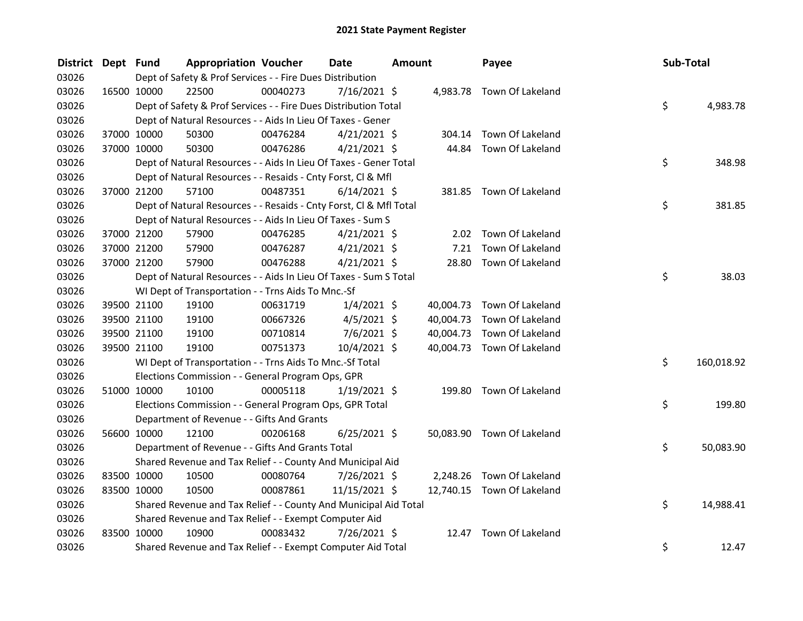| District Dept Fund |             | <b>Appropriation Voucher</b>                                       |          | <b>Date</b><br><b>Amount</b> |  | Payee     | Sub-Total                  |    |            |
|--------------------|-------------|--------------------------------------------------------------------|----------|------------------------------|--|-----------|----------------------------|----|------------|
| 03026              |             | Dept of Safety & Prof Services - - Fire Dues Distribution          |          |                              |  |           |                            |    |            |
| 03026              | 16500 10000 | 22500                                                              | 00040273 | $7/16/2021$ \$               |  |           | 4,983.78 Town Of Lakeland  |    |            |
| 03026              |             | Dept of Safety & Prof Services - - Fire Dues Distribution Total    |          |                              |  |           |                            | \$ | 4,983.78   |
| 03026              |             | Dept of Natural Resources - - Aids In Lieu Of Taxes - Gener        |          |                              |  |           |                            |    |            |
| 03026              | 37000 10000 | 50300                                                              | 00476284 | $4/21/2021$ \$               |  | 304.14    | Town Of Lakeland           |    |            |
| 03026              | 37000 10000 | 50300                                                              | 00476286 | $4/21/2021$ \$               |  | 44.84     | Town Of Lakeland           |    |            |
| 03026              |             | Dept of Natural Resources - - Aids In Lieu Of Taxes - Gener Total  |          |                              |  |           |                            | \$ | 348.98     |
| 03026              |             | Dept of Natural Resources - - Resaids - Cnty Forst, Cl & Mfl       |          |                              |  |           |                            |    |            |
| 03026              | 37000 21200 | 57100                                                              | 00487351 | $6/14/2021$ \$               |  |           | 381.85 Town Of Lakeland    |    |            |
| 03026              |             | Dept of Natural Resources - - Resaids - Cnty Forst, Cl & Mfl Total |          |                              |  |           |                            | \$ | 381.85     |
| 03026              |             | Dept of Natural Resources - - Aids In Lieu Of Taxes - Sum S        |          |                              |  |           |                            |    |            |
| 03026              | 37000 21200 | 57900                                                              | 00476285 | $4/21/2021$ \$               |  | 2.02      | Town Of Lakeland           |    |            |
| 03026              | 37000 21200 | 57900                                                              | 00476287 | $4/21/2021$ \$               |  | 7.21      | Town Of Lakeland           |    |            |
| 03026              | 37000 21200 | 57900                                                              | 00476288 | $4/21/2021$ \$               |  | 28.80     | Town Of Lakeland           |    |            |
| 03026              |             | Dept of Natural Resources - - Aids In Lieu Of Taxes - Sum S Total  |          |                              |  |           |                            | \$ | 38.03      |
| 03026              |             | WI Dept of Transportation - - Trns Aids To Mnc.-Sf                 |          |                              |  |           |                            |    |            |
| 03026              | 39500 21100 | 19100                                                              | 00631719 | $1/4/2021$ \$                |  | 40,004.73 | Town Of Lakeland           |    |            |
| 03026              | 39500 21100 | 19100                                                              | 00667326 | $4/5/2021$ \$                |  | 40,004.73 | Town Of Lakeland           |    |            |
| 03026              | 39500 21100 | 19100                                                              | 00710814 | $7/6/2021$ \$                |  | 40,004.73 | Town Of Lakeland           |    |            |
| 03026              | 39500 21100 | 19100                                                              | 00751373 | $10/4/2021$ \$               |  |           | 40,004.73 Town Of Lakeland |    |            |
| 03026              |             | WI Dept of Transportation - - Trns Aids To Mnc.-Sf Total           |          |                              |  |           |                            | \$ | 160,018.92 |
| 03026              |             | Elections Commission - - General Program Ops, GPR                  |          |                              |  |           |                            |    |            |
| 03026              | 51000 10000 | 10100                                                              | 00005118 | $1/19/2021$ \$               |  |           | 199.80 Town Of Lakeland    |    |            |
| 03026              |             | Elections Commission - - General Program Ops, GPR Total            |          |                              |  |           |                            | \$ | 199.80     |
| 03026              |             | Department of Revenue - - Gifts And Grants                         |          |                              |  |           |                            |    |            |
| 03026              | 56600 10000 | 12100                                                              | 00206168 | $6/25/2021$ \$               |  |           | 50,083.90 Town Of Lakeland |    |            |
| 03026              |             | Department of Revenue - - Gifts And Grants Total                   |          |                              |  |           |                            | \$ | 50,083.90  |
| 03026              |             | Shared Revenue and Tax Relief - - County And Municipal Aid         |          |                              |  |           |                            |    |            |
| 03026              | 83500 10000 | 10500                                                              | 00080764 | 7/26/2021 \$                 |  | 2,248.26  | Town Of Lakeland           |    |            |
| 03026              | 83500 10000 | 10500                                                              | 00087861 | 11/15/2021 \$                |  |           | 12,740.15 Town Of Lakeland |    |            |
| 03026              |             | Shared Revenue and Tax Relief - - County And Municipal Aid Total   |          |                              |  |           |                            | \$ | 14,988.41  |
| 03026              |             | Shared Revenue and Tax Relief - - Exempt Computer Aid              |          |                              |  |           |                            |    |            |
| 03026              | 83500 10000 | 10900                                                              | 00083432 | 7/26/2021 \$                 |  | 12.47     | Town Of Lakeland           |    |            |
| 03026              |             | Shared Revenue and Tax Relief - - Exempt Computer Aid Total        |          |                              |  |           |                            | \$ | 12.47      |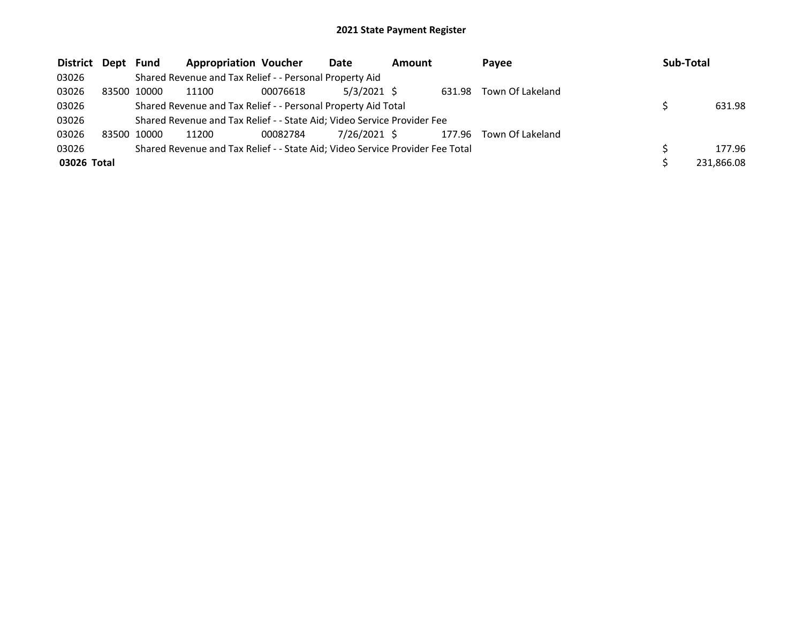| District Dept Fund |             | <b>Appropriation Voucher</b>                                                  |          | Date          | <b>Amount</b> |        | Payee                   | Sub-Total  |
|--------------------|-------------|-------------------------------------------------------------------------------|----------|---------------|---------------|--------|-------------------------|------------|
| 03026              |             | Shared Revenue and Tax Relief - - Personal Property Aid                       |          |               |               |        |                         |            |
| 03026              | 83500 10000 | 11100                                                                         | 00076618 | $5/3/2021$ \$ |               | 631.98 | Town Of Lakeland        |            |
| 03026              |             | Shared Revenue and Tax Relief - - Personal Property Aid Total                 |          |               |               |        |                         | 631.98     |
| 03026              |             | Shared Revenue and Tax Relief - - State Aid; Video Service Provider Fee       |          |               |               |        |                         |            |
| 03026              | 83500 10000 | 11200                                                                         | 00082784 | 7/26/2021 \$  |               |        | 177.96 Town Of Lakeland |            |
| 03026              |             | Shared Revenue and Tax Relief - - State Aid; Video Service Provider Fee Total |          |               |               |        |                         | 177.96     |
| 03026 Total        |             |                                                                               |          |               |               |        |                         | 231,866.08 |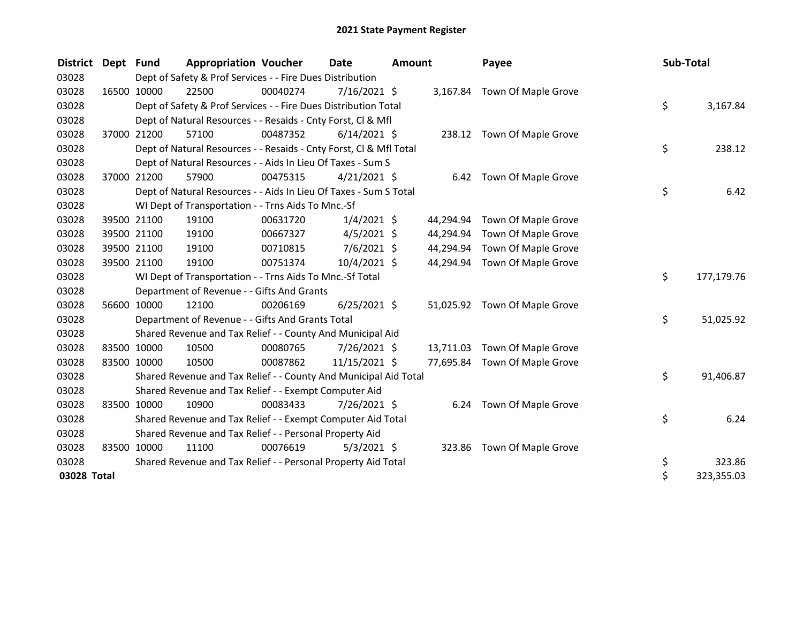| <b>District</b> | Dept | <b>Fund</b>                                                                                                              | <b>Appropriation Voucher</b>                                       |          | Date<br><b>Amount</b> |    |           | Payee                         |  | Sub-Total |            |  |
|-----------------|------|--------------------------------------------------------------------------------------------------------------------------|--------------------------------------------------------------------|----------|-----------------------|----|-----------|-------------------------------|--|-----------|------------|--|
| 03028           |      | Dept of Safety & Prof Services - - Fire Dues Distribution<br>7/16/2021 \$<br>16500 10000<br>3,167.84 Town Of Maple Grove |                                                                    |          |                       |    |           |                               |  |           |            |  |
| 03028           |      |                                                                                                                          | 22500                                                              | 00040274 |                       |    |           |                               |  |           |            |  |
| 03028           |      |                                                                                                                          | Dept of Safety & Prof Services - - Fire Dues Distribution Total    |          |                       |    |           |                               |  | \$        | 3,167.84   |  |
| 03028           |      |                                                                                                                          | Dept of Natural Resources - - Resaids - Cnty Forst, Cl & Mfl       |          |                       |    |           |                               |  |           |            |  |
| 03028           |      | 37000 21200                                                                                                              | 57100                                                              | 00487352 | $6/14/2021$ \$        |    |           | 238.12 Town Of Maple Grove    |  |           |            |  |
| 03028           |      |                                                                                                                          | Dept of Natural Resources - - Resaids - Cnty Forst, Cl & Mfl Total |          |                       |    |           |                               |  | \$        | 238.12     |  |
| 03028           |      |                                                                                                                          | Dept of Natural Resources - - Aids In Lieu Of Taxes - Sum S        |          |                       |    |           |                               |  |           |            |  |
| 03028           |      | 37000 21200                                                                                                              | 57900                                                              | 00475315 | $4/21/2021$ \$        |    |           | 6.42 Town Of Maple Grove      |  |           |            |  |
| 03028           |      |                                                                                                                          | Dept of Natural Resources - - Aids In Lieu Of Taxes - Sum S Total  |          |                       |    |           |                               |  | \$        | 6.42       |  |
| 03028           |      |                                                                                                                          | WI Dept of Transportation - - Trns Aids To Mnc.-Sf                 |          |                       |    |           |                               |  |           |            |  |
| 03028           |      | 39500 21100                                                                                                              | 19100                                                              | 00631720 | $1/4/2021$ \$         |    | 44,294.94 | Town Of Maple Grove           |  |           |            |  |
| 03028           |      | 39500 21100                                                                                                              | 19100                                                              | 00667327 | $4/5/2021$ \$         |    | 44,294.94 | Town Of Maple Grove           |  |           |            |  |
| 03028           |      | 39500 21100                                                                                                              | 19100                                                              | 00710815 | $7/6/2021$ \$         |    | 44,294.94 | Town Of Maple Grove           |  |           |            |  |
| 03028           |      | 39500 21100                                                                                                              | 19100                                                              | 00751374 | 10/4/2021 \$          |    | 44,294.94 | Town Of Maple Grove           |  |           |            |  |
| 03028           |      |                                                                                                                          | WI Dept of Transportation - - Trns Aids To Mnc.-Sf Total           |          |                       |    |           |                               |  | \$        | 177,179.76 |  |
| 03028           |      |                                                                                                                          | Department of Revenue - - Gifts And Grants                         |          |                       |    |           |                               |  |           |            |  |
| 03028           |      | 56600 10000                                                                                                              | 12100                                                              | 00206169 | $6/25/2021$ \$        |    |           | 51,025.92 Town Of Maple Grove |  |           |            |  |
| 03028           |      |                                                                                                                          | Department of Revenue - - Gifts And Grants Total                   |          |                       |    |           |                               |  | \$        | 51,025.92  |  |
| 03028           |      |                                                                                                                          | Shared Revenue and Tax Relief - - County And Municipal Aid         |          |                       |    |           |                               |  |           |            |  |
| 03028           |      | 83500 10000                                                                                                              | 10500                                                              | 00080765 | 7/26/2021 \$          |    | 13,711.03 | Town Of Maple Grove           |  |           |            |  |
| 03028           |      | 83500 10000                                                                                                              | 10500                                                              | 00087862 | 11/15/2021 \$         |    | 77,695.84 | Town Of Maple Grove           |  |           |            |  |
| 03028           |      |                                                                                                                          | Shared Revenue and Tax Relief - - County And Municipal Aid Total   |          |                       |    |           |                               |  | \$        | 91,406.87  |  |
| 03028           |      |                                                                                                                          | Shared Revenue and Tax Relief - - Exempt Computer Aid              |          |                       |    |           |                               |  |           |            |  |
| 03028           |      | 83500 10000                                                                                                              | 10900                                                              | 00083433 | 7/26/2021 \$          |    |           | 6.24 Town Of Maple Grove      |  |           |            |  |
| 03028           |      |                                                                                                                          | Shared Revenue and Tax Relief - - Exempt Computer Aid Total        |          |                       |    |           |                               |  | \$        | 6.24       |  |
| 03028           |      |                                                                                                                          | Shared Revenue and Tax Relief - - Personal Property Aid            |          |                       |    |           |                               |  |           |            |  |
| 03028           |      | 83500 10000                                                                                                              | 11100                                                              | 00076619 | $5/3/2021$ \$         |    | 323.86    | Town Of Maple Grove           |  |           |            |  |
| 03028           |      |                                                                                                                          | Shared Revenue and Tax Relief - - Personal Property Aid Total      |          |                       | \$ | 323.86    |                               |  |           |            |  |
| 03028 Total     |      |                                                                                                                          |                                                                    |          |                       |    |           |                               |  | \$        | 323,355.03 |  |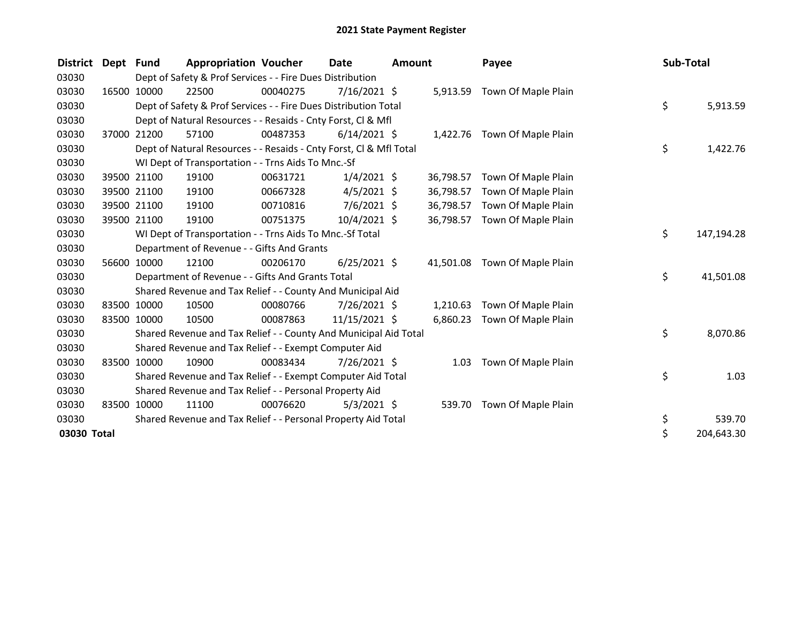| <b>District</b> | Dept  | Fund        | <b>Appropriation Voucher</b>                                       |          | <b>Date</b><br><b>Amount</b> |  | Payee     | Sub-Total                    |  |    |            |
|-----------------|-------|-------------|--------------------------------------------------------------------|----------|------------------------------|--|-----------|------------------------------|--|----|------------|
| 03030           |       |             | Dept of Safety & Prof Services - - Fire Dues Distribution          |          |                              |  |           |                              |  |    |            |
| 03030           |       | 16500 10000 | 22500                                                              | 00040275 | $7/16/2021$ \$               |  |           | 5,913.59 Town Of Maple Plain |  |    |            |
| 03030           |       |             | Dept of Safety & Prof Services - - Fire Dues Distribution Total    |          |                              |  |           |                              |  | \$ | 5,913.59   |
| 03030           |       |             | Dept of Natural Resources - - Resaids - Cnty Forst, CI & Mfl       |          |                              |  |           |                              |  |    |            |
| 03030           |       | 37000 21200 | 57100                                                              | 00487353 | $6/14/2021$ \$               |  |           | 1,422.76 Town Of Maple Plain |  |    |            |
| 03030           |       |             | Dept of Natural Resources - - Resaids - Cnty Forst, Cl & Mfl Total |          |                              |  |           |                              |  | \$ | 1,422.76   |
| 03030           |       |             | WI Dept of Transportation - - Trns Aids To Mnc.-Sf                 |          |                              |  |           |                              |  |    |            |
| 03030           |       | 39500 21100 | 19100                                                              | 00631721 | $1/4/2021$ \$                |  | 36,798.57 | Town Of Maple Plain          |  |    |            |
| 03030           |       | 39500 21100 | 19100                                                              | 00667328 | $4/5/2021$ \$                |  | 36,798.57 | Town Of Maple Plain          |  |    |            |
| 03030           |       | 39500 21100 | 19100                                                              | 00710816 | $7/6/2021$ \$                |  | 36,798.57 | Town Of Maple Plain          |  |    |            |
| 03030           |       | 39500 21100 | 19100                                                              | 00751375 | $10/4/2021$ \$               |  | 36,798.57 | Town Of Maple Plain          |  |    |            |
| 03030           |       |             | WI Dept of Transportation - - Trns Aids To Mnc.-Sf Total           |          |                              |  |           |                              |  | \$ | 147,194.28 |
| 03030           |       |             | Department of Revenue - - Gifts And Grants                         |          |                              |  |           |                              |  |    |            |
| 03030           |       | 56600 10000 | 12100                                                              | 00206170 | $6/25/2021$ \$               |  | 41,501.08 | Town Of Maple Plain          |  |    |            |
| 03030           |       |             | Department of Revenue - - Gifts And Grants Total                   |          |                              |  |           |                              |  | \$ | 41,501.08  |
| 03030           |       |             | Shared Revenue and Tax Relief - - County And Municipal Aid         |          |                              |  |           |                              |  |    |            |
| 03030           |       | 83500 10000 | 10500                                                              | 00080766 | 7/26/2021 \$                 |  | 1,210.63  | Town Of Maple Plain          |  |    |            |
| 03030           |       | 83500 10000 | 10500                                                              | 00087863 | 11/15/2021 \$                |  | 6,860.23  | Town Of Maple Plain          |  |    |            |
| 03030           |       |             | Shared Revenue and Tax Relief - - County And Municipal Aid Total   |          |                              |  |           |                              |  | \$ | 8,070.86   |
| 03030           |       |             | Shared Revenue and Tax Relief - - Exempt Computer Aid              |          |                              |  |           |                              |  |    |            |
| 03030           |       | 83500 10000 | 10900                                                              | 00083434 | 7/26/2021 \$                 |  | 1.03      | Town Of Maple Plain          |  |    |            |
| 03030           |       |             | Shared Revenue and Tax Relief - - Exempt Computer Aid Total        |          |                              |  |           |                              |  | \$ | 1.03       |
| 03030           |       |             | Shared Revenue and Tax Relief - - Personal Property Aid            |          |                              |  |           |                              |  |    |            |
| 03030           | 83500 | 10000       | 11100                                                              | 00076620 | $5/3/2021$ \$                |  | 539.70    | Town Of Maple Plain          |  |    |            |
| 03030           |       |             | Shared Revenue and Tax Relief - - Personal Property Aid Total      |          |                              |  |           |                              |  | \$ | 539.70     |
| 03030 Total     |       |             |                                                                    |          |                              |  |           |                              |  | \$ | 204,643.30 |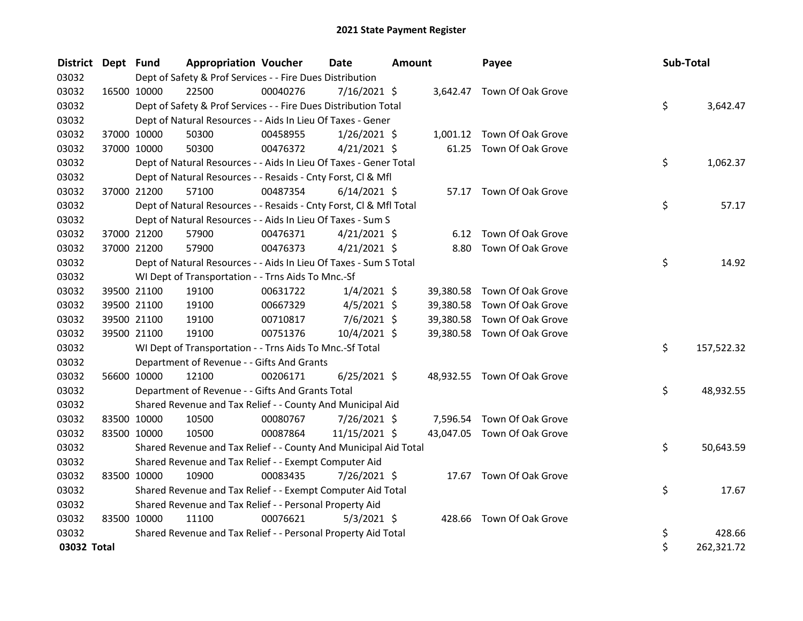| District Dept Fund |             |             | <b>Appropriation Voucher</b>                                       |          | <b>Date</b><br>Amount |  | Payee     | Sub-Total                   |    |            |
|--------------------|-------------|-------------|--------------------------------------------------------------------|----------|-----------------------|--|-----------|-----------------------------|----|------------|
| 03032              |             |             | Dept of Safety & Prof Services - - Fire Dues Distribution          |          |                       |  |           |                             |    |            |
| 03032              |             | 16500 10000 | 22500                                                              | 00040276 | 7/16/2021 \$          |  |           | 3,642.47 Town Of Oak Grove  |    |            |
| 03032              |             |             | Dept of Safety & Prof Services - - Fire Dues Distribution Total    |          |                       |  |           |                             | \$ | 3,642.47   |
| 03032              |             |             | Dept of Natural Resources - - Aids In Lieu Of Taxes - Gener        |          |                       |  |           |                             |    |            |
| 03032              |             | 37000 10000 | 50300                                                              | 00458955 | $1/26/2021$ \$        |  |           | 1,001.12 Town Of Oak Grove  |    |            |
| 03032              |             | 37000 10000 | 50300                                                              | 00476372 | $4/21/2021$ \$        |  |           | 61.25 Town Of Oak Grove     |    |            |
| 03032              |             |             | Dept of Natural Resources - - Aids In Lieu Of Taxes - Gener Total  |          |                       |  |           |                             | \$ | 1,062.37   |
| 03032              |             |             | Dept of Natural Resources - - Resaids - Cnty Forst, Cl & Mfl       |          |                       |  |           |                             |    |            |
| 03032              |             | 37000 21200 | 57100                                                              | 00487354 | $6/14/2021$ \$        |  |           | 57.17 Town Of Oak Grove     |    |            |
| 03032              |             |             | Dept of Natural Resources - - Resaids - Cnty Forst, Cl & Mfl Total |          |                       |  |           |                             | \$ | 57.17      |
| 03032              |             |             | Dept of Natural Resources - - Aids In Lieu Of Taxes - Sum S        |          |                       |  |           |                             |    |            |
| 03032              |             | 37000 21200 | 57900                                                              | 00476371 | $4/21/2021$ \$        |  |           | 6.12 Town Of Oak Grove      |    |            |
| 03032              |             | 37000 21200 | 57900                                                              | 00476373 | $4/21/2021$ \$        |  | 8.80      | Town Of Oak Grove           |    |            |
| 03032              |             |             | Dept of Natural Resources - - Aids In Lieu Of Taxes - Sum S Total  |          |                       |  |           |                             | \$ | 14.92      |
| 03032              |             |             | WI Dept of Transportation - - Trns Aids To Mnc.-Sf                 |          |                       |  |           |                             |    |            |
| 03032              |             | 39500 21100 | 19100                                                              | 00631722 | $1/4/2021$ \$         |  |           | 39,380.58 Town Of Oak Grove |    |            |
| 03032              |             | 39500 21100 | 19100                                                              | 00667329 | $4/5/2021$ \$         |  | 39,380.58 | Town Of Oak Grove           |    |            |
| 03032              | 39500 21100 |             | 19100                                                              | 00710817 | $7/6/2021$ \$         |  | 39,380.58 | Town Of Oak Grove           |    |            |
| 03032              |             | 39500 21100 | 19100                                                              | 00751376 | 10/4/2021 \$          |  |           | 39,380.58 Town Of Oak Grove |    |            |
| 03032              |             |             | WI Dept of Transportation - - Trns Aids To Mnc.-Sf Total           |          |                       |  |           |                             | \$ | 157,522.32 |
| 03032              |             |             | Department of Revenue - - Gifts And Grants                         |          |                       |  |           |                             |    |            |
| 03032              |             | 56600 10000 | 12100                                                              | 00206171 | $6/25/2021$ \$        |  |           | 48,932.55 Town Of Oak Grove |    |            |
| 03032              |             |             | Department of Revenue - - Gifts And Grants Total                   |          |                       |  |           |                             | \$ | 48,932.55  |
| 03032              |             |             | Shared Revenue and Tax Relief - - County And Municipal Aid         |          |                       |  |           |                             |    |            |
| 03032              | 83500 10000 |             | 10500                                                              | 00080767 | 7/26/2021 \$          |  |           | 7,596.54 Town Of Oak Grove  |    |            |
| 03032              |             | 83500 10000 | 10500                                                              | 00087864 | 11/15/2021 \$         |  |           | 43,047.05 Town Of Oak Grove |    |            |
| 03032              |             |             | Shared Revenue and Tax Relief - - County And Municipal Aid Total   |          |                       |  |           |                             | \$ | 50,643.59  |
| 03032              |             |             | Shared Revenue and Tax Relief - - Exempt Computer Aid              |          |                       |  |           |                             |    |            |
| 03032              | 83500 10000 |             | 10900                                                              | 00083435 | 7/26/2021 \$          |  |           | 17.67 Town Of Oak Grove     |    |            |
| 03032              |             |             | Shared Revenue and Tax Relief - - Exempt Computer Aid Total        |          |                       |  |           |                             | \$ | 17.67      |
| 03032              |             |             | Shared Revenue and Tax Relief - - Personal Property Aid            |          |                       |  |           |                             |    |            |
| 03032              | 83500 10000 |             | 11100                                                              | 00076621 | $5/3/2021$ \$         |  |           | 428.66 Town Of Oak Grove    |    |            |
| 03032              |             |             | Shared Revenue and Tax Relief - - Personal Property Aid Total      |          |                       |  |           |                             | \$ | 428.66     |
| 03032 Total        |             |             |                                                                    |          |                       |  |           |                             | \$ | 262,321.72 |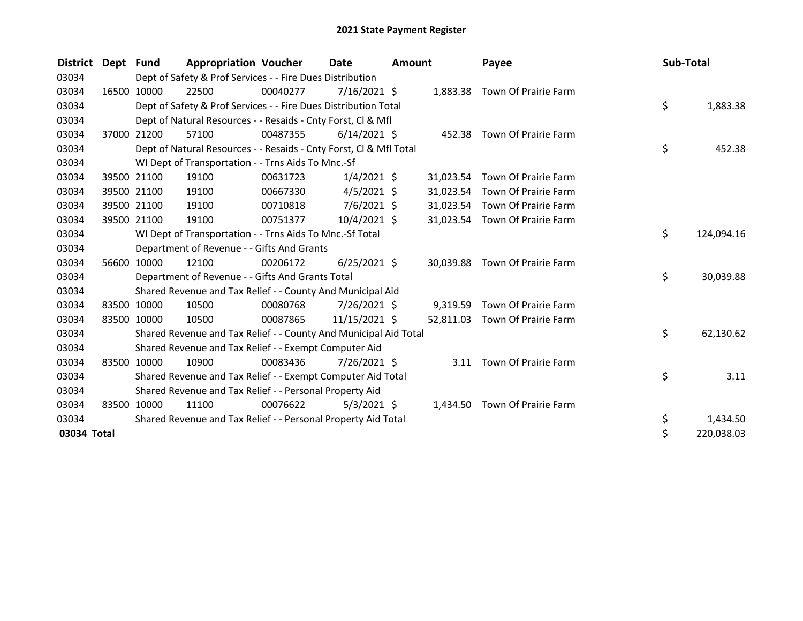| <b>District</b> | Dept Fund |             | <b>Appropriation Voucher</b>                                       |          | <b>Date</b>    | <b>Amount</b> |           | Payee                          | Sub-Total |            |
|-----------------|-----------|-------------|--------------------------------------------------------------------|----------|----------------|---------------|-----------|--------------------------------|-----------|------------|
| 03034           |           |             | Dept of Safety & Prof Services - - Fire Dues Distribution          |          |                |               |           |                                |           |            |
| 03034           |           | 16500 10000 | 22500                                                              | 00040277 | $7/16/2021$ \$ |               |           | 1,883.38 Town Of Prairie Farm  |           |            |
| 03034           |           |             | Dept of Safety & Prof Services - - Fire Dues Distribution Total    |          |                |               |           |                                | \$        | 1,883.38   |
| 03034           |           |             | Dept of Natural Resources - - Resaids - Cnty Forst, CI & Mfl       |          |                |               |           |                                |           |            |
| 03034           |           | 37000 21200 | 57100                                                              | 00487355 | $6/14/2021$ \$ |               |           | 452.38 Town Of Prairie Farm    |           |            |
| 03034           |           |             | Dept of Natural Resources - - Resaids - Cnty Forst, Cl & Mfl Total |          |                |               |           |                                | \$        | 452.38     |
| 03034           |           |             | WI Dept of Transportation - - Trns Aids To Mnc.-Sf                 |          |                |               |           |                                |           |            |
| 03034           |           | 39500 21100 | 19100                                                              | 00631723 | $1/4/2021$ \$  |               | 31,023.54 | Town Of Prairie Farm           |           |            |
| 03034           |           | 39500 21100 | 19100                                                              | 00667330 | $4/5/2021$ \$  |               | 31,023.54 | Town Of Prairie Farm           |           |            |
| 03034           |           | 39500 21100 | 19100                                                              | 00710818 | $7/6/2021$ \$  |               |           | 31,023.54 Town Of Prairie Farm |           |            |
| 03034           |           | 39500 21100 | 19100                                                              | 00751377 | $10/4/2021$ \$ |               |           | 31,023.54 Town Of Prairie Farm |           |            |
| 03034           |           |             | WI Dept of Transportation - - Trns Aids To Mnc.-Sf Total           |          |                |               |           |                                | \$        | 124,094.16 |
| 03034           |           |             | Department of Revenue - - Gifts And Grants                         |          |                |               |           |                                |           |            |
| 03034           |           | 56600 10000 | 12100                                                              | 00206172 | $6/25/2021$ \$ |               | 30.039.88 | Town Of Prairie Farm           |           |            |
| 03034           |           |             | Department of Revenue - - Gifts And Grants Total                   |          |                |               |           |                                | \$        | 30,039.88  |
| 03034           |           |             | Shared Revenue and Tax Relief - - County And Municipal Aid         |          |                |               |           |                                |           |            |
| 03034           |           | 83500 10000 | 10500                                                              | 00080768 | 7/26/2021 \$   |               | 9,319.59  | Town Of Prairie Farm           |           |            |
| 03034           |           | 83500 10000 | 10500                                                              | 00087865 | 11/15/2021 \$  |               | 52,811.03 | Town Of Prairie Farm           |           |            |
| 03034           |           |             | Shared Revenue and Tax Relief - - County And Municipal Aid Total   |          |                |               |           |                                | \$        | 62,130.62  |
| 03034           |           |             | Shared Revenue and Tax Relief - - Exempt Computer Aid              |          |                |               |           |                                |           |            |
| 03034           |           | 83500 10000 | 10900                                                              | 00083436 | 7/26/2021 \$   |               |           | 3.11 Town Of Prairie Farm      |           |            |
| 03034           |           |             | Shared Revenue and Tax Relief - - Exempt Computer Aid Total        |          |                |               |           |                                | \$        | 3.11       |
| 03034           |           |             | Shared Revenue and Tax Relief - - Personal Property Aid            |          |                |               |           |                                |           |            |
| 03034           | 83500     | 10000       | 11100                                                              | 00076622 | $5/3/2021$ \$  |               | 1,434.50  | Town Of Prairie Farm           |           |            |
| 03034           |           |             | Shared Revenue and Tax Relief - - Personal Property Aid Total      |          |                |               |           |                                | \$        | 1,434.50   |
| 03034 Total     |           |             |                                                                    |          |                |               |           |                                | \$        | 220,038.03 |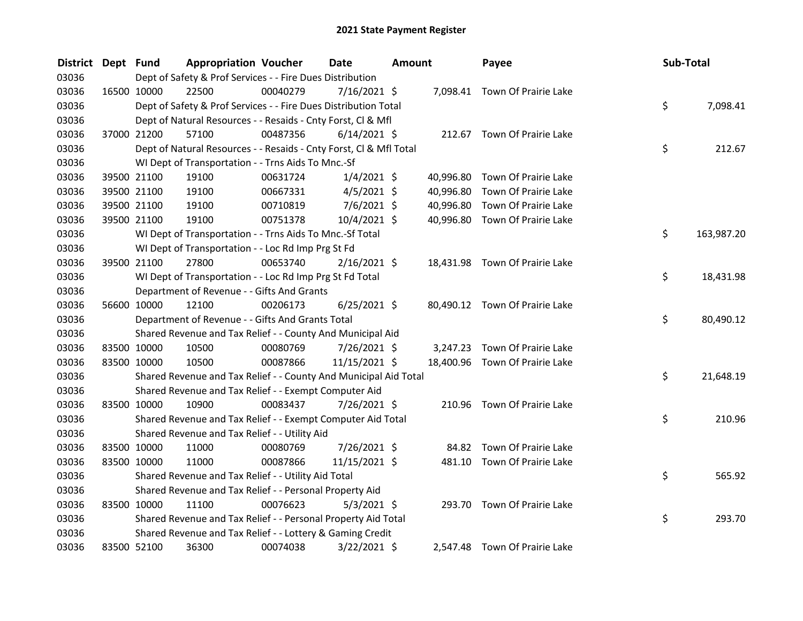| <b>District</b> | Dept Fund   |             | <b>Appropriation Voucher</b> |                                                                    | <b>Date</b><br><b>Amount</b> |  | Payee     | Sub-Total                      |    |            |
|-----------------|-------------|-------------|------------------------------|--------------------------------------------------------------------|------------------------------|--|-----------|--------------------------------|----|------------|
| 03036           |             |             |                              | Dept of Safety & Prof Services - - Fire Dues Distribution          |                              |  |           |                                |    |            |
| 03036           |             | 16500 10000 | 22500                        | 00040279                                                           | 7/16/2021 \$                 |  |           | 7,098.41 Town Of Prairie Lake  |    |            |
| 03036           |             |             |                              | Dept of Safety & Prof Services - - Fire Dues Distribution Total    |                              |  |           |                                | \$ | 7,098.41   |
| 03036           |             |             |                              | Dept of Natural Resources - - Resaids - Cnty Forst, Cl & Mfl       |                              |  |           |                                |    |            |
| 03036           |             | 37000 21200 | 57100                        | 00487356                                                           | $6/14/2021$ \$               |  |           | 212.67 Town Of Prairie Lake    |    |            |
| 03036           |             |             |                              | Dept of Natural Resources - - Resaids - Cnty Forst, Cl & Mfl Total |                              |  |           |                                | \$ | 212.67     |
| 03036           |             |             |                              | WI Dept of Transportation - - Trns Aids To Mnc.-Sf                 |                              |  |           |                                |    |            |
| 03036           |             | 39500 21100 | 19100                        | 00631724                                                           | $1/4/2021$ \$                |  | 40,996.80 | Town Of Prairie Lake           |    |            |
| 03036           |             | 39500 21100 | 19100                        | 00667331                                                           | $4/5/2021$ \$                |  | 40,996.80 | Town Of Prairie Lake           |    |            |
| 03036           |             | 39500 21100 | 19100                        | 00710819                                                           | 7/6/2021 \$                  |  | 40,996.80 | Town Of Prairie Lake           |    |            |
| 03036           |             | 39500 21100 | 19100                        | 00751378                                                           | 10/4/2021 \$                 |  |           | 40,996.80 Town Of Prairie Lake |    |            |
| 03036           |             |             |                              | WI Dept of Transportation - - Trns Aids To Mnc.-Sf Total           |                              |  |           |                                | \$ | 163,987.20 |
| 03036           |             |             |                              | WI Dept of Transportation - - Loc Rd Imp Prg St Fd                 |                              |  |           |                                |    |            |
| 03036           |             | 39500 21100 | 27800                        | 00653740                                                           | $2/16/2021$ \$               |  |           | 18,431.98 Town Of Prairie Lake |    |            |
| 03036           |             |             |                              | WI Dept of Transportation - - Loc Rd Imp Prg St Fd Total           |                              |  |           |                                | \$ | 18,431.98  |
| 03036           |             |             |                              | Department of Revenue - - Gifts And Grants                         |                              |  |           |                                |    |            |
| 03036           |             | 56600 10000 | 12100                        | 00206173                                                           | $6/25/2021$ \$               |  |           | 80,490.12 Town Of Prairie Lake |    |            |
| 03036           |             |             |                              | Department of Revenue - - Gifts And Grants Total                   |                              |  |           |                                | \$ | 80,490.12  |
| 03036           |             |             |                              | Shared Revenue and Tax Relief - - County And Municipal Aid         |                              |  |           |                                |    |            |
| 03036           |             | 83500 10000 | 10500                        | 00080769                                                           | $7/26/2021$ \$               |  | 3,247.23  | Town Of Prairie Lake           |    |            |
| 03036           |             | 83500 10000 | 10500                        | 00087866                                                           | 11/15/2021 \$                |  |           | 18,400.96 Town Of Prairie Lake |    |            |
| 03036           |             |             |                              | Shared Revenue and Tax Relief - - County And Municipal Aid Total   |                              |  |           |                                | \$ | 21,648.19  |
| 03036           |             |             |                              | Shared Revenue and Tax Relief - - Exempt Computer Aid              |                              |  |           |                                |    |            |
| 03036           |             | 83500 10000 | 10900                        | 00083437                                                           | 7/26/2021 \$                 |  | 210.96    | Town Of Prairie Lake           |    |            |
| 03036           |             |             |                              | Shared Revenue and Tax Relief - - Exempt Computer Aid Total        |                              |  |           |                                | \$ | 210.96     |
| 03036           |             |             |                              | Shared Revenue and Tax Relief - - Utility Aid                      |                              |  |           |                                |    |            |
| 03036           |             | 83500 10000 | 11000                        | 00080769                                                           | 7/26/2021 \$                 |  |           | 84.82 Town Of Prairie Lake     |    |            |
| 03036           | 83500 10000 |             | 11000                        | 00087866                                                           | 11/15/2021 \$                |  |           | 481.10 Town Of Prairie Lake    |    |            |
| 03036           |             |             |                              | Shared Revenue and Tax Relief - - Utility Aid Total                |                              |  |           |                                | \$ | 565.92     |
| 03036           |             |             |                              | Shared Revenue and Tax Relief - - Personal Property Aid            |                              |  |           |                                |    |            |
| 03036           |             | 83500 10000 | 11100                        | 00076623                                                           | $5/3/2021$ \$                |  |           | 293.70 Town Of Prairie Lake    |    |            |
| 03036           |             |             |                              | Shared Revenue and Tax Relief - - Personal Property Aid Total      |                              |  |           |                                | \$ | 293.70     |
| 03036           |             |             |                              | Shared Revenue and Tax Relief - - Lottery & Gaming Credit          |                              |  |           |                                |    |            |
| 03036           |             | 83500 52100 | 36300                        | 00074038                                                           | 3/22/2021 \$                 |  |           | 2,547.48 Town Of Prairie Lake  |    |            |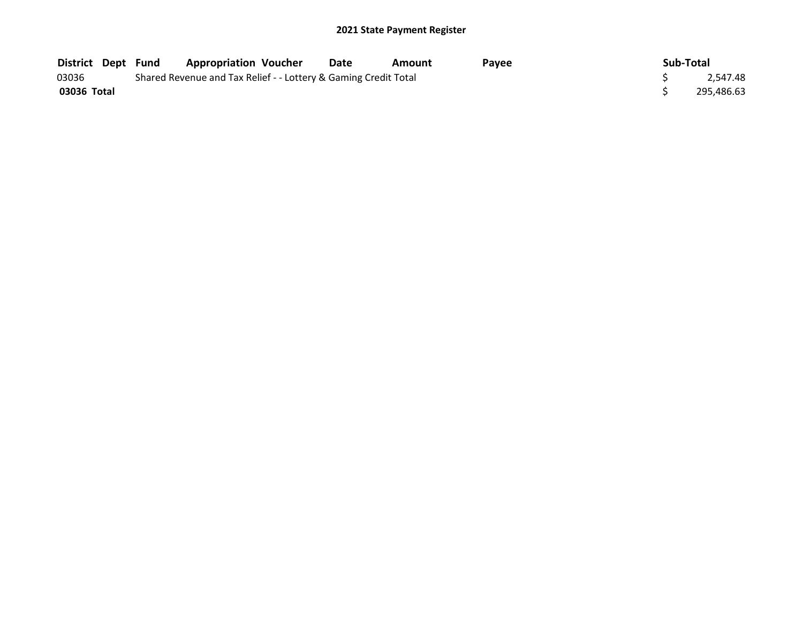| <b>District Dept Fund</b> |                                                                 | <b>Appropriation Voucher</b> | Date | Amount | <b>Pavee</b> | Sub-Total |            |
|---------------------------|-----------------------------------------------------------------|------------------------------|------|--------|--------------|-----------|------------|
| 03036                     | Shared Revenue and Tax Relief - - Lottery & Gaming Credit Total |                              |      |        |              |           | 2.547.48   |
| 03036 Total               |                                                                 |                              |      |        |              |           | 295,486.63 |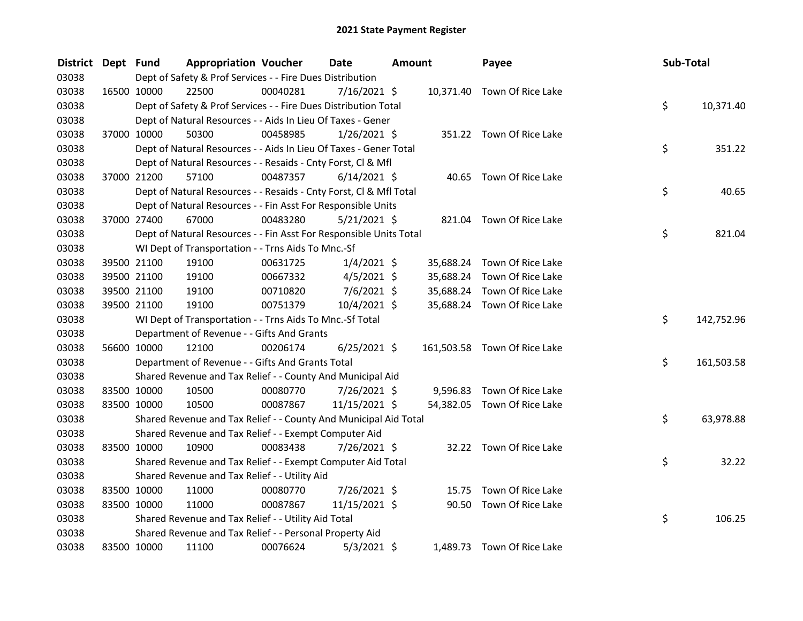| <b>District</b> | Dept Fund |             | <b>Appropriation Voucher</b>                                       |          | Date           | <b>Amount</b> |           | Payee                        | Sub-Total |            |
|-----------------|-----------|-------------|--------------------------------------------------------------------|----------|----------------|---------------|-----------|------------------------------|-----------|------------|
| 03038           |           |             | Dept of Safety & Prof Services - - Fire Dues Distribution          |          |                |               |           |                              |           |            |
| 03038           |           | 16500 10000 | 22500                                                              | 00040281 | 7/16/2021 \$   |               |           | 10,371.40 Town Of Rice Lake  |           |            |
| 03038           |           |             | Dept of Safety & Prof Services - - Fire Dues Distribution Total    |          |                |               |           |                              | \$        | 10,371.40  |
| 03038           |           |             | Dept of Natural Resources - - Aids In Lieu Of Taxes - Gener        |          |                |               |           |                              |           |            |
| 03038           |           | 37000 10000 | 50300                                                              | 00458985 | $1/26/2021$ \$ |               |           | 351.22 Town Of Rice Lake     |           |            |
| 03038           |           |             | Dept of Natural Resources - - Aids In Lieu Of Taxes - Gener Total  |          |                |               |           |                              | \$        | 351.22     |
| 03038           |           |             | Dept of Natural Resources - - Resaids - Cnty Forst, Cl & Mfl       |          |                |               |           |                              |           |            |
| 03038           |           | 37000 21200 | 57100                                                              | 00487357 | $6/14/2021$ \$ |               |           | 40.65 Town Of Rice Lake      |           |            |
| 03038           |           |             | Dept of Natural Resources - - Resaids - Cnty Forst, Cl & Mfl Total |          |                |               |           |                              | \$        | 40.65      |
| 03038           |           |             | Dept of Natural Resources - - Fin Asst For Responsible Units       |          |                |               |           |                              |           |            |
| 03038           |           | 37000 27400 | 67000                                                              | 00483280 | 5/21/2021 \$   |               |           | 821.04 Town Of Rice Lake     |           |            |
| 03038           |           |             | Dept of Natural Resources - - Fin Asst For Responsible Units Total |          |                |               |           |                              | \$        | 821.04     |
| 03038           |           |             | WI Dept of Transportation - - Trns Aids To Mnc.-Sf                 |          |                |               |           |                              |           |            |
| 03038           |           | 39500 21100 | 19100                                                              | 00631725 | $1/4/2021$ \$  |               | 35,688.24 | Town Of Rice Lake            |           |            |
| 03038           |           | 39500 21100 | 19100                                                              | 00667332 | $4/5/2021$ \$  |               | 35,688.24 | Town Of Rice Lake            |           |            |
| 03038           |           | 39500 21100 | 19100                                                              | 00710820 | $7/6/2021$ \$  |               | 35,688.24 | Town Of Rice Lake            |           |            |
| 03038           |           | 39500 21100 | 19100                                                              | 00751379 | 10/4/2021 \$   |               |           | 35,688.24 Town Of Rice Lake  |           |            |
| 03038           |           |             | WI Dept of Transportation - - Trns Aids To Mnc.-Sf Total           |          |                |               |           |                              | \$.       | 142,752.96 |
| 03038           |           |             | Department of Revenue - - Gifts And Grants                         |          |                |               |           |                              |           |            |
| 03038           |           | 56600 10000 | 12100                                                              | 00206174 | $6/25/2021$ \$ |               |           | 161,503.58 Town Of Rice Lake |           |            |
| 03038           |           |             | Department of Revenue - - Gifts And Grants Total                   |          |                |               |           |                              | \$        | 161,503.58 |
| 03038           |           |             | Shared Revenue and Tax Relief - - County And Municipal Aid         |          |                |               |           |                              |           |            |
| 03038           |           | 83500 10000 | 10500                                                              | 00080770 | 7/26/2021 \$   |               |           | 9,596.83 Town Of Rice Lake   |           |            |
| 03038           |           | 83500 10000 | 10500                                                              | 00087867 | 11/15/2021 \$  |               |           | 54,382.05 Town Of Rice Lake  |           |            |
| 03038           |           |             | Shared Revenue and Tax Relief - - County And Municipal Aid Total   |          |                |               |           |                              | \$        | 63,978.88  |
| 03038           |           |             | Shared Revenue and Tax Relief - - Exempt Computer Aid              |          |                |               |           |                              |           |            |
| 03038           |           | 83500 10000 | 10900                                                              | 00083438 | $7/26/2021$ \$ |               |           | 32.22 Town Of Rice Lake      |           |            |
| 03038           |           |             | Shared Revenue and Tax Relief - - Exempt Computer Aid Total        |          |                |               |           |                              | \$        | 32.22      |
| 03038           |           |             | Shared Revenue and Tax Relief - - Utility Aid                      |          |                |               |           |                              |           |            |
| 03038           |           | 83500 10000 | 11000                                                              | 00080770 | 7/26/2021 \$   |               |           | 15.75 Town Of Rice Lake      |           |            |
| 03038           |           | 83500 10000 | 11000                                                              | 00087867 | 11/15/2021 \$  |               |           | 90.50 Town Of Rice Lake      |           |            |
| 03038           |           |             | Shared Revenue and Tax Relief - - Utility Aid Total                |          |                |               |           |                              | \$        | 106.25     |
| 03038           |           |             | Shared Revenue and Tax Relief - - Personal Property Aid            |          |                |               |           |                              |           |            |
| 03038           |           | 83500 10000 | 11100                                                              | 00076624 | $5/3/2021$ \$  |               |           | 1,489.73 Town Of Rice Lake   |           |            |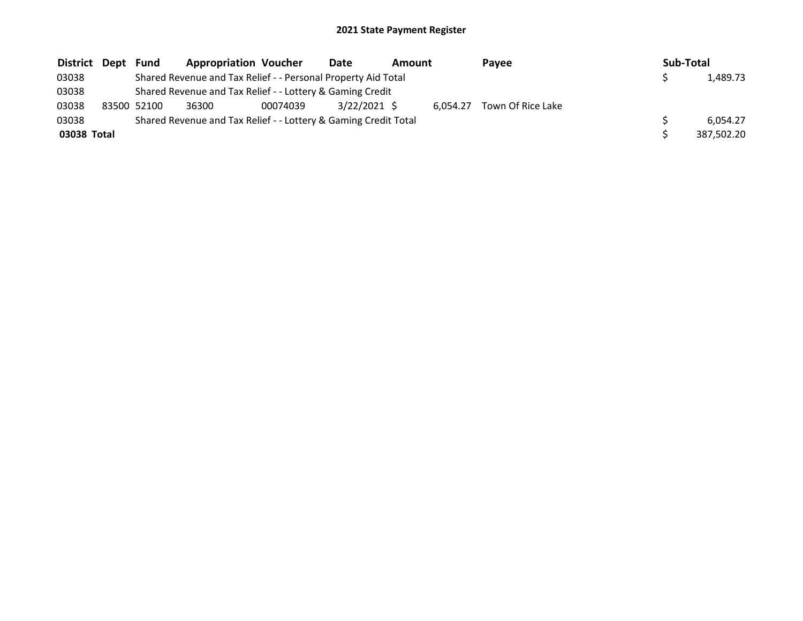| District Dept | Fund        | <b>Appropriation Voucher</b>                                    |          | Date<br><b>Amount</b> |  | Payee    |                   | Sub-Total |  |            |  |  |
|---------------|-------------|-----------------------------------------------------------------|----------|-----------------------|--|----------|-------------------|-----------|--|------------|--|--|
| 03038         |             | Shared Revenue and Tax Relief - - Personal Property Aid Total   |          |                       |  |          |                   |           |  | 1,489.73   |  |  |
| 03038         |             | Shared Revenue and Tax Relief - - Lottery & Gaming Credit       |          |                       |  |          |                   |           |  |            |  |  |
| 03038         | 83500 52100 | 36300                                                           | 00074039 | 3/22/2021 \$          |  | 6.054.27 | Town Of Rice Lake |           |  |            |  |  |
| 03038         |             | Shared Revenue and Tax Relief - - Lottery & Gaming Credit Total |          |                       |  |          |                   |           |  | 6.054.27   |  |  |
| 03038 Total   |             |                                                                 |          |                       |  |          |                   |           |  | 387.502.20 |  |  |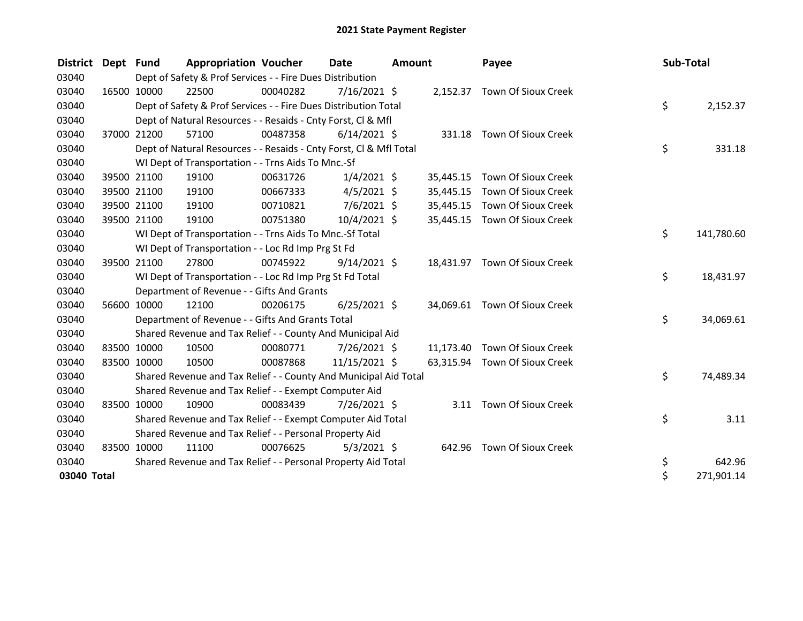| District    | Dept Fund |             | <b>Appropriation Voucher</b>                                       |          | Date           | <b>Amount</b> |           | Payee                         | Sub-Total |            |
|-------------|-----------|-------------|--------------------------------------------------------------------|----------|----------------|---------------|-----------|-------------------------------|-----------|------------|
| 03040       |           |             | Dept of Safety & Prof Services - - Fire Dues Distribution          |          |                |               |           |                               |           |            |
| 03040       |           | 16500 10000 | 22500                                                              | 00040282 | 7/16/2021 \$   |               |           | 2,152.37 Town Of Sioux Creek  |           |            |
| 03040       |           |             | Dept of Safety & Prof Services - - Fire Dues Distribution Total    |          |                |               |           |                               | \$        | 2,152.37   |
| 03040       |           |             | Dept of Natural Resources - - Resaids - Cnty Forst, CI & Mfl       |          |                |               |           |                               |           |            |
| 03040       |           | 37000 21200 | 57100                                                              | 00487358 | $6/14/2021$ \$ |               |           | 331.18 Town Of Sioux Creek    |           |            |
| 03040       |           |             | Dept of Natural Resources - - Resaids - Cnty Forst, Cl & Mfl Total |          |                |               |           |                               | \$        | 331.18     |
| 03040       |           |             | WI Dept of Transportation - - Trns Aids To Mnc.-Sf                 |          |                |               |           |                               |           |            |
| 03040       |           | 39500 21100 | 19100                                                              | 00631726 | $1/4/2021$ \$  |               | 35,445.15 | Town Of Sioux Creek           |           |            |
| 03040       |           | 39500 21100 | 19100                                                              | 00667333 | $4/5/2021$ \$  |               | 35,445.15 | Town Of Sioux Creek           |           |            |
| 03040       |           | 39500 21100 | 19100                                                              | 00710821 | $7/6/2021$ \$  |               | 35,445.15 | Town Of Sioux Creek           |           |            |
| 03040       |           | 39500 21100 | 19100                                                              | 00751380 | 10/4/2021 \$   |               |           | 35,445.15 Town Of Sioux Creek |           |            |
| 03040       |           |             | WI Dept of Transportation - - Trns Aids To Mnc.-Sf Total           |          |                |               |           |                               | \$        | 141,780.60 |
| 03040       |           |             | WI Dept of Transportation - - Loc Rd Imp Prg St Fd                 |          |                |               |           |                               |           |            |
| 03040       |           | 39500 21100 | 27800                                                              | 00745922 | $9/14/2021$ \$ |               |           | 18,431.97 Town Of Sioux Creek |           |            |
| 03040       |           |             | WI Dept of Transportation - - Loc Rd Imp Prg St Fd Total           |          |                |               |           |                               | \$        | 18,431.97  |
| 03040       |           |             | Department of Revenue - - Gifts And Grants                         |          |                |               |           |                               |           |            |
| 03040       |           | 56600 10000 | 12100                                                              | 00206175 | $6/25/2021$ \$ |               |           | 34,069.61 Town Of Sioux Creek |           |            |
| 03040       |           |             | Department of Revenue - - Gifts And Grants Total                   |          |                |               |           |                               | \$        | 34,069.61  |
| 03040       |           |             | Shared Revenue and Tax Relief - - County And Municipal Aid         |          |                |               |           |                               |           |            |
| 03040       |           | 83500 10000 | 10500                                                              | 00080771 | 7/26/2021 \$   |               |           | 11,173.40 Town Of Sioux Creek |           |            |
| 03040       |           | 83500 10000 | 10500                                                              | 00087868 | 11/15/2021 \$  |               | 63,315.94 | Town Of Sioux Creek           |           |            |
| 03040       |           |             | Shared Revenue and Tax Relief - - County And Municipal Aid Total   |          |                |               |           |                               | \$        | 74,489.34  |
| 03040       |           |             | Shared Revenue and Tax Relief - - Exempt Computer Aid              |          |                |               |           |                               |           |            |
| 03040       |           | 83500 10000 | 10900                                                              | 00083439 | 7/26/2021 \$   |               |           | 3.11 Town Of Sioux Creek      |           |            |
| 03040       |           |             | Shared Revenue and Tax Relief - - Exempt Computer Aid Total        |          |                |               |           |                               | \$        | 3.11       |
| 03040       |           |             | Shared Revenue and Tax Relief - - Personal Property Aid            |          |                |               |           |                               |           |            |
| 03040       |           | 83500 10000 | 11100                                                              | 00076625 | $5/3/2021$ \$  |               | 642.96    | Town Of Sioux Creek           |           |            |
| 03040       |           |             | Shared Revenue and Tax Relief - - Personal Property Aid Total      |          |                |               |           |                               | \$        | 642.96     |
| 03040 Total |           |             |                                                                    |          |                |               |           |                               | \$        | 271,901.14 |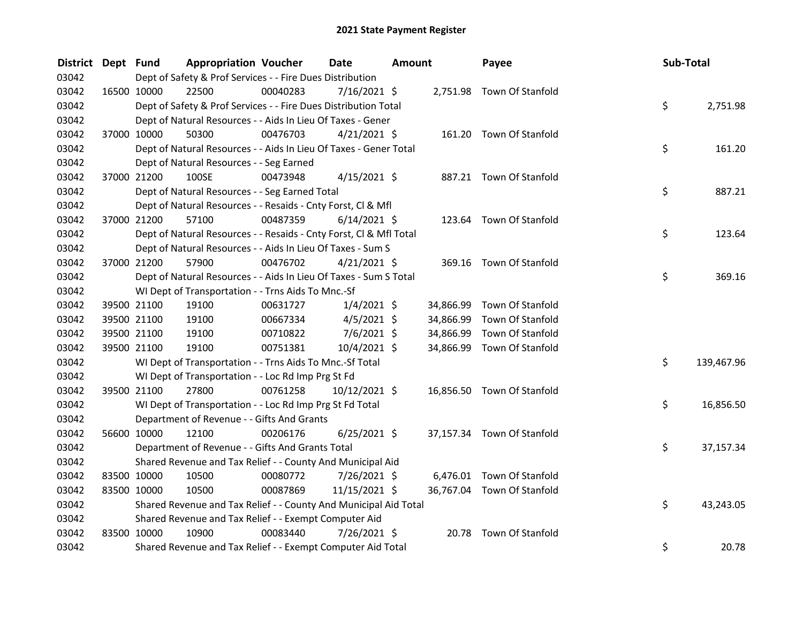| <b>District</b> | Dept Fund   |                                                                    | <b>Appropriation Voucher</b> | Date            | <b>Amount</b> |           | Payee                      | Sub-Total        |
|-----------------|-------------|--------------------------------------------------------------------|------------------------------|-----------------|---------------|-----------|----------------------------|------------------|
| 03042           |             | Dept of Safety & Prof Services - - Fire Dues Distribution          |                              |                 |               |           |                            |                  |
| 03042           |             | 22500<br>16500 10000                                               | 00040283                     | 7/16/2021 \$    |               |           | 2,751.98 Town Of Stanfold  |                  |
| 03042           |             | Dept of Safety & Prof Services - - Fire Dues Distribution Total    |                              |                 |               |           |                            | \$<br>2,751.98   |
| 03042           |             | Dept of Natural Resources - - Aids In Lieu Of Taxes - Gener        |                              |                 |               |           |                            |                  |
| 03042           | 37000 10000 | 50300                                                              | 00476703                     | $4/21/2021$ \$  |               |           | 161.20 Town Of Stanfold    |                  |
| 03042           |             | Dept of Natural Resources - - Aids In Lieu Of Taxes - Gener Total  |                              |                 |               |           |                            | \$<br>161.20     |
| 03042           |             | Dept of Natural Resources - - Seg Earned                           |                              |                 |               |           |                            |                  |
| 03042           | 37000 21200 | 100SE                                                              | 00473948                     | $4/15/2021$ \$  |               |           | 887.21 Town Of Stanfold    |                  |
| 03042           |             | Dept of Natural Resources - - Seg Earned Total                     |                              |                 |               |           |                            | \$<br>887.21     |
| 03042           |             | Dept of Natural Resources - - Resaids - Cnty Forst, Cl & Mfl       |                              |                 |               |           |                            |                  |
| 03042           | 37000 21200 | 57100                                                              | 00487359                     | $6/14/2021$ \$  |               |           | 123.64 Town Of Stanfold    |                  |
| 03042           |             | Dept of Natural Resources - - Resaids - Cnty Forst, Cl & Mfl Total |                              |                 |               |           |                            | \$.<br>123.64    |
| 03042           |             | Dept of Natural Resources - - Aids In Lieu Of Taxes - Sum S        |                              |                 |               |           |                            |                  |
| 03042           | 37000 21200 | 57900                                                              | 00476702                     | $4/21/2021$ \$  |               |           | 369.16 Town Of Stanfold    |                  |
| 03042           |             | Dept of Natural Resources - - Aids In Lieu Of Taxes - Sum S Total  |                              |                 |               |           |                            | \$<br>369.16     |
| 03042           |             | WI Dept of Transportation - - Trns Aids To Mnc.-Sf                 |                              |                 |               |           |                            |                  |
| 03042           | 39500 21100 | 19100                                                              | 00631727                     | $1/4/2021$ \$   |               | 34,866.99 | Town Of Stanfold           |                  |
| 03042           | 39500 21100 | 19100                                                              | 00667334                     | $4/5/2021$ \$   |               | 34,866.99 | Town Of Stanfold           |                  |
| 03042           | 39500 21100 | 19100                                                              | 00710822                     | $7/6/2021$ \$   |               | 34,866.99 | Town Of Stanfold           |                  |
| 03042           | 39500 21100 | 19100                                                              | 00751381                     | $10/4/2021$ \$  |               |           | 34,866.99 Town Of Stanfold |                  |
| 03042           |             | WI Dept of Transportation - - Trns Aids To Mnc.-Sf Total           |                              |                 |               |           |                            | \$<br>139,467.96 |
| 03042           |             | WI Dept of Transportation - - Loc Rd Imp Prg St Fd                 |                              |                 |               |           |                            |                  |
| 03042           | 39500 21100 | 27800                                                              | 00761258                     | $10/12/2021$ \$ |               |           | 16,856.50 Town Of Stanfold |                  |
| 03042           |             | WI Dept of Transportation - - Loc Rd Imp Prg St Fd Total           |                              |                 |               |           |                            | \$<br>16,856.50  |
| 03042           |             | Department of Revenue - - Gifts And Grants                         |                              |                 |               |           |                            |                  |
| 03042           | 56600 10000 | 12100                                                              | 00206176                     | $6/25/2021$ \$  |               |           | 37,157.34 Town Of Stanfold |                  |
| 03042           |             | Department of Revenue - - Gifts And Grants Total                   |                              |                 |               |           |                            | \$.<br>37,157.34 |
| 03042           |             | Shared Revenue and Tax Relief - - County And Municipal Aid         |                              |                 |               |           |                            |                  |
| 03042           | 83500 10000 | 10500                                                              | 00080772                     | 7/26/2021 \$    |               |           | 6,476.01 Town Of Stanfold  |                  |
| 03042           | 83500 10000 | 10500                                                              | 00087869                     | 11/15/2021 \$   |               |           | 36,767.04 Town Of Stanfold |                  |
| 03042           |             | Shared Revenue and Tax Relief - - County And Municipal Aid Total   |                              |                 |               |           |                            | \$.<br>43,243.05 |
| 03042           |             | Shared Revenue and Tax Relief - - Exempt Computer Aid              |                              |                 |               |           |                            |                  |
| 03042           | 83500 10000 | 10900                                                              | 00083440                     | $7/26/2021$ \$  |               | 20.78     | Town Of Stanfold           |                  |
| 03042           |             | Shared Revenue and Tax Relief - - Exempt Computer Aid Total        |                              |                 |               |           |                            | \$<br>20.78      |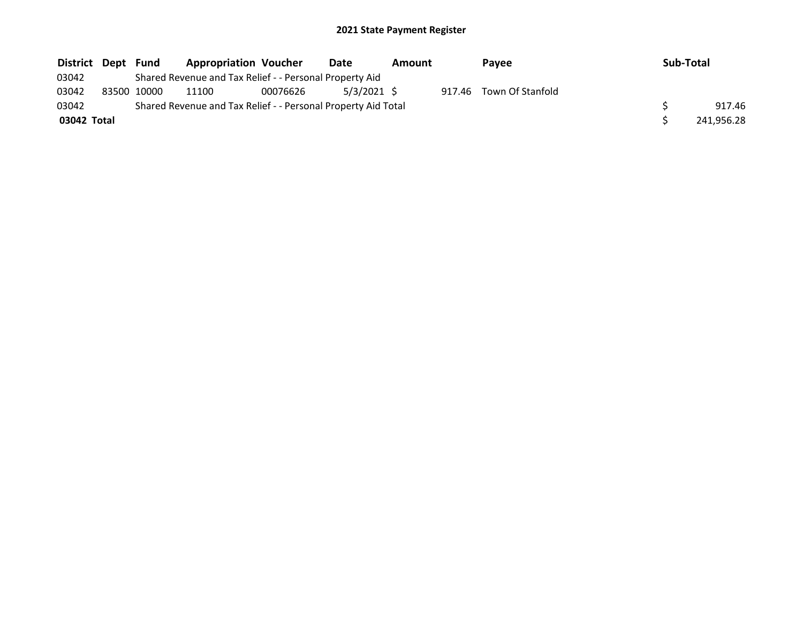| District Dept | Fund        | <b>Appropriation Voucher</b>                                  |          | Date        | Amount | Payee                   | Sub-Total |            |
|---------------|-------------|---------------------------------------------------------------|----------|-------------|--------|-------------------------|-----------|------------|
| 03042         |             | Shared Revenue and Tax Relief - - Personal Property Aid       |          |             |        |                         |           |            |
| 03042         | 83500 10000 | 11100                                                         | 00076626 | 5/3/2021 \$ |        | 917.46 Town Of Stanfold |           |            |
| 03042         |             | Shared Revenue and Tax Relief - - Personal Property Aid Total |          |             |        |                         |           | 917.46     |
| 03042 Total   |             |                                                               |          |             |        |                         |           | 241,956.28 |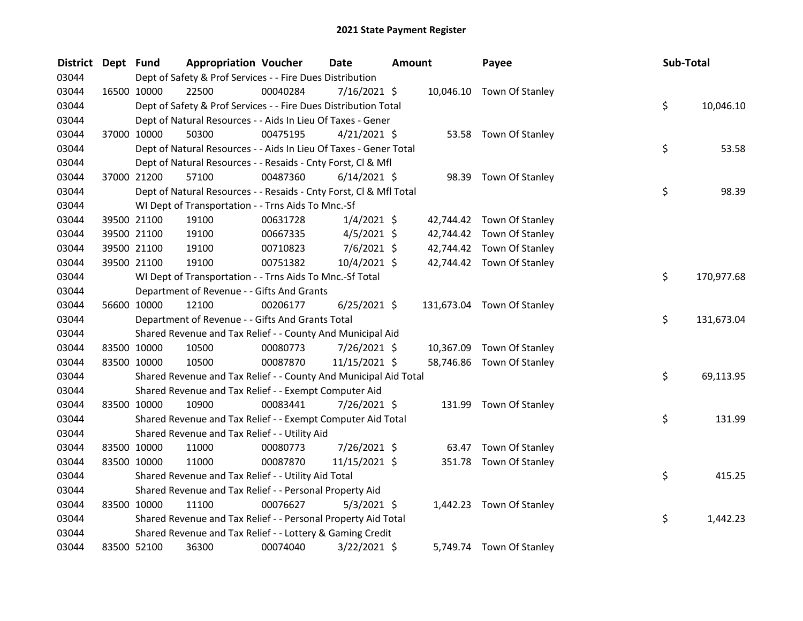| <b>District</b> | Dept Fund |             | <b>Appropriation Voucher</b>                                       |          | <b>Date</b>    | <b>Amount</b> |           | Payee                      | Sub-Total |            |
|-----------------|-----------|-------------|--------------------------------------------------------------------|----------|----------------|---------------|-----------|----------------------------|-----------|------------|
| 03044           |           |             | Dept of Safety & Prof Services - - Fire Dues Distribution          |          |                |               |           |                            |           |            |
| 03044           |           | 16500 10000 | 22500                                                              | 00040284 | 7/16/2021 \$   |               |           | 10,046.10 Town Of Stanley  |           |            |
| 03044           |           |             | Dept of Safety & Prof Services - - Fire Dues Distribution Total    |          |                |               |           |                            | \$        | 10,046.10  |
| 03044           |           |             | Dept of Natural Resources - - Aids In Lieu Of Taxes - Gener        |          |                |               |           |                            |           |            |
| 03044           |           | 37000 10000 | 50300                                                              | 00475195 | $4/21/2021$ \$ |               |           | 53.58 Town Of Stanley      |           |            |
| 03044           |           |             | Dept of Natural Resources - - Aids In Lieu Of Taxes - Gener Total  |          |                |               |           |                            | \$        | 53.58      |
| 03044           |           |             | Dept of Natural Resources - - Resaids - Cnty Forst, Cl & Mfl       |          |                |               |           |                            |           |            |
| 03044           |           | 37000 21200 | 57100                                                              | 00487360 | $6/14/2021$ \$ |               |           | 98.39 Town Of Stanley      |           |            |
| 03044           |           |             | Dept of Natural Resources - - Resaids - Cnty Forst, Cl & Mfl Total |          |                |               |           |                            | \$        | 98.39      |
| 03044           |           |             | WI Dept of Transportation - - Trns Aids To Mnc.-Sf                 |          |                |               |           |                            |           |            |
| 03044           |           | 39500 21100 | 19100                                                              | 00631728 | $1/4/2021$ \$  |               | 42,744.42 | Town Of Stanley            |           |            |
| 03044           |           | 39500 21100 | 19100                                                              | 00667335 | $4/5/2021$ \$  |               |           | 42,744.42 Town Of Stanley  |           |            |
| 03044           |           | 39500 21100 | 19100                                                              | 00710823 | 7/6/2021 \$    |               |           | 42,744.42 Town Of Stanley  |           |            |
| 03044           |           | 39500 21100 | 19100                                                              | 00751382 | 10/4/2021 \$   |               |           | 42,744.42 Town Of Stanley  |           |            |
| 03044           |           |             | WI Dept of Transportation - - Trns Aids To Mnc.-Sf Total           |          |                |               |           |                            | \$        | 170,977.68 |
| 03044           |           |             | Department of Revenue - - Gifts And Grants                         |          |                |               |           |                            |           |            |
| 03044           |           | 56600 10000 | 12100                                                              | 00206177 | $6/25/2021$ \$ |               |           | 131,673.04 Town Of Stanley |           |            |
| 03044           |           |             | Department of Revenue - - Gifts And Grants Total                   |          |                |               |           |                            | \$        | 131,673.04 |
| 03044           |           |             | Shared Revenue and Tax Relief - - County And Municipal Aid         |          |                |               |           |                            |           |            |
| 03044           |           | 83500 10000 | 10500                                                              | 00080773 | $7/26/2021$ \$ |               |           | 10,367.09 Town Of Stanley  |           |            |
| 03044           |           | 83500 10000 | 10500                                                              | 00087870 | 11/15/2021 \$  |               |           | 58,746.86 Town Of Stanley  |           |            |
| 03044           |           |             | Shared Revenue and Tax Relief - - County And Municipal Aid Total   |          |                |               |           |                            | \$        | 69,113.95  |
| 03044           |           |             | Shared Revenue and Tax Relief - - Exempt Computer Aid              |          |                |               |           |                            |           |            |
| 03044           |           | 83500 10000 | 10900                                                              | 00083441 | 7/26/2021 \$   |               |           | 131.99 Town Of Stanley     |           |            |
| 03044           |           |             | Shared Revenue and Tax Relief - - Exempt Computer Aid Total        |          |                |               |           |                            | \$        | 131.99     |
| 03044           |           |             | Shared Revenue and Tax Relief - - Utility Aid                      |          |                |               |           |                            |           |            |
| 03044           |           | 83500 10000 | 11000                                                              | 00080773 | 7/26/2021 \$   |               |           | 63.47 Town Of Stanley      |           |            |
| 03044           |           | 83500 10000 | 11000                                                              | 00087870 | 11/15/2021 \$  |               |           | 351.78 Town Of Stanley     |           |            |
| 03044           |           |             | Shared Revenue and Tax Relief - - Utility Aid Total                |          |                |               |           |                            | \$        | 415.25     |
| 03044           |           |             | Shared Revenue and Tax Relief - - Personal Property Aid            |          |                |               |           |                            |           |            |
| 03044           |           | 83500 10000 | 11100                                                              | 00076627 | $5/3/2021$ \$  |               |           | 1,442.23 Town Of Stanley   |           |            |
| 03044           |           |             | Shared Revenue and Tax Relief - - Personal Property Aid Total      |          |                |               |           |                            | \$        | 1,442.23   |
| 03044           |           |             | Shared Revenue and Tax Relief - - Lottery & Gaming Credit          |          |                |               |           |                            |           |            |
| 03044           |           | 83500 52100 | 36300                                                              | 00074040 | $3/22/2021$ \$ |               |           | 5,749.74 Town Of Stanley   |           |            |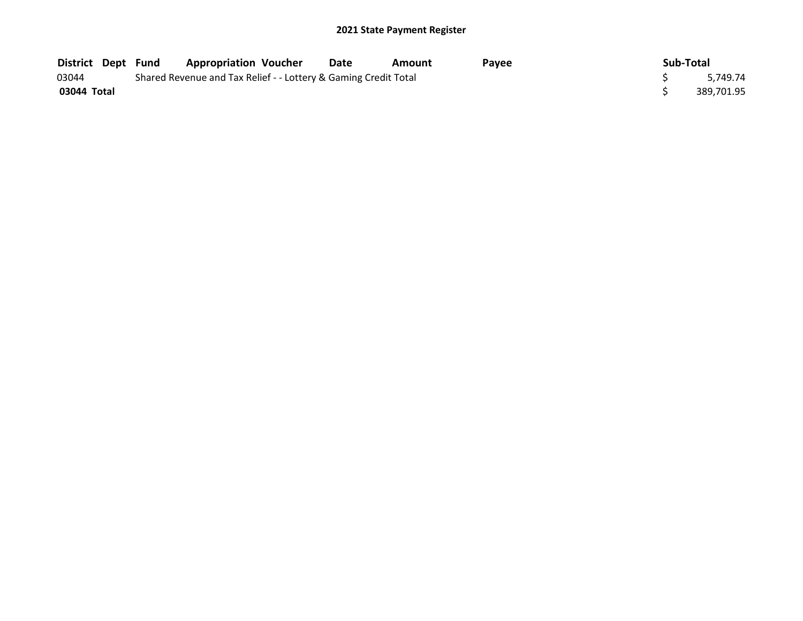| <b>District Dept Fund</b> |  | <b>Appropriation Voucher</b>                                    | Date | Amount | Pavee | Sub-Total  |
|---------------------------|--|-----------------------------------------------------------------|------|--------|-------|------------|
| 03044                     |  | Shared Revenue and Tax Relief - - Lottery & Gaming Credit Total |      |        |       | 5.749.74   |
| 03044 Total               |  |                                                                 |      |        |       | 389,701.95 |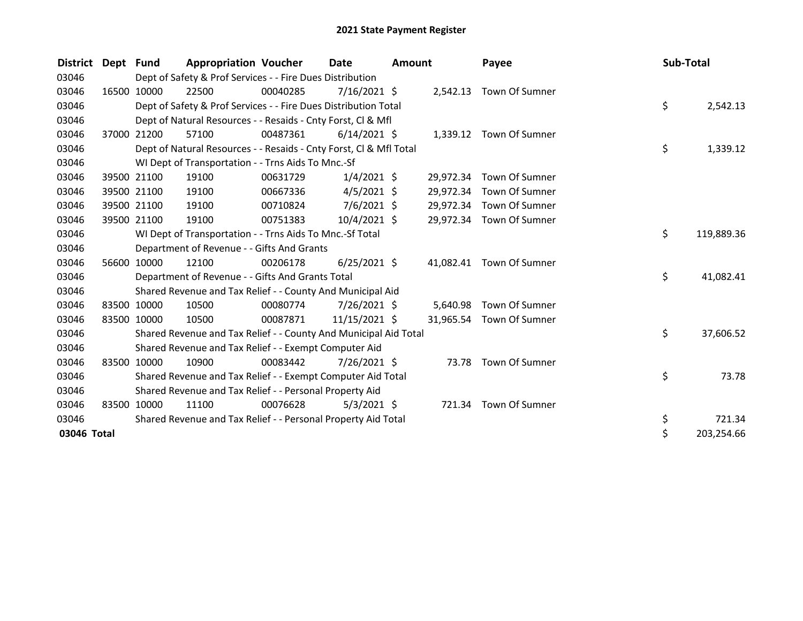| <b>District</b> | Dept Fund |             | <b>Appropriation Voucher</b>                                       |          | Date           | <b>Amount</b> |           | Payee                    | Sub-Total |            |
|-----------------|-----------|-------------|--------------------------------------------------------------------|----------|----------------|---------------|-----------|--------------------------|-----------|------------|
| 03046           |           |             | Dept of Safety & Prof Services - - Fire Dues Distribution          |          |                |               |           |                          |           |            |
| 03046           |           | 16500 10000 | 22500                                                              | 00040285 | $7/16/2021$ \$ |               |           | 2,542.13 Town Of Sumner  |           |            |
| 03046           |           |             | Dept of Safety & Prof Services - - Fire Dues Distribution Total    |          |                |               |           |                          | \$        | 2,542.13   |
| 03046           |           |             | Dept of Natural Resources - - Resaids - Cnty Forst, CI & Mfl       |          |                |               |           |                          |           |            |
| 03046           |           | 37000 21200 | 57100                                                              | 00487361 | $6/14/2021$ \$ |               |           | 1,339.12 Town Of Sumner  |           |            |
| 03046           |           |             | Dept of Natural Resources - - Resaids - Cnty Forst, Cl & Mfl Total |          |                |               |           |                          | \$        | 1,339.12   |
| 03046           |           |             | WI Dept of Transportation - - Trns Aids To Mnc.-Sf                 |          |                |               |           |                          |           |            |
| 03046           |           | 39500 21100 | 19100                                                              | 00631729 | $1/4/2021$ \$  |               | 29,972.34 | Town Of Sumner           |           |            |
| 03046           |           | 39500 21100 | 19100                                                              | 00667336 | $4/5/2021$ \$  |               | 29,972.34 | Town Of Sumner           |           |            |
| 03046           |           | 39500 21100 | 19100                                                              | 00710824 | $7/6/2021$ \$  |               | 29,972.34 | Town Of Sumner           |           |            |
| 03046           |           | 39500 21100 | 19100                                                              | 00751383 | $10/4/2021$ \$ |               | 29,972.34 | Town Of Sumner           |           |            |
| 03046           |           |             | WI Dept of Transportation - - Trns Aids To Mnc.-Sf Total           |          |                |               |           |                          | \$        | 119,889.36 |
| 03046           |           |             | Department of Revenue - - Gifts And Grants                         |          |                |               |           |                          |           |            |
| 03046           |           | 56600 10000 | 12100                                                              | 00206178 | $6/25/2021$ \$ |               | 41,082.41 | Town Of Sumner           |           |            |
| 03046           |           |             | Department of Revenue - - Gifts And Grants Total                   |          |                |               |           |                          | \$        | 41,082.41  |
| 03046           |           |             | Shared Revenue and Tax Relief - - County And Municipal Aid         |          |                |               |           |                          |           |            |
| 03046           |           | 83500 10000 | 10500                                                              | 00080774 | $7/26/2021$ \$ |               | 5,640.98  | Town Of Sumner           |           |            |
| 03046           |           | 83500 10000 | 10500                                                              | 00087871 | 11/15/2021 \$  |               |           | 31,965.54 Town Of Sumner |           |            |
| 03046           |           |             | Shared Revenue and Tax Relief - - County And Municipal Aid Total   |          |                |               |           |                          | \$        | 37,606.52  |
| 03046           |           |             | Shared Revenue and Tax Relief - - Exempt Computer Aid              |          |                |               |           |                          |           |            |
| 03046           |           | 83500 10000 | 10900                                                              | 00083442 | $7/26/2021$ \$ |               |           | 73.78 Town Of Sumner     |           |            |
| 03046           |           |             | Shared Revenue and Tax Relief - - Exempt Computer Aid Total        |          |                |               |           |                          | \$        | 73.78      |
| 03046           |           |             | Shared Revenue and Tax Relief - - Personal Property Aid            |          |                |               |           |                          |           |            |
| 03046           | 83500     | 10000       | 11100                                                              | 00076628 | $5/3/2021$ \$  |               | 721.34    | Town Of Sumner           |           |            |
| 03046           |           |             | Shared Revenue and Tax Relief - - Personal Property Aid Total      |          |                |               |           |                          | \$        | 721.34     |
| 03046 Total     |           |             |                                                                    |          |                |               |           |                          | \$        | 203,254.66 |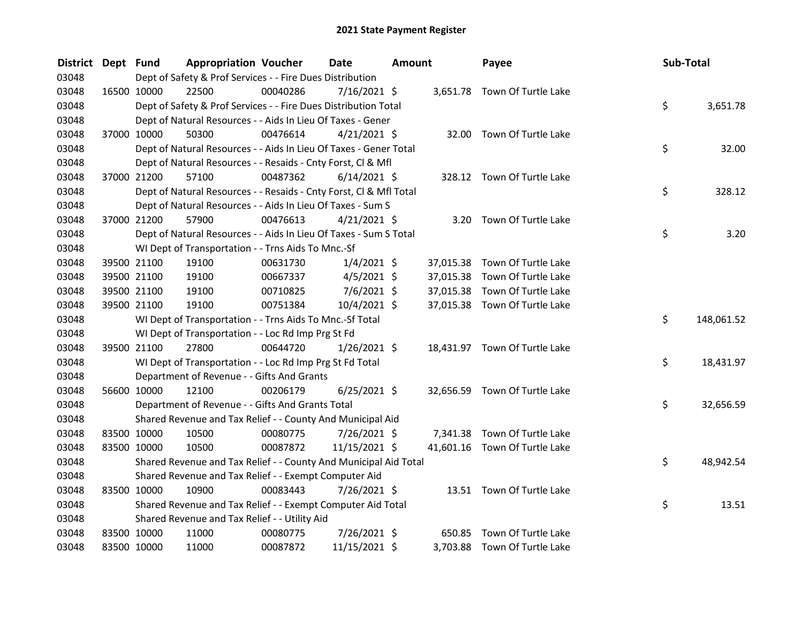| <b>District</b> | Dept Fund |             | <b>Appropriation Voucher</b>                                       |          | <b>Date</b>    | <b>Amount</b> |           | Payee                         | Sub-Total |            |
|-----------------|-----------|-------------|--------------------------------------------------------------------|----------|----------------|---------------|-----------|-------------------------------|-----------|------------|
| 03048           |           |             | Dept of Safety & Prof Services - - Fire Dues Distribution          |          |                |               |           |                               |           |            |
| 03048           |           | 16500 10000 | 22500                                                              | 00040286 | 7/16/2021 \$   |               |           | 3,651.78 Town Of Turtle Lake  |           |            |
| 03048           |           |             | Dept of Safety & Prof Services - - Fire Dues Distribution Total    |          |                |               |           |                               | \$        | 3,651.78   |
| 03048           |           |             | Dept of Natural Resources - - Aids In Lieu Of Taxes - Gener        |          |                |               |           |                               |           |            |
| 03048           |           | 37000 10000 | 50300                                                              | 00476614 | $4/21/2021$ \$ |               |           | 32.00 Town Of Turtle Lake     |           |            |
| 03048           |           |             | Dept of Natural Resources - - Aids In Lieu Of Taxes - Gener Total  |          |                |               |           |                               | \$        | 32.00      |
| 03048           |           |             | Dept of Natural Resources - - Resaids - Cnty Forst, Cl & Mfl       |          |                |               |           |                               |           |            |
| 03048           |           | 37000 21200 | 57100                                                              | 00487362 | $6/14/2021$ \$ |               |           | 328.12 Town Of Turtle Lake    |           |            |
| 03048           |           |             | Dept of Natural Resources - - Resaids - Cnty Forst, CI & Mfl Total |          |                |               |           |                               | \$        | 328.12     |
| 03048           |           |             | Dept of Natural Resources - - Aids In Lieu Of Taxes - Sum S        |          |                |               |           |                               |           |            |
| 03048           |           | 37000 21200 | 57900                                                              | 00476613 | $4/21/2021$ \$ |               | 3.20      | Town Of Turtle Lake           |           |            |
| 03048           |           |             | Dept of Natural Resources - - Aids In Lieu Of Taxes - Sum S Total  |          |                |               |           |                               | \$        | 3.20       |
| 03048           |           |             | WI Dept of Transportation - - Trns Aids To Mnc.-Sf                 |          |                |               |           |                               |           |            |
| 03048           |           | 39500 21100 | 19100                                                              | 00631730 | $1/4/2021$ \$  |               | 37,015.38 | Town Of Turtle Lake           |           |            |
| 03048           |           | 39500 21100 | 19100                                                              | 00667337 | $4/5/2021$ \$  |               | 37,015.38 | Town Of Turtle Lake           |           |            |
| 03048           |           | 39500 21100 | 19100                                                              | 00710825 | $7/6/2021$ \$  |               | 37,015.38 | Town Of Turtle Lake           |           |            |
| 03048           |           | 39500 21100 | 19100                                                              | 00751384 | 10/4/2021 \$   |               |           | 37,015.38 Town Of Turtle Lake |           |            |
| 03048           |           |             | WI Dept of Transportation - - Trns Aids To Mnc.-Sf Total           |          |                |               |           |                               | \$        | 148,061.52 |
| 03048           |           |             | WI Dept of Transportation - - Loc Rd Imp Prg St Fd                 |          |                |               |           |                               |           |            |
| 03048           |           | 39500 21100 | 27800                                                              | 00644720 | $1/26/2021$ \$ |               |           | 18,431.97 Town Of Turtle Lake |           |            |
| 03048           |           |             | WI Dept of Transportation - - Loc Rd Imp Prg St Fd Total           |          |                |               |           |                               | \$        | 18,431.97  |
| 03048           |           |             | Department of Revenue - - Gifts And Grants                         |          |                |               |           |                               |           |            |
| 03048           |           | 56600 10000 | 12100                                                              | 00206179 | $6/25/2021$ \$ |               |           | 32,656.59 Town Of Turtle Lake |           |            |
| 03048           |           |             | Department of Revenue - - Gifts And Grants Total                   |          |                |               |           |                               | \$        | 32,656.59  |
| 03048           |           |             | Shared Revenue and Tax Relief - - County And Municipal Aid         |          |                |               |           |                               |           |            |
| 03048           |           | 83500 10000 | 10500                                                              | 00080775 | 7/26/2021 \$   |               |           | 7,341.38 Town Of Turtle Lake  |           |            |
| 03048           |           | 83500 10000 | 10500                                                              | 00087872 | 11/15/2021 \$  |               |           | 41,601.16 Town Of Turtle Lake |           |            |
| 03048           |           |             | Shared Revenue and Tax Relief - - County And Municipal Aid Total   |          |                |               |           |                               | \$        | 48,942.54  |
| 03048           |           |             | Shared Revenue and Tax Relief - - Exempt Computer Aid              |          |                |               |           |                               |           |            |
| 03048           |           | 83500 10000 | 10900                                                              | 00083443 | 7/26/2021 \$   |               |           | 13.51 Town Of Turtle Lake     |           |            |
| 03048           |           |             | Shared Revenue and Tax Relief - - Exempt Computer Aid Total        |          |                |               |           |                               | \$        | 13.51      |
| 03048           |           |             | Shared Revenue and Tax Relief - - Utility Aid                      |          |                |               |           |                               |           |            |
| 03048           |           | 83500 10000 | 11000                                                              | 00080775 | 7/26/2021 \$   |               | 650.85    | Town Of Turtle Lake           |           |            |
| 03048           |           | 83500 10000 | 11000                                                              | 00087872 | 11/15/2021 \$  |               |           | 3,703.88 Town Of Turtle Lake  |           |            |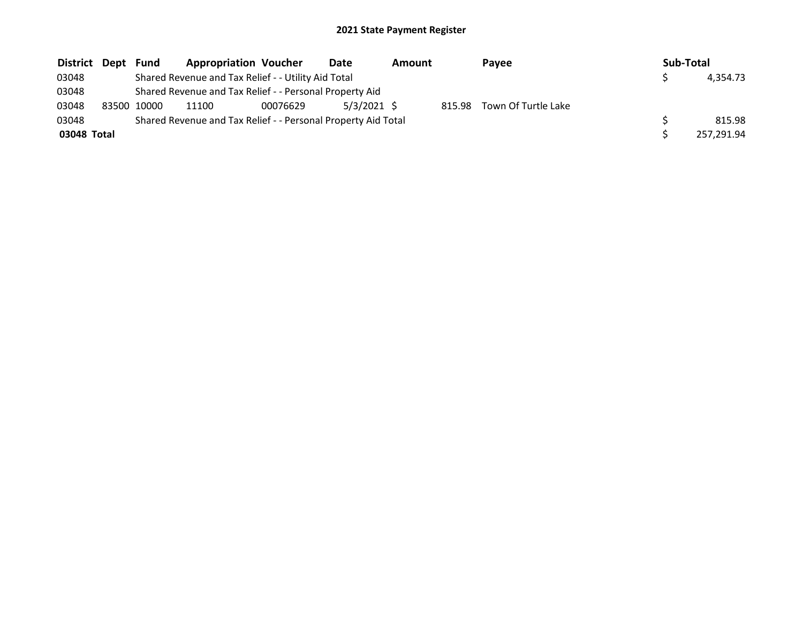| District Dept | Fund        | <b>Appropriation Voucher</b>                                  |          | Date          | Amount |        | Payee               | Sub-Total |            |
|---------------|-------------|---------------------------------------------------------------|----------|---------------|--------|--------|---------------------|-----------|------------|
| 03048         |             | Shared Revenue and Tax Relief - - Utility Aid Total           |          |               |        |        |                     |           | 4.354.73   |
| 03048         |             | Shared Revenue and Tax Relief - - Personal Property Aid       |          |               |        |        |                     |           |            |
| 03048         | 83500 10000 | 11100                                                         | 00076629 | $5/3/2021$ \$ |        | 815.98 | Town Of Turtle Lake |           |            |
| 03048         |             | Shared Revenue and Tax Relief - - Personal Property Aid Total |          |               |        |        |                     |           | 815.98     |
| 03048 Total   |             |                                                               |          |               |        |        |                     |           | 257.291.94 |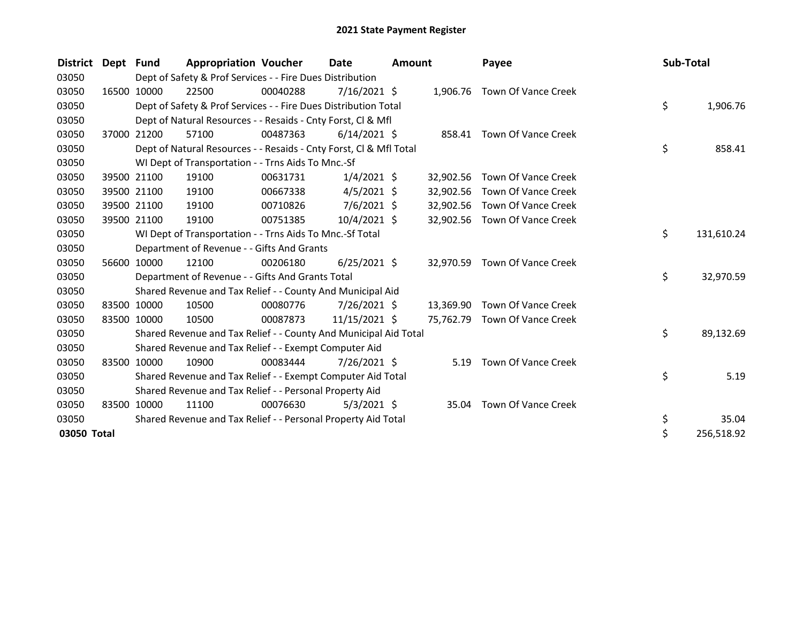| <b>District</b> | Dept Fund |             | <b>Appropriation Voucher</b>                                       |          | Date           | <b>Amount</b> |           | Payee                         | Sub-Total |            |
|-----------------|-----------|-------------|--------------------------------------------------------------------|----------|----------------|---------------|-----------|-------------------------------|-----------|------------|
| 03050           |           |             | Dept of Safety & Prof Services - - Fire Dues Distribution          |          |                |               |           |                               |           |            |
| 03050           |           | 16500 10000 | 22500                                                              | 00040288 | $7/16/2021$ \$ |               |           | 1,906.76 Town Of Vance Creek  |           |            |
| 03050           |           |             | Dept of Safety & Prof Services - - Fire Dues Distribution Total    |          |                |               |           |                               | \$        | 1,906.76   |
| 03050           |           |             | Dept of Natural Resources - - Resaids - Cnty Forst, CI & Mfl       |          |                |               |           |                               |           |            |
| 03050           |           | 37000 21200 | 57100                                                              | 00487363 | $6/14/2021$ \$ |               |           | 858.41 Town Of Vance Creek    |           |            |
| 03050           |           |             | Dept of Natural Resources - - Resaids - Cnty Forst, Cl & Mfl Total |          |                |               |           |                               | \$        | 858.41     |
| 03050           |           |             | WI Dept of Transportation - - Trns Aids To Mnc.-Sf                 |          |                |               |           |                               |           |            |
| 03050           |           | 39500 21100 | 19100                                                              | 00631731 | $1/4/2021$ \$  |               | 32,902.56 | Town Of Vance Creek           |           |            |
| 03050           |           | 39500 21100 | 19100                                                              | 00667338 | $4/5/2021$ \$  |               | 32,902.56 | Town Of Vance Creek           |           |            |
| 03050           |           | 39500 21100 | 19100                                                              | 00710826 | $7/6/2021$ \$  |               | 32,902.56 | Town Of Vance Creek           |           |            |
| 03050           |           | 39500 21100 | 19100                                                              | 00751385 | $10/4/2021$ \$ |               | 32,902.56 | Town Of Vance Creek           |           |            |
| 03050           |           |             | WI Dept of Transportation - - Trns Aids To Mnc.-Sf Total           |          |                |               |           |                               | \$        | 131,610.24 |
| 03050           |           |             | Department of Revenue - - Gifts And Grants                         |          |                |               |           |                               |           |            |
| 03050           |           | 56600 10000 | 12100                                                              | 00206180 | $6/25/2021$ \$ |               | 32,970.59 | Town Of Vance Creek           |           |            |
| 03050           |           |             | Department of Revenue - - Gifts And Grants Total                   |          |                |               |           |                               | \$        | 32,970.59  |
| 03050           |           |             | Shared Revenue and Tax Relief - - County And Municipal Aid         |          |                |               |           |                               |           |            |
| 03050           |           | 83500 10000 | 10500                                                              | 00080776 | $7/26/2021$ \$ |               |           | 13,369.90 Town Of Vance Creek |           |            |
| 03050           |           | 83500 10000 | 10500                                                              | 00087873 | 11/15/2021 \$  |               |           | 75,762.79 Town Of Vance Creek |           |            |
| 03050           |           |             | Shared Revenue and Tax Relief - - County And Municipal Aid Total   |          |                |               |           |                               | \$        | 89,132.69  |
| 03050           |           |             | Shared Revenue and Tax Relief - - Exempt Computer Aid              |          |                |               |           |                               |           |            |
| 03050           |           | 83500 10000 | 10900                                                              | 00083444 | $7/26/2021$ \$ |               | 5.19      | <b>Town Of Vance Creek</b>    |           |            |
| 03050           |           |             | Shared Revenue and Tax Relief - - Exempt Computer Aid Total        |          |                |               |           |                               | \$        | 5.19       |
| 03050           |           |             | Shared Revenue and Tax Relief - - Personal Property Aid            |          |                |               |           |                               |           |            |
| 03050           | 83500     | 10000       | 11100                                                              | 00076630 | $5/3/2021$ \$  |               | 35.04     | Town Of Vance Creek           |           |            |
| 03050           |           |             | Shared Revenue and Tax Relief - - Personal Property Aid Total      |          |                |               |           |                               | \$        | 35.04      |
| 03050 Total     |           |             |                                                                    |          |                |               |           |                               | \$        | 256,518.92 |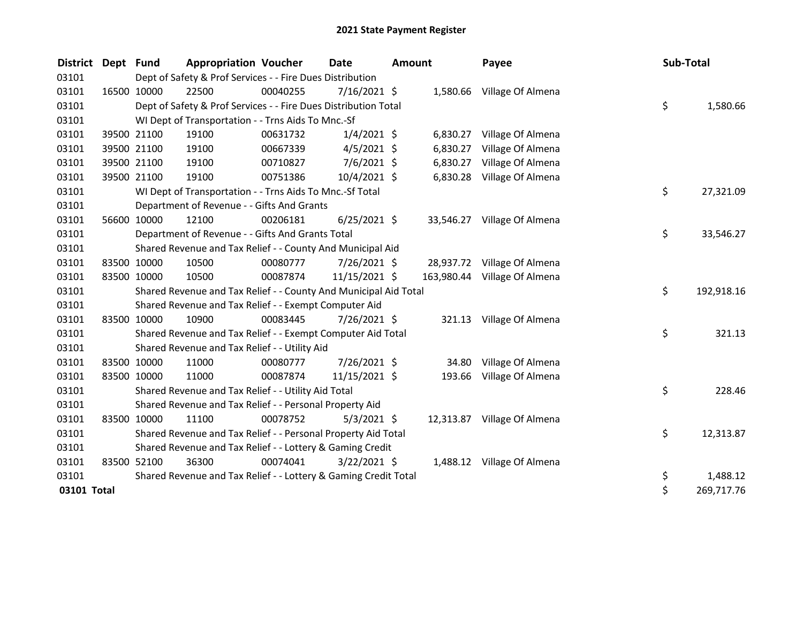| <b>District</b> | Dept Fund |             | <b>Appropriation Voucher</b>                                     |          | <b>Date</b>    | Amount |          | Payee                        | Sub-Total |            |
|-----------------|-----------|-------------|------------------------------------------------------------------|----------|----------------|--------|----------|------------------------------|-----------|------------|
| 03101           |           |             | Dept of Safety & Prof Services - - Fire Dues Distribution        |          |                |        |          |                              |           |            |
| 03101           |           | 16500 10000 | 22500                                                            | 00040255 | $7/16/2021$ \$ |        |          | 1,580.66 Village Of Almena   |           |            |
| 03101           |           |             | Dept of Safety & Prof Services - - Fire Dues Distribution Total  |          |                |        |          |                              | \$        | 1,580.66   |
| 03101           |           |             | WI Dept of Transportation - - Trns Aids To Mnc.-Sf               |          |                |        |          |                              |           |            |
| 03101           |           | 39500 21100 | 19100                                                            | 00631732 | $1/4/2021$ \$  |        |          | 6,830.27 Village Of Almena   |           |            |
| 03101           |           | 39500 21100 | 19100                                                            | 00667339 | $4/5/2021$ \$  |        | 6,830.27 | Village Of Almena            |           |            |
| 03101           |           | 39500 21100 | 19100                                                            | 00710827 | $7/6/2021$ \$  |        | 6,830.27 | Village Of Almena            |           |            |
| 03101           |           | 39500 21100 | 19100                                                            | 00751386 | 10/4/2021 \$   |        | 6,830.28 | Village Of Almena            |           |            |
| 03101           |           |             | WI Dept of Transportation - - Trns Aids To Mnc.-Sf Total         |          |                |        |          |                              | \$        | 27,321.09  |
| 03101           |           |             | Department of Revenue - - Gifts And Grants                       |          |                |        |          |                              |           |            |
| 03101           |           | 56600 10000 | 12100                                                            | 00206181 | $6/25/2021$ \$ |        |          | 33,546.27 Village Of Almena  |           |            |
| 03101           |           |             | Department of Revenue - - Gifts And Grants Total                 |          |                |        |          |                              | \$        | 33,546.27  |
| 03101           |           |             | Shared Revenue and Tax Relief - - County And Municipal Aid       |          |                |        |          |                              |           |            |
| 03101           |           | 83500 10000 | 10500                                                            | 00080777 | 7/26/2021 \$   |        |          | 28,937.72 Village Of Almena  |           |            |
| 03101           |           | 83500 10000 | 10500                                                            | 00087874 | 11/15/2021 \$  |        |          | 163,980.44 Village Of Almena |           |            |
| 03101           |           |             | Shared Revenue and Tax Relief - - County And Municipal Aid Total |          |                |        |          |                              | \$        | 192,918.16 |
| 03101           |           |             | Shared Revenue and Tax Relief - - Exempt Computer Aid            |          |                |        |          |                              |           |            |
| 03101           |           | 83500 10000 | 10900                                                            | 00083445 | 7/26/2021 \$   |        |          | 321.13 Village Of Almena     |           |            |
| 03101           |           |             | Shared Revenue and Tax Relief - - Exempt Computer Aid Total      |          |                |        |          |                              | \$        | 321.13     |
| 03101           |           |             | Shared Revenue and Tax Relief - - Utility Aid                    |          |                |        |          |                              |           |            |
| 03101           |           | 83500 10000 | 11000                                                            | 00080777 | $7/26/2021$ \$ |        | 34.80    | Village Of Almena            |           |            |
| 03101           |           | 83500 10000 | 11000                                                            | 00087874 | 11/15/2021 \$  |        | 193.66   | Village Of Almena            |           |            |
| 03101           |           |             | Shared Revenue and Tax Relief - - Utility Aid Total              |          |                |        |          |                              | \$        | 228.46     |
| 03101           |           |             | Shared Revenue and Tax Relief - - Personal Property Aid          |          |                |        |          |                              |           |            |
| 03101           |           | 83500 10000 | 11100                                                            | 00078752 | $5/3/2021$ \$  |        |          | 12,313.87 Village Of Almena  |           |            |
| 03101           |           |             | Shared Revenue and Tax Relief - - Personal Property Aid Total    |          |                |        |          |                              | \$        | 12,313.87  |
| 03101           |           |             | Shared Revenue and Tax Relief - - Lottery & Gaming Credit        |          |                |        |          |                              |           |            |
| 03101           |           | 83500 52100 | 36300                                                            | 00074041 | $3/22/2021$ \$ |        |          | 1,488.12 Village Of Almena   |           |            |
| 03101           |           |             | Shared Revenue and Tax Relief - - Lottery & Gaming Credit Total  |          |                |        |          |                              | \$        | 1,488.12   |
| 03101 Total     |           |             |                                                                  |          |                |        |          |                              | \$        | 269,717.76 |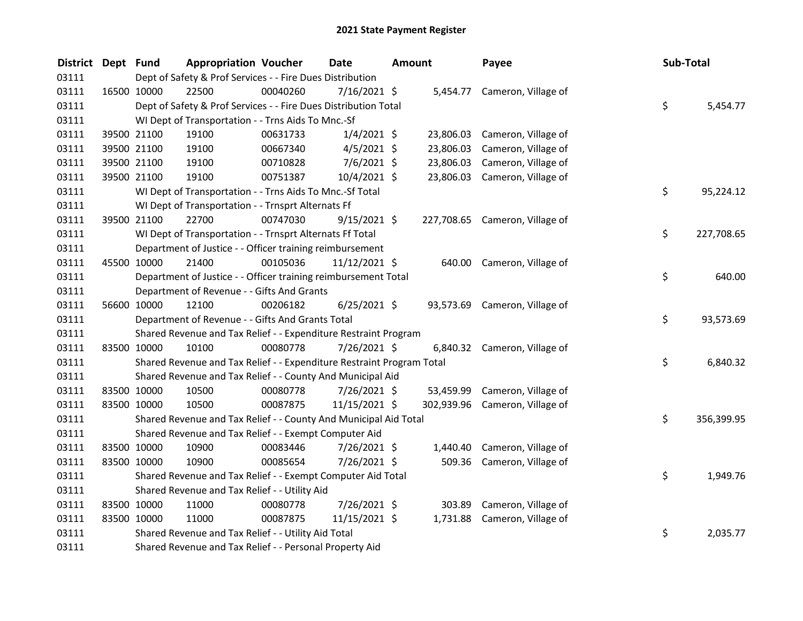| <b>District</b> | Dept Fund |             | <b>Appropriation Voucher</b>                                          |          | Date           | <b>Amount</b> |           | Payee                          | Sub-Total |            |
|-----------------|-----------|-------------|-----------------------------------------------------------------------|----------|----------------|---------------|-----------|--------------------------------|-----------|------------|
| 03111           |           |             | Dept of Safety & Prof Services - - Fire Dues Distribution             |          |                |               |           |                                |           |            |
| 03111           |           | 16500 10000 | 22500                                                                 | 00040260 | 7/16/2021 \$   |               |           | 5,454.77 Cameron, Village of   |           |            |
| 03111           |           |             | Dept of Safety & Prof Services - - Fire Dues Distribution Total       |          |                |               |           |                                | \$        | 5,454.77   |
| 03111           |           |             | WI Dept of Transportation - - Trns Aids To Mnc.-Sf                    |          |                |               |           |                                |           |            |
| 03111           |           | 39500 21100 | 19100                                                                 | 00631733 | $1/4/2021$ \$  |               |           | 23,806.03 Cameron, Village of  |           |            |
| 03111           |           | 39500 21100 | 19100                                                                 | 00667340 | $4/5/2021$ \$  |               | 23,806.03 | Cameron, Village of            |           |            |
| 03111           |           | 39500 21100 | 19100                                                                 | 00710828 | $7/6/2021$ \$  |               | 23,806.03 | Cameron, Village of            |           |            |
| 03111           |           | 39500 21100 | 19100                                                                 | 00751387 | 10/4/2021 \$   |               |           | 23,806.03 Cameron, Village of  |           |            |
| 03111           |           |             | WI Dept of Transportation - - Trns Aids To Mnc.-Sf Total              |          |                |               |           |                                | \$        | 95,224.12  |
| 03111           |           |             | WI Dept of Transportation - - Trnsprt Alternats Ff                    |          |                |               |           |                                |           |            |
| 03111           |           | 39500 21100 | 22700                                                                 | 00747030 | $9/15/2021$ \$ |               |           | 227,708.65 Cameron, Village of |           |            |
| 03111           |           |             | WI Dept of Transportation - - Trnsprt Alternats Ff Total              |          |                |               |           |                                | \$        | 227,708.65 |
| 03111           |           |             | Department of Justice - - Officer training reimbursement              |          |                |               |           |                                |           |            |
| 03111           |           | 45500 10000 | 21400                                                                 | 00105036 | 11/12/2021 \$  |               |           | 640.00 Cameron, Village of     |           |            |
| 03111           |           |             | Department of Justice - - Officer training reimbursement Total        |          |                |               |           |                                | \$        | 640.00     |
| 03111           |           |             | Department of Revenue - - Gifts And Grants                            |          |                |               |           |                                |           |            |
| 03111           |           | 56600 10000 | 12100                                                                 | 00206182 | $6/25/2021$ \$ |               |           | 93,573.69 Cameron, Village of  |           |            |
| 03111           |           |             | Department of Revenue - - Gifts And Grants Total                      |          |                |               |           |                                | \$.       | 93,573.69  |
| 03111           |           |             | Shared Revenue and Tax Relief - - Expenditure Restraint Program       |          |                |               |           |                                |           |            |
| 03111           |           | 83500 10000 | 10100                                                                 | 00080778 | 7/26/2021 \$   |               |           | 6,840.32 Cameron, Village of   |           |            |
| 03111           |           |             | Shared Revenue and Tax Relief - - Expenditure Restraint Program Total |          |                |               |           |                                | \$.       | 6,840.32   |
| 03111           |           |             | Shared Revenue and Tax Relief - - County And Municipal Aid            |          |                |               |           |                                |           |            |
| 03111           |           | 83500 10000 | 10500                                                                 | 00080778 | 7/26/2021 \$   |               |           | 53,459.99 Cameron, Village of  |           |            |
| 03111           |           | 83500 10000 | 10500                                                                 | 00087875 | 11/15/2021 \$  |               |           | 302,939.96 Cameron, Village of |           |            |
| 03111           |           |             | Shared Revenue and Tax Relief - - County And Municipal Aid Total      |          |                |               |           |                                | \$        | 356,399.95 |
| 03111           |           |             | Shared Revenue and Tax Relief - - Exempt Computer Aid                 |          |                |               |           |                                |           |            |
| 03111           |           | 83500 10000 | 10900                                                                 | 00083446 | 7/26/2021 \$   |               |           | 1,440.40 Cameron, Village of   |           |            |
| 03111           |           | 83500 10000 | 10900                                                                 | 00085654 | 7/26/2021 \$   |               |           | 509.36 Cameron, Village of     |           |            |
| 03111           |           |             | Shared Revenue and Tax Relief - - Exempt Computer Aid Total           |          |                |               |           |                                | \$.       | 1,949.76   |
| 03111           |           |             | Shared Revenue and Tax Relief - - Utility Aid                         |          |                |               |           |                                |           |            |
| 03111           |           | 83500 10000 | 11000                                                                 | 00080778 | 7/26/2021 \$   |               | 303.89    | Cameron, Village of            |           |            |
| 03111           |           | 83500 10000 | 11000                                                                 | 00087875 | 11/15/2021 \$  |               |           | 1,731.88 Cameron, Village of   |           |            |
| 03111           |           |             | Shared Revenue and Tax Relief - - Utility Aid Total                   |          |                |               |           |                                | \$        | 2,035.77   |
| 03111           |           |             | Shared Revenue and Tax Relief - - Personal Property Aid               |          |                |               |           |                                |           |            |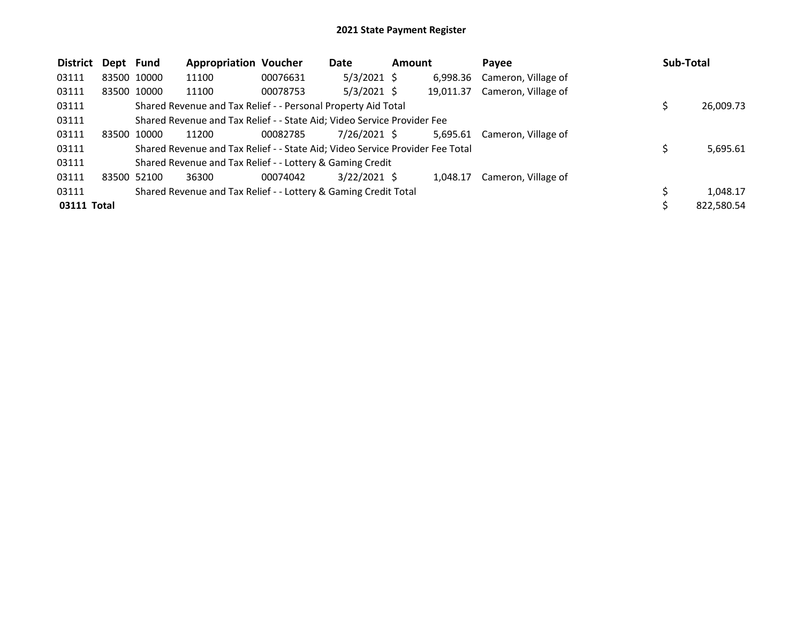| <b>District</b> | Dept Fund   |             | <b>Appropriation Voucher</b>                                                  |          | Date           | <b>Amount</b> |           | Payee               | Sub-Total  |
|-----------------|-------------|-------------|-------------------------------------------------------------------------------|----------|----------------|---------------|-----------|---------------------|------------|
| 03111           |             | 83500 10000 | 11100                                                                         | 00076631 | $5/3/2021$ \$  |               | 6,998.36  | Cameron, Village of |            |
| 03111           |             | 83500 10000 | 11100                                                                         | 00078753 | $5/3/2021$ \$  |               | 19,011.37 | Cameron, Village of |            |
| 03111           |             |             | Shared Revenue and Tax Relief - - Personal Property Aid Total                 |          |                |               |           |                     | 26,009.73  |
| 03111           |             |             | Shared Revenue and Tax Relief - - State Aid; Video Service Provider Fee       |          |                |               |           |                     |            |
| 03111           | 83500 10000 |             | 11200                                                                         | 00082785 | 7/26/2021 \$   |               | 5,695.61  | Cameron, Village of |            |
| 03111           |             |             | Shared Revenue and Tax Relief - - State Aid; Video Service Provider Fee Total |          |                |               |           |                     | 5,695.61   |
| 03111           |             |             | Shared Revenue and Tax Relief - - Lottery & Gaming Credit                     |          |                |               |           |                     |            |
| 03111           |             | 83500 52100 | 36300                                                                         | 00074042 | $3/22/2021$ \$ |               | 1.048.17  | Cameron, Village of |            |
| 03111           |             |             | Shared Revenue and Tax Relief - - Lottery & Gaming Credit Total               |          |                |               |           |                     | 1,048.17   |
| 03111 Total     |             |             |                                                                               |          |                |               |           |                     | 822,580.54 |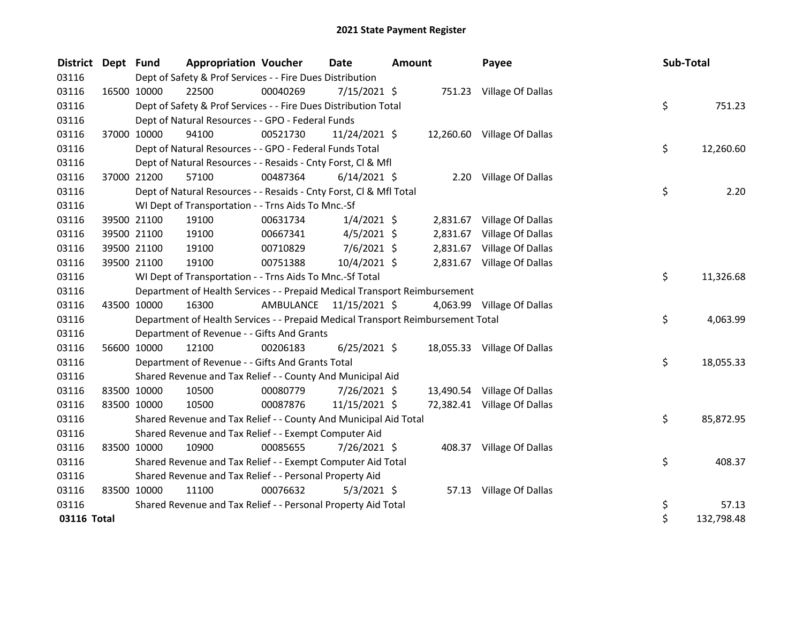| District Dept Fund |             | <b>Appropriation Voucher</b>                                                    |                         | <b>Date</b>    | <b>Amount</b> |          | Payee                       | Sub-Total |            |
|--------------------|-------------|---------------------------------------------------------------------------------|-------------------------|----------------|---------------|----------|-----------------------------|-----------|------------|
| 03116              |             | Dept of Safety & Prof Services - - Fire Dues Distribution                       |                         |                |               |          |                             |           |            |
| 03116              | 16500 10000 | 22500                                                                           | 00040269                | $7/15/2021$ \$ |               |          | 751.23 Village Of Dallas    |           |            |
| 03116              |             | Dept of Safety & Prof Services - - Fire Dues Distribution Total                 |                         |                |               |          |                             | \$        | 751.23     |
| 03116              |             | Dept of Natural Resources - - GPO - Federal Funds                               |                         |                |               |          |                             |           |            |
| 03116              | 37000 10000 | 94100                                                                           | 00521730                | 11/24/2021 \$  |               |          | 12,260.60 Village Of Dallas |           |            |
| 03116              |             | Dept of Natural Resources - - GPO - Federal Funds Total                         |                         |                |               |          |                             | \$        | 12,260.60  |
| 03116              |             | Dept of Natural Resources - - Resaids - Cnty Forst, Cl & Mfl                    |                         |                |               |          |                             |           |            |
| 03116              | 37000 21200 | 57100                                                                           | 00487364                | $6/14/2021$ \$ |               |          | 2.20 Village Of Dallas      |           |            |
| 03116              |             | Dept of Natural Resources - - Resaids - Cnty Forst, CI & Mfl Total              |                         |                |               |          |                             | \$        | 2.20       |
| 03116              |             | WI Dept of Transportation - - Trns Aids To Mnc.-Sf                              |                         |                |               |          |                             |           |            |
| 03116              | 39500 21100 | 19100                                                                           | 00631734                | $1/4/2021$ \$  |               | 2,831.67 | Village Of Dallas           |           |            |
| 03116              | 39500 21100 | 19100                                                                           | 00667341                | $4/5/2021$ \$  |               | 2,831.67 | Village Of Dallas           |           |            |
| 03116              | 39500 21100 | 19100                                                                           | 00710829                | $7/6/2021$ \$  |               |          | 2,831.67 Village Of Dallas  |           |            |
| 03116              | 39500 21100 | 19100                                                                           | 00751388                | 10/4/2021 \$   |               |          | 2,831.67 Village Of Dallas  |           |            |
| 03116              |             | WI Dept of Transportation - - Trns Aids To Mnc.-Sf Total                        |                         |                |               |          |                             | \$        | 11,326.68  |
| 03116              |             | Department of Health Services - - Prepaid Medical Transport Reimbursement       |                         |                |               |          |                             |           |            |
| 03116              | 43500 10000 | 16300                                                                           | AMBULANCE 11/15/2021 \$ |                |               |          | 4,063.99 Village Of Dallas  |           |            |
| 03116              |             | Department of Health Services - - Prepaid Medical Transport Reimbursement Total |                         |                |               |          |                             | \$        | 4,063.99   |
| 03116              |             | Department of Revenue - - Gifts And Grants                                      |                         |                |               |          |                             |           |            |
| 03116              | 56600 10000 | 12100                                                                           | 00206183                | $6/25/2021$ \$ |               |          | 18,055.33 Village Of Dallas |           |            |
| 03116              |             | Department of Revenue - - Gifts And Grants Total                                |                         |                |               |          |                             | \$        | 18,055.33  |
| 03116              |             | Shared Revenue and Tax Relief - - County And Municipal Aid                      |                         |                |               |          |                             |           |            |
| 03116              | 83500 10000 | 10500                                                                           | 00080779                | 7/26/2021 \$   |               |          | 13,490.54 Village Of Dallas |           |            |
| 03116              | 83500 10000 | 10500                                                                           | 00087876                | 11/15/2021 \$  |               |          | 72,382.41 Village Of Dallas |           |            |
| 03116              |             | Shared Revenue and Tax Relief - - County And Municipal Aid Total                |                         |                |               |          |                             | \$        | 85,872.95  |
| 03116              |             | Shared Revenue and Tax Relief - - Exempt Computer Aid                           |                         |                |               |          |                             |           |            |
| 03116              | 83500 10000 | 10900                                                                           | 00085655                | 7/26/2021 \$   |               |          | 408.37 Village Of Dallas    |           |            |
| 03116              |             | Shared Revenue and Tax Relief - - Exempt Computer Aid Total                     |                         |                |               |          |                             | \$        | 408.37     |
| 03116              |             | Shared Revenue and Tax Relief - - Personal Property Aid                         |                         |                |               |          |                             |           |            |
| 03116              | 83500 10000 | 11100                                                                           | 00076632                | $5/3/2021$ \$  |               |          | 57.13 Village Of Dallas     |           |            |
| 03116              |             | Shared Revenue and Tax Relief - - Personal Property Aid Total                   |                         |                |               |          |                             | \$        | 57.13      |
| 03116 Total        |             |                                                                                 |                         |                |               |          |                             | \$        | 132,798.48 |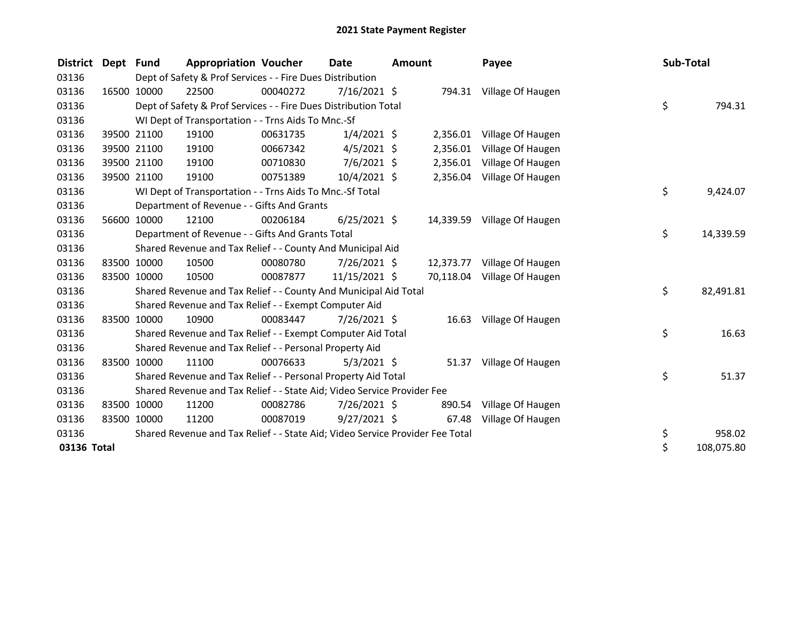| District Dept | <b>Fund</b> | <b>Appropriation Voucher</b>                                                  |          | <b>Date</b>    | Amount |          | Payee                       | Sub-Total |            |
|---------------|-------------|-------------------------------------------------------------------------------|----------|----------------|--------|----------|-----------------------------|-----------|------------|
| 03136         |             | Dept of Safety & Prof Services - - Fire Dues Distribution                     |          |                |        |          |                             |           |            |
| 03136         | 16500 10000 | 22500                                                                         | 00040272 | 7/16/2021 \$   |        |          | 794.31 Village Of Haugen    |           |            |
| 03136         |             | Dept of Safety & Prof Services - - Fire Dues Distribution Total               |          |                |        |          |                             | \$        | 794.31     |
| 03136         |             | WI Dept of Transportation - - Trns Aids To Mnc.-Sf                            |          |                |        |          |                             |           |            |
| 03136         | 39500 21100 | 19100                                                                         | 00631735 | $1/4/2021$ \$  |        | 2,356.01 | Village Of Haugen           |           |            |
| 03136         | 39500 21100 | 19100                                                                         | 00667342 | $4/5/2021$ \$  |        | 2,356.01 | Village Of Haugen           |           |            |
| 03136         | 39500 21100 | 19100                                                                         | 00710830 | 7/6/2021 \$    |        | 2,356.01 | Village Of Haugen           |           |            |
| 03136         | 39500 21100 | 19100                                                                         | 00751389 | 10/4/2021 \$   |        |          | 2,356.04 Village Of Haugen  |           |            |
| 03136         |             | WI Dept of Transportation - - Trns Aids To Mnc.-Sf Total                      |          |                |        |          |                             | \$        | 9,424.07   |
| 03136         |             | Department of Revenue - - Gifts And Grants                                    |          |                |        |          |                             |           |            |
| 03136         | 56600 10000 | 12100                                                                         | 00206184 | $6/25/2021$ \$ |        |          | 14,339.59 Village Of Haugen |           |            |
| 03136         |             | Department of Revenue - - Gifts And Grants Total                              |          |                |        |          |                             | \$        | 14,339.59  |
| 03136         |             | Shared Revenue and Tax Relief - - County And Municipal Aid                    |          |                |        |          |                             |           |            |
| 03136         | 83500 10000 | 10500                                                                         | 00080780 | $7/26/2021$ \$ |        |          | 12,373.77 Village Of Haugen |           |            |
| 03136         | 83500 10000 | 10500                                                                         | 00087877 | 11/15/2021 \$  |        |          | 70,118.04 Village Of Haugen |           |            |
| 03136         |             | Shared Revenue and Tax Relief - - County And Municipal Aid Total              |          |                |        |          |                             | \$        | 82,491.81  |
| 03136         |             | Shared Revenue and Tax Relief - - Exempt Computer Aid                         |          |                |        |          |                             |           |            |
| 03136         | 83500 10000 | 10900                                                                         | 00083447 | $7/26/2021$ \$ |        |          | 16.63 Village Of Haugen     |           |            |
| 03136         |             | Shared Revenue and Tax Relief - - Exempt Computer Aid Total                   |          |                |        |          |                             | \$        | 16.63      |
| 03136         |             | Shared Revenue and Tax Relief - - Personal Property Aid                       |          |                |        |          |                             |           |            |
| 03136         | 83500 10000 | 11100                                                                         | 00076633 | $5/3/2021$ \$  |        |          | 51.37 Village Of Haugen     |           |            |
| 03136         |             | Shared Revenue and Tax Relief - - Personal Property Aid Total                 |          |                |        |          |                             | \$        | 51.37      |
| 03136         |             | Shared Revenue and Tax Relief - - State Aid; Video Service Provider Fee       |          |                |        |          |                             |           |            |
| 03136         | 83500 10000 | 11200                                                                         | 00082786 | $7/26/2021$ \$ |        | 890.54   | Village Of Haugen           |           |            |
| 03136         | 83500 10000 | 11200                                                                         | 00087019 | $9/27/2021$ \$ |        | 67.48    | Village Of Haugen           |           |            |
| 03136         |             | Shared Revenue and Tax Relief - - State Aid; Video Service Provider Fee Total |          |                |        |          |                             | \$        | 958.02     |
| 03136 Total   |             |                                                                               |          |                |        |          |                             | \$        | 108,075.80 |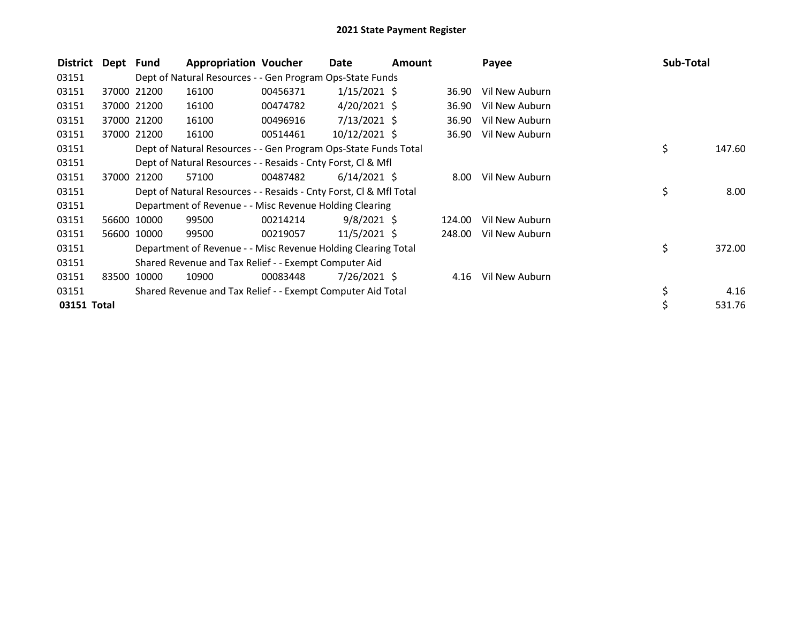| <b>District</b> | Dept  | <b>Fund</b> | <b>Appropriation Voucher</b>                                       |          | Date           | <b>Amount</b> |        | Payee          | Sub-Total    |
|-----------------|-------|-------------|--------------------------------------------------------------------|----------|----------------|---------------|--------|----------------|--------------|
| 03151           |       |             | Dept of Natural Resources - - Gen Program Ops-State Funds          |          |                |               |        |                |              |
| 03151           |       | 37000 21200 | 16100                                                              | 00456371 | $1/15/2021$ \$ |               | 36.90  | Vil New Auburn |              |
| 03151           |       | 37000 21200 | 16100                                                              | 00474782 | $4/20/2021$ \$ |               | 36.90  | Vil New Auburn |              |
| 03151           |       | 37000 21200 | 16100                                                              | 00496916 | $7/13/2021$ \$ |               | 36.90  | Vil New Auburn |              |
| 03151           |       | 37000 21200 | 16100                                                              | 00514461 | 10/12/2021 \$  |               | 36.90  | Vil New Auburn |              |
| 03151           |       |             | Dept of Natural Resources - - Gen Program Ops-State Funds Total    |          |                |               |        |                | \$<br>147.60 |
| 03151           |       |             | Dept of Natural Resources - - Resaids - Cnty Forst, CI & Mfl       |          |                |               |        |                |              |
| 03151           | 37000 | 21200       | 57100                                                              | 00487482 | $6/14/2021$ \$ |               | 8.00   | Vil New Auburn |              |
| 03151           |       |             | Dept of Natural Resources - - Resaids - Cnty Forst, Cl & Mfl Total |          |                |               |        |                | \$<br>8.00   |
| 03151           |       |             | Department of Revenue - - Misc Revenue Holding Clearing            |          |                |               |        |                |              |
| 03151           |       | 56600 10000 | 99500                                                              | 00214214 | $9/8/2021$ \$  |               | 124.00 | Vil New Auburn |              |
| 03151           | 56600 | 10000       | 99500                                                              | 00219057 | $11/5/2021$ \$ |               | 248.00 | Vil New Auburn |              |
| 03151           |       |             | Department of Revenue - - Misc Revenue Holding Clearing Total      |          |                |               |        |                | \$<br>372.00 |
| 03151           |       |             | Shared Revenue and Tax Relief - - Exempt Computer Aid              |          |                |               |        |                |              |
| 03151           | 83500 | 10000       | 10900                                                              | 00083448 | $7/26/2021$ \$ |               | 4.16   | Vil New Auburn |              |
| 03151           |       |             | Shared Revenue and Tax Relief - - Exempt Computer Aid Total        |          |                |               |        |                | \$<br>4.16   |
| 03151 Total     |       |             |                                                                    |          |                |               |        |                | \$<br>531.76 |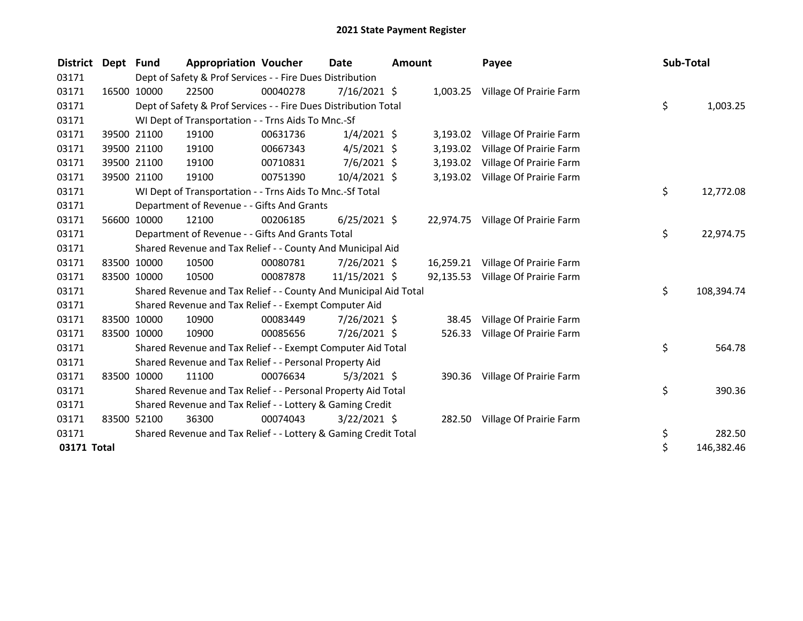| <b>District</b> | Dept Fund |             | <b>Appropriation Voucher</b>                                     |          | Date           | Amount |           | Payee                             | Sub-Total |            |
|-----------------|-----------|-------------|------------------------------------------------------------------|----------|----------------|--------|-----------|-----------------------------------|-----------|------------|
| 03171           |           |             | Dept of Safety & Prof Services - - Fire Dues Distribution        |          |                |        |           |                                   |           |            |
| 03171           |           | 16500 10000 | 22500                                                            | 00040278 | $7/16/2021$ \$ |        |           | 1,003.25 Village Of Prairie Farm  |           |            |
| 03171           |           |             | Dept of Safety & Prof Services - - Fire Dues Distribution Total  |          |                |        |           |                                   | \$        | 1,003.25   |
| 03171           |           |             | WI Dept of Transportation - - Trns Aids To Mnc.-Sf               |          |                |        |           |                                   |           |            |
| 03171           |           | 39500 21100 | 19100                                                            | 00631736 | $1/4/2021$ \$  |        | 3,193.02  | Village Of Prairie Farm           |           |            |
| 03171           |           | 39500 21100 | 19100                                                            | 00667343 | $4/5/2021$ \$  |        | 3,193.02  | Village Of Prairie Farm           |           |            |
| 03171           |           | 39500 21100 | 19100                                                            | 00710831 | $7/6/2021$ \$  |        | 3,193.02  | Village Of Prairie Farm           |           |            |
| 03171           |           | 39500 21100 | 19100                                                            | 00751390 | $10/4/2021$ \$ |        | 3,193.02  | Village Of Prairie Farm           |           |            |
| 03171           |           |             | WI Dept of Transportation - - Trns Aids To Mnc.-Sf Total         |          |                |        |           |                                   | \$        | 12,772.08  |
| 03171           |           |             | Department of Revenue - - Gifts And Grants                       |          |                |        |           |                                   |           |            |
| 03171           |           | 56600 10000 | 12100                                                            | 00206185 | $6/25/2021$ \$ |        |           | 22,974.75 Village Of Prairie Farm |           |            |
| 03171           |           |             | Department of Revenue - - Gifts And Grants Total                 |          |                |        |           |                                   | \$        | 22,974.75  |
| 03171           |           |             | Shared Revenue and Tax Relief - - County And Municipal Aid       |          |                |        |           |                                   |           |            |
| 03171           |           | 83500 10000 | 10500                                                            | 00080781 | $7/26/2021$ \$ |        | 16,259.21 | Village Of Prairie Farm           |           |            |
| 03171           |           | 83500 10000 | 10500                                                            | 00087878 | 11/15/2021 \$  |        | 92,135.53 | Village Of Prairie Farm           |           |            |
| 03171           |           |             | Shared Revenue and Tax Relief - - County And Municipal Aid Total |          |                |        |           |                                   | \$        | 108,394.74 |
| 03171           |           |             | Shared Revenue and Tax Relief - - Exempt Computer Aid            |          |                |        |           |                                   |           |            |
| 03171           |           | 83500 10000 | 10900                                                            | 00083449 | $7/26/2021$ \$ |        | 38.45     | Village Of Prairie Farm           |           |            |
| 03171           |           | 83500 10000 | 10900                                                            | 00085656 | 7/26/2021 \$   |        | 526.33    | Village Of Prairie Farm           |           |            |
| 03171           |           |             | Shared Revenue and Tax Relief - - Exempt Computer Aid Total      |          |                |        |           |                                   | \$        | 564.78     |
| 03171           |           |             | Shared Revenue and Tax Relief - - Personal Property Aid          |          |                |        |           |                                   |           |            |
| 03171           |           | 83500 10000 | 11100                                                            | 00076634 | $5/3/2021$ \$  |        |           | 390.36 Village Of Prairie Farm    |           |            |
| 03171           |           |             | Shared Revenue and Tax Relief - - Personal Property Aid Total    |          |                |        |           |                                   | \$        | 390.36     |
| 03171           |           |             | Shared Revenue and Tax Relief - - Lottery & Gaming Credit        |          |                |        |           |                                   |           |            |
| 03171           |           | 83500 52100 | 36300                                                            | 00074043 | $3/22/2021$ \$ |        |           | 282.50 Village Of Prairie Farm    |           |            |
| 03171           |           |             | Shared Revenue and Tax Relief - - Lottery & Gaming Credit Total  |          |                |        |           |                                   | \$        | 282.50     |
| 03171 Total     |           |             |                                                                  |          |                |        |           |                                   | \$        | 146,382.46 |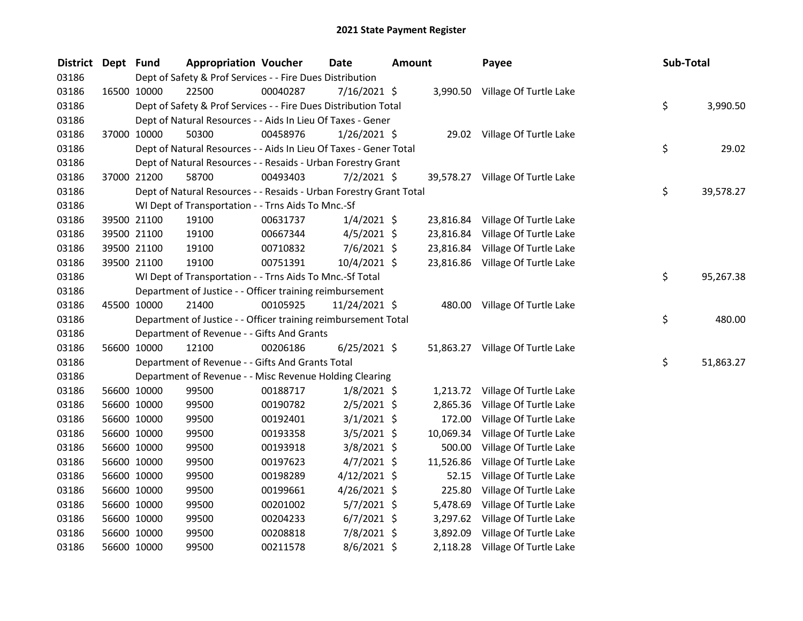| <b>District</b> | Dept Fund |             | <b>Appropriation Voucher</b>                                       |          | <b>Date</b>    | <b>Amount</b> |           | Payee                            | Sub-Total |           |
|-----------------|-----------|-------------|--------------------------------------------------------------------|----------|----------------|---------------|-----------|----------------------------------|-----------|-----------|
| 03186           |           |             | Dept of Safety & Prof Services - - Fire Dues Distribution          |          |                |               |           |                                  |           |           |
| 03186           |           | 16500 10000 | 22500                                                              | 00040287 | $7/16/2021$ \$ |               |           | 3,990.50 Village Of Turtle Lake  |           |           |
| 03186           |           |             | Dept of Safety & Prof Services - - Fire Dues Distribution Total    |          |                |               |           |                                  | \$        | 3,990.50  |
| 03186           |           |             | Dept of Natural Resources - - Aids In Lieu Of Taxes - Gener        |          |                |               |           |                                  |           |           |
| 03186           |           | 37000 10000 | 50300                                                              | 00458976 | $1/26/2021$ \$ |               |           | 29.02 Village Of Turtle Lake     |           |           |
| 03186           |           |             | Dept of Natural Resources - - Aids In Lieu Of Taxes - Gener Total  |          |                |               |           |                                  | \$        | 29.02     |
| 03186           |           |             | Dept of Natural Resources - - Resaids - Urban Forestry Grant       |          |                |               |           |                                  |           |           |
| 03186           |           | 37000 21200 | 58700                                                              | 00493403 | $7/2/2021$ \$  |               |           | 39,578.27 Village Of Turtle Lake |           |           |
| 03186           |           |             | Dept of Natural Resources - - Resaids - Urban Forestry Grant Total |          |                |               |           |                                  | \$        | 39,578.27 |
| 03186           |           |             | WI Dept of Transportation - - Trns Aids To Mnc.-Sf                 |          |                |               |           |                                  |           |           |
| 03186           |           | 39500 21100 | 19100                                                              | 00631737 | $1/4/2021$ \$  |               |           | 23,816.84 Village Of Turtle Lake |           |           |
| 03186           |           | 39500 21100 | 19100                                                              | 00667344 | $4/5/2021$ \$  |               |           | 23,816.84 Village Of Turtle Lake |           |           |
| 03186           |           | 39500 21100 | 19100                                                              | 00710832 | $7/6/2021$ \$  |               |           | 23,816.84 Village Of Turtle Lake |           |           |
| 03186           |           | 39500 21100 | 19100                                                              | 00751391 | 10/4/2021 \$   |               |           | 23,816.86 Village Of Turtle Lake |           |           |
| 03186           |           |             | WI Dept of Transportation - - Trns Aids To Mnc.-Sf Total           |          |                |               |           |                                  | \$        | 95,267.38 |
| 03186           |           |             | Department of Justice - - Officer training reimbursement           |          |                |               |           |                                  |           |           |
| 03186           |           | 45500 10000 | 21400                                                              | 00105925 | 11/24/2021 \$  |               |           | 480.00 Village Of Turtle Lake    |           |           |
| 03186           |           |             | Department of Justice - - Officer training reimbursement Total     |          |                |               |           |                                  | \$        | 480.00    |
| 03186           |           |             | Department of Revenue - - Gifts And Grants                         |          |                |               |           |                                  |           |           |
| 03186           |           | 56600 10000 | 12100                                                              | 00206186 | $6/25/2021$ \$ |               |           | 51,863.27 Village Of Turtle Lake |           |           |
| 03186           |           |             | Department of Revenue - - Gifts And Grants Total                   |          |                |               |           |                                  | \$        | 51,863.27 |
| 03186           |           |             | Department of Revenue - - Misc Revenue Holding Clearing            |          |                |               |           |                                  |           |           |
| 03186           |           | 56600 10000 | 99500                                                              | 00188717 | $1/8/2021$ \$  |               | 1,213.72  | Village Of Turtle Lake           |           |           |
| 03186           |           | 56600 10000 | 99500                                                              | 00190782 | $2/5/2021$ \$  |               | 2,865.36  | Village Of Turtle Lake           |           |           |
| 03186           |           | 56600 10000 | 99500                                                              | 00192401 | $3/1/2021$ \$  |               | 172.00    | Village Of Turtle Lake           |           |           |
| 03186           |           | 56600 10000 | 99500                                                              | 00193358 | $3/5/2021$ \$  |               | 10,069.34 | Village Of Turtle Lake           |           |           |
| 03186           |           | 56600 10000 | 99500                                                              | 00193918 | $3/8/2021$ \$  |               | 500.00    | Village Of Turtle Lake           |           |           |
| 03186           |           | 56600 10000 | 99500                                                              | 00197623 | $4/7/2021$ \$  |               | 11,526.86 | Village Of Turtle Lake           |           |           |
| 03186           |           | 56600 10000 | 99500                                                              | 00198289 | $4/12/2021$ \$ |               | 52.15     | Village Of Turtle Lake           |           |           |
| 03186           |           | 56600 10000 | 99500                                                              | 00199661 | 4/26/2021 \$   |               | 225.80    | Village Of Turtle Lake           |           |           |
| 03186           |           | 56600 10000 | 99500                                                              | 00201002 | $5/7/2021$ \$  |               | 5,478.69  | Village Of Turtle Lake           |           |           |
| 03186           |           | 56600 10000 | 99500                                                              | 00204233 | $6/7/2021$ \$  |               | 3,297.62  | Village Of Turtle Lake           |           |           |
| 03186           |           | 56600 10000 | 99500                                                              | 00208818 | 7/8/2021 \$    |               | 3,892.09  | Village Of Turtle Lake           |           |           |
| 03186           |           | 56600 10000 | 99500                                                              | 00211578 | $8/6/2021$ \$  |               | 2,118.28  | Village Of Turtle Lake           |           |           |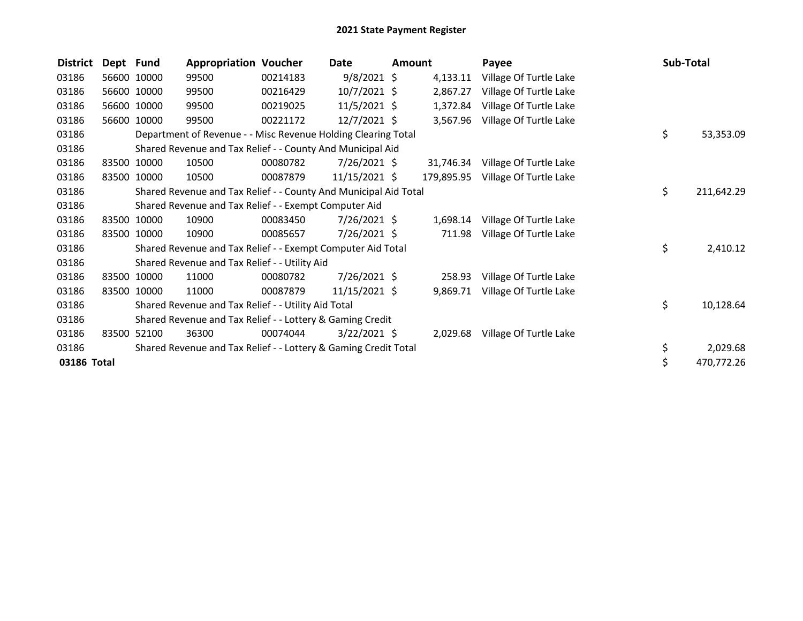| <b>District</b> | Dept Fund |             | <b>Appropriation Voucher</b>                                     |          | <b>Date</b>     | <b>Amount</b> |            | Payee                  | Sub-Total |            |
|-----------------|-----------|-------------|------------------------------------------------------------------|----------|-----------------|---------------|------------|------------------------|-----------|------------|
| 03186           |           | 56600 10000 | 99500                                                            | 00214183 | $9/8/2021$ \$   |               | 4,133.11   | Village Of Turtle Lake |           |            |
| 03186           |           | 56600 10000 | 99500                                                            | 00216429 | $10/7/2021$ \$  |               | 2,867.27   | Village Of Turtle Lake |           |            |
| 03186           |           | 56600 10000 | 99500                                                            | 00219025 | $11/5/2021$ \$  |               | 1,372.84   | Village Of Turtle Lake |           |            |
| 03186           |           | 56600 10000 | 99500                                                            | 00221172 | 12/7/2021 \$    |               | 3,567.96   | Village Of Turtle Lake |           |            |
| 03186           |           |             | Department of Revenue - - Misc Revenue Holding Clearing Total    |          |                 |               |            |                        | \$        | 53,353.09  |
| 03186           |           |             | Shared Revenue and Tax Relief - - County And Municipal Aid       |          |                 |               |            |                        |           |            |
| 03186           |           | 83500 10000 | 10500                                                            | 00080782 | $7/26/2021$ \$  |               | 31,746.34  | Village Of Turtle Lake |           |            |
| 03186           | 83500     | 10000       | 10500                                                            | 00087879 | $11/15/2021$ \$ |               | 179,895.95 | Village Of Turtle Lake |           |            |
| 03186           |           |             | Shared Revenue and Tax Relief - - County And Municipal Aid Total |          |                 |               |            |                        | \$        | 211,642.29 |
| 03186           |           |             | Shared Revenue and Tax Relief - - Exempt Computer Aid            |          |                 |               |            |                        |           |            |
| 03186           |           | 83500 10000 | 10900                                                            | 00083450 | 7/26/2021 \$    |               | 1,698.14   | Village Of Turtle Lake |           |            |
| 03186           | 83500     | 10000       | 10900                                                            | 00085657 | $7/26/2021$ \$  |               | 711.98     | Village Of Turtle Lake |           |            |
| 03186           |           |             | Shared Revenue and Tax Relief - - Exempt Computer Aid Total      |          |                 |               |            |                        | \$        | 2,410.12   |
| 03186           |           |             | Shared Revenue and Tax Relief - - Utility Aid                    |          |                 |               |            |                        |           |            |
| 03186           | 83500     | 10000       | 11000                                                            | 00080782 | 7/26/2021 \$    |               | 258.93     | Village Of Turtle Lake |           |            |
| 03186           | 83500     | 10000       | 11000                                                            | 00087879 | $11/15/2021$ \$ |               | 9,869.71   | Village Of Turtle Lake |           |            |
| 03186           |           |             | Shared Revenue and Tax Relief - - Utility Aid Total              |          |                 |               |            |                        | \$        | 10,128.64  |
| 03186           |           |             | Shared Revenue and Tax Relief - - Lottery & Gaming Credit        |          |                 |               |            |                        |           |            |
| 03186           | 83500     | 52100       | 36300                                                            | 00074044 | 3/22/2021 \$    |               | 2,029.68   | Village Of Turtle Lake |           |            |
| 03186           |           |             | Shared Revenue and Tax Relief - - Lottery & Gaming Credit Total  |          |                 |               |            |                        | \$        | 2,029.68   |
| 03186 Total     |           |             |                                                                  |          |                 |               |            |                        | \$        | 470,772.26 |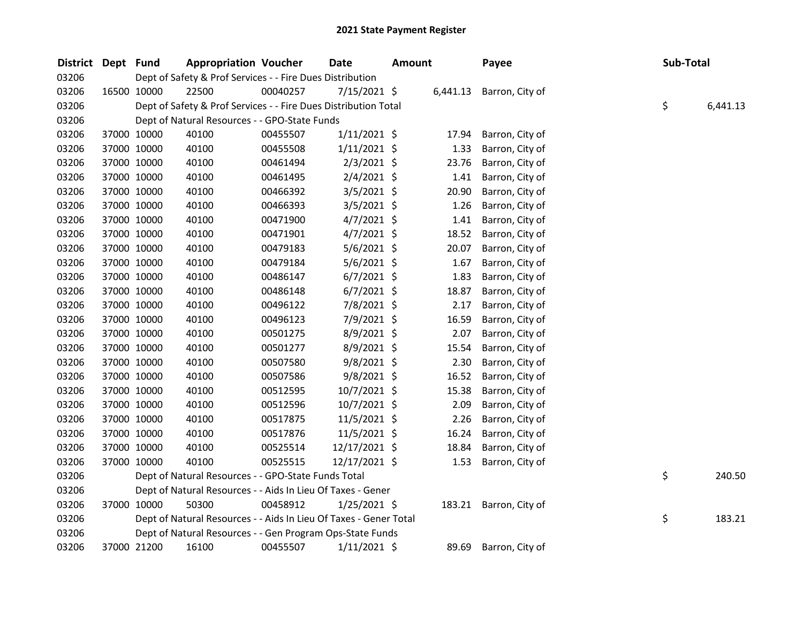| <b>District</b> | Dept Fund |             | <b>Appropriation Voucher</b>                                      |          | <b>Date</b>    | <b>Amount</b> |          | Payee           | Sub-Total |          |
|-----------------|-----------|-------------|-------------------------------------------------------------------|----------|----------------|---------------|----------|-----------------|-----------|----------|
| 03206           |           |             | Dept of Safety & Prof Services - - Fire Dues Distribution         |          |                |               |          |                 |           |          |
| 03206           |           | 16500 10000 | 22500                                                             | 00040257 | 7/15/2021 \$   |               | 6,441.13 | Barron, City of |           |          |
| 03206           |           |             | Dept of Safety & Prof Services - - Fire Dues Distribution Total   |          |                |               |          |                 | \$        | 6,441.13 |
| 03206           |           |             | Dept of Natural Resources - - GPO-State Funds                     |          |                |               |          |                 |           |          |
| 03206           |           | 37000 10000 | 40100                                                             | 00455507 | $1/11/2021$ \$ |               | 17.94    | Barron, City of |           |          |
| 03206           |           | 37000 10000 | 40100                                                             | 00455508 | 1/11/2021 \$   |               | 1.33     | Barron, City of |           |          |
| 03206           |           | 37000 10000 | 40100                                                             | 00461494 | $2/3/2021$ \$  |               | 23.76    | Barron, City of |           |          |
| 03206           |           | 37000 10000 | 40100                                                             | 00461495 | $2/4/2021$ \$  |               | 1.41     | Barron, City of |           |          |
| 03206           |           | 37000 10000 | 40100                                                             | 00466392 | $3/5/2021$ \$  |               | 20.90    | Barron, City of |           |          |
| 03206           |           | 37000 10000 | 40100                                                             | 00466393 | $3/5/2021$ \$  |               | 1.26     | Barron, City of |           |          |
| 03206           |           | 37000 10000 | 40100                                                             | 00471900 | $4/7/2021$ \$  |               | 1.41     | Barron, City of |           |          |
| 03206           |           | 37000 10000 | 40100                                                             | 00471901 | $4/7/2021$ \$  |               | 18.52    | Barron, City of |           |          |
| 03206           |           | 37000 10000 | 40100                                                             | 00479183 | 5/6/2021 \$    |               | 20.07    | Barron, City of |           |          |
| 03206           |           | 37000 10000 | 40100                                                             | 00479184 | $5/6/2021$ \$  |               | 1.67     | Barron, City of |           |          |
| 03206           |           | 37000 10000 | 40100                                                             | 00486147 | $6/7/2021$ \$  |               | 1.83     | Barron, City of |           |          |
| 03206           |           | 37000 10000 | 40100                                                             | 00486148 | $6/7/2021$ \$  |               | 18.87    | Barron, City of |           |          |
| 03206           |           | 37000 10000 | 40100                                                             | 00496122 | 7/8/2021 \$    |               | 2.17     | Barron, City of |           |          |
| 03206           |           | 37000 10000 | 40100                                                             | 00496123 | 7/9/2021 \$    |               | 16.59    | Barron, City of |           |          |
| 03206           |           | 37000 10000 | 40100                                                             | 00501275 | 8/9/2021 \$    |               | 2.07     | Barron, City of |           |          |
| 03206           |           | 37000 10000 | 40100                                                             | 00501277 | 8/9/2021 \$    |               | 15.54    | Barron, City of |           |          |
| 03206           |           | 37000 10000 | 40100                                                             | 00507580 | $9/8/2021$ \$  |               | 2.30     | Barron, City of |           |          |
| 03206           |           | 37000 10000 | 40100                                                             | 00507586 | $9/8/2021$ \$  |               | 16.52    | Barron, City of |           |          |
| 03206           |           | 37000 10000 | 40100                                                             | 00512595 | 10/7/2021 \$   |               | 15.38    | Barron, City of |           |          |
| 03206           |           | 37000 10000 | 40100                                                             | 00512596 | 10/7/2021 \$   |               | 2.09     | Barron, City of |           |          |
| 03206           |           | 37000 10000 | 40100                                                             | 00517875 | 11/5/2021 \$   |               | 2.26     | Barron, City of |           |          |
| 03206           |           | 37000 10000 | 40100                                                             | 00517876 | 11/5/2021 \$   |               | 16.24    | Barron, City of |           |          |
| 03206           |           | 37000 10000 | 40100                                                             | 00525514 | 12/17/2021 \$  |               | 18.84    | Barron, City of |           |          |
| 03206           |           | 37000 10000 | 40100                                                             | 00525515 | 12/17/2021 \$  |               | 1.53     | Barron, City of |           |          |
| 03206           |           |             | Dept of Natural Resources - - GPO-State Funds Total               |          |                |               |          |                 | \$        | 240.50   |
| 03206           |           |             | Dept of Natural Resources - - Aids In Lieu Of Taxes - Gener       |          |                |               |          |                 |           |          |
| 03206           |           | 37000 10000 | 50300                                                             | 00458912 | $1/25/2021$ \$ |               | 183.21   | Barron, City of |           |          |
| 03206           |           |             | Dept of Natural Resources - - Aids In Lieu Of Taxes - Gener Total |          |                |               |          |                 | \$        | 183.21   |
| 03206           |           |             | Dept of Natural Resources - - Gen Program Ops-State Funds         |          |                |               |          |                 |           |          |
| 03206           |           | 37000 21200 | 16100                                                             | 00455507 | $1/11/2021$ \$ |               | 89.69    | Barron, City of |           |          |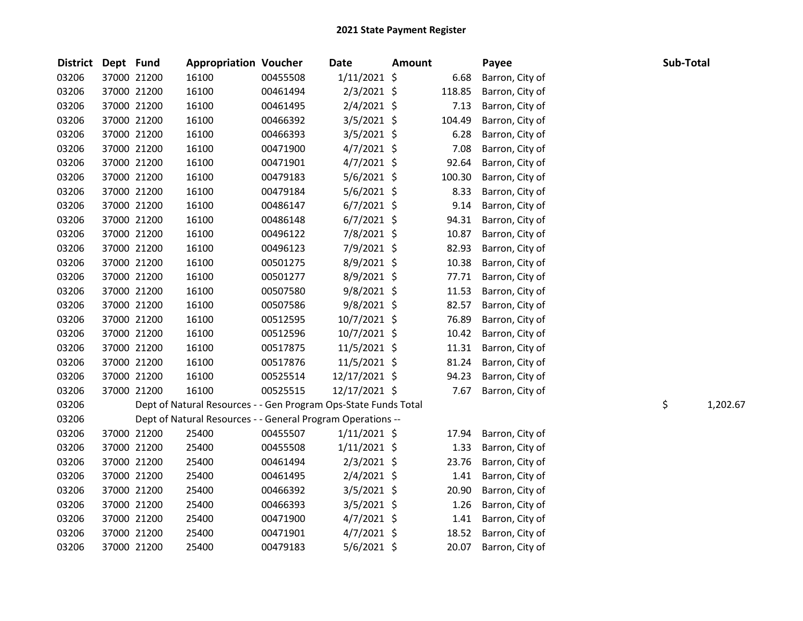| <b>District</b> | Dept Fund |             | <b>Appropriation Voucher</b>                                    |          | <b>Date</b>    | <b>Amount</b> |        | Payee           | Sub-Total |          |
|-----------------|-----------|-------------|-----------------------------------------------------------------|----------|----------------|---------------|--------|-----------------|-----------|----------|
| 03206           |           | 37000 21200 | 16100                                                           | 00455508 | $1/11/2021$ \$ |               | 6.68   | Barron, City of |           |          |
| 03206           |           | 37000 21200 | 16100                                                           | 00461494 | $2/3/2021$ \$  |               | 118.85 | Barron, City of |           |          |
| 03206           |           | 37000 21200 | 16100                                                           | 00461495 | $2/4/2021$ \$  |               | 7.13   | Barron, City of |           |          |
| 03206           |           | 37000 21200 | 16100                                                           | 00466392 | $3/5/2021$ \$  |               | 104.49 | Barron, City of |           |          |
| 03206           |           | 37000 21200 | 16100                                                           | 00466393 | $3/5/2021$ \$  |               | 6.28   | Barron, City of |           |          |
| 03206           |           | 37000 21200 | 16100                                                           | 00471900 | $4/7/2021$ \$  |               | 7.08   | Barron, City of |           |          |
| 03206           |           | 37000 21200 | 16100                                                           | 00471901 | $4/7/2021$ \$  |               | 92.64  | Barron, City of |           |          |
| 03206           |           | 37000 21200 | 16100                                                           | 00479183 | $5/6/2021$ \$  |               | 100.30 | Barron, City of |           |          |
| 03206           |           | 37000 21200 | 16100                                                           | 00479184 | $5/6/2021$ \$  |               | 8.33   | Barron, City of |           |          |
| 03206           |           | 37000 21200 | 16100                                                           | 00486147 | $6/7/2021$ \$  |               | 9.14   | Barron, City of |           |          |
| 03206           |           | 37000 21200 | 16100                                                           | 00486148 | $6/7/2021$ \$  |               | 94.31  | Barron, City of |           |          |
| 03206           |           | 37000 21200 | 16100                                                           | 00496122 | 7/8/2021 \$    |               | 10.87  | Barron, City of |           |          |
| 03206           |           | 37000 21200 | 16100                                                           | 00496123 | 7/9/2021 \$    |               | 82.93  | Barron, City of |           |          |
| 03206           |           | 37000 21200 | 16100                                                           | 00501275 | 8/9/2021 \$    |               | 10.38  | Barron, City of |           |          |
| 03206           |           | 37000 21200 | 16100                                                           | 00501277 | $8/9/2021$ \$  |               | 77.71  | Barron, City of |           |          |
| 03206           |           | 37000 21200 | 16100                                                           | 00507580 | $9/8/2021$ \$  |               | 11.53  | Barron, City of |           |          |
| 03206           |           | 37000 21200 | 16100                                                           | 00507586 | $9/8/2021$ \$  |               | 82.57  | Barron, City of |           |          |
| 03206           |           | 37000 21200 | 16100                                                           | 00512595 | 10/7/2021 \$   |               | 76.89  | Barron, City of |           |          |
| 03206           |           | 37000 21200 | 16100                                                           | 00512596 | 10/7/2021 \$   |               | 10.42  | Barron, City of |           |          |
| 03206           |           | 37000 21200 | 16100                                                           | 00517875 | $11/5/2021$ \$ |               | 11.31  | Barron, City of |           |          |
| 03206           |           | 37000 21200 | 16100                                                           | 00517876 | 11/5/2021 \$   |               | 81.24  | Barron, City of |           |          |
| 03206           |           | 37000 21200 | 16100                                                           | 00525514 | 12/17/2021 \$  |               | 94.23  | Barron, City of |           |          |
| 03206           |           | 37000 21200 | 16100                                                           | 00525515 | 12/17/2021 \$  |               | 7.67   | Barron, City of |           |          |
| 03206           |           |             | Dept of Natural Resources - - Gen Program Ops-State Funds Total |          |                |               |        |                 | \$        | 1,202.67 |
| 03206           |           |             | Dept of Natural Resources - - General Program Operations --     |          |                |               |        |                 |           |          |
| 03206           |           | 37000 21200 | 25400                                                           | 00455507 | $1/11/2021$ \$ |               | 17.94  | Barron, City of |           |          |
| 03206           |           | 37000 21200 | 25400                                                           | 00455508 | $1/11/2021$ \$ |               | 1.33   | Barron, City of |           |          |
| 03206           |           | 37000 21200 | 25400                                                           | 00461494 | $2/3/2021$ \$  |               | 23.76  | Barron, City of |           |          |
| 03206           |           | 37000 21200 | 25400                                                           | 00461495 | $2/4/2021$ \$  |               | 1.41   | Barron, City of |           |          |
| 03206           |           | 37000 21200 | 25400                                                           | 00466392 | $3/5/2021$ \$  |               | 20.90  | Barron, City of |           |          |
| 03206           |           | 37000 21200 | 25400                                                           | 00466393 | $3/5/2021$ \$  |               | 1.26   | Barron, City of |           |          |
| 03206           |           | 37000 21200 | 25400                                                           | 00471900 | $4/7/2021$ \$  |               | 1.41   | Barron, City of |           |          |
| 03206           |           | 37000 21200 | 25400                                                           | 00471901 | $4/7/2021$ \$  |               | 18.52  | Barron, City of |           |          |
| 03206           |           | 37000 21200 | 25400                                                           | 00479183 | $5/6/2021$ \$  |               | 20.07  | Barron, City of |           |          |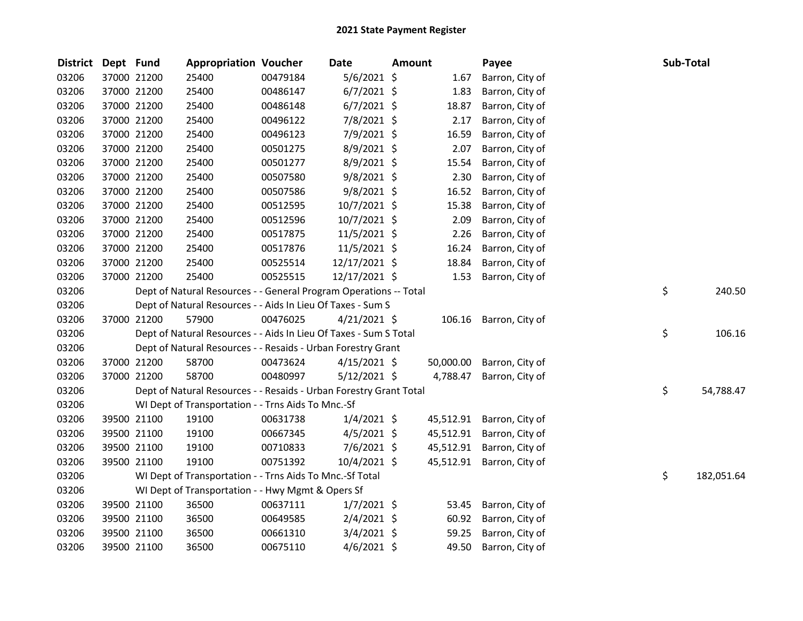| <b>District</b> | Dept Fund |             | <b>Appropriation Voucher</b>                                       |          | Date           | <b>Amount</b> |           | Payee                     | Sub-Total |            |
|-----------------|-----------|-------------|--------------------------------------------------------------------|----------|----------------|---------------|-----------|---------------------------|-----------|------------|
| 03206           |           | 37000 21200 | 25400                                                              | 00479184 | 5/6/2021 \$    |               | 1.67      | Barron, City of           |           |            |
| 03206           |           | 37000 21200 | 25400                                                              | 00486147 | $6/7/2021$ \$  |               | 1.83      | Barron, City of           |           |            |
| 03206           |           | 37000 21200 | 25400                                                              | 00486148 | $6/7/2021$ \$  |               | 18.87     | Barron, City of           |           |            |
| 03206           |           | 37000 21200 | 25400                                                              | 00496122 | 7/8/2021 \$    |               | 2.17      | Barron, City of           |           |            |
| 03206           |           | 37000 21200 | 25400                                                              | 00496123 | 7/9/2021 \$    |               | 16.59     | Barron, City of           |           |            |
| 03206           |           | 37000 21200 | 25400                                                              | 00501275 | 8/9/2021 \$    |               | 2.07      | Barron, City of           |           |            |
| 03206           |           | 37000 21200 | 25400                                                              | 00501277 | 8/9/2021 \$    |               | 15.54     | Barron, City of           |           |            |
| 03206           |           | 37000 21200 | 25400                                                              | 00507580 | $9/8/2021$ \$  |               | 2.30      | Barron, City of           |           |            |
| 03206           |           | 37000 21200 | 25400                                                              | 00507586 | 9/8/2021 \$    |               | 16.52     | Barron, City of           |           |            |
| 03206           |           | 37000 21200 | 25400                                                              | 00512595 | 10/7/2021 \$   |               | 15.38     | Barron, City of           |           |            |
| 03206           |           | 37000 21200 | 25400                                                              | 00512596 | 10/7/2021 \$   |               | 2.09      | Barron, City of           |           |            |
| 03206           |           | 37000 21200 | 25400                                                              | 00517875 | $11/5/2021$ \$ |               | 2.26      | Barron, City of           |           |            |
| 03206           |           | 37000 21200 | 25400                                                              | 00517876 | 11/5/2021 \$   |               | 16.24     | Barron, City of           |           |            |
| 03206           |           | 37000 21200 | 25400                                                              | 00525514 | 12/17/2021 \$  |               | 18.84     | Barron, City of           |           |            |
| 03206           |           | 37000 21200 | 25400                                                              | 00525515 | 12/17/2021 \$  |               | 1.53      | Barron, City of           |           |            |
| 03206           |           |             | Dept of Natural Resources - - General Program Operations -- Total  |          |                |               |           |                           | \$        | 240.50     |
| 03206           |           |             | Dept of Natural Resources - - Aids In Lieu Of Taxes - Sum S        |          |                |               |           |                           |           |            |
| 03206           |           | 37000 21200 | 57900                                                              | 00476025 | $4/21/2021$ \$ |               | 106.16    | Barron, City of           |           |            |
| 03206           |           |             | Dept of Natural Resources - - Aids In Lieu Of Taxes - Sum S Total  |          |                |               |           |                           | \$        | 106.16     |
| 03206           |           |             | Dept of Natural Resources - - Resaids - Urban Forestry Grant       |          |                |               |           |                           |           |            |
| 03206           |           | 37000 21200 | 58700                                                              | 00473624 | $4/15/2021$ \$ |               | 50,000.00 | Barron, City of           |           |            |
| 03206           |           | 37000 21200 | 58700                                                              | 00480997 | $5/12/2021$ \$ |               | 4,788.47  | Barron, City of           |           |            |
| 03206           |           |             | Dept of Natural Resources - - Resaids - Urban Forestry Grant Total |          |                |               |           |                           | \$        | 54,788.47  |
| 03206           |           |             | WI Dept of Transportation - - Trns Aids To Mnc.-Sf                 |          |                |               |           |                           |           |            |
| 03206           |           | 39500 21100 | 19100                                                              | 00631738 | $1/4/2021$ \$  |               | 45,512.91 | Barron, City of           |           |            |
| 03206           |           | 39500 21100 | 19100                                                              | 00667345 | $4/5/2021$ \$  |               |           | 45,512.91 Barron, City of |           |            |
| 03206           |           | 39500 21100 | 19100                                                              | 00710833 | 7/6/2021 \$    |               | 45,512.91 | Barron, City of           |           |            |
| 03206           |           | 39500 21100 | 19100                                                              | 00751392 | 10/4/2021 \$   |               |           | 45,512.91 Barron, City of |           |            |
| 03206           |           |             | WI Dept of Transportation - - Trns Aids To Mnc.-Sf Total           |          |                |               |           |                           | \$        | 182,051.64 |
| 03206           |           |             | WI Dept of Transportation - - Hwy Mgmt & Opers Sf                  |          |                |               |           |                           |           |            |
| 03206           |           | 39500 21100 | 36500                                                              | 00637111 | $1/7/2021$ \$  |               | 53.45     | Barron, City of           |           |            |
| 03206           |           | 39500 21100 | 36500                                                              | 00649585 | $2/4/2021$ \$  |               | 60.92     | Barron, City of           |           |            |
| 03206           |           | 39500 21100 | 36500                                                              | 00661310 | $3/4/2021$ \$  |               | 59.25     | Barron, City of           |           |            |
| 03206           |           | 39500 21100 | 36500                                                              | 00675110 | $4/6/2021$ \$  |               | 49.50     | Barron, City of           |           |            |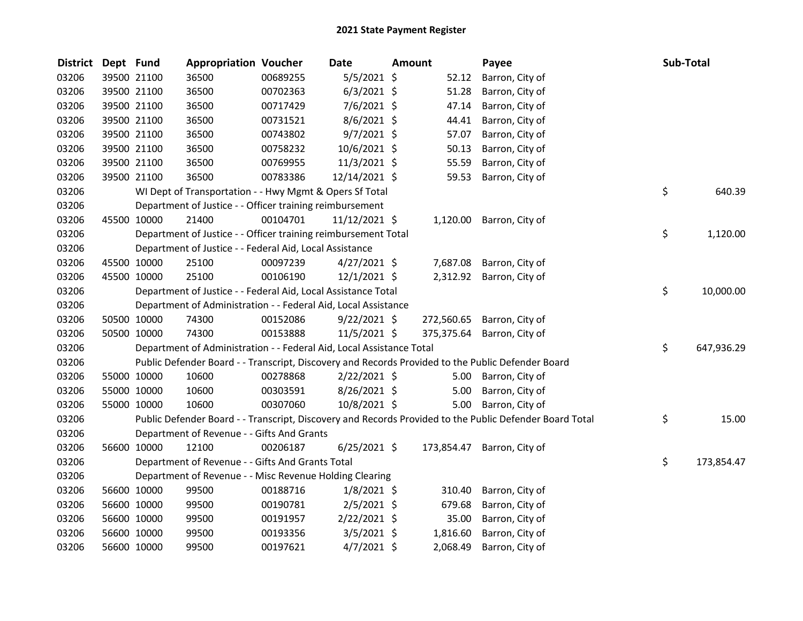| <b>District</b> | Dept Fund |             | <b>Appropriation Voucher</b>                                         |          | <b>Date</b>    | <b>Amount</b> |          | Payee                                                                                                   | Sub-Total        |
|-----------------|-----------|-------------|----------------------------------------------------------------------|----------|----------------|---------------|----------|---------------------------------------------------------------------------------------------------------|------------------|
| 03206           |           | 39500 21100 | 36500                                                                | 00689255 | $5/5/2021$ \$  |               | 52.12    | Barron, City of                                                                                         |                  |
| 03206           |           | 39500 21100 | 36500                                                                | 00702363 | $6/3/2021$ \$  |               | 51.28    | Barron, City of                                                                                         |                  |
| 03206           |           | 39500 21100 | 36500                                                                | 00717429 | 7/6/2021 \$    |               | 47.14    | Barron, City of                                                                                         |                  |
| 03206           |           | 39500 21100 | 36500                                                                | 00731521 | $8/6/2021$ \$  |               | 44.41    | Barron, City of                                                                                         |                  |
| 03206           |           | 39500 21100 | 36500                                                                | 00743802 | $9/7/2021$ \$  |               | 57.07    | Barron, City of                                                                                         |                  |
| 03206           |           | 39500 21100 | 36500                                                                | 00758232 | 10/6/2021 \$   |               | 50.13    | Barron, City of                                                                                         |                  |
| 03206           |           | 39500 21100 | 36500                                                                | 00769955 | 11/3/2021 \$   |               | 55.59    | Barron, City of                                                                                         |                  |
| 03206           |           | 39500 21100 | 36500                                                                | 00783386 | 12/14/2021 \$  |               | 59.53    | Barron, City of                                                                                         |                  |
| 03206           |           |             | WI Dept of Transportation - - Hwy Mgmt & Opers Sf Total              |          |                |               |          |                                                                                                         | \$<br>640.39     |
| 03206           |           |             | Department of Justice - - Officer training reimbursement             |          |                |               |          |                                                                                                         |                  |
| 03206           |           | 45500 10000 | 21400                                                                | 00104701 | 11/12/2021 \$  |               |          | 1,120.00 Barron, City of                                                                                |                  |
| 03206           |           |             | Department of Justice - - Officer training reimbursement Total       |          |                |               |          |                                                                                                         | \$<br>1,120.00   |
| 03206           |           |             | Department of Justice - - Federal Aid, Local Assistance              |          |                |               |          |                                                                                                         |                  |
| 03206           |           | 45500 10000 | 25100                                                                | 00097239 | $4/27/2021$ \$ |               | 7,687.08 | Barron, City of                                                                                         |                  |
| 03206           |           | 45500 10000 | 25100                                                                | 00106190 | $12/1/2021$ \$ |               |          | 2,312.92 Barron, City of                                                                                |                  |
| 03206           |           |             | Department of Justice - - Federal Aid, Local Assistance Total        |          |                |               |          |                                                                                                         | \$<br>10,000.00  |
| 03206           |           |             | Department of Administration - - Federal Aid, Local Assistance       |          |                |               |          |                                                                                                         |                  |
| 03206           |           | 50500 10000 | 74300                                                                | 00152086 | $9/22/2021$ \$ |               |          | 272,560.65 Barron, City of                                                                              |                  |
| 03206           |           | 50500 10000 | 74300                                                                | 00153888 | 11/5/2021 \$   |               |          | 375,375.64 Barron, City of                                                                              |                  |
| 03206           |           |             | Department of Administration - - Federal Aid, Local Assistance Total |          |                |               |          |                                                                                                         | \$<br>647,936.29 |
| 03206           |           |             |                                                                      |          |                |               |          | Public Defender Board - - Transcript, Discovery and Records Provided to the Public Defender Board       |                  |
| 03206           |           | 55000 10000 | 10600                                                                | 00278868 | 2/22/2021 \$   |               | 5.00     | Barron, City of                                                                                         |                  |
| 03206           |           | 55000 10000 | 10600                                                                | 00303591 | 8/26/2021 \$   |               | 5.00     | Barron, City of                                                                                         |                  |
| 03206           |           | 55000 10000 | 10600                                                                | 00307060 | 10/8/2021 \$   |               | 5.00     | Barron, City of                                                                                         |                  |
| 03206           |           |             |                                                                      |          |                |               |          | Public Defender Board - - Transcript, Discovery and Records Provided to the Public Defender Board Total | \$<br>15.00      |
| 03206           |           |             | Department of Revenue - - Gifts And Grants                           |          |                |               |          |                                                                                                         |                  |
| 03206           |           | 56600 10000 | 12100                                                                | 00206187 | $6/25/2021$ \$ |               |          | 173,854.47 Barron, City of                                                                              |                  |
| 03206           |           |             | Department of Revenue - - Gifts And Grants Total                     |          |                |               |          |                                                                                                         | \$<br>173,854.47 |
| 03206           |           |             | Department of Revenue - - Misc Revenue Holding Clearing              |          |                |               |          |                                                                                                         |                  |
| 03206           |           | 56600 10000 | 99500                                                                | 00188716 | $1/8/2021$ \$  |               | 310.40   | Barron, City of                                                                                         |                  |
| 03206           |           | 56600 10000 | 99500                                                                | 00190781 | $2/5/2021$ \$  |               | 679.68   | Barron, City of                                                                                         |                  |
| 03206           |           | 56600 10000 | 99500                                                                | 00191957 | $2/22/2021$ \$ |               | 35.00    | Barron, City of                                                                                         |                  |
| 03206           |           | 56600 10000 | 99500                                                                | 00193356 | $3/5/2021$ \$  |               | 1,816.60 | Barron, City of                                                                                         |                  |
| 03206           |           | 56600 10000 | 99500                                                                | 00197621 | $4/7/2021$ \$  |               | 2,068.49 | Barron, City of                                                                                         |                  |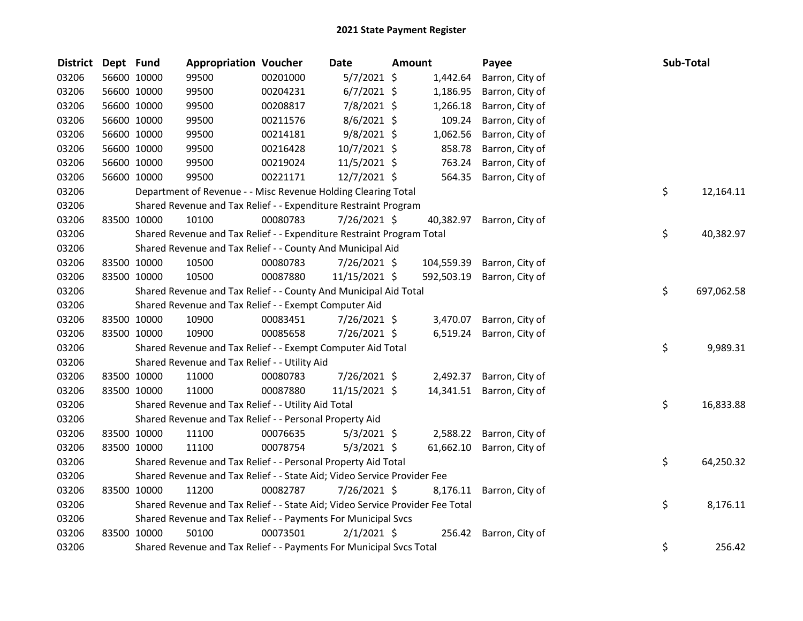| <b>District</b> | Dept Fund |             | <b>Appropriation Voucher</b>                                                  |          | Date           | <b>Amount</b> |            | Payee           | Sub-Total |            |
|-----------------|-----------|-------------|-------------------------------------------------------------------------------|----------|----------------|---------------|------------|-----------------|-----------|------------|
| 03206           |           | 56600 10000 | 99500                                                                         | 00201000 | $5/7/2021$ \$  |               | 1,442.64   | Barron, City of |           |            |
| 03206           |           | 56600 10000 | 99500                                                                         | 00204231 | $6/7/2021$ \$  |               | 1,186.95   | Barron, City of |           |            |
| 03206           |           | 56600 10000 | 99500                                                                         | 00208817 | 7/8/2021 \$    |               | 1,266.18   | Barron, City of |           |            |
| 03206           |           | 56600 10000 | 99500                                                                         | 00211576 | 8/6/2021 \$    |               | 109.24     | Barron, City of |           |            |
| 03206           |           | 56600 10000 | 99500                                                                         | 00214181 | $9/8/2021$ \$  |               | 1,062.56   | Barron, City of |           |            |
| 03206           |           | 56600 10000 | 99500                                                                         | 00216428 | $10/7/2021$ \$ |               | 858.78     | Barron, City of |           |            |
| 03206           |           | 56600 10000 | 99500                                                                         | 00219024 | 11/5/2021 \$   |               | 763.24     | Barron, City of |           |            |
| 03206           |           | 56600 10000 | 99500                                                                         | 00221171 | 12/7/2021 \$   |               | 564.35     | Barron, City of |           |            |
| 03206           |           |             | Department of Revenue - - Misc Revenue Holding Clearing Total                 |          |                |               |            |                 | \$        | 12,164.11  |
| 03206           |           |             | Shared Revenue and Tax Relief - - Expenditure Restraint Program               |          |                |               |            |                 |           |            |
| 03206           |           | 83500 10000 | 10100                                                                         | 00080783 | 7/26/2021 \$   |               | 40,382.97  | Barron, City of |           |            |
| 03206           |           |             | Shared Revenue and Tax Relief - - Expenditure Restraint Program Total         |          |                |               |            |                 | \$        | 40,382.97  |
| 03206           |           |             | Shared Revenue and Tax Relief - - County And Municipal Aid                    |          |                |               |            |                 |           |            |
| 03206           |           | 83500 10000 | 10500                                                                         | 00080783 | 7/26/2021 \$   |               | 104,559.39 | Barron, City of |           |            |
| 03206           |           | 83500 10000 | 10500                                                                         | 00087880 | 11/15/2021 \$  |               | 592,503.19 | Barron, City of |           |            |
| 03206           |           |             | Shared Revenue and Tax Relief - - County And Municipal Aid Total              |          |                |               |            |                 | \$        | 697,062.58 |
| 03206           |           |             | Shared Revenue and Tax Relief - - Exempt Computer Aid                         |          |                |               |            |                 |           |            |
| 03206           |           | 83500 10000 | 10900                                                                         | 00083451 | 7/26/2021 \$   |               | 3,470.07   | Barron, City of |           |            |
| 03206           |           | 83500 10000 | 10900                                                                         | 00085658 | 7/26/2021 \$   |               | 6,519.24   | Barron, City of |           |            |
| 03206           |           |             | Shared Revenue and Tax Relief - - Exempt Computer Aid Total                   |          |                |               |            |                 | \$        | 9,989.31   |
| 03206           |           |             | Shared Revenue and Tax Relief - - Utility Aid                                 |          |                |               |            |                 |           |            |
| 03206           |           | 83500 10000 | 11000                                                                         | 00080783 | 7/26/2021 \$   |               | 2,492.37   | Barron, City of |           |            |
| 03206           |           | 83500 10000 | 11000                                                                         | 00087880 | 11/15/2021 \$  |               | 14,341.51  | Barron, City of |           |            |
| 03206           |           |             | Shared Revenue and Tax Relief - - Utility Aid Total                           |          |                |               |            |                 | \$        | 16,833.88  |
| 03206           |           |             | Shared Revenue and Tax Relief - - Personal Property Aid                       |          |                |               |            |                 |           |            |
| 03206           |           | 83500 10000 | 11100                                                                         | 00076635 | $5/3/2021$ \$  |               | 2,588.22   | Barron, City of |           |            |
| 03206           |           | 83500 10000 | 11100                                                                         | 00078754 | $5/3/2021$ \$  |               | 61,662.10  | Barron, City of |           |            |
| 03206           |           |             | Shared Revenue and Tax Relief - - Personal Property Aid Total                 |          |                |               |            |                 | \$        | 64,250.32  |
| 03206           |           |             | Shared Revenue and Tax Relief - - State Aid; Video Service Provider Fee       |          |                |               |            |                 |           |            |
| 03206           |           | 83500 10000 | 11200                                                                         | 00082787 | 7/26/2021 \$   |               | 8,176.11   | Barron, City of |           |            |
| 03206           |           |             | Shared Revenue and Tax Relief - - State Aid; Video Service Provider Fee Total |          |                |               |            |                 | \$        | 8,176.11   |
| 03206           |           |             | Shared Revenue and Tax Relief - - Payments For Municipal Svcs                 |          |                |               |            |                 |           |            |
| 03206           |           | 83500 10000 | 50100                                                                         | 00073501 | $2/1/2021$ \$  |               | 256.42     | Barron, City of |           |            |
| 03206           |           |             | Shared Revenue and Tax Relief - - Payments For Municipal Svcs Total           |          |                |               |            |                 | \$        | 256.42     |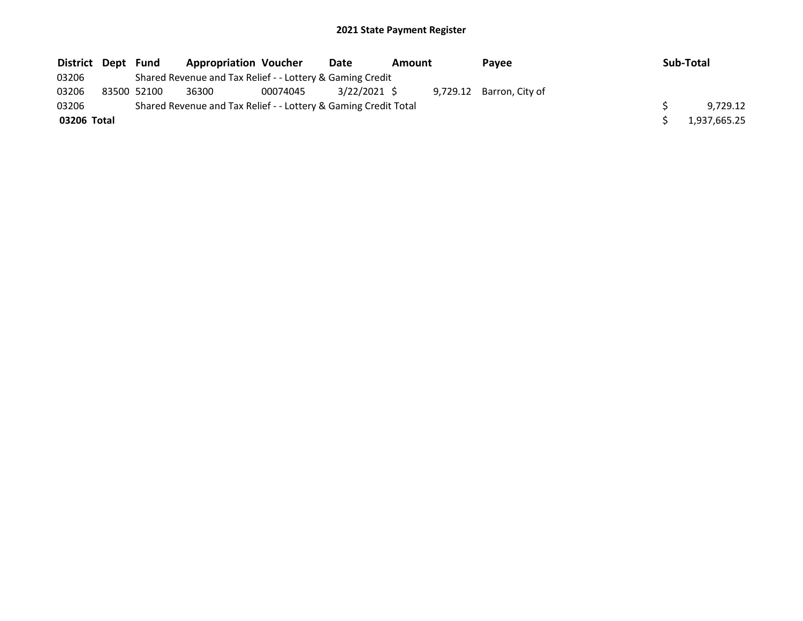| District Dept | Fund        | <b>Appropriation Voucher</b>                                    |          | Date         | Amount | Payee                    | Sub-Total    |
|---------------|-------------|-----------------------------------------------------------------|----------|--------------|--------|--------------------------|--------------|
| 03206         |             | Shared Revenue and Tax Relief - - Lottery & Gaming Credit       |          |              |        |                          |              |
| 03206         | 83500 52100 | 36300                                                           | 00074045 | 3/22/2021 \$ |        | 9,729.12 Barron, City of |              |
| 03206         |             | Shared Revenue and Tax Relief - - Lottery & Gaming Credit Total |          |              |        |                          | 9.729.12     |
| 03206 Total   |             |                                                                 |          |              |        |                          | 1,937,665.25 |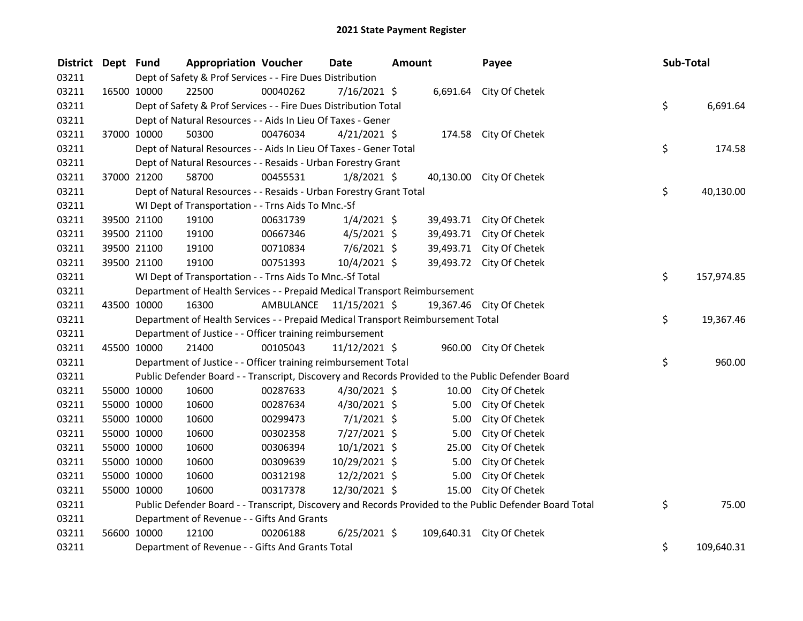| <b>District</b> | Dept Fund |             | <b>Appropriation Voucher</b>                                                    |                         | <b>Date</b>     | Amount |       | Payee                                                                                                   | Sub-Total        |
|-----------------|-----------|-------------|---------------------------------------------------------------------------------|-------------------------|-----------------|--------|-------|---------------------------------------------------------------------------------------------------------|------------------|
| 03211           |           |             | Dept of Safety & Prof Services - - Fire Dues Distribution                       |                         |                 |        |       |                                                                                                         |                  |
| 03211           |           | 16500 10000 | 22500                                                                           | 00040262                | 7/16/2021 \$    |        |       | 6,691.64 City Of Chetek                                                                                 |                  |
| 03211           |           |             | Dept of Safety & Prof Services - - Fire Dues Distribution Total                 |                         |                 |        |       |                                                                                                         | \$<br>6,691.64   |
| 03211           |           |             | Dept of Natural Resources - - Aids In Lieu Of Taxes - Gener                     |                         |                 |        |       |                                                                                                         |                  |
| 03211           |           | 37000 10000 | 50300                                                                           | 00476034                | $4/21/2021$ \$  |        |       | 174.58 City Of Chetek                                                                                   |                  |
| 03211           |           |             | Dept of Natural Resources - - Aids In Lieu Of Taxes - Gener Total               |                         |                 |        |       |                                                                                                         | \$<br>174.58     |
| 03211           |           |             | Dept of Natural Resources - - Resaids - Urban Forestry Grant                    |                         |                 |        |       |                                                                                                         |                  |
| 03211           |           | 37000 21200 | 58700                                                                           | 00455531                | $1/8/2021$ \$   |        |       | 40,130.00 City Of Chetek                                                                                |                  |
| 03211           |           |             | Dept of Natural Resources - - Resaids - Urban Forestry Grant Total              |                         |                 |        |       |                                                                                                         | \$<br>40,130.00  |
| 03211           |           |             | WI Dept of Transportation - - Trns Aids To Mnc.-Sf                              |                         |                 |        |       |                                                                                                         |                  |
| 03211           |           | 39500 21100 | 19100                                                                           | 00631739                | $1/4/2021$ \$   |        |       | 39,493.71 City Of Chetek                                                                                |                  |
| 03211           |           | 39500 21100 | 19100                                                                           | 00667346                | $4/5/2021$ \$   |        |       | 39,493.71 City Of Chetek                                                                                |                  |
| 03211           |           | 39500 21100 | 19100                                                                           | 00710834                | $7/6/2021$ \$   |        |       | 39,493.71 City Of Chetek                                                                                |                  |
| 03211           |           | 39500 21100 | 19100                                                                           | 00751393                | 10/4/2021 \$    |        |       | 39,493.72 City Of Chetek                                                                                |                  |
| 03211           |           |             | WI Dept of Transportation - - Trns Aids To Mnc.-Sf Total                        |                         |                 |        |       |                                                                                                         | \$<br>157,974.85 |
| 03211           |           |             | Department of Health Services - - Prepaid Medical Transport Reimbursement       |                         |                 |        |       |                                                                                                         |                  |
| 03211           |           | 43500 10000 | 16300                                                                           | AMBULANCE 11/15/2021 \$ |                 |        |       | 19,367.46 City Of Chetek                                                                                |                  |
| 03211           |           |             | Department of Health Services - - Prepaid Medical Transport Reimbursement Total |                         |                 |        |       |                                                                                                         | \$<br>19,367.46  |
| 03211           |           |             | Department of Justice - - Officer training reimbursement                        |                         |                 |        |       |                                                                                                         |                  |
| 03211           |           | 45500 10000 | 21400                                                                           | 00105043                | $11/12/2021$ \$ |        |       | 960.00 City Of Chetek                                                                                   |                  |
| 03211           |           |             | Department of Justice - - Officer training reimbursement Total                  |                         |                 |        |       |                                                                                                         | \$<br>960.00     |
| 03211           |           |             |                                                                                 |                         |                 |        |       | Public Defender Board - - Transcript, Discovery and Records Provided to the Public Defender Board       |                  |
| 03211           |           | 55000 10000 | 10600                                                                           | 00287633                | 4/30/2021 \$    |        | 10.00 | City Of Chetek                                                                                          |                  |
| 03211           |           | 55000 10000 | 10600                                                                           | 00287634                | 4/30/2021 \$    |        | 5.00  | City Of Chetek                                                                                          |                  |
| 03211           |           | 55000 10000 | 10600                                                                           | 00299473                | $7/1/2021$ \$   |        | 5.00  | City Of Chetek                                                                                          |                  |
| 03211           |           | 55000 10000 | 10600                                                                           | 00302358                | $7/27/2021$ \$  |        | 5.00  | City Of Chetek                                                                                          |                  |
| 03211           |           | 55000 10000 | 10600                                                                           | 00306394                | $10/1/2021$ \$  |        | 25.00 | City Of Chetek                                                                                          |                  |
| 03211           |           | 55000 10000 | 10600                                                                           | 00309639                | 10/29/2021 \$   |        | 5.00  | City Of Chetek                                                                                          |                  |
| 03211           |           | 55000 10000 | 10600                                                                           | 00312198                | 12/2/2021 \$    |        | 5.00  | City Of Chetek                                                                                          |                  |
| 03211           |           | 55000 10000 | 10600                                                                           | 00317378                | 12/30/2021 \$   |        | 15.00 | City Of Chetek                                                                                          |                  |
| 03211           |           |             |                                                                                 |                         |                 |        |       | Public Defender Board - - Transcript, Discovery and Records Provided to the Public Defender Board Total | \$<br>75.00      |
| 03211           |           |             | Department of Revenue - - Gifts And Grants                                      |                         |                 |        |       |                                                                                                         |                  |
| 03211           |           | 56600 10000 | 12100                                                                           | 00206188                | $6/25/2021$ \$  |        |       | 109,640.31 City Of Chetek                                                                               |                  |
| 03211           |           |             | Department of Revenue - - Gifts And Grants Total                                |                         |                 |        |       |                                                                                                         | \$<br>109,640.31 |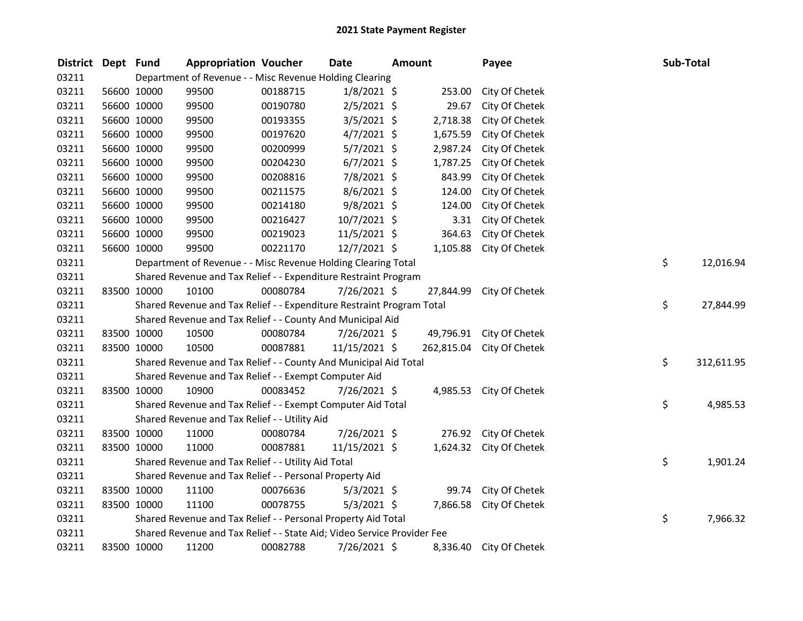| District Dept Fund |             | <b>Appropriation Voucher</b>                                            |          | <b>Date</b>   | <b>Amount</b> |           | Payee                     |  | Sub-Total |            |
|--------------------|-------------|-------------------------------------------------------------------------|----------|---------------|---------------|-----------|---------------------------|--|-----------|------------|
| 03211              |             | Department of Revenue - - Misc Revenue Holding Clearing                 |          |               |               |           |                           |  |           |            |
| 03211              | 56600 10000 | 99500                                                                   | 00188715 | $1/8/2021$ \$ |               | 253.00    | City Of Chetek            |  |           |            |
| 03211              | 56600 10000 | 99500                                                                   | 00190780 | $2/5/2021$ \$ |               | 29.67     | City Of Chetek            |  |           |            |
| 03211              | 56600 10000 | 99500                                                                   | 00193355 | $3/5/2021$ \$ |               | 2,718.38  | City Of Chetek            |  |           |            |
| 03211              | 56600 10000 | 99500                                                                   | 00197620 | $4/7/2021$ \$ |               | 1,675.59  | City Of Chetek            |  |           |            |
| 03211              | 56600 10000 | 99500                                                                   | 00200999 | 5/7/2021 \$   |               | 2,987.24  | City Of Chetek            |  |           |            |
| 03211              | 56600 10000 | 99500                                                                   | 00204230 | $6/7/2021$ \$ |               | 1,787.25  | City Of Chetek            |  |           |            |
| 03211              | 56600 10000 | 99500                                                                   | 00208816 | 7/8/2021 \$   |               | 843.99    | City Of Chetek            |  |           |            |
| 03211              | 56600 10000 | 99500                                                                   | 00211575 | $8/6/2021$ \$ |               | 124.00    | City Of Chetek            |  |           |            |
| 03211              | 56600 10000 | 99500                                                                   | 00214180 | $9/8/2021$ \$ |               | 124.00    | City Of Chetek            |  |           |            |
| 03211              | 56600 10000 | 99500                                                                   | 00216427 | 10/7/2021 \$  |               | 3.31      | City Of Chetek            |  |           |            |
| 03211              | 56600 10000 | 99500                                                                   | 00219023 | 11/5/2021 \$  |               | 364.63    | City Of Chetek            |  |           |            |
| 03211              | 56600 10000 | 99500                                                                   | 00221170 | 12/7/2021 \$  |               | 1,105.88  | City Of Chetek            |  |           |            |
| 03211              |             | Department of Revenue - - Misc Revenue Holding Clearing Total           |          |               |               |           |                           |  | \$        | 12,016.94  |
| 03211              |             | Shared Revenue and Tax Relief - - Expenditure Restraint Program         |          |               |               |           |                           |  |           |            |
| 03211              | 83500 10000 | 10100                                                                   | 00080784 | 7/26/2021 \$  |               | 27,844.99 | City Of Chetek            |  |           |            |
| 03211              |             | Shared Revenue and Tax Relief - - Expenditure Restraint Program Total   |          |               |               |           |                           |  | \$        | 27,844.99  |
| 03211              |             | Shared Revenue and Tax Relief - - County And Municipal Aid              |          |               |               |           |                           |  |           |            |
| 03211              | 83500 10000 | 10500                                                                   | 00080784 | 7/26/2021 \$  |               |           | 49,796.91 City Of Chetek  |  |           |            |
| 03211              | 83500 10000 | 10500                                                                   | 00087881 | 11/15/2021 \$ |               |           | 262,815.04 City Of Chetek |  |           |            |
| 03211              |             | Shared Revenue and Tax Relief - - County And Municipal Aid Total        |          |               |               |           |                           |  | \$        | 312,611.95 |
| 03211              |             | Shared Revenue and Tax Relief - - Exempt Computer Aid                   |          |               |               |           |                           |  |           |            |
| 03211              | 83500 10000 | 10900                                                                   | 00083452 | 7/26/2021 \$  |               |           | 4,985.53 City Of Chetek   |  |           |            |
| 03211              |             | Shared Revenue and Tax Relief - - Exempt Computer Aid Total             |          |               |               |           |                           |  | \$        | 4,985.53   |
| 03211              |             | Shared Revenue and Tax Relief - - Utility Aid                           |          |               |               |           |                           |  |           |            |
| 03211              | 83500 10000 | 11000                                                                   | 00080784 | 7/26/2021 \$  |               |           | 276.92 City Of Chetek     |  |           |            |
| 03211              | 83500 10000 | 11000                                                                   | 00087881 | 11/15/2021 \$ |               |           | 1,624.32 City Of Chetek   |  |           |            |
| 03211              |             | Shared Revenue and Tax Relief - - Utility Aid Total                     |          |               |               |           |                           |  | \$        | 1,901.24   |
| 03211              |             | Shared Revenue and Tax Relief - - Personal Property Aid                 |          |               |               |           |                           |  |           |            |
| 03211              | 83500 10000 | 11100                                                                   | 00076636 | $5/3/2021$ \$ |               | 99.74     | City Of Chetek            |  |           |            |
| 03211              | 83500 10000 | 11100                                                                   | 00078755 | $5/3/2021$ \$ |               |           | 7,866.58 City Of Chetek   |  |           |            |
| 03211              |             | Shared Revenue and Tax Relief - - Personal Property Aid Total           |          |               |               |           |                           |  | \$        | 7,966.32   |
| 03211              |             | Shared Revenue and Tax Relief - - State Aid; Video Service Provider Fee |          |               |               |           |                           |  |           |            |
| 03211              | 83500 10000 | 11200                                                                   | 00082788 | 7/26/2021 \$  |               | 8,336.40  | City Of Chetek            |  |           |            |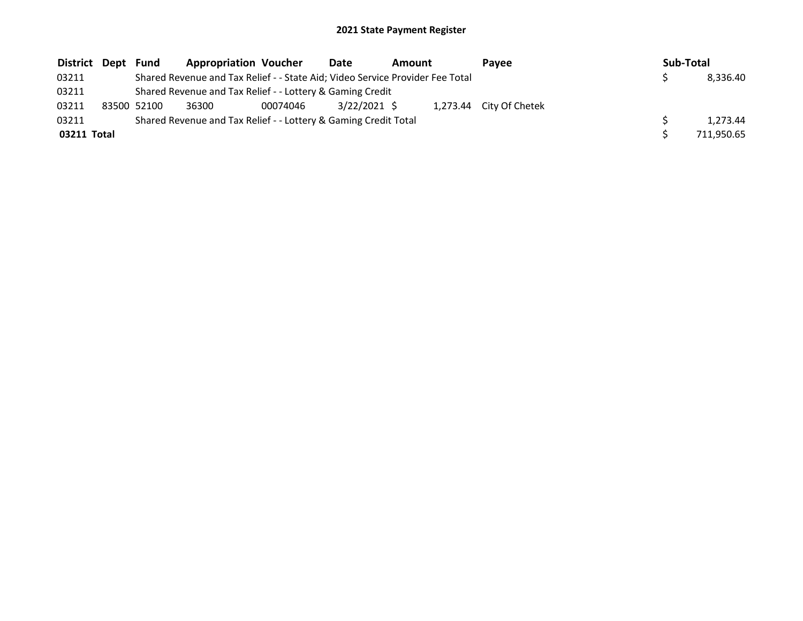## 2021 State Payment Register

| District Dept Fund |             | <b>Appropriation Voucher</b>                                                  |          | Date<br><b>Amount</b> |  | Pavee | Sub-Total               |  |            |
|--------------------|-------------|-------------------------------------------------------------------------------|----------|-----------------------|--|-------|-------------------------|--|------------|
| 03211              |             | Shared Revenue and Tax Relief - - State Aid; Video Service Provider Fee Total |          |                       |  |       |                         |  | 8,336.40   |
| 03211              |             | Shared Revenue and Tax Relief - - Lottery & Gaming Credit                     |          |                       |  |       |                         |  |            |
| 03211              | 83500 52100 | 36300                                                                         | 00074046 | 3/22/2021 \$          |  |       | 1,273.44 City Of Chetek |  |            |
| 03211              |             | Shared Revenue and Tax Relief - - Lottery & Gaming Credit Total               |          |                       |  |       |                         |  | 1.273.44   |
| 03211 Total        |             |                                                                               |          |                       |  |       |                         |  | 711,950.65 |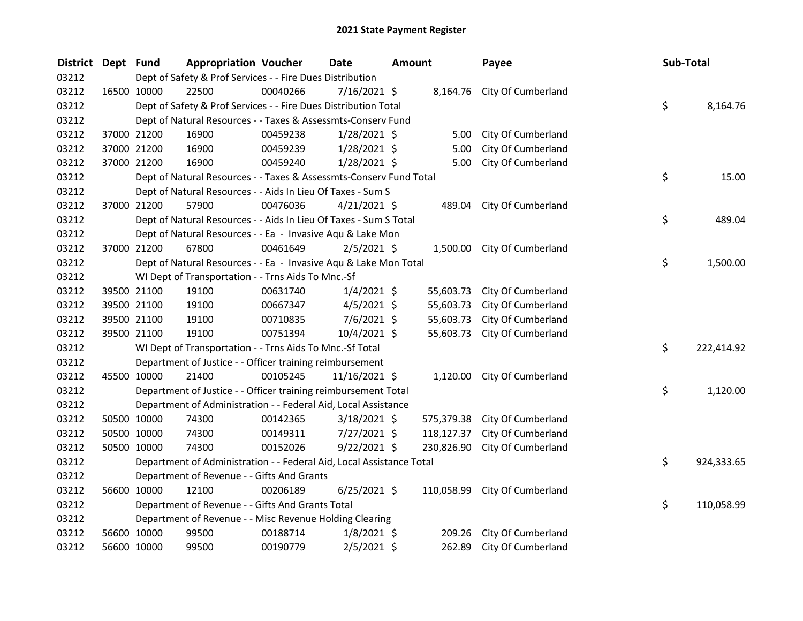| <b>District</b> | Dept Fund |             | <b>Appropriation Voucher</b>                                         |          | <b>Date</b>    | <b>Amount</b> |            | Payee                         | Sub-Total |            |
|-----------------|-----------|-------------|----------------------------------------------------------------------|----------|----------------|---------------|------------|-------------------------------|-----------|------------|
| 03212           |           |             | Dept of Safety & Prof Services - - Fire Dues Distribution            |          |                |               |            |                               |           |            |
| 03212           |           | 16500 10000 | 22500                                                                | 00040266 | 7/16/2021 \$   |               |            | 8,164.76 City Of Cumberland   |           |            |
| 03212           |           |             | Dept of Safety & Prof Services - - Fire Dues Distribution Total      |          |                |               |            |                               | \$        | 8,164.76   |
| 03212           |           |             | Dept of Natural Resources - - Taxes & Assessmts-Conserv Fund         |          |                |               |            |                               |           |            |
| 03212           |           | 37000 21200 | 16900                                                                | 00459238 | $1/28/2021$ \$ |               | 5.00       | City Of Cumberland            |           |            |
| 03212           |           | 37000 21200 | 16900                                                                | 00459239 | $1/28/2021$ \$ |               | 5.00       | City Of Cumberland            |           |            |
| 03212           |           | 37000 21200 | 16900                                                                | 00459240 | $1/28/2021$ \$ |               | 5.00       | City Of Cumberland            |           |            |
| 03212           |           |             | Dept of Natural Resources - - Taxes & Assessmts-Conserv Fund Total   |          |                |               |            |                               | \$        | 15.00      |
| 03212           |           |             | Dept of Natural Resources - - Aids In Lieu Of Taxes - Sum S          |          |                |               |            |                               |           |            |
| 03212           |           | 37000 21200 | 57900                                                                | 00476036 | $4/21/2021$ \$ |               |            | 489.04 City Of Cumberland     |           |            |
| 03212           |           |             | Dept of Natural Resources - - Aids In Lieu Of Taxes - Sum S Total    |          |                |               |            |                               | \$        | 489.04     |
| 03212           |           |             | Dept of Natural Resources - - Ea - Invasive Aqu & Lake Mon           |          |                |               |            |                               |           |            |
| 03212           |           | 37000 21200 | 67800                                                                | 00461649 | $2/5/2021$ \$  |               |            | 1,500.00 City Of Cumberland   |           |            |
| 03212           |           |             | Dept of Natural Resources - - Ea - Invasive Aqu & Lake Mon Total     |          |                |               |            |                               | \$        | 1,500.00   |
| 03212           |           |             | WI Dept of Transportation - - Trns Aids To Mnc.-Sf                   |          |                |               |            |                               |           |            |
| 03212           |           | 39500 21100 | 19100                                                                | 00631740 | $1/4/2021$ \$  |               | 55,603.73  | City Of Cumberland            |           |            |
| 03212           |           | 39500 21100 | 19100                                                                | 00667347 | $4/5/2021$ \$  |               | 55,603.73  | City Of Cumberland            |           |            |
| 03212           |           | 39500 21100 | 19100                                                                | 00710835 | $7/6/2021$ \$  |               | 55,603.73  | City Of Cumberland            |           |            |
| 03212           |           | 39500 21100 | 19100                                                                | 00751394 | 10/4/2021 \$   |               | 55,603.73  | City Of Cumberland            |           |            |
| 03212           |           |             | WI Dept of Transportation - - Trns Aids To Mnc.-Sf Total             |          |                |               |            |                               | \$        | 222,414.92 |
| 03212           |           |             | Department of Justice - - Officer training reimbursement             |          |                |               |            |                               |           |            |
| 03212           |           | 45500 10000 | 21400                                                                | 00105245 | 11/16/2021 \$  |               | 1,120.00   | City Of Cumberland            |           |            |
| 03212           |           |             | Department of Justice - - Officer training reimbursement Total       |          |                |               |            |                               | \$        | 1,120.00   |
| 03212           |           |             | Department of Administration - - Federal Aid, Local Assistance       |          |                |               |            |                               |           |            |
| 03212           |           | 50500 10000 | 74300                                                                | 00142365 | $3/18/2021$ \$ |               | 575,379.38 | City Of Cumberland            |           |            |
| 03212           |           | 50500 10000 | 74300                                                                | 00149311 | 7/27/2021 \$   |               | 118,127.37 | City Of Cumberland            |           |            |
| 03212           |           | 50500 10000 | 74300                                                                | 00152026 | $9/22/2021$ \$ |               | 230,826.90 | City Of Cumberland            |           |            |
| 03212           |           |             | Department of Administration - - Federal Aid, Local Assistance Total |          |                |               |            |                               | \$        | 924,333.65 |
| 03212           |           |             | Department of Revenue - - Gifts And Grants                           |          |                |               |            |                               |           |            |
| 03212           |           | 56600 10000 | 12100                                                                | 00206189 | $6/25/2021$ \$ |               |            | 110,058.99 City Of Cumberland |           |            |
| 03212           |           |             | Department of Revenue - - Gifts And Grants Total                     |          |                |               |            |                               | \$        | 110,058.99 |
| 03212           |           |             | Department of Revenue - - Misc Revenue Holding Clearing              |          |                |               |            |                               |           |            |
| 03212           |           | 56600 10000 | 99500                                                                | 00188714 | $1/8/2021$ \$  |               | 209.26     | City Of Cumberland            |           |            |
| 03212           |           | 56600 10000 | 99500                                                                | 00190779 | $2/5/2021$ \$  |               | 262.89     | City Of Cumberland            |           |            |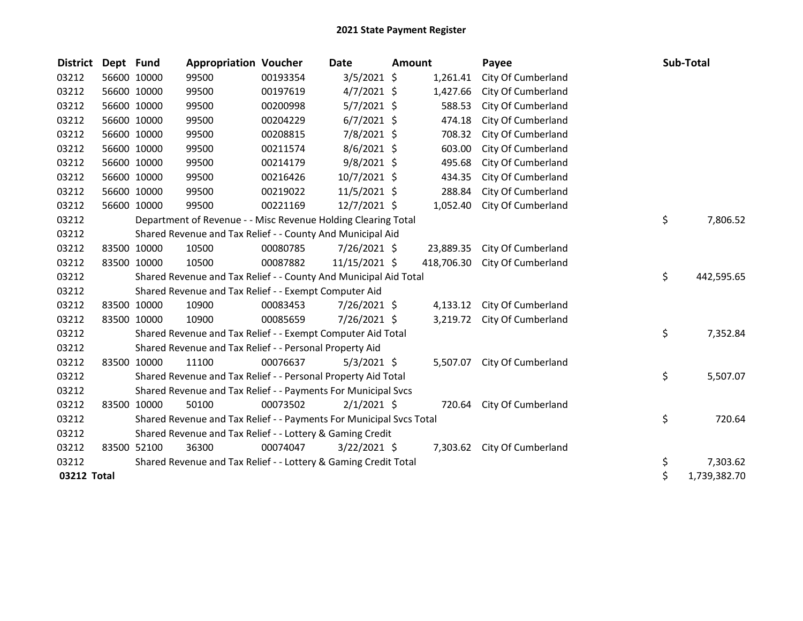## 2021 State Payment Register

| <b>District</b> | Dept Fund |             | <b>Appropriation Voucher</b>                                        |          | Date           | <b>Amount</b> |            | Payee              | Sub-Total          |
|-----------------|-----------|-------------|---------------------------------------------------------------------|----------|----------------|---------------|------------|--------------------|--------------------|
| 03212           |           | 56600 10000 | 99500                                                               | 00193354 | 3/5/2021 \$    |               | 1,261.41   | City Of Cumberland |                    |
| 03212           |           | 56600 10000 | 99500                                                               | 00197619 | $4/7/2021$ \$  |               | 1,427.66   | City Of Cumberland |                    |
| 03212           |           | 56600 10000 | 99500                                                               | 00200998 | $5/7/2021$ \$  |               | 588.53     | City Of Cumberland |                    |
| 03212           |           | 56600 10000 | 99500                                                               | 00204229 | $6/7/2021$ \$  |               | 474.18     | City Of Cumberland |                    |
| 03212           |           | 56600 10000 | 99500                                                               | 00208815 | 7/8/2021 \$    |               | 708.32     | City Of Cumberland |                    |
| 03212           |           | 56600 10000 | 99500                                                               | 00211574 | 8/6/2021 \$    |               | 603.00     | City Of Cumberland |                    |
| 03212           |           | 56600 10000 | 99500                                                               | 00214179 | $9/8/2021$ \$  |               | 495.68     | City Of Cumberland |                    |
| 03212           |           | 56600 10000 | 99500                                                               | 00216426 | 10/7/2021 \$   |               | 434.35     | City Of Cumberland |                    |
| 03212           |           | 56600 10000 | 99500                                                               | 00219022 | 11/5/2021 \$   |               | 288.84     | City Of Cumberland |                    |
| 03212           |           | 56600 10000 | 99500                                                               | 00221169 | 12/7/2021 \$   |               | 1,052.40   | City Of Cumberland |                    |
| 03212           |           |             | Department of Revenue - - Misc Revenue Holding Clearing Total       |          |                |               |            |                    | \$<br>7,806.52     |
| 03212           |           |             | Shared Revenue and Tax Relief - - County And Municipal Aid          |          |                |               |            |                    |                    |
| 03212           |           | 83500 10000 | 10500                                                               | 00080785 | 7/26/2021 \$   |               | 23,889.35  | City Of Cumberland |                    |
| 03212           |           | 83500 10000 | 10500                                                               | 00087882 | 11/15/2021 \$  |               | 418,706.30 | City Of Cumberland |                    |
| 03212           |           |             | Shared Revenue and Tax Relief - - County And Municipal Aid Total    |          |                |               |            |                    | \$<br>442,595.65   |
| 03212           |           |             | Shared Revenue and Tax Relief - - Exempt Computer Aid               |          |                |               |            |                    |                    |
| 03212           |           | 83500 10000 | 10900                                                               | 00083453 | 7/26/2021 \$   |               | 4,133.12   | City Of Cumberland |                    |
| 03212           |           | 83500 10000 | 10900                                                               | 00085659 | 7/26/2021 \$   |               | 3,219.72   | City Of Cumberland |                    |
| 03212           |           |             | Shared Revenue and Tax Relief - - Exempt Computer Aid Total         |          |                |               |            |                    | \$<br>7,352.84     |
| 03212           |           |             | Shared Revenue and Tax Relief - - Personal Property Aid             |          |                |               |            |                    |                    |
| 03212           |           | 83500 10000 | 11100                                                               | 00076637 | $5/3/2021$ \$  |               | 5,507.07   | City Of Cumberland |                    |
| 03212           |           |             | Shared Revenue and Tax Relief - - Personal Property Aid Total       |          |                |               |            |                    | \$<br>5,507.07     |
| 03212           |           |             | Shared Revenue and Tax Relief - - Payments For Municipal Svcs       |          |                |               |            |                    |                    |
| 03212           |           | 83500 10000 | 50100                                                               | 00073502 | $2/1/2021$ \$  |               | 720.64     | City Of Cumberland |                    |
| 03212           |           |             | Shared Revenue and Tax Relief - - Payments For Municipal Svcs Total |          |                |               |            |                    | \$<br>720.64       |
| 03212           |           |             | Shared Revenue and Tax Relief - - Lottery & Gaming Credit           |          |                |               |            |                    |                    |
| 03212           |           | 83500 52100 | 36300                                                               | 00074047 | $3/22/2021$ \$ |               | 7,303.62   | City Of Cumberland |                    |
| 03212           |           |             | Shared Revenue and Tax Relief - - Lottery & Gaming Credit Total     |          |                |               |            |                    | \$<br>7,303.62     |
| 03212 Total     |           |             |                                                                     |          |                |               |            |                    | \$<br>1,739,382.70 |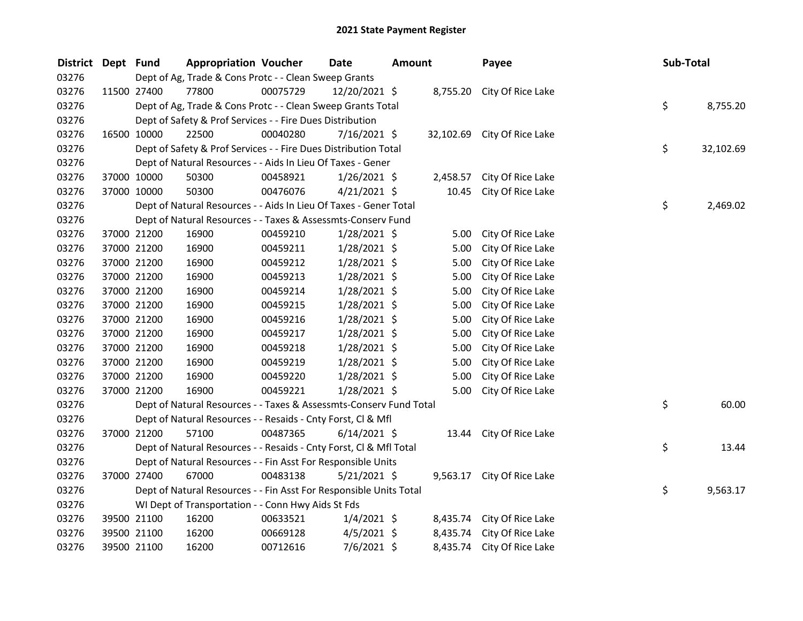| District Dept Fund |             | <b>Appropriation Voucher</b>                                       |          | <b>Date</b>    | <b>Amount</b> |          | Payee                       | Sub-Total |           |
|--------------------|-------------|--------------------------------------------------------------------|----------|----------------|---------------|----------|-----------------------------|-----------|-----------|
| 03276              |             | Dept of Ag, Trade & Cons Protc - - Clean Sweep Grants              |          |                |               |          |                             |           |           |
| 03276              | 11500 27400 | 77800                                                              | 00075729 | 12/20/2021 \$  |               |          | 8,755.20 City Of Rice Lake  |           |           |
| 03276              |             | Dept of Ag, Trade & Cons Protc - - Clean Sweep Grants Total        |          |                |               |          |                             | \$        | 8,755.20  |
| 03276              |             | Dept of Safety & Prof Services - - Fire Dues Distribution          |          |                |               |          |                             |           |           |
| 03276              | 16500 10000 | 22500                                                              | 00040280 | $7/16/2021$ \$ |               |          | 32,102.69 City Of Rice Lake |           |           |
| 03276              |             | Dept of Safety & Prof Services - - Fire Dues Distribution Total    |          |                |               |          |                             | \$        | 32,102.69 |
| 03276              |             | Dept of Natural Resources - - Aids In Lieu Of Taxes - Gener        |          |                |               |          |                             |           |           |
| 03276              | 37000 10000 | 50300                                                              | 00458921 | $1/26/2021$ \$ |               | 2,458.57 | City Of Rice Lake           |           |           |
| 03276              | 37000 10000 | 50300                                                              | 00476076 | $4/21/2021$ \$ |               | 10.45    | City Of Rice Lake           |           |           |
| 03276              |             | Dept of Natural Resources - - Aids In Lieu Of Taxes - Gener Total  |          |                |               |          |                             | \$        | 2,469.02  |
| 03276              |             | Dept of Natural Resources - - Taxes & Assessmts-Conserv Fund       |          |                |               |          |                             |           |           |
| 03276              | 37000 21200 | 16900                                                              | 00459210 | $1/28/2021$ \$ |               | 5.00     | City Of Rice Lake           |           |           |
| 03276              | 37000 21200 | 16900                                                              | 00459211 | $1/28/2021$ \$ |               | 5.00     | City Of Rice Lake           |           |           |
| 03276              | 37000 21200 | 16900                                                              | 00459212 | $1/28/2021$ \$ |               | 5.00     | City Of Rice Lake           |           |           |
| 03276              | 37000 21200 | 16900                                                              | 00459213 | 1/28/2021 \$   |               | 5.00     | City Of Rice Lake           |           |           |
| 03276              | 37000 21200 | 16900                                                              | 00459214 | $1/28/2021$ \$ |               | 5.00     | City Of Rice Lake           |           |           |
| 03276              | 37000 21200 | 16900                                                              | 00459215 | $1/28/2021$ \$ |               | 5.00     | City Of Rice Lake           |           |           |
| 03276              | 37000 21200 | 16900                                                              | 00459216 | 1/28/2021 \$   |               | 5.00     | City Of Rice Lake           |           |           |
| 03276              | 37000 21200 | 16900                                                              | 00459217 | 1/28/2021 \$   |               | 5.00     | City Of Rice Lake           |           |           |
| 03276              | 37000 21200 | 16900                                                              | 00459218 | $1/28/2021$ \$ |               | 5.00     | City Of Rice Lake           |           |           |
| 03276              | 37000 21200 | 16900                                                              | 00459219 | $1/28/2021$ \$ |               | 5.00     | City Of Rice Lake           |           |           |
| 03276              | 37000 21200 | 16900                                                              | 00459220 | 1/28/2021 \$   |               | 5.00     | City Of Rice Lake           |           |           |
| 03276              | 37000 21200 | 16900                                                              | 00459221 | 1/28/2021 \$   |               | 5.00     | City Of Rice Lake           |           |           |
| 03276              |             | Dept of Natural Resources - - Taxes & Assessmts-Conserv Fund Total |          |                |               |          |                             | \$        | 60.00     |
| 03276              |             | Dept of Natural Resources - - Resaids - Cnty Forst, Cl & Mfl       |          |                |               |          |                             |           |           |
| 03276              | 37000 21200 | 57100                                                              | 00487365 | $6/14/2021$ \$ |               |          | 13.44 City Of Rice Lake     |           |           |
| 03276              |             | Dept of Natural Resources - - Resaids - Cnty Forst, Cl & Mfl Total |          |                |               |          |                             | \$        | 13.44     |
| 03276              |             | Dept of Natural Resources - - Fin Asst For Responsible Units       |          |                |               |          |                             |           |           |
| 03276              | 37000 27400 | 67000                                                              | 00483138 | $5/21/2021$ \$ |               |          | 9,563.17 City Of Rice Lake  |           |           |
| 03276              |             | Dept of Natural Resources - - Fin Asst For Responsible Units Total |          |                |               |          |                             | \$        | 9,563.17  |
| 03276              |             | WI Dept of Transportation - - Conn Hwy Aids St Fds                 |          |                |               |          |                             |           |           |
| 03276              | 39500 21100 | 16200                                                              | 00633521 | $1/4/2021$ \$  |               | 8,435.74 | City Of Rice Lake           |           |           |
| 03276              | 39500 21100 | 16200                                                              | 00669128 | $4/5/2021$ \$  |               | 8,435.74 | City Of Rice Lake           |           |           |
| 03276              | 39500 21100 | 16200                                                              | 00712616 | $7/6/2021$ \$  |               | 8,435.74 | City Of Rice Lake           |           |           |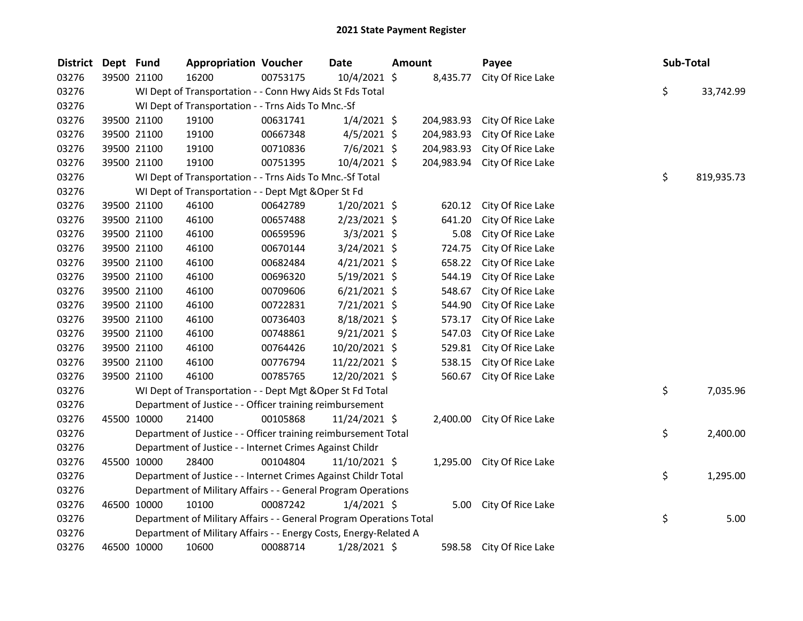| <b>District</b> | Dept Fund |             | <b>Appropriation Voucher</b>                                        |          | <b>Date</b>    | <b>Amount</b> |            | Payee                      | Sub-Total |            |
|-----------------|-----------|-------------|---------------------------------------------------------------------|----------|----------------|---------------|------------|----------------------------|-----------|------------|
| 03276           |           | 39500 21100 | 16200                                                               | 00753175 | 10/4/2021 \$   |               | 8,435.77   | City Of Rice Lake          |           |            |
| 03276           |           |             | WI Dept of Transportation - - Conn Hwy Aids St Fds Total            |          |                |               |            |                            | \$        | 33,742.99  |
| 03276           |           |             | WI Dept of Transportation - - Trns Aids To Mnc.-Sf                  |          |                |               |            |                            |           |            |
| 03276           |           | 39500 21100 | 19100                                                               | 00631741 | $1/4/2021$ \$  |               | 204,983.93 | City Of Rice Lake          |           |            |
| 03276           |           | 39500 21100 | 19100                                                               | 00667348 | $4/5/2021$ \$  |               | 204,983.93 | City Of Rice Lake          |           |            |
| 03276           |           | 39500 21100 | 19100                                                               | 00710836 | $7/6/2021$ \$  |               | 204,983.93 | City Of Rice Lake          |           |            |
| 03276           |           | 39500 21100 | 19100                                                               | 00751395 | 10/4/2021 \$   |               | 204,983.94 | City Of Rice Lake          |           |            |
| 03276           |           |             | WI Dept of Transportation - - Trns Aids To Mnc.-Sf Total            |          |                |               |            |                            | \$        | 819,935.73 |
| 03276           |           |             | WI Dept of Transportation - - Dept Mgt & Oper St Fd                 |          |                |               |            |                            |           |            |
| 03276           |           | 39500 21100 | 46100                                                               | 00642789 | 1/20/2021 \$   |               | 620.12     | City Of Rice Lake          |           |            |
| 03276           |           | 39500 21100 | 46100                                                               | 00657488 | $2/23/2021$ \$ |               | 641.20     | City Of Rice Lake          |           |            |
| 03276           |           | 39500 21100 | 46100                                                               | 00659596 | $3/3/2021$ \$  |               | 5.08       | City Of Rice Lake          |           |            |
| 03276           |           | 39500 21100 | 46100                                                               | 00670144 | 3/24/2021 \$   |               | 724.75     | City Of Rice Lake          |           |            |
| 03276           |           | 39500 21100 | 46100                                                               | 00682484 | $4/21/2021$ \$ |               | 658.22     | City Of Rice Lake          |           |            |
| 03276           |           | 39500 21100 | 46100                                                               | 00696320 | 5/19/2021 \$   |               | 544.19     | City Of Rice Lake          |           |            |
| 03276           |           | 39500 21100 | 46100                                                               | 00709606 | $6/21/2021$ \$ |               | 548.67     | City Of Rice Lake          |           |            |
| 03276           |           | 39500 21100 | 46100                                                               | 00722831 | 7/21/2021 \$   |               | 544.90     | City Of Rice Lake          |           |            |
| 03276           |           | 39500 21100 | 46100                                                               | 00736403 | $8/18/2021$ \$ |               | 573.17     | City Of Rice Lake          |           |            |
| 03276           |           | 39500 21100 | 46100                                                               | 00748861 | $9/21/2021$ \$ |               | 547.03     | City Of Rice Lake          |           |            |
| 03276           |           | 39500 21100 | 46100                                                               | 00764426 | 10/20/2021 \$  |               | 529.81     | City Of Rice Lake          |           |            |
| 03276           |           | 39500 21100 | 46100                                                               | 00776794 | 11/22/2021 \$  |               | 538.15     | City Of Rice Lake          |           |            |
| 03276           |           | 39500 21100 | 46100                                                               | 00785765 | 12/20/2021 \$  |               | 560.67     | City Of Rice Lake          |           |            |
| 03276           |           |             | WI Dept of Transportation - - Dept Mgt & Oper St Fd Total           |          |                |               |            |                            | \$        | 7,035.96   |
| 03276           |           |             | Department of Justice - - Officer training reimbursement            |          |                |               |            |                            |           |            |
| 03276           |           | 45500 10000 | 21400                                                               | 00105868 | 11/24/2021 \$  |               | 2,400.00   | City Of Rice Lake          |           |            |
| 03276           |           |             | Department of Justice - - Officer training reimbursement Total      |          |                |               |            |                            | \$        | 2,400.00   |
| 03276           |           |             | Department of Justice - - Internet Crimes Against Childr            |          |                |               |            |                            |           |            |
| 03276           |           | 45500 10000 | 28400                                                               | 00104804 | 11/10/2021 \$  |               |            | 1,295.00 City Of Rice Lake |           |            |
| 03276           |           |             | Department of Justice - - Internet Crimes Against Childr Total      |          |                |               |            |                            | \$        | 1,295.00   |
| 03276           |           |             | Department of Military Affairs - - General Program Operations       |          |                |               |            |                            |           |            |
| 03276           |           | 46500 10000 | 10100                                                               | 00087242 | $1/4/2021$ \$  |               | 5.00       | City Of Rice Lake          |           |            |
| 03276           |           |             | Department of Military Affairs - - General Program Operations Total |          |                |               |            |                            | \$        | 5.00       |
| 03276           |           |             | Department of Military Affairs - - Energy Costs, Energy-Related A   |          |                |               |            |                            |           |            |
| 03276           |           | 46500 10000 | 10600                                                               | 00088714 | 1/28/2021 \$   |               | 598.58     | City Of Rice Lake          |           |            |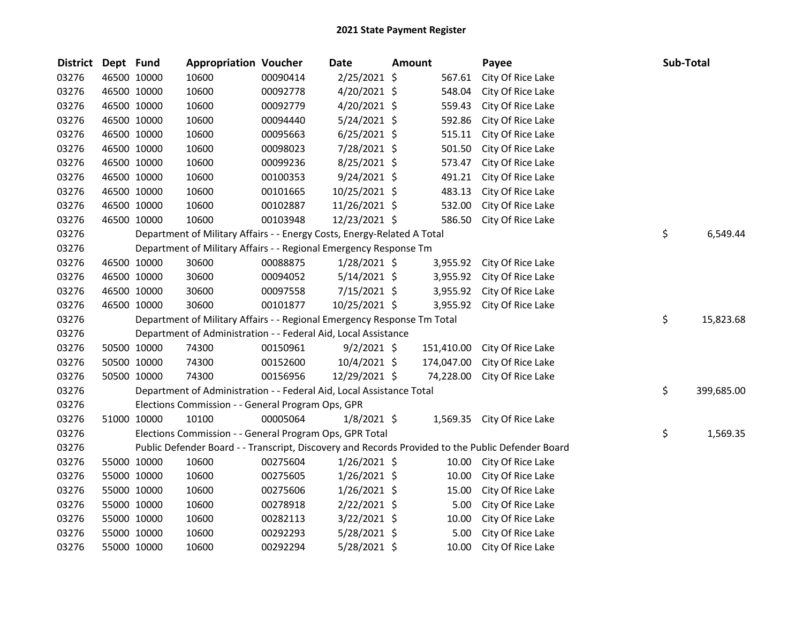| <b>District</b> | Dept Fund |             | <b>Appropriation Voucher</b>                                            |          | <b>Date</b>    | <b>Amount</b> |            | Payee                                                                                             | Sub-Total        |
|-----------------|-----------|-------------|-------------------------------------------------------------------------|----------|----------------|---------------|------------|---------------------------------------------------------------------------------------------------|------------------|
| 03276           |           | 46500 10000 | 10600                                                                   | 00090414 | 2/25/2021 \$   |               | 567.61     | City Of Rice Lake                                                                                 |                  |
| 03276           |           | 46500 10000 | 10600                                                                   | 00092778 | $4/20/2021$ \$ |               | 548.04     | City Of Rice Lake                                                                                 |                  |
| 03276           |           | 46500 10000 | 10600                                                                   | 00092779 | $4/20/2021$ \$ |               | 559.43     | City Of Rice Lake                                                                                 |                  |
| 03276           |           | 46500 10000 | 10600                                                                   | 00094440 | 5/24/2021 \$   |               | 592.86     | City Of Rice Lake                                                                                 |                  |
| 03276           |           | 46500 10000 | 10600                                                                   | 00095663 | $6/25/2021$ \$ |               | 515.11     | City Of Rice Lake                                                                                 |                  |
| 03276           |           | 46500 10000 | 10600                                                                   | 00098023 | 7/28/2021 \$   |               | 501.50     | City Of Rice Lake                                                                                 |                  |
| 03276           |           | 46500 10000 | 10600                                                                   | 00099236 | $8/25/2021$ \$ |               | 573.47     | City Of Rice Lake                                                                                 |                  |
| 03276           |           | 46500 10000 | 10600                                                                   | 00100353 | $9/24/2021$ \$ |               | 491.21     | City Of Rice Lake                                                                                 |                  |
| 03276           |           | 46500 10000 | 10600                                                                   | 00101665 | 10/25/2021 \$  |               | 483.13     | City Of Rice Lake                                                                                 |                  |
| 03276           |           | 46500 10000 | 10600                                                                   | 00102887 | 11/26/2021 \$  |               | 532.00     | City Of Rice Lake                                                                                 |                  |
| 03276           |           | 46500 10000 | 10600                                                                   | 00103948 | 12/23/2021 \$  |               | 586.50     | City Of Rice Lake                                                                                 |                  |
| 03276           |           |             | Department of Military Affairs - - Energy Costs, Energy-Related A Total |          |                |               |            |                                                                                                   | \$<br>6,549.44   |
| 03276           |           |             | Department of Military Affairs - - Regional Emergency Response Tm       |          |                |               |            |                                                                                                   |                  |
| 03276           |           | 46500 10000 | 30600                                                                   | 00088875 | $1/28/2021$ \$ |               | 3,955.92   | City Of Rice Lake                                                                                 |                  |
| 03276           |           | 46500 10000 | 30600                                                                   | 00094052 | $5/14/2021$ \$ |               | 3,955.92   | City Of Rice Lake                                                                                 |                  |
| 03276           |           | 46500 10000 | 30600                                                                   | 00097558 | 7/15/2021 \$   |               | 3,955.92   | City Of Rice Lake                                                                                 |                  |
| 03276           |           | 46500 10000 | 30600                                                                   | 00101877 | 10/25/2021 \$  |               | 3,955.92   | City Of Rice Lake                                                                                 |                  |
| 03276           |           |             | Department of Military Affairs - - Regional Emergency Response Tm Total |          |                |               |            |                                                                                                   | \$<br>15,823.68  |
| 03276           |           |             | Department of Administration - - Federal Aid, Local Assistance          |          |                |               |            |                                                                                                   |                  |
| 03276           |           | 50500 10000 | 74300                                                                   | 00150961 | $9/2/2021$ \$  |               | 151,410.00 | City Of Rice Lake                                                                                 |                  |
| 03276           |           | 50500 10000 | 74300                                                                   | 00152600 | $10/4/2021$ \$ |               | 174,047.00 | City Of Rice Lake                                                                                 |                  |
| 03276           |           | 50500 10000 | 74300                                                                   | 00156956 | 12/29/2021 \$  |               | 74,228.00  | City Of Rice Lake                                                                                 |                  |
| 03276           |           |             | Department of Administration - - Federal Aid, Local Assistance Total    |          |                |               |            |                                                                                                   | \$<br>399,685.00 |
| 03276           |           |             | Elections Commission - - General Program Ops, GPR                       |          |                |               |            |                                                                                                   |                  |
| 03276           |           | 51000 10000 | 10100                                                                   | 00005064 | $1/8/2021$ \$  |               |            | 1,569.35 City Of Rice Lake                                                                        |                  |
| 03276           |           |             | Elections Commission - - General Program Ops, GPR Total                 |          |                |               |            |                                                                                                   | \$<br>1,569.35   |
| 03276           |           |             |                                                                         |          |                |               |            | Public Defender Board - - Transcript, Discovery and Records Provided to the Public Defender Board |                  |
| 03276           |           | 55000 10000 | 10600                                                                   | 00275604 | $1/26/2021$ \$ |               | 10.00      | City Of Rice Lake                                                                                 |                  |
| 03276           |           | 55000 10000 | 10600                                                                   | 00275605 | $1/26/2021$ \$ |               | 10.00      | City Of Rice Lake                                                                                 |                  |
| 03276           |           | 55000 10000 | 10600                                                                   | 00275606 | $1/26/2021$ \$ |               | 15.00      | City Of Rice Lake                                                                                 |                  |
| 03276           |           | 55000 10000 | 10600                                                                   | 00278918 | $2/22/2021$ \$ |               | 5.00       | City Of Rice Lake                                                                                 |                  |
| 03276           |           | 55000 10000 | 10600                                                                   | 00282113 | 3/22/2021 \$   |               | 10.00      | City Of Rice Lake                                                                                 |                  |
| 03276           |           | 55000 10000 | 10600                                                                   | 00292293 | $5/28/2021$ \$ |               | 5.00       | City Of Rice Lake                                                                                 |                  |
| 03276           |           | 55000 10000 | 10600                                                                   | 00292294 | 5/28/2021 \$   |               | 10.00      | City Of Rice Lake                                                                                 |                  |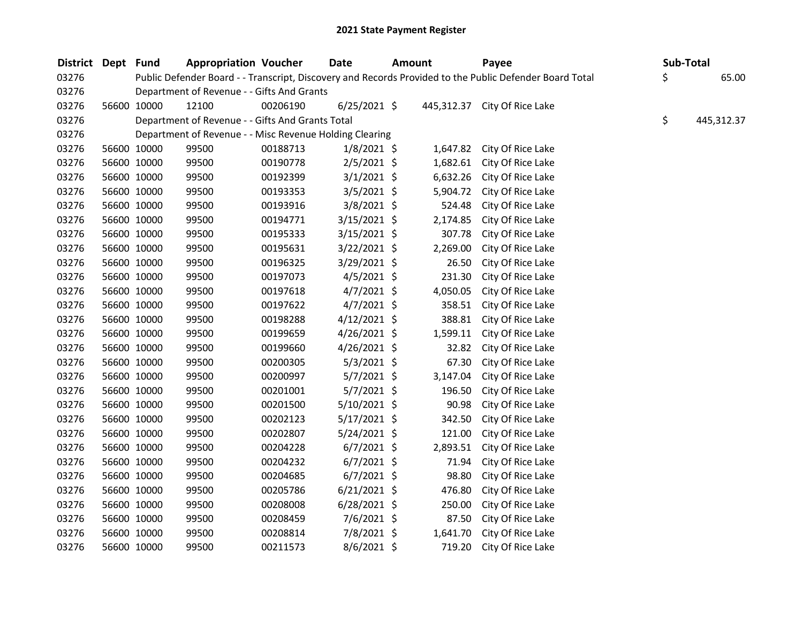| <b>District</b> | Dept Fund |             | <b>Appropriation Voucher</b>                            |          | <b>Date</b>    | <b>Amount</b> | Payee                                                                                                   | Sub-Total        |
|-----------------|-----------|-------------|---------------------------------------------------------|----------|----------------|---------------|---------------------------------------------------------------------------------------------------------|------------------|
| 03276           |           |             |                                                         |          |                |               | Public Defender Board - - Transcript, Discovery and Records Provided to the Public Defender Board Total | \$<br>65.00      |
| 03276           |           |             | Department of Revenue - - Gifts And Grants              |          |                |               |                                                                                                         |                  |
| 03276           |           | 56600 10000 | 12100                                                   | 00206190 | $6/25/2021$ \$ |               | 445,312.37 City Of Rice Lake                                                                            |                  |
| 03276           |           |             | Department of Revenue - - Gifts And Grants Total        |          |                |               |                                                                                                         | \$<br>445,312.37 |
| 03276           |           |             | Department of Revenue - - Misc Revenue Holding Clearing |          |                |               |                                                                                                         |                  |
| 03276           |           | 56600 10000 | 99500                                                   | 00188713 | $1/8/2021$ \$  | 1,647.82      | City Of Rice Lake                                                                                       |                  |
| 03276           |           | 56600 10000 | 99500                                                   | 00190778 | $2/5/2021$ \$  | 1,682.61      | City Of Rice Lake                                                                                       |                  |
| 03276           |           | 56600 10000 | 99500                                                   | 00192399 | $3/1/2021$ \$  | 6,632.26      | City Of Rice Lake                                                                                       |                  |
| 03276           |           | 56600 10000 | 99500                                                   | 00193353 | $3/5/2021$ \$  | 5,904.72      | City Of Rice Lake                                                                                       |                  |
| 03276           |           | 56600 10000 | 99500                                                   | 00193916 | 3/8/2021 \$    | 524.48        | City Of Rice Lake                                                                                       |                  |
| 03276           |           | 56600 10000 | 99500                                                   | 00194771 | $3/15/2021$ \$ | 2,174.85      | City Of Rice Lake                                                                                       |                  |
| 03276           |           | 56600 10000 | 99500                                                   | 00195333 | $3/15/2021$ \$ | 307.78        | City Of Rice Lake                                                                                       |                  |
| 03276           |           | 56600 10000 | 99500                                                   | 00195631 | $3/22/2021$ \$ | 2,269.00      | City Of Rice Lake                                                                                       |                  |
| 03276           |           | 56600 10000 | 99500                                                   | 00196325 | 3/29/2021 \$   | 26.50         | City Of Rice Lake                                                                                       |                  |
| 03276           |           | 56600 10000 | 99500                                                   | 00197073 | $4/5/2021$ \$  | 231.30        | City Of Rice Lake                                                                                       |                  |
| 03276           |           | 56600 10000 | 99500                                                   | 00197618 | $4/7/2021$ \$  | 4,050.05      | City Of Rice Lake                                                                                       |                  |
| 03276           |           | 56600 10000 | 99500                                                   | 00197622 | $4/7/2021$ \$  | 358.51        | City Of Rice Lake                                                                                       |                  |
| 03276           |           | 56600 10000 | 99500                                                   | 00198288 | $4/12/2021$ \$ | 388.81        | City Of Rice Lake                                                                                       |                  |
| 03276           |           | 56600 10000 | 99500                                                   | 00199659 | $4/26/2021$ \$ | 1,599.11      | City Of Rice Lake                                                                                       |                  |
| 03276           |           | 56600 10000 | 99500                                                   | 00199660 | $4/26/2021$ \$ | 32.82         | City Of Rice Lake                                                                                       |                  |
| 03276           |           | 56600 10000 | 99500                                                   | 00200305 | 5/3/2021 \$    | 67.30         | City Of Rice Lake                                                                                       |                  |
| 03276           |           | 56600 10000 | 99500                                                   | 00200997 | 5/7/2021 \$    | 3,147.04      | City Of Rice Lake                                                                                       |                  |
| 03276           |           | 56600 10000 | 99500                                                   | 00201001 | $5/7/2021$ \$  | 196.50        | City Of Rice Lake                                                                                       |                  |
| 03276           |           | 56600 10000 | 99500                                                   | 00201500 | $5/10/2021$ \$ | 90.98         | City Of Rice Lake                                                                                       |                  |
| 03276           |           | 56600 10000 | 99500                                                   | 00202123 | $5/17/2021$ \$ | 342.50        | City Of Rice Lake                                                                                       |                  |
| 03276           |           | 56600 10000 | 99500                                                   | 00202807 | $5/24/2021$ \$ | 121.00        | City Of Rice Lake                                                                                       |                  |
| 03276           |           | 56600 10000 | 99500                                                   | 00204228 | $6/7/2021$ \$  | 2,893.51      | City Of Rice Lake                                                                                       |                  |
| 03276           |           | 56600 10000 | 99500                                                   | 00204232 | $6/7/2021$ \$  | 71.94         | City Of Rice Lake                                                                                       |                  |
| 03276           |           | 56600 10000 | 99500                                                   | 00204685 | $6/7/2021$ \$  | 98.80         | City Of Rice Lake                                                                                       |                  |
| 03276           |           | 56600 10000 | 99500                                                   | 00205786 | $6/21/2021$ \$ | 476.80        | City Of Rice Lake                                                                                       |                  |
| 03276           |           | 56600 10000 | 99500                                                   | 00208008 | $6/28/2021$ \$ | 250.00        | City Of Rice Lake                                                                                       |                  |
| 03276           |           | 56600 10000 | 99500                                                   | 00208459 | 7/6/2021 \$    | 87.50         | City Of Rice Lake                                                                                       |                  |
| 03276           |           | 56600 10000 | 99500                                                   | 00208814 | 7/8/2021 \$    | 1,641.70      | City Of Rice Lake                                                                                       |                  |
| 03276           |           | 56600 10000 | 99500                                                   | 00211573 | 8/6/2021 \$    | 719.20        | City Of Rice Lake                                                                                       |                  |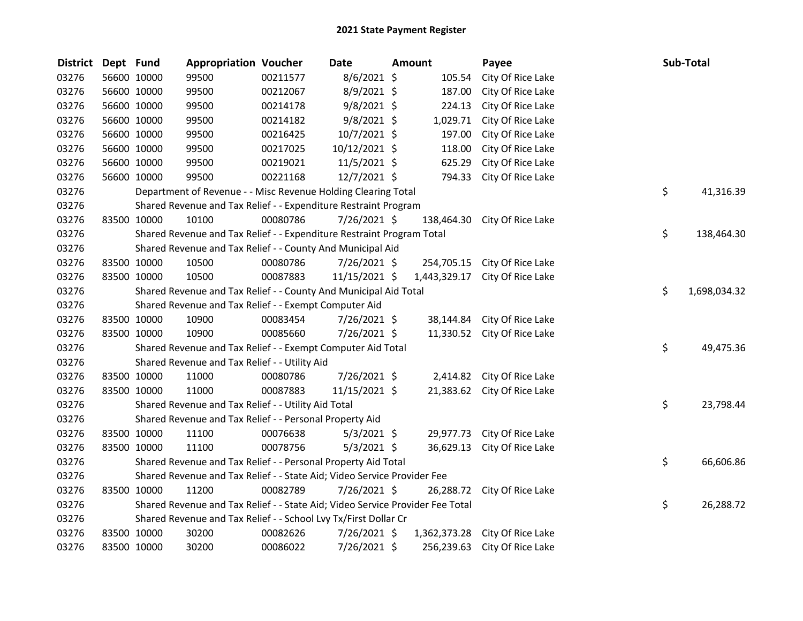| <b>District</b> | Dept Fund |             | <b>Appropriation Voucher</b>                                                  |          | Date          | <b>Amount</b> | Payee                       | Sub-Total          |
|-----------------|-----------|-------------|-------------------------------------------------------------------------------|----------|---------------|---------------|-----------------------------|--------------------|
| 03276           |           | 56600 10000 | 99500                                                                         | 00211577 | 8/6/2021 \$   | 105.54        | City Of Rice Lake           |                    |
| 03276           |           | 56600 10000 | 99500                                                                         | 00212067 | 8/9/2021 \$   | 187.00        | City Of Rice Lake           |                    |
| 03276           |           | 56600 10000 | 99500                                                                         | 00214178 | $9/8/2021$ \$ | 224.13        | City Of Rice Lake           |                    |
| 03276           |           | 56600 10000 | 99500                                                                         | 00214182 | $9/8/2021$ \$ | 1,029.71      | City Of Rice Lake           |                    |
| 03276           |           | 56600 10000 | 99500                                                                         | 00216425 | 10/7/2021 \$  | 197.00        | City Of Rice Lake           |                    |
| 03276           |           | 56600 10000 | 99500                                                                         | 00217025 | 10/12/2021 \$ | 118.00        | City Of Rice Lake           |                    |
| 03276           |           | 56600 10000 | 99500                                                                         | 00219021 | 11/5/2021 \$  | 625.29        | City Of Rice Lake           |                    |
| 03276           |           | 56600 10000 | 99500                                                                         | 00221168 | 12/7/2021 \$  | 794.33        | City Of Rice Lake           |                    |
| 03276           |           |             | Department of Revenue - - Misc Revenue Holding Clearing Total                 |          |               |               |                             | \$<br>41,316.39    |
| 03276           |           |             | Shared Revenue and Tax Relief - - Expenditure Restraint Program               |          |               |               |                             |                    |
| 03276           |           | 83500 10000 | 10100                                                                         | 00080786 | 7/26/2021 \$  | 138,464.30    | City Of Rice Lake           |                    |
| 03276           |           |             | Shared Revenue and Tax Relief - - Expenditure Restraint Program Total         |          |               |               |                             | \$<br>138,464.30   |
| 03276           |           |             | Shared Revenue and Tax Relief - - County And Municipal Aid                    |          |               |               |                             |                    |
| 03276           |           | 83500 10000 | 10500                                                                         | 00080786 | 7/26/2021 \$  | 254,705.15    | City Of Rice Lake           |                    |
| 03276           |           | 83500 10000 | 10500                                                                         | 00087883 | 11/15/2021 \$ | 1,443,329.17  | City Of Rice Lake           |                    |
| 03276           |           |             | Shared Revenue and Tax Relief - - County And Municipal Aid Total              |          |               |               |                             | \$<br>1,698,034.32 |
| 03276           |           |             | Shared Revenue and Tax Relief - - Exempt Computer Aid                         |          |               |               |                             |                    |
| 03276           |           | 83500 10000 | 10900                                                                         | 00083454 | 7/26/2021 \$  | 38,144.84     | City Of Rice Lake           |                    |
| 03276           |           | 83500 10000 | 10900                                                                         | 00085660 | 7/26/2021 \$  |               | 11,330.52 City Of Rice Lake |                    |
| 03276           |           |             | Shared Revenue and Tax Relief - - Exempt Computer Aid Total                   |          |               |               |                             | \$<br>49,475.36    |
| 03276           |           |             | Shared Revenue and Tax Relief - - Utility Aid                                 |          |               |               |                             |                    |
| 03276           |           | 83500 10000 | 11000                                                                         | 00080786 | 7/26/2021 \$  |               | 2,414.82 City Of Rice Lake  |                    |
| 03276           |           | 83500 10000 | 11000                                                                         | 00087883 | 11/15/2021 \$ |               | 21,383.62 City Of Rice Lake |                    |
| 03276           |           |             | Shared Revenue and Tax Relief - - Utility Aid Total                           |          |               |               |                             | \$<br>23,798.44    |
| 03276           |           |             | Shared Revenue and Tax Relief - - Personal Property Aid                       |          |               |               |                             |                    |
| 03276           |           | 83500 10000 | 11100                                                                         | 00076638 | $5/3/2021$ \$ | 29,977.73     | City Of Rice Lake           |                    |
| 03276           |           | 83500 10000 | 11100                                                                         | 00078756 | $5/3/2021$ \$ | 36,629.13     | City Of Rice Lake           |                    |
| 03276           |           |             | Shared Revenue and Tax Relief - - Personal Property Aid Total                 |          |               |               |                             | \$<br>66,606.86    |
| 03276           |           |             | Shared Revenue and Tax Relief - - State Aid; Video Service Provider Fee       |          |               |               |                             |                    |
| 03276           |           | 83500 10000 | 11200                                                                         | 00082789 | 7/26/2021 \$  | 26,288.72     | City Of Rice Lake           |                    |
| 03276           |           |             | Shared Revenue and Tax Relief - - State Aid; Video Service Provider Fee Total |          |               |               |                             | \$<br>26,288.72    |
| 03276           |           |             | Shared Revenue and Tax Relief - - School Lvy Tx/First Dollar Cr               |          |               |               |                             |                    |
| 03276           |           | 83500 10000 | 30200                                                                         | 00082626 | 7/26/2021 \$  | 1,362,373.28  | City Of Rice Lake           |                    |
| 03276           |           | 83500 10000 | 30200                                                                         | 00086022 | 7/26/2021 \$  | 256,239.63    | City Of Rice Lake           |                    |